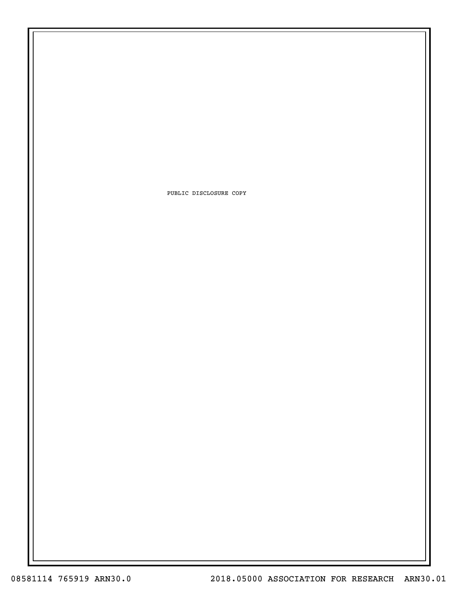PUBLIC DISCLOSURE COPY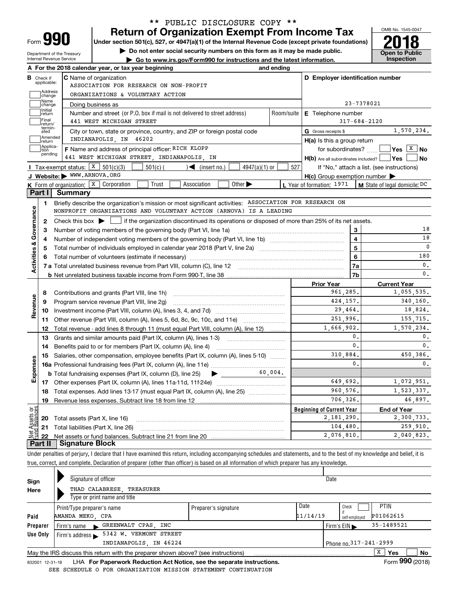| Form |  |
|------|--|

Department of the Treasury Internal Revenue Service

# **Return of Organization Exempt From Income Tax** \*\* PUBLIC DISCLOSURE COPY \*\*

Under section 501(c), 527, or 4947(a)(1) of the Internal Revenue Code (except private foundations) **2018** 

**| Do not enter social security numbers on this form as it may be made public.**

**| Go to www.irs.gov/Form990 for instructions and the latest information. Inspection**



|                                                                                                                                                                                  |                             | A For the 2018 calendar year, or tax year beginning                                                                                                 | and ending        |                                                     |                                                        |  |  |  |  |  |  |
|----------------------------------------------------------------------------------------------------------------------------------------------------------------------------------|-----------------------------|-----------------------------------------------------------------------------------------------------------------------------------------------------|-------------------|-----------------------------------------------------|--------------------------------------------------------|--|--|--|--|--|--|
| в                                                                                                                                                                                | Check if<br>applicable:     | <b>C</b> Name of organization                                                                                                                       |                   | D Employer identification number                    |                                                        |  |  |  |  |  |  |
|                                                                                                                                                                                  | <b>Address</b>              | ASSOCIATION FOR RESEARCH ON NON-PROFIT                                                                                                              |                   |                                                     |                                                        |  |  |  |  |  |  |
| ORGANIZATIONS & VOLUNTARY ACTION<br>change<br>Name                                                                                                                               |                             |                                                                                                                                                     |                   |                                                     |                                                        |  |  |  |  |  |  |
| 23-7378021<br>Doing business as<br>change<br>Initial<br>Number and street (or P.O. box if mail is not delivered to street address)<br>Room/suite<br>E Telephone number<br>return |                             |                                                                                                                                                     |                   |                                                     |                                                        |  |  |  |  |  |  |
|                                                                                                                                                                                  |                             |                                                                                                                                                     |                   |                                                     |                                                        |  |  |  |  |  |  |
|                                                                                                                                                                                  | termin-<br>ated             | City or town, state or province, country, and ZIP or foreign postal code                                                                            |                   | G Gross receipts \$                                 | 1,570,234.                                             |  |  |  |  |  |  |
|                                                                                                                                                                                  | Amended<br>return           | INDIANAPOLIS, IN 46202                                                                                                                              |                   | $H(a)$ is this a group return                       |                                                        |  |  |  |  |  |  |
|                                                                                                                                                                                  | Applica-<br>tion<br>pending | F Name and address of principal officer: RICH KLOPP                                                                                                 |                   |                                                     | for subordinates? $\Box$ Yes $\boxed{\overline{X}}$ No |  |  |  |  |  |  |
|                                                                                                                                                                                  |                             | 441 WEST MICHIGAN STREET, INDIANAPOLIS, IN                                                                                                          |                   | H(b) Are all subordinates included?   Yes           | ∣No                                                    |  |  |  |  |  |  |
|                                                                                                                                                                                  |                             | Tax-exempt status: $X \mid 501(c)(3)$<br>$501(c)$ (<br>$4947(a)(1)$ or<br>$\mathcal{A}$ (insert no.)                                                | 527               |                                                     | If "No," attach a list. (see instructions)             |  |  |  |  |  |  |
|                                                                                                                                                                                  |                             | J Website: WWW.ARNOVA.ORG                                                                                                                           |                   | $H(c)$ Group exemption number $\blacktriangleright$ |                                                        |  |  |  |  |  |  |
|                                                                                                                                                                                  |                             | K Form of organization: X Corporation<br>Trust<br>Association<br>Other $\blacktriangleright$                                                        |                   | L Year of formation: 1971                           | M State of legal domicile: DC                          |  |  |  |  |  |  |
|                                                                                                                                                                                  | Part I                      | Summary                                                                                                                                             |                   |                                                     |                                                        |  |  |  |  |  |  |
|                                                                                                                                                                                  | 1                           | Briefly describe the organization's mission or most significant activities: ASSOCIATION FOR RESEARCH ON                                             |                   |                                                     |                                                        |  |  |  |  |  |  |
|                                                                                                                                                                                  |                             | NONPROFIT ORGANIZATIONS AND VOLUNTARY ACTION (ARNOVA) IS A LEADING                                                                                  |                   |                                                     |                                                        |  |  |  |  |  |  |
|                                                                                                                                                                                  | $\mathbf{2}$                | Check this box $\blacktriangleright$ $\blacksquare$ if the organization discontinued its operations or disposed of more than 25% of its net assets. |                   |                                                     |                                                        |  |  |  |  |  |  |
| Activities & Governance                                                                                                                                                          | 3                           | Number of voting members of the governing body (Part VI, line 1a)                                                                                   | 3                 | 18                                                  |                                                        |  |  |  |  |  |  |
|                                                                                                                                                                                  | 4                           |                                                                                                                                                     | 4                 | 18                                                  |                                                        |  |  |  |  |  |  |
|                                                                                                                                                                                  | 5                           |                                                                                                                                                     | 5                 | $\mathbf 0$                                         |                                                        |  |  |  |  |  |  |
|                                                                                                                                                                                  | 6                           |                                                                                                                                                     |                   | 6                                                   | 180                                                    |  |  |  |  |  |  |
|                                                                                                                                                                                  |                             |                                                                                                                                                     |                   | 7a                                                  | $\mathbf{0}$ .                                         |  |  |  |  |  |  |
|                                                                                                                                                                                  |                             |                                                                                                                                                     |                   | 7b                                                  | $\mathbf{0}$ .                                         |  |  |  |  |  |  |
|                                                                                                                                                                                  |                             |                                                                                                                                                     | <b>Prior Year</b> | <b>Current Year</b>                                 |                                                        |  |  |  |  |  |  |
|                                                                                                                                                                                  | 8                           |                                                                                                                                                     |                   | 961.285.                                            | 1,055,535.                                             |  |  |  |  |  |  |
| Revenue                                                                                                                                                                          | 9                           | Program service revenue (Part VIII, line 2g)                                                                                                        |                   | 424, 157.                                           | 340,160.                                               |  |  |  |  |  |  |
|                                                                                                                                                                                  | 10                          | Investment income (Part VIII, column (A), lines 3, 4, and 7d)                                                                                       |                   | 29,464.<br>251.996.                                 | 18,824.                                                |  |  |  |  |  |  |
|                                                                                                                                                                                  | 11                          |                                                                                                                                                     |                   |                                                     | 155,715.                                               |  |  |  |  |  |  |
|                                                                                                                                                                                  | 12                          | Total revenue - add lines 8 through 11 (must equal Part VIII, column (A), line 12)                                                                  |                   | 1,666,902.                                          | 1,570,234.                                             |  |  |  |  |  |  |
|                                                                                                                                                                                  | 13                          | Grants and similar amounts paid (Part IX, column (A), lines 1-3)                                                                                    |                   | 0.<br>$\mathbf{0}$ .                                | $\mathbf 0$ .                                          |  |  |  |  |  |  |
|                                                                                                                                                                                  | 14                          | Benefits paid to or for members (Part IX, column (A), line 4)                                                                                       |                   |                                                     | $\mathbf{0}$ .                                         |  |  |  |  |  |  |
|                                                                                                                                                                                  | 15                          | Salaries, other compensation, employee benefits (Part IX, column (A), lines 5-10)                                                                   |                   | 310,884.<br>$\mathbf{0}$ .                          | 450,386.                                               |  |  |  |  |  |  |
| Expenses                                                                                                                                                                         |                             |                                                                                                                                                     |                   |                                                     | $\mathbf{0}$ .                                         |  |  |  |  |  |  |
|                                                                                                                                                                                  |                             | <b>b</b> Total fundraising expenses (Part IX, column (D), line 25) $\triangleright$                                                                 | 60,004.           |                                                     |                                                        |  |  |  |  |  |  |
|                                                                                                                                                                                  |                             |                                                                                                                                                     |                   | 649,692.                                            | 1,072,951.                                             |  |  |  |  |  |  |
|                                                                                                                                                                                  | 18                          | Total expenses. Add lines 13-17 (must equal Part IX, column (A), line 25) <i></i>                                                                   |                   | 960,576.                                            | 1,523,337.                                             |  |  |  |  |  |  |
|                                                                                                                                                                                  | 19                          |                                                                                                                                                     |                   | 706,326.                                            | 46,897.                                                |  |  |  |  |  |  |
|                                                                                                                                                                                  |                             |                                                                                                                                                     |                   | <b>Beginning of Current Year</b>                    | <b>End of Year</b>                                     |  |  |  |  |  |  |
|                                                                                                                                                                                  |                             |                                                                                                                                                     |                   |                                                     |                                                        |  |  |  |  |  |  |
| ۆە<br>$\overline{\mathbf{c}}$                                                                                                                                                    |                             | 20 Total assets (Part X, line 16)                                                                                                                   |                   | 2,181,290.                                          | 2,300,733.                                             |  |  |  |  |  |  |
|                                                                                                                                                                                  | 21<br>22                    | Total liabilities (Part X, line 26)                                                                                                                 |                   | 104,480.<br>2,076,810.                              | 259,910.<br>2,040,823.                                 |  |  |  |  |  |  |

Under penalties of perjury, I declare that I have examined this return, including accompanying schedules and statements, and to the best of my knowledge and belief, it is true, correct, and complete. Declaration of preparer (other than officer) is based on all information of which preparer has any knowledge.

| Sign     | Signature of officer                                                                            |                      | Date     |                                                |
|----------|-------------------------------------------------------------------------------------------------|----------------------|----------|------------------------------------------------|
| Here     | THAD CALABRESE, TREASURER                                                                       |                      |          |                                                |
|          | Type or print name and title                                                                    |                      |          |                                                |
|          | Print/Type preparer's name                                                                      | Preparer's signature | Date     | <b>PTIN</b><br>Check                           |
| Paid     | AMANDA MEKO, CPA                                                                                |                      | 11/14/19 | P01062615<br>self-employed                     |
| Preparer | GREENWALT CPAS INC<br>Firm's name<br>$\sim$                                                     |                      |          | 35-1489521<br>Firm's $EIN \blacktriangleright$ |
| Use Only | 5342 W. VERMONT STREET<br>Firm's address                                                        |                      |          |                                                |
|          | INDIANAPOLIS, IN 46224                                                                          |                      |          | Phone no. 317-241-2999                         |
|          | May the IRS discuss this return with the preparer shown above? (see instructions)               |                      |          | X<br><b>Yes</b><br>No                          |
|          | n an an a-mhinis an East-Base ann an Bailteatha. A at Niatha ann a tha ann an t-ainm that the s |                      |          | $F = 000 \text{ (0010)}$                       |

832001 12-31-18 LHA **For Paperwork Reduction Act Notice, see the separate instructions. Form 990 (2018)** SEE SCHEDULE O FOR ORGANIZATION MISSION STATEMENT CONTINUATION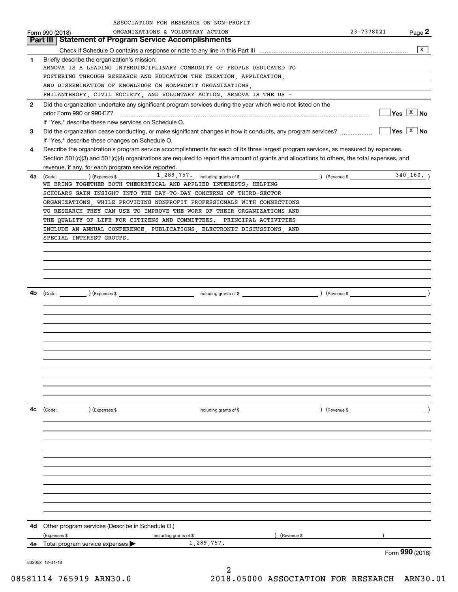|              | ASSOCIATION FOR RESEARCH ON NON-PROFIT                                                                                                       |                                                  |                             |
|--------------|----------------------------------------------------------------------------------------------------------------------------------------------|--------------------------------------------------|-----------------------------|
|              | ORGANIZATIONS & VOLUNTARY ACTION<br>Form 990 (2018)                                                                                          | 23-7378021                                       | Page 2                      |
|              | <b>Statement of Program Service Accomplishments</b><br>Part III                                                                              |                                                  |                             |
|              |                                                                                                                                              |                                                  | x                           |
| 1            | Briefly describe the organization's mission:                                                                                                 |                                                  |                             |
|              | ARNOVA IS A LEADING INTERDISCIPLINARY COMMUNITY OF PEOPLE DEDICATED TO                                                                       |                                                  |                             |
|              | FOSTERING THROUGH RESEARCH AND EDUCATION THE CREATION, APPLICATION,<br>AND DISSEMINATION OF KNOWLEDGE ON NONPROFIT ORGANIZATIONS,            |                                                  |                             |
|              | PHILANTHROPY, CIVIL SOCIETY, AND VOLUNTARY ACTION. ARNOVA IS THE US -                                                                        |                                                  |                             |
| $\mathbf{2}$ | Did the organization undertake any significant program services during the year which were not listed on the                                 |                                                  |                             |
|              |                                                                                                                                              |                                                  | $ Yes \tX$ No               |
|              | If "Yes," describe these new services on Schedule O.                                                                                         |                                                  |                             |
| 3            | Did the organization cease conducting, or make significant changes in how it conducts, any program services?                                 |                                                  | $\sqrt{Y}$ es $\sqrt{X}$ No |
|              | If "Yes," describe these changes on Schedule O.                                                                                              |                                                  |                             |
| 4            | Describe the organization's program service accomplishments for each of its three largest program services, as measured by expenses.         |                                                  |                             |
|              | Section 501(c)(3) and 501(c)(4) organizations are required to report the amount of grants and allocations to others, the total expenses, and |                                                  |                             |
|              | revenue, if any, for each program service reported.                                                                                          |                                                  |                             |
| 4a           | $\frac{1}{289}$ , $757$ including grants of \$                                                                                               | $($ Revenue \$ $\frac{1}{\sqrt{1-\frac{1}{2}}}\$ | 340, 160.                   |
|              | WE BRING TOGETHER BOTH THEORETICAL AND APPLIED INTERESTS; HELPING                                                                            |                                                  |                             |
|              | SCHOLARS GAIN INSIGHT INTO THE DAY-TO-DAY CONCERNS OF THIRD-SECTOR                                                                           |                                                  |                             |
|              | ORGANIZATIONS, WHILE PROVIDING NONPROFIT PROFESSIONALS WITH CONNECTIONS                                                                      |                                                  |                             |
|              | TO RESEARCH THEY CAN USE TO IMPROVE THE WORK OF THEIR ORGANIZATIONS AND                                                                      |                                                  |                             |
|              | THE QUALITY OF LIFE FOR CITIZENS AND COMMITTEES. PRINCIPAL ACTIVITIES                                                                        |                                                  |                             |
|              | INCLUDE AN ANNUAL CONFERENCE, PUBLICATIONS, ELECTRONIC DISCUSSIONS, AND                                                                      |                                                  |                             |
|              | SPECIAL INTEREST GROUPS.                                                                                                                     |                                                  |                             |
|              |                                                                                                                                              |                                                  |                             |
|              |                                                                                                                                              |                                                  |                             |
|              |                                                                                                                                              |                                                  |                             |
|              |                                                                                                                                              |                                                  |                             |
| 4b           |                                                                                                                                              |                                                  |                             |
|              |                                                                                                                                              |                                                  |                             |
|              |                                                                                                                                              |                                                  |                             |
|              |                                                                                                                                              |                                                  |                             |
|              |                                                                                                                                              |                                                  |                             |
|              |                                                                                                                                              |                                                  |                             |
|              |                                                                                                                                              |                                                  |                             |
|              |                                                                                                                                              |                                                  |                             |
|              |                                                                                                                                              |                                                  |                             |
|              |                                                                                                                                              |                                                  |                             |
|              |                                                                                                                                              |                                                  |                             |
|              |                                                                                                                                              |                                                  |                             |
|              |                                                                                                                                              |                                                  |                             |
| 4c           |                                                                                                                                              | $\left(\text{Revenue }$                          |                             |
|              |                                                                                                                                              |                                                  |                             |
|              |                                                                                                                                              |                                                  |                             |
|              |                                                                                                                                              |                                                  |                             |
|              |                                                                                                                                              |                                                  |                             |
|              |                                                                                                                                              |                                                  |                             |
|              |                                                                                                                                              |                                                  |                             |
|              |                                                                                                                                              |                                                  |                             |
|              |                                                                                                                                              |                                                  |                             |
|              |                                                                                                                                              |                                                  |                             |
|              |                                                                                                                                              |                                                  |                             |
|              |                                                                                                                                              |                                                  |                             |
| 4d -         | Other program services (Describe in Schedule O.)                                                                                             |                                                  |                             |
|              | ) (Revenue \$<br>(Expenses \$<br>including grants of \$                                                                                      |                                                  |                             |
| 4е           | 1,289,757.<br>Total program service expenses >                                                                                               |                                                  |                             |
|              |                                                                                                                                              |                                                  | Form 990 (2018)             |
|              | 832002 12-31-18                                                                                                                              |                                                  |                             |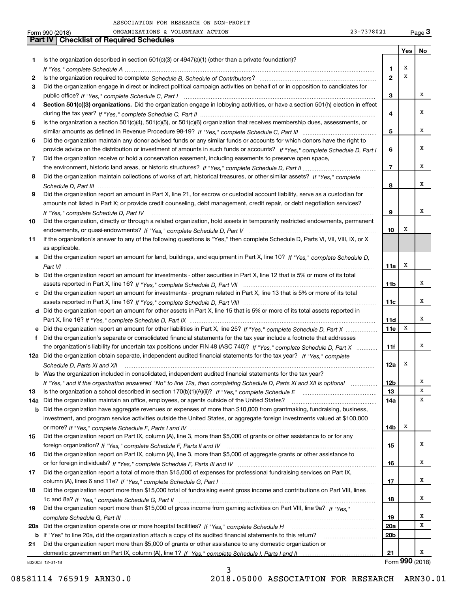|     | 23-7378021<br>ORGANIZATIONS & VOLUNTARY ACTION<br>Form 990 (2018)                                                                    |                 |     | Page $3$        |
|-----|--------------------------------------------------------------------------------------------------------------------------------------|-----------------|-----|-----------------|
|     | <b>Part IV   Checklist of Required Schedules</b>                                                                                     |                 |     |                 |
|     |                                                                                                                                      |                 | Yes | No              |
| 1   | Is the organization described in section $501(c)(3)$ or $4947(a)(1)$ (other than a private foundation)?                              |                 |     |                 |
|     |                                                                                                                                      | 1               | х   |                 |
| 2   |                                                                                                                                      | $\mathbf{2}$    | x   |                 |
| З   | Did the organization engage in direct or indirect political campaign activities on behalf of or in opposition to candidates for      |                 |     |                 |
|     |                                                                                                                                      | 3               |     | x               |
|     |                                                                                                                                      |                 |     |                 |
| 4   | Section 501(c)(3) organizations. Did the organization engage in lobbying activities, or have a section 501(h) election in effect     |                 |     |                 |
|     |                                                                                                                                      | 4               |     | x               |
| 5   | Is the organization a section 501(c)(4), 501(c)(5), or 501(c)(6) organization that receives membership dues, assessments, or         |                 |     |                 |
|     |                                                                                                                                      | 5               |     | х               |
| 6   | Did the organization maintain any donor advised funds or any similar funds or accounts for which donors have the right to            |                 |     |                 |
|     | provide advice on the distribution or investment of amounts in such funds or accounts? If "Yes," complete Schedule D, Part I         | 6               |     | x               |
| 7   | Did the organization receive or hold a conservation easement, including easements to preserve open space,                            |                 |     |                 |
|     |                                                                                                                                      | $\overline{7}$  |     | x               |
| 8   | Did the organization maintain collections of works of art, historical treasures, or other similar assets? If "Yes," complete         |                 |     |                 |
|     |                                                                                                                                      |                 |     | x               |
|     |                                                                                                                                      | 8               |     |                 |
| 9   | Did the organization report an amount in Part X, line 21, for escrow or custodial account liability, serve as a custodian for        |                 |     |                 |
|     | amounts not listed in Part X; or provide credit counseling, debt management, credit repair, or debt negotiation services?            |                 |     |                 |
|     | If "Yes," complete Schedule D, Part IV                                                                                               | 9               |     | х               |
| 10  | Did the organization, directly or through a related organization, hold assets in temporarily restricted endowments, permanent        |                 |     |                 |
|     |                                                                                                                                      | 10              | х   |                 |
| 11  | If the organization's answer to any of the following questions is "Yes," then complete Schedule D, Parts VI, VII, VIII, IX, or X     |                 |     |                 |
|     | as applicable.                                                                                                                       |                 |     |                 |
|     | a Did the organization report an amount for land, buildings, and equipment in Part X, line 10? If "Yes." complete Schedule D.        |                 |     |                 |
|     |                                                                                                                                      | 11a             | х   |                 |
|     |                                                                                                                                      |                 |     |                 |
|     | <b>b</b> Did the organization report an amount for investments - other securities in Part X, line 12 that is 5% or more of its total |                 |     |                 |
|     |                                                                                                                                      | 11 <sub>b</sub> |     | x               |
|     | c Did the organization report an amount for investments - program related in Part X, line 13 that is 5% or more of its total         |                 |     |                 |
|     |                                                                                                                                      | 11c             |     | x               |
|     | d Did the organization report an amount for other assets in Part X, line 15 that is 5% or more of its total assets reported in       |                 |     |                 |
|     |                                                                                                                                      | <b>11d</b>      |     | x               |
|     | e Did the organization report an amount for other liabilities in Part X, line 25? If "Yes," complete Schedule D, Part X              | 11e             | Х   |                 |
| f   | Did the organization's separate or consolidated financial statements for the tax year include a footnote that addresses              |                 |     |                 |
|     | the organization's liability for uncertain tax positions under FIN 48 (ASC 740)? If "Yes," complete Schedule D, Part X               | 11f             |     | x               |
|     | 12a Did the organization obtain separate, independent audited financial statements for the tax year? If "Yes," complete              |                 |     |                 |
|     |                                                                                                                                      |                 | х   |                 |
|     | Schedule D, Parts XI and XII Allending and Allending and Allending and Allending and Allending and Allending and All                 | 12a             |     |                 |
|     | b Was the organization included in consolidated, independent audited financial statements for the tax year?                          |                 |     |                 |
|     | If "Yes," and if the organization answered "No" to line 12a, then completing Schedule D, Parts XI and XII is optional                | 12 <sub>b</sub> |     | x               |
| 13  |                                                                                                                                      | 13              |     | х               |
| 14a | Did the organization maintain an office, employees, or agents outside of the United States?                                          | 14a             |     | x               |
|     | <b>b</b> Did the organization have aggregate revenues or expenses of more than \$10,000 from grantmaking, fundraising, business,     |                 |     |                 |
|     | investment, and program service activities outside the United States, or aggregate foreign investments valued at \$100,000           |                 |     |                 |
|     |                                                                                                                                      | 14b             | х   |                 |
| 15  | Did the organization report on Part IX, column (A), line 3, more than \$5,000 of grants or other assistance to or for any            |                 |     |                 |
|     |                                                                                                                                      | 15              |     | х               |
|     | Did the organization report on Part IX, column (A), line 3, more than \$5,000 of aggregate grants or other assistance to             |                 |     |                 |
| 16  |                                                                                                                                      |                 |     |                 |
|     |                                                                                                                                      | 16              |     | x               |
| 17  | Did the organization report a total of more than \$15,000 of expenses for professional fundraising services on Part IX,              |                 |     |                 |
|     |                                                                                                                                      | 17              |     | x               |
| 18  | Did the organization report more than \$15,000 total of fundraising event gross income and contributions on Part VIII, lines         |                 |     |                 |
|     |                                                                                                                                      | 18              |     | x               |
| 19  | Did the organization report more than \$15,000 of gross income from gaming activities on Part VIII, line 9a? If "Yes."               |                 |     |                 |
|     |                                                                                                                                      | 19              |     | x               |
|     | 20a Did the organization operate one or more hospital facilities? If "Yes," complete Schedule H                                      | 20a             |     | х               |
|     |                                                                                                                                      |                 |     |                 |
|     | b If "Yes" to line 20a, did the organization attach a copy of its audited financial statements to this return?                       | 20 <sub>b</sub> |     |                 |
| 21  | Did the organization report more than \$5,000 of grants or other assistance to any domestic organization or                          |                 |     |                 |
|     |                                                                                                                                      | 21              |     | x               |
|     | 832003 12-31-18                                                                                                                      |                 |     | Form 990 (2018) |

3

832003 12-31-18

08581114 765919 ARN30.0 2018.05000 ASSOCIATION FOR RESEARCH ARN30.01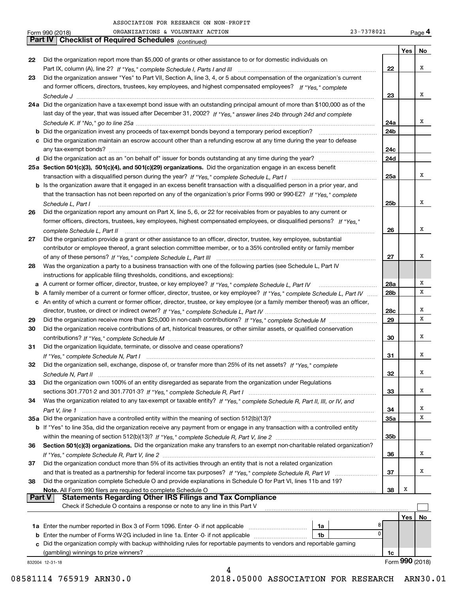|    | ORGANIZATIONS & VOLUNTARY ACTION<br>Form 990 (2018)                                                                                                                                                                                                               | 23-7378021 |                        |   | Page 4          |
|----|-------------------------------------------------------------------------------------------------------------------------------------------------------------------------------------------------------------------------------------------------------------------|------------|------------------------|---|-----------------|
|    | Part IV   Checklist of Required Schedules (continued)                                                                                                                                                                                                             |            |                        |   |                 |
|    |                                                                                                                                                                                                                                                                   |            |                        |   | Yes   No        |
| 22 | Did the organization report more than \$5,000 of grants or other assistance to or for domestic individuals on                                                                                                                                                     |            |                        |   |                 |
|    |                                                                                                                                                                                                                                                                   |            | 22                     |   | x               |
| 23 | Did the organization answer "Yes" to Part VII, Section A, line 3, 4, or 5 about compensation of the organization's current                                                                                                                                        |            |                        |   |                 |
|    | and former officers, directors, trustees, key employees, and highest compensated employees? If "Yes," complete                                                                                                                                                    |            |                        |   |                 |
|    |                                                                                                                                                                                                                                                                   |            | 23                     |   | x               |
|    | 24a Did the organization have a tax-exempt bond issue with an outstanding principal amount of more than \$100,000 as of the                                                                                                                                       |            |                        |   |                 |
|    | last day of the year, that was issued after December 31, 2002? If "Yes," answer lines 24b through 24d and complete                                                                                                                                                |            |                        |   |                 |
|    |                                                                                                                                                                                                                                                                   |            | 24a                    |   | х               |
|    |                                                                                                                                                                                                                                                                   |            | 24b                    |   |                 |
|    | c Did the organization maintain an escrow account other than a refunding escrow at any time during the year to defease                                                                                                                                            |            |                        |   |                 |
|    |                                                                                                                                                                                                                                                                   |            | 24c                    |   |                 |
|    |                                                                                                                                                                                                                                                                   |            | 24d                    |   |                 |
|    | 25a Section 501(c)(3), 501(c)(4), and 501(c)(29) organizations. Did the organization engage in an excess benefit                                                                                                                                                  |            |                        |   | x               |
|    |                                                                                                                                                                                                                                                                   |            | 25a                    |   |                 |
|    | b Is the organization aware that it engaged in an excess benefit transaction with a disqualified person in a prior year, and                                                                                                                                      |            |                        |   |                 |
|    | that the transaction has not been reported on any of the organization's prior Forms 990 or 990-EZ? If "Yes," complete                                                                                                                                             |            |                        |   | x               |
|    | Schedule L, Part I                                                                                                                                                                                                                                                |            | 25b                    |   |                 |
| 26 | Did the organization report any amount on Part X, line 5, 6, or 22 for receivables from or payables to any current or                                                                                                                                             |            |                        |   |                 |
|    | former officers, directors, trustees, key employees, highest compensated employees, or disqualified persons? If "Yes."                                                                                                                                            |            |                        |   | х               |
|    |                                                                                                                                                                                                                                                                   |            | 26                     |   |                 |
| 27 | Did the organization provide a grant or other assistance to an officer, director, trustee, key employee, substantial                                                                                                                                              |            |                        |   |                 |
|    | contributor or employee thereof, a grant selection committee member, or to a 35% controlled entity or family member                                                                                                                                               |            |                        |   | х               |
|    |                                                                                                                                                                                                                                                                   |            | 27                     |   |                 |
| 28 | Was the organization a party to a business transaction with one of the following parties (see Schedule L, Part IV                                                                                                                                                 |            |                        |   |                 |
|    | instructions for applicable filing thresholds, conditions, and exceptions):                                                                                                                                                                                       |            |                        |   | х               |
|    | a A current or former officer, director, trustee, or key employee? If "Yes," complete Schedule L, Part IV                                                                                                                                                         |            | 28a<br>28 <sub>b</sub> |   | х               |
|    | b A family member of a current or former officer, director, trustee, or key employee? If "Yes," complete Schedule L, Part IV<br>c An entity of which a current or former officer, director, trustee, or key employee (or a family member thereof) was an officer, |            |                        |   |                 |
|    |                                                                                                                                                                                                                                                                   |            | 28c                    |   | х               |
| 29 |                                                                                                                                                                                                                                                                   |            | 29                     |   | х               |
| 30 | Did the organization receive contributions of art, historical treasures, or other similar assets, or qualified conservation                                                                                                                                       |            |                        |   |                 |
|    |                                                                                                                                                                                                                                                                   |            | 30                     |   | x               |
| 31 | Did the organization liquidate, terminate, or dissolve and cease operations?                                                                                                                                                                                      |            |                        |   |                 |
|    |                                                                                                                                                                                                                                                                   |            | 31                     |   | x               |
|    | Did the organization sell, exchange, dispose of, or transfer more than 25% of its net assets? If "Yes," complete                                                                                                                                                  |            |                        |   |                 |
|    |                                                                                                                                                                                                                                                                   |            | 32                     |   | х               |
| 33 | Did the organization own 100% of an entity disregarded as separate from the organization under Regulations                                                                                                                                                        |            |                        |   |                 |
|    |                                                                                                                                                                                                                                                                   |            | 33                     |   | х               |
| 34 | Was the organization related to any tax-exempt or taxable entity? If "Yes," complete Schedule R, Part II, III, or IV, and                                                                                                                                         |            |                        |   |                 |
|    |                                                                                                                                                                                                                                                                   |            | 34                     |   | x               |
|    | 35a Did the organization have a controlled entity within the meaning of section 512(b)(13)?                                                                                                                                                                       |            | <b>35a</b>             |   | х               |
|    | b If "Yes" to line 35a, did the organization receive any payment from or engage in any transaction with a controlled entity                                                                                                                                       |            |                        |   |                 |
|    |                                                                                                                                                                                                                                                                   |            | 35b                    |   |                 |
| 36 | Section 501(c)(3) organizations. Did the organization make any transfers to an exempt non-charitable related organization?                                                                                                                                        |            |                        |   |                 |
|    |                                                                                                                                                                                                                                                                   |            | 36                     |   | х               |
| 37 | Did the organization conduct more than 5% of its activities through an entity that is not a related organization                                                                                                                                                  |            |                        |   |                 |
|    |                                                                                                                                                                                                                                                                   |            | 37                     |   | х               |
| 38 | Did the organization complete Schedule O and provide explanations in Schedule O for Part VI, lines 11b and 19?                                                                                                                                                    |            |                        |   |                 |
|    | Note. All Form 990 filers are required to complete Schedule O                                                                                                                                                                                                     |            | 38                     | x |                 |
|    | <b>Statements Regarding Other IRS Filings and Tax Compliance</b><br><b>Part V</b>                                                                                                                                                                                 |            |                        |   |                 |
|    | Check if Schedule O contains a response or note to any line in this Part V                                                                                                                                                                                        |            |                        |   |                 |
|    |                                                                                                                                                                                                                                                                   |            |                        |   | Yes   No        |
|    | 1a                                                                                                                                                                                                                                                                | 8          |                        |   |                 |
|    | <b>b</b> Enter the number of Forms W-2G included in line 1a. Enter -0- if not applicable<br>1b                                                                                                                                                                    | 0          |                        |   |                 |
|    | c Did the organization comply with backup withholding rules for reportable payments to vendors and reportable gaming                                                                                                                                              |            |                        |   |                 |
|    |                                                                                                                                                                                                                                                                   |            | 1c                     |   |                 |
|    | 832004 12-31-18                                                                                                                                                                                                                                                   |            |                        |   | Form 990 (2018) |
|    | 4                                                                                                                                                                                                                                                                 |            |                        |   |                 |

08581114 765919 ARN30.0 2018.05000 ASSOCIATION FOR RESEARCH ARN30.01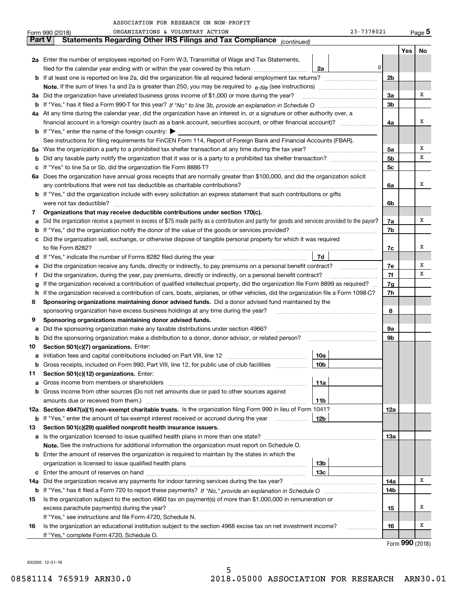| 23-7378021 | Pa |
|------------|----|
|------------|----|

|               | ORGANIZATIONS & VOLUNTARY ACTION<br>23-7378021<br>Form 990 (2018)                                                                               |                |     | Page 5 |
|---------------|-------------------------------------------------------------------------------------------------------------------------------------------------|----------------|-----|--------|
| <b>Part V</b> | Statements Regarding Other IRS Filings and Tax Compliance (continued)                                                                           |                |     |        |
|               |                                                                                                                                                 |                | Yes | No     |
|               | 2a Enter the number of employees reported on Form W-3, Transmittal of Wage and Tax Statements,                                                  |                |     |        |
|               | 0<br>filed for the calendar year ending with or within the year covered by this return<br>2a                                                    |                |     |        |
|               |                                                                                                                                                 | 2b             |     |        |
|               |                                                                                                                                                 |                |     |        |
| За            | Did the organization have unrelated business gross income of \$1,000 or more during the year?                                                   | 3a             |     | х      |
|               |                                                                                                                                                 | 3 <sub>b</sub> |     |        |
|               | 4a At any time during the calendar year, did the organization have an interest in, or a signature or other authority over, a                    |                |     |        |
|               | financial account in a foreign country (such as a bank account, securities account, or other financial account)?                                | 4a             |     | х      |
|               | <b>b</b> If "Yes," enter the name of the foreign country: $\blacktriangleright$                                                                 |                |     |        |
|               | See instructions for filing requirements for FinCEN Form 114, Report of Foreign Bank and Financial Accounts (FBAR).                             |                |     |        |
| 5a            | Was the organization a party to a prohibited tax shelter transaction at any time during the tax year?                                           | 5a             |     | х      |
| b             |                                                                                                                                                 | 5 <sub>b</sub> |     | х      |
| с             |                                                                                                                                                 | 5с             |     |        |
|               | 6a Does the organization have annual gross receipts that are normally greater than \$100,000, and did the organization solicit                  |                |     |        |
|               | any contributions that were not tax deductible as charitable contributions?                                                                     | 6a             |     | х      |
|               | <b>b</b> If "Yes," did the organization include with every solicitation an express statement that such contributions or gifts                   |                |     |        |
|               | were not tax deductible?                                                                                                                        | 6b             |     |        |
| 7             | Organizations that may receive deductible contributions under section 170(c).                                                                   |                |     |        |
| a             | Did the organization receive a payment in excess of \$75 made partly as a contribution and partly for goods and services provided to the payor? | 7a             |     | х      |
| b             | If "Yes," did the organization notify the donor of the value of the goods or services provided?                                                 | 7b             |     |        |
|               | Did the organization sell, exchange, or otherwise dispose of tangible personal property for which it was required                               |                |     |        |
|               |                                                                                                                                                 | 7c             |     | х      |
| d             | 7d                                                                                                                                              |                |     |        |
| е             | Did the organization receive any funds, directly or indirectly, to pay premiums on a personal benefit contract?                                 | 7e             |     | х      |
| f             | Did the organization, during the year, pay premiums, directly or indirectly, on a personal benefit contract?                                    | 7f             |     | х      |
| g             | If the organization received a contribution of qualified intellectual property, did the organization file Form 8899 as required?                | 7g             |     |        |
| h             | If the organization received a contribution of cars, boats, airplanes, or other vehicles, did the organization file a Form 1098-C?              | 7h             |     |        |
| 8             | Sponsoring organizations maintaining donor advised funds. Did a donor advised fund maintained by the                                            |                |     |        |
|               | sponsoring organization have excess business holdings at any time during the year?                                                              | 8              |     |        |
| 9             | Sponsoring organizations maintaining donor advised funds.                                                                                       |                |     |        |
| a             | Did the sponsoring organization make any taxable distributions under section 4966?                                                              | 9a             |     |        |
| b             | Did the sponsoring organization make a distribution to a donor, donor advisor, or related person?                                               | 9b             |     |        |
| 10            | Section 501(c)(7) organizations. Enter:                                                                                                         |                |     |        |
|               | 10a<br>Initiation fees and capital contributions included on Part VIII, line 12 [100] [100] [100] [100] [100] [100] [                           |                |     |        |
|               | 10 <sub>b</sub><br>Gross receipts, included on Form 990, Part VIII, line 12, for public use of club facilities                                  |                |     |        |
| 11            | Section 501(c)(12) organizations. Enter:                                                                                                        |                |     |        |
| a             | Gross income from members or shareholders<br>11a                                                                                                |                |     |        |
| b             | Gross income from other sources (Do not net amounts due or paid to other sources against                                                        |                |     |        |
|               | 11b<br>12a Section 4947(a)(1) non-exempt charitable trusts. Is the organization filing Form 990 in lieu of Form 1041?                           | 12a            |     |        |
|               | 12b<br><b>b</b> If "Yes," enter the amount of tax-exempt interest received or accrued during the year                                           |                |     |        |
| 13            | Section 501(c)(29) qualified nonprofit health insurance issuers.                                                                                |                |     |        |
| a             | Is the organization licensed to issue qualified health plans in more than one state?                                                            | 13a            |     |        |
|               | Note. See the instructions for additional information the organization must report on Schedule O.                                               |                |     |        |
| b             | Enter the amount of reserves the organization is required to maintain by the states in which the                                                |                |     |        |
|               | 13b                                                                                                                                             |                |     |        |
| с             | 13с                                                                                                                                             |                |     |        |
| 14a           | Did the organization receive any payments for indoor tanning services during the tax year?                                                      | 14a            |     | х      |
|               |                                                                                                                                                 | 14b            |     |        |
| 15            | Is the organization subject to the section 4960 tax on payment(s) of more than \$1,000,000 in remuneration or                                   |                |     |        |
|               | excess parachute payment(s) during the year?                                                                                                    | 15             |     | х      |
|               | If "Yes," see instructions and file Form 4720, Schedule N.                                                                                      |                |     |        |
| 16            | Is the organization an educational institution subject to the section 4968 excise tax on net investment income?                                 | 16             |     | x      |
|               | If "Yes," complete Form 4720, Schedule O.                                                                                                       |                |     |        |
|               |                                                                                                                                                 |                |     |        |

Form (2018) **990**

832005 12-31-18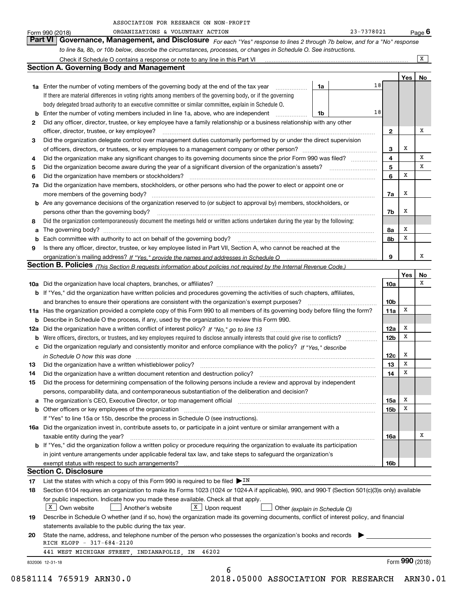|    | ORGANIZATIONS & VOLUNTARY ACTION<br>Form 990 (2018)                                                                                                                   |    | 23-7378021 |                 |     | Page $6$        |
|----|-----------------------------------------------------------------------------------------------------------------------------------------------------------------------|----|------------|-----------------|-----|-----------------|
|    | Governance, Management, and Disclosure For each "Yes" response to lines 2 through 7b below, and for a "No" response<br><b>Part VI</b>                                 |    |            |                 |     |                 |
|    | to line 8a, 8b, or 10b below, describe the circumstances, processes, or changes in Schedule O. See instructions.                                                      |    |            |                 |     |                 |
|    |                                                                                                                                                                       |    |            |                 |     | X               |
|    | <b>Section A. Governing Body and Management</b>                                                                                                                       |    |            |                 |     |                 |
|    |                                                                                                                                                                       |    |            |                 | Yes | No              |
|    | <b>1a</b> Enter the number of voting members of the governing body at the end of the tax year <i>manumum</i>                                                          | 1a | 18         |                 |     |                 |
|    | If there are material differences in voting rights among members of the governing body, or if the governing                                                           |    |            |                 |     |                 |
|    | body delegated broad authority to an executive committee or similar committee, explain in Schedule O.                                                                 |    |            |                 |     |                 |
|    | <b>b</b> Enter the number of voting members included in line 1a, above, who are independent                                                                           | 1b | 18         |                 |     |                 |
| 2  | Did any officer, director, trustee, or key employee have a family relationship or a business relationship with any other                                              |    |            |                 |     |                 |
|    | officer, director, trustee, or key employee?                                                                                                                          |    |            | $\mathbf{2}$    |     | x               |
| 3  | Did the organization delegate control over management duties customarily performed by or under the direct supervision                                                 |    |            |                 |     |                 |
|    |                                                                                                                                                                       |    |            | 3               | х   |                 |
| 4  | Did the organization make any significant changes to its governing documents since the prior Form 990 was filed?                                                      |    |            | 4               |     | х               |
| 5  |                                                                                                                                                                       |    |            | 5               |     | x               |
| 6  | Did the organization have members or stockholders?                                                                                                                    |    |            | 6               | х   |                 |
|    | 7a Did the organization have members, stockholders, or other persons who had the power to elect or appoint one or                                                     |    |            |                 |     |                 |
|    | more members of the governing body?                                                                                                                                   |    |            | 7a              | x   |                 |
|    | <b>b</b> Are any governance decisions of the organization reserved to (or subject to approval by) members, stockholders, or                                           |    |            |                 |     |                 |
|    | persons other than the governing body?                                                                                                                                |    |            | 7b              | х   |                 |
| 8  | Did the organization contemporaneously document the meetings held or written actions undertaken during the year by the following:                                     |    |            |                 |     |                 |
|    |                                                                                                                                                                       |    |            | 8a              | X   |                 |
|    | <b>b</b> Each committee with authority to act on behalf of the governing body?                                                                                        |    |            | 8b              | X   |                 |
| 9  | Is there any officer, director, trustee, or key employee listed in Part VII, Section A, who cannot be reached at the                                                  |    |            |                 |     |                 |
|    |                                                                                                                                                                       |    |            | 9               |     | х               |
|    | Section B. Policies (This Section B requests information about policies not required by the Internal Revenue Code.)                                                   |    |            |                 |     |                 |
|    |                                                                                                                                                                       |    |            |                 | Yes | No              |
|    |                                                                                                                                                                       |    |            | 10a             |     | х               |
|    | b If "Yes," did the organization have written policies and procedures governing the activities of such chapters, affiliates,                                          |    |            |                 |     |                 |
|    | and branches to ensure their operations are consistent with the organization's exempt purposes?                                                                       |    |            | 10 <sub>b</sub> |     |                 |
|    | 11a Has the organization provided a complete copy of this Form 990 to all members of its governing body before filing the form?                                       |    |            | 11a             | х   |                 |
|    | <b>b</b> Describe in Schedule O the process, if any, used by the organization to review this Form 990.                                                                |    |            |                 |     |                 |
|    | 12a Did the organization have a written conflict of interest policy? If "No," go to line 13                                                                           |    |            | 12a             | X   |                 |
|    |                                                                                                                                                                       |    |            | 12 <sub>b</sub> | x   |                 |
|    | c Did the organization regularly and consistently monitor and enforce compliance with the policy? If "Yes," describe                                                  |    |            |                 |     |                 |
|    |                                                                                                                                                                       |    |            | 12c             | х   |                 |
| 13 | Did the organization have a written whistleblower policy?                                                                                                             |    |            | 13              | x   |                 |
| 14 | Did the organization have a written document retention and destruction policy?                                                                                        |    |            | 14              | X   |                 |
| 15 | Did the process for determining compensation of the following persons include a review and approval by independent                                                    |    |            |                 |     |                 |
|    | persons, comparability data, and contemporaneous substantiation of the deliberation and decision?                                                                     |    |            |                 |     |                 |
| а  | The organization's CEO, Executive Director, or top management official manufactured content of the organization's CEO, Executive Director, or top management official |    |            | 15a             | X   |                 |
|    |                                                                                                                                                                       |    |            | 15 <sub>b</sub> | х   |                 |
|    | If "Yes" to line 15a or 15b, describe the process in Schedule O (see instructions).                                                                                   |    |            |                 |     |                 |
|    | 16a Did the organization invest in, contribute assets to, or participate in a joint venture or similar arrangement with a                                             |    |            |                 |     |                 |
|    | taxable entity during the year?                                                                                                                                       |    |            | 16a             |     | х               |
|    | <b>b</b> If "Yes," did the organization follow a written policy or procedure requiring the organization to evaluate its participation                                 |    |            |                 |     |                 |
|    | in joint venture arrangements under applicable federal tax law, and take steps to safeguard the organization's                                                        |    |            |                 |     |                 |
|    |                                                                                                                                                                       |    |            | 16b             |     |                 |
|    | <b>Section C. Disclosure</b>                                                                                                                                          |    |            |                 |     |                 |
| 17 | List the states with which a copy of this Form 990 is required to be filed $\blacktriangleright$ IN                                                                   |    |            |                 |     |                 |
| 18 | Section 6104 requires an organization to make its Forms 1023 (1024 or 1024-A if applicable), 990, and 990-T (Section 501(c)(3)s only) available                       |    |            |                 |     |                 |
|    | for public inspection. Indicate how you made these available. Check all that apply.                                                                                   |    |            |                 |     |                 |
|    | X Own website<br>$X$ Upon request<br>Another's website<br>Other (explain in Schedule O)                                                                               |    |            |                 |     |                 |
| 19 | Describe in Schedule O whether (and if so, how) the organization made its governing documents, conflict of interest policy, and financial                             |    |            |                 |     |                 |
|    | statements available to the public during the tax year.                                                                                                               |    |            |                 |     |                 |
| 20 | State the name, address, and telephone number of the person who possesses the organization's books and records                                                        |    |            |                 |     |                 |
|    | RICH KLOPP - 317-684-2120                                                                                                                                             |    |            |                 |     |                 |
|    | 441 WEST MICHIGAN STREET, INDIANAPOLIS, IN<br>46202                                                                                                                   |    |            |                 |     |                 |
|    | 832006 12-31-18                                                                                                                                                       |    |            |                 |     | Form 990 (2018) |
|    | 6                                                                                                                                                                     |    |            |                 |     |                 |

08581114 765919 ARN30.0 2018.05000 ASSOCIATION FOR RESEARCH ARN30.01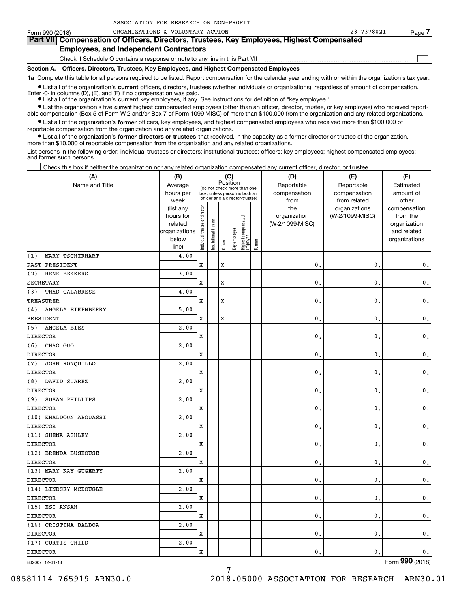| Form 990 (2018)                                                                            | ORGANIZATIONS & VOLUNTARY ACTION                                                                                                                           | 23-7378021 | Page / |  |  |  |  |  |  |
|--------------------------------------------------------------------------------------------|------------------------------------------------------------------------------------------------------------------------------------------------------------|------------|--------|--|--|--|--|--|--|
| Part VII Compensation of Officers, Directors, Trustees, Key Employees, Highest Compensated |                                                                                                                                                            |            |        |  |  |  |  |  |  |
| <b>Employees, and Independent Contractors</b>                                              |                                                                                                                                                            |            |        |  |  |  |  |  |  |
|                                                                                            | Check if Schedule O contains a response or note to any line in this Part VII                                                                               |            |        |  |  |  |  |  |  |
|                                                                                            | Section A. Officers, Directors, Trustees, Key Employees, and Highest Compensated Employees                                                                 |            |        |  |  |  |  |  |  |
|                                                                                            | 1a Complete this table for all persons required to be listed. Report compensation for the calendar year ending with or within the organization's tax year. |            |        |  |  |  |  |  |  |

**•** List all of the organization's current officers, directors, trustees (whether individuals or organizations), regardless of amount of compensation.

Enter -0- in columns (D), (E), and (F) if no compensation was paid.

● List all of the organization's **current** key employees, if any. See instructions for definition of "key employee."

ASSOCIATION FOR RESEARCH ON NON-PROFIT

**•** List the organization's five current highest compensated employees (other than an officer, director, trustee, or key employee) who received reportable compensation (Box 5 of Form W-2 and/or Box 7 of Form 1099-MISC) of more than \$100,000 from the organization and any related organizations.

 $\bullet$  List all of the organization's **former** officers, key employees, and highest compensated employees who received more than \$100,000 of reportable compensation from the organization and any related organizations.

**•** List all of the organization's former directors or trustees that received, in the capacity as a former director or trustee of the organization, more than \$10,000 of reportable compensation from the organization and any related organizations.

List persons in the following order: individual trustees or directors; institutional trustees; officers; key employees; highest compensated employees; and former such persons.

Check this box if neither the organization nor any related organization compensated any current officer, director, or trustee.

| (A)                      | (B)               |                                |                       | (C)         |              |                                                                  |        | (D)                  | (E)                          | (F)                |
|--------------------------|-------------------|--------------------------------|-----------------------|-------------|--------------|------------------------------------------------------------------|--------|----------------------|------------------------------|--------------------|
| Name and Title           | Average           |                                |                       |             | Position     | (do not check more than one                                      |        | Reportable           | Reportable                   | Estimated          |
|                          | hours per<br>week |                                |                       |             |              | box, unless person is both an<br>officer and a director/trustee) |        | compensation<br>from | compensation<br>from related | amount of<br>other |
|                          | (list any         |                                |                       |             |              |                                                                  |        | the                  | organizations                | compensation       |
|                          | hours for         |                                |                       |             |              |                                                                  |        | organization         | (W-2/1099-MISC)              | from the           |
|                          | related           |                                |                       |             |              |                                                                  |        | (W-2/1099-MISC)      |                              | organization       |
|                          | organizations     |                                |                       |             |              |                                                                  |        |                      |                              | and related        |
|                          | below             | Individual trustee or director | Institutional trustee | Officer     | Key employee | Highest compensated<br>employee                                  | Former |                      |                              | organizations      |
| MARY TSCHIRHART<br>(1)   | line)<br>4.00     |                                |                       |             |              |                                                                  |        |                      |                              |                    |
| PAST PRESIDENT           |                   | X                              |                       | $\mathbf x$ |              |                                                                  |        | $\mathbf{0}$ .       | $\mathbf{0}$                 | $\mathsf{0}\,.$    |
| RENE BEKKERS<br>(2)      | 3.00              |                                |                       |             |              |                                                                  |        |                      |                              |                    |
| <b>SECRETARY</b>         |                   | X                              |                       | X           |              |                                                                  |        | $\mathbf{0}$         | $\mathbf{0}$                 | $\mathfrak o$ .    |
| THAD CALABRESE<br>(3)    | 4.00              |                                |                       |             |              |                                                                  |        |                      |                              |                    |
| <b>TREASURER</b>         |                   | X                              |                       | X           |              |                                                                  |        | $\mathbf{0}$         | $\mathbf{0}$                 | 0.                 |
| ANGELA EIKENBERRY<br>(4) | 5,00              |                                |                       |             |              |                                                                  |        |                      |                              |                    |
| PRESIDENT                |                   | X                              |                       | $\mathbf x$ |              |                                                                  |        | $\mathbf{0}$         | $\mathbf{0}$                 | 0.                 |
| ANGELA BIES<br>(5)       | 2.00              |                                |                       |             |              |                                                                  |        |                      |                              |                    |
| <b>DIRECTOR</b>          |                   | X                              |                       |             |              |                                                                  |        | $\mathbf{0}$ .       | $\mathbf{0}$                 | $\mathbf 0$ .      |
| CHAO GUO<br>(6)          | 2,00              |                                |                       |             |              |                                                                  |        |                      |                              |                    |
| <b>DIRECTOR</b>          |                   | X                              |                       |             |              |                                                                  |        | $\mathbf{0}$         | $\mathbf{0}$                 | 0.                 |
| (7)<br>JOHN RONQUILLO    | 2.00              |                                |                       |             |              |                                                                  |        |                      |                              |                    |
| <b>DIRECTOR</b>          |                   | X                              |                       |             |              |                                                                  |        | $\mathbf{0}$ .       | $\mathbf{0}$                 | $\mathfrak o$ .    |
| DAVID SUAREZ<br>(8)      | 2,00              |                                |                       |             |              |                                                                  |        |                      |                              |                    |
| <b>DIRECTOR</b>          |                   | X                              |                       |             |              |                                                                  |        | $\mathbf{0}$ .       | $\mathbf{0}$                 | $\mathfrak o$ .    |
| SUSAN PHILLIPS<br>(9)    | 2.00              |                                |                       |             |              |                                                                  |        |                      |                              |                    |
| <b>DIRECTOR</b>          |                   | X                              |                       |             |              |                                                                  |        | $\mathbf{0}$ .       | $\mathbf{0}$                 | $\mathbf 0$ .      |
| (10) KHALDOUN ABOUASSI   | 2,00              |                                |                       |             |              |                                                                  |        |                      |                              |                    |
| <b>DIRECTOR</b>          |                   | X                              |                       |             |              |                                                                  |        | $\mathbf{0}$         | $\mathbf{0}$                 | $\mathfrak o$ .    |
| (11) SHENA ASHLEY        | 2.00              |                                |                       |             |              |                                                                  |        |                      |                              |                    |
| <b>DIRECTOR</b>          |                   | X                              |                       |             |              |                                                                  |        | $\mathbf{0}$ .       | $\mathbf{0}$                 | $\mathbf 0$ .      |
| (12) BRENDA BUSHOUSE     | 2,00              |                                |                       |             |              |                                                                  |        |                      |                              |                    |
| <b>DIRECTOR</b>          |                   | X                              |                       |             |              |                                                                  |        | $\mathbf{0}$ .       | $\mathbf{0}$                 | $\mathfrak o$ .    |
| (13) MARY KAY GUGERTY    | 2,00              |                                |                       |             |              |                                                                  |        |                      |                              |                    |
| <b>DIRECTOR</b>          |                   | X                              |                       |             |              |                                                                  |        | $\mathbf{0}$ .       | $\mathbf{0}$                 | $\mathbf 0$ .      |
| (14) LINDSEY MCDOUGLE    | 2,00              |                                |                       |             |              |                                                                  |        |                      |                              |                    |
| <b>DIRECTOR</b>          |                   | X                              |                       |             |              |                                                                  |        | $\mathbf{0}$ .       | $\mathbf{0}$                 | $\mathbf 0$ .      |
| (15) ESI ANSAH           | 2,00              |                                |                       |             |              |                                                                  |        |                      |                              |                    |
| <b>DIRECTOR</b>          |                   | X                              |                       |             |              |                                                                  |        | $\mathbf{0}$ .       | $\mathbf{0}$                 | $\mathbf 0$ .      |
| (16) CRISTINA BALBOA     | 2,00              |                                |                       |             |              |                                                                  |        |                      |                              |                    |
| <b>DIRECTOR</b>          |                   | X                              |                       |             |              |                                                                  |        | $\mathbf{0}$ .       | $\mathbf{0}$                 | $\mathfrak o$ .    |
| (17) CURTIS CHILD        | 2,00              |                                |                       |             |              |                                                                  |        |                      |                              |                    |
| <b>DIRECTOR</b>          |                   | X                              |                       |             |              |                                                                  |        | $\mathbf{0}$ .       | $\mathbf{0}$                 | $\mathbf 0$ .      |

832007 12-31-18

Form (2018) **990**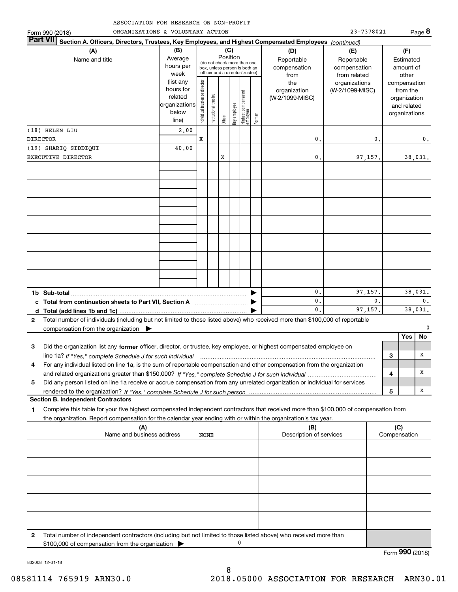| ASSOCIATION FOR RESEARCH ON NON-PROFIT |  |
|----------------------------------------|--|
|----------------------------------------|--|

| ORGANIZATIONS & VOLUNTARY ACTION<br>Form 990 (2018)                                                                                                                                     |                                                         |                                                                                                                    |                       |         |              |                                 |        |                                                  | 23-7378021                                                         |    |              |                                                          | Page 8        |
|-----------------------------------------------------------------------------------------------------------------------------------------------------------------------------------------|---------------------------------------------------------|--------------------------------------------------------------------------------------------------------------------|-----------------------|---------|--------------|---------------------------------|--------|--------------------------------------------------|--------------------------------------------------------------------|----|--------------|----------------------------------------------------------|---------------|
| <b>Part VII</b><br>Section A. Officers, Directors, Trustees, Key Employees, and Highest Compensated Employees (continued)                                                               |                                                         |                                                                                                                    |                       |         |              |                                 |        |                                                  |                                                                    |    |              |                                                          |               |
| (A)<br>Name and title                                                                                                                                                                   | (B)<br>Average<br>hours per<br>week<br>(list any        | (C)<br>Position<br>(do not check more than one<br>box, unless person is both an<br>officer and a director/trustee) |                       |         |              |                                 |        | (D)<br>Reportable<br>compensation<br>from<br>the | (E)<br>Reportable<br>compensation<br>from related<br>organizations |    |              | (F)<br>Estimated<br>amount of<br>other<br>compensation   |               |
|                                                                                                                                                                                         | hours for<br>related<br>organizations<br>below<br>line) | Individual trustee or director                                                                                     | Institutional trustee | Officer | Key employee | Highest compensated<br>employee | Former | organization<br>(W-2/1099-MISC)                  | (W-2/1099-MISC)                                                    |    |              | from the<br>organization<br>and related<br>organizations |               |
| (18) HELEN LIU                                                                                                                                                                          | 2,00                                                    |                                                                                                                    |                       |         |              |                                 |        |                                                  |                                                                    |    |              |                                                          |               |
| <b>DIRECTOR</b><br>(19) SHARIQ SIDDIQUI                                                                                                                                                 | 40.00                                                   | x                                                                                                                  |                       |         |              |                                 |        | 0.                                               |                                                                    | 0. |              |                                                          | 0.            |
| EXECUTIVE DIRECTOR                                                                                                                                                                      |                                                         |                                                                                                                    |                       | x       |              |                                 |        | 0.                                               | 97,157.                                                            |    |              |                                                          | 38,031.       |
|                                                                                                                                                                                         |                                                         |                                                                                                                    |                       |         |              |                                 |        |                                                  |                                                                    |    |              |                                                          |               |
|                                                                                                                                                                                         |                                                         |                                                                                                                    |                       |         |              |                                 |        |                                                  |                                                                    |    |              |                                                          |               |
|                                                                                                                                                                                         |                                                         |                                                                                                                    |                       |         |              |                                 |        |                                                  |                                                                    |    |              |                                                          |               |
|                                                                                                                                                                                         |                                                         |                                                                                                                    |                       |         |              |                                 |        |                                                  |                                                                    |    |              |                                                          |               |
|                                                                                                                                                                                         |                                                         |                                                                                                                    |                       |         |              |                                 |        |                                                  |                                                                    |    |              |                                                          |               |
| 1b Sub-total                                                                                                                                                                            |                                                         |                                                                                                                    |                       |         |              |                                 |        | 0.<br>0.                                         | 97,157.                                                            | 0. |              |                                                          | 38,031.<br>0. |
| Total from continuation sheets to Part VII, Section A [111] [12] Total from continuation sheets to Part VII, Section A<br>d                                                             |                                                         |                                                                                                                    |                       |         |              |                                 |        | $\mathbf{0}$ .                                   | 97,157.                                                            |    |              |                                                          | 38,031.       |
| Total number of individuals (including but not limited to those listed above) who received more than \$100,000 of reportable<br>$\mathbf{2}$                                            |                                                         |                                                                                                                    |                       |         |              |                                 |        |                                                  |                                                                    |    |              |                                                          |               |
| compensation from the organization                                                                                                                                                      |                                                         |                                                                                                                    |                       |         |              |                                 |        |                                                  |                                                                    |    |              |                                                          |               |
|                                                                                                                                                                                         |                                                         |                                                                                                                    |                       |         |              |                                 |        |                                                  |                                                                    |    |              | Yes                                                      | No.           |
| 3<br>Did the organization list any former officer, director, or trustee, key employee, or highest compensated employee on<br>line 1a? If "Yes," complete Schedule J for such individual |                                                         |                                                                                                                    |                       |         |              |                                 |        |                                                  |                                                                    |    | 3            |                                                          | х             |
| For any individual listed on line 1a, is the sum of reportable compensation and other compensation from the organization<br>4                                                           |                                                         |                                                                                                                    |                       |         |              |                                 |        |                                                  |                                                                    |    |              |                                                          |               |
|                                                                                                                                                                                         |                                                         |                                                                                                                    |                       |         |              |                                 |        |                                                  |                                                                    |    | 4            |                                                          | X             |
| Did any person listed on line 1a receive or accrue compensation from any unrelated organization or individual for services<br>5                                                         |                                                         |                                                                                                                    |                       |         |              |                                 |        |                                                  |                                                                    |    |              |                                                          |               |
| <b>Section B. Independent Contractors</b>                                                                                                                                               |                                                         |                                                                                                                    |                       |         |              |                                 |        |                                                  |                                                                    |    | 5            |                                                          | X             |
| Complete this table for your five highest compensated independent contractors that received more than \$100,000 of compensation from<br>1                                               |                                                         |                                                                                                                    |                       |         |              |                                 |        |                                                  |                                                                    |    |              |                                                          |               |
| the organization. Report compensation for the calendar year ending with or within the organization's tax year.                                                                          |                                                         |                                                                                                                    |                       |         |              |                                 |        |                                                  |                                                                    |    |              |                                                          |               |
| (A)                                                                                                                                                                                     |                                                         |                                                                                                                    |                       |         |              |                                 |        | (B)                                              |                                                                    |    | (C)          |                                                          |               |
| Name and business address                                                                                                                                                               |                                                         | NONE                                                                                                               |                       |         |              |                                 |        | Description of services                          |                                                                    |    | Compensation |                                                          |               |
|                                                                                                                                                                                         |                                                         |                                                                                                                    |                       |         |              |                                 |        |                                                  |                                                                    |    |              |                                                          |               |
|                                                                                                                                                                                         |                                                         |                                                                                                                    |                       |         |              |                                 |        |                                                  |                                                                    |    |              |                                                          |               |
|                                                                                                                                                                                         |                                                         |                                                                                                                    |                       |         |              |                                 |        |                                                  |                                                                    |    |              |                                                          |               |

|              | (A)<br>Name and business address<br><b>NONE</b>                                                                                                                     | (B)<br>Description of services | (C)<br>Compensation |  |  |  |
|--------------|---------------------------------------------------------------------------------------------------------------------------------------------------------------------|--------------------------------|---------------------|--|--|--|
|              |                                                                                                                                                                     |                                |                     |  |  |  |
|              |                                                                                                                                                                     |                                |                     |  |  |  |
|              |                                                                                                                                                                     |                                |                     |  |  |  |
|              |                                                                                                                                                                     |                                |                     |  |  |  |
|              |                                                                                                                                                                     |                                |                     |  |  |  |
| $\mathbf{2}$ | Total number of independent contractors (including but not limited to those listed above) who received more than<br>\$100,000 of compensation from the organization |                                |                     |  |  |  |

Form (2018) **990**

832008 12-31-18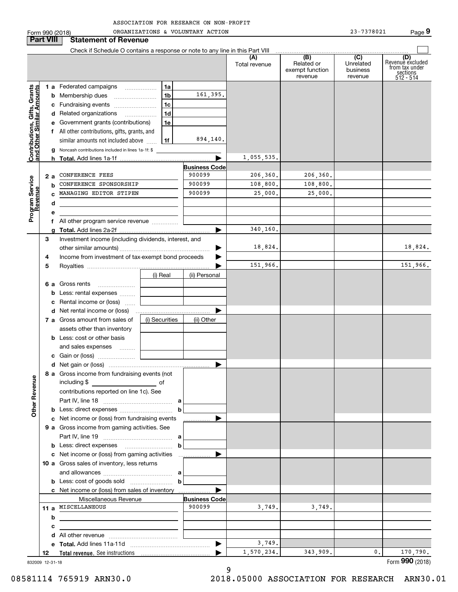| ASSOCIATION FOR RESEARCH ON NON-PROFIT |  |  |
|----------------------------------------|--|--|
|                                        |  |  |

|                                                            |                  | Form 990 (2018)                                                                              |                | ORGANIZATIONS & VOLUNTARY ACTION |                      |                                                 | 23-7378021                              | Page 9                                                             |
|------------------------------------------------------------|------------------|----------------------------------------------------------------------------------------------|----------------|----------------------------------|----------------------|-------------------------------------------------|-----------------------------------------|--------------------------------------------------------------------|
|                                                            | <b>Part VIII</b> | <b>Statement of Revenue</b>                                                                  |                |                                  |                      |                                                 |                                         |                                                                    |
|                                                            |                  | Check if Schedule O contains a response or note to any line in this Part VIII                |                |                                  |                      |                                                 |                                         |                                                                    |
|                                                            |                  |                                                                                              |                |                                  | (A)<br>Total revenue | (B)<br>Related or<br>exempt function<br>revenue | (C)<br>Unrelated<br>business<br>revenue | (D)<br>Revenue excluded<br>from tax under<br>sections<br>512 - 514 |
|                                                            |                  | 1 a Federated campaigns                                                                      | 1a             |                                  |                      |                                                 |                                         |                                                                    |
| Contributions, Gifts, Grants<br>Iand Other Similar Amounts |                  |                                                                                              | 1 <sub>b</sub> | 161,395.                         |                      |                                                 |                                         |                                                                    |
|                                                            |                  | c Fundraising events                                                                         | 1 <sub>c</sub> |                                  |                      |                                                 |                                         |                                                                    |
|                                                            |                  | d Related organizations                                                                      | 1 <sub>d</sub> |                                  |                      |                                                 |                                         |                                                                    |
|                                                            |                  | e Government grants (contributions)                                                          | 1e             |                                  |                      |                                                 |                                         |                                                                    |
|                                                            |                  | f All other contributions, gifts, grants, and                                                |                |                                  |                      |                                                 |                                         |                                                                    |
|                                                            |                  | similar amounts not included above                                                           | 1f             | 894,140.                         |                      |                                                 |                                         |                                                                    |
|                                                            |                  | <b>g</b> Noncash contributions included in lines 1a-1f: \$                                   |                |                                  |                      |                                                 |                                         |                                                                    |
|                                                            |                  |                                                                                              |                |                                  | 1,055,535.           |                                                 |                                         |                                                                    |
|                                                            | 2 a              | CONFERENCE FEES                                                                              |                | <b>Business Code</b><br>900099   | 206, 360.            | 206, 360.                                       |                                         |                                                                    |
|                                                            | b                | CONFERENCE SPONSORSHIP                                                                       |                | 900099                           | 108,800.             | 108,800.                                        |                                         |                                                                    |
|                                                            |                  | MANAGING EDITOR STIPEN                                                                       |                | 900099                           | 25,000.              | 25,000.                                         |                                         |                                                                    |
| Program Service<br>Revenue                                 | d                |                                                                                              |                |                                  |                      |                                                 |                                         |                                                                    |
|                                                            | е                |                                                                                              |                |                                  |                      |                                                 |                                         |                                                                    |
|                                                            |                  | f All other program service revenue                                                          |                |                                  |                      |                                                 |                                         |                                                                    |
|                                                            |                  |                                                                                              |                |                                  | 340,160.             |                                                 |                                         |                                                                    |
|                                                            | 3                | Investment income (including dividends, interest, and                                        |                |                                  |                      |                                                 |                                         |                                                                    |
|                                                            |                  |                                                                                              |                |                                  | 18,824.              |                                                 |                                         | 18,824.                                                            |
|                                                            | 4                | Income from investment of tax-exempt bond proceeds                                           |                |                                  |                      |                                                 |                                         |                                                                    |
|                                                            | 5                |                                                                                              |                |                                  | 151,966.             |                                                 |                                         | 151,966.                                                           |
|                                                            |                  |                                                                                              | (i) Real       | (ii) Personal                    |                      |                                                 |                                         |                                                                    |
|                                                            |                  | <b>6 a</b> Gross rents<br><b>b</b> Less: rental expenses                                     |                |                                  |                      |                                                 |                                         |                                                                    |
|                                                            |                  | c Rental income or (loss)                                                                    |                |                                  |                      |                                                 |                                         |                                                                    |
|                                                            |                  |                                                                                              |                |                                  |                      |                                                 |                                         |                                                                    |
|                                                            |                  | 7 a Gross amount from sales of                                                               | (i) Securities | (ii) Other                       |                      |                                                 |                                         |                                                                    |
|                                                            |                  | assets other than inventory                                                                  |                |                                  |                      |                                                 |                                         |                                                                    |
|                                                            |                  | <b>b</b> Less: cost or other basis                                                           |                |                                  |                      |                                                 |                                         |                                                                    |
|                                                            |                  | and sales expenses                                                                           |                |                                  |                      |                                                 |                                         |                                                                    |
|                                                            |                  |                                                                                              |                |                                  |                      |                                                 |                                         |                                                                    |
|                                                            |                  |                                                                                              |                |                                  |                      |                                                 |                                         |                                                                    |
|                                                            |                  | 8 a Gross income from fundraising events (not<br>including \$<br>$\overline{\phantom{a}}$ of |                |                                  |                      |                                                 |                                         |                                                                    |
|                                                            |                  | contributions reported on line 1c). See                                                      |                |                                  |                      |                                                 |                                         |                                                                    |
|                                                            |                  |                                                                                              |                |                                  |                      |                                                 |                                         |                                                                    |
| <b>Other Revenue</b>                                       |                  | <b>b</b> Less: direct expenses <i>manually contained</i>                                     | $\mathbf b$    |                                  |                      |                                                 |                                         |                                                                    |
|                                                            |                  | c Net income or (loss) from fundraising events                                               |                |                                  |                      |                                                 |                                         |                                                                    |
|                                                            |                  | 9 a Gross income from gaming activities. See                                                 |                |                                  |                      |                                                 |                                         |                                                                    |
|                                                            |                  |                                                                                              |                |                                  |                      |                                                 |                                         |                                                                    |
|                                                            |                  |                                                                                              | $\mathbf b$    |                                  |                      |                                                 |                                         |                                                                    |
|                                                            |                  | c Net income or (loss) from gaming activities                                                |                |                                  |                      |                                                 |                                         |                                                                    |
|                                                            |                  | 10 a Gross sales of inventory, less returns                                                  |                |                                  |                      |                                                 |                                         |                                                                    |
|                                                            |                  |                                                                                              | $\mathbf b$    |                                  |                      |                                                 |                                         |                                                                    |
|                                                            |                  | c Net income or (loss) from sales of inventory                                               |                |                                  |                      |                                                 |                                         |                                                                    |
|                                                            |                  | Miscellaneous Revenue                                                                        |                | <b>Business Code</b>             |                      |                                                 |                                         |                                                                    |
|                                                            |                  | 11 a MISCELLANEOUS                                                                           |                | 900099                           | 3,749.               | 3,749.                                          |                                         |                                                                    |
|                                                            | b                |                                                                                              |                |                                  |                      |                                                 |                                         |                                                                    |
|                                                            | с                |                                                                                              |                |                                  |                      |                                                 |                                         |                                                                    |
|                                                            |                  |                                                                                              |                |                                  |                      |                                                 |                                         |                                                                    |
|                                                            |                  |                                                                                              |                |                                  | 3,749.               |                                                 |                                         |                                                                    |
|                                                            | 12               |                                                                                              |                |                                  | 1,570,234.           | 343,909.                                        | $\mathbf{0}$ .                          | 170,790.                                                           |
|                                                            | 832009 12-31-18  |                                                                                              |                |                                  |                      |                                                 |                                         | Form 990 (2018)                                                    |

9

832009 12-31-18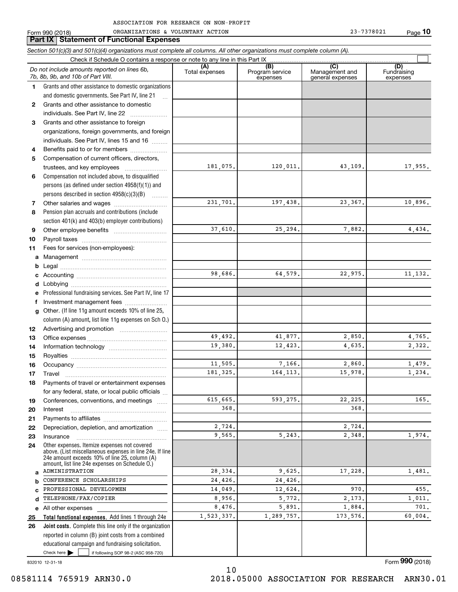|              | Section 501(c)(3) and 501(c)(4) organizations must complete all columns. All other organizations must complete column (A).                                                                                  |                       |                                    |                                           |                                |
|--------------|-------------------------------------------------------------------------------------------------------------------------------------------------------------------------------------------------------------|-----------------------|------------------------------------|-------------------------------------------|--------------------------------|
|              | Check if Schedule O contains a response or note to any line in this Part IX                                                                                                                                 |                       |                                    |                                           |                                |
|              | Do not include amounts reported on lines 6b,<br>7b, 8b, 9b, and 10b of Part VIII.                                                                                                                           | (A)<br>Total expenses | (B)<br>Program service<br>expenses | (C)<br>Management and<br>general expenses | (D)<br>Fundraising<br>expenses |
| 1.           | Grants and other assistance to domestic organizations                                                                                                                                                       |                       |                                    |                                           |                                |
|              | and domestic governments. See Part IV, line 21                                                                                                                                                              |                       |                                    |                                           |                                |
| $\mathbf{2}$ | Grants and other assistance to domestic                                                                                                                                                                     |                       |                                    |                                           |                                |
|              | individuals. See Part IV, line 22                                                                                                                                                                           |                       |                                    |                                           |                                |
| 3            | Grants and other assistance to foreign                                                                                                                                                                      |                       |                                    |                                           |                                |
|              | organizations, foreign governments, and foreign                                                                                                                                                             |                       |                                    |                                           |                                |
|              | individuals. See Part IV, lines 15 and 16                                                                                                                                                                   |                       |                                    |                                           |                                |
| 4            | Benefits paid to or for members                                                                                                                                                                             |                       |                                    |                                           |                                |
| 5            | Compensation of current officers, directors,                                                                                                                                                                |                       |                                    |                                           |                                |
|              | trustees, and key employees                                                                                                                                                                                 | 181,075.              | 120,011.                           | 43,109.                                   | 17,955.                        |
| 6            | Compensation not included above, to disqualified                                                                                                                                                            |                       |                                    |                                           |                                |
|              | persons (as defined under section 4958(f)(1)) and                                                                                                                                                           |                       |                                    |                                           |                                |
|              | persons described in section 4958(c)(3)(B)                                                                                                                                                                  |                       |                                    |                                           |                                |
| 7            | Other salaries and wages                                                                                                                                                                                    | 231,701.              | 197,438.                           | 23,367.                                   | 10,896.                        |
| 8            | Pension plan accruals and contributions (include                                                                                                                                                            |                       |                                    |                                           |                                |
|              | section 401(k) and 403(b) employer contributions)                                                                                                                                                           |                       |                                    |                                           |                                |
| 9            |                                                                                                                                                                                                             | 37,610.               | 25,294.                            | 7,882.                                    | 4,434.                         |
| 10           |                                                                                                                                                                                                             |                       |                                    |                                           |                                |
| 11           | Fees for services (non-employees):                                                                                                                                                                          |                       |                                    |                                           |                                |
| a            |                                                                                                                                                                                                             |                       |                                    |                                           |                                |
| b            |                                                                                                                                                                                                             |                       |                                    |                                           |                                |
| c            |                                                                                                                                                                                                             | 98,686.               | 64,579.                            | 22,975.                                   | 11, 132.                       |
| d            |                                                                                                                                                                                                             |                       |                                    |                                           |                                |
| е            | Professional fundraising services. See Part IV, line 17                                                                                                                                                     |                       |                                    |                                           |                                |
| f            | Investment management fees                                                                                                                                                                                  |                       |                                    |                                           |                                |
| g            | Other. (If line 11g amount exceeds 10% of line 25,                                                                                                                                                          |                       |                                    |                                           |                                |
|              | column (A) amount, list line 11g expenses on Sch O.)                                                                                                                                                        |                       |                                    |                                           |                                |
| 12           |                                                                                                                                                                                                             |                       |                                    |                                           |                                |
| 13           |                                                                                                                                                                                                             | 49,492.               | 41,877.                            | 2,850.                                    | 4,765.                         |
| 14           |                                                                                                                                                                                                             | 19,380.               | 12,423.                            | 4,635.                                    | 2,322.                         |
| 15           |                                                                                                                                                                                                             |                       |                                    |                                           |                                |
| 16           |                                                                                                                                                                                                             | 11,505.               | 7,166.                             | 2,860.                                    | 1,479.                         |
| 17           | Travel                                                                                                                                                                                                      | 181, 325.             | 164, 113.                          | 15,978.                                   | 1,234.                         |
| 18           | Payments of travel or entertainment expenses                                                                                                                                                                |                       |                                    |                                           |                                |
|              | for any federal, state, or local public officials                                                                                                                                                           |                       |                                    |                                           |                                |
| 19           | Conferences, conventions, and meetings                                                                                                                                                                      | 615,665.              | 593,275.                           | 22,225.                                   | 165.                           |
| 20           | Interest                                                                                                                                                                                                    | 368.                  |                                    | 368.                                      |                                |
| 21           |                                                                                                                                                                                                             |                       |                                    |                                           |                                |
| 22           | Depreciation, depletion, and amortization                                                                                                                                                                   | 2,724.                |                                    | 2,724.                                    |                                |
| 23           | Insurance                                                                                                                                                                                                   | 9,565.                | 5,243.                             | 2,348.                                    | 1,974.                         |
| 24           | Other expenses. Itemize expenses not covered<br>above. (List miscellaneous expenses in line 24e. If line<br>24e amount exceeds 10% of line 25, column (A)<br>amount. list line 24e expenses on Schedule O.) |                       |                                    |                                           |                                |
| a            | <b>ADMINISTRATION</b>                                                                                                                                                                                       | 28,334.               | 9,625.                             | 17,228.                                   | 1,481.                         |
| b            | CONFERENCE SCHOLARSHIPS                                                                                                                                                                                     | 24,426.               | 24,426.                            |                                           |                                |
| C            | PROFESSIONAL DEVELOPMEN                                                                                                                                                                                     | 14,049.               | 12,624.                            | 970.                                      | 455.                           |
| d            | TELEPHONE/FAX/COPIER                                                                                                                                                                                        | 8,956.                | 5,772.                             | 2,173.                                    | 1,011.                         |
| е            | All other expenses                                                                                                                                                                                          | 8,476.                | 5,891.                             | 1,884.                                    | 701.                           |
| 25           | Total functional expenses. Add lines 1 through 24e                                                                                                                                                          | 1,523,337.            | 1,289,757.                         | 173,576.                                  | 60,004.                        |
| 26           | Joint costs. Complete this line only if the organization                                                                                                                                                    |                       |                                    |                                           |                                |
|              | reported in column (B) joint costs from a combined                                                                                                                                                          |                       |                                    |                                           |                                |
|              | educational campaign and fundraising solicitation.                                                                                                                                                          |                       |                                    |                                           |                                |
|              | Check here $\blacktriangleright$<br>if following SOP 98-2 (ASC 958-720)                                                                                                                                     |                       |                                    |                                           |                                |

832010 12-31-18

Form (2018) **990**

10 08581114 765919 ARN30.0 2018.05000 ASSOCIATION FOR RESEARCH ARN30.01

Form 990 (2018) Page ORGANIZATIONS & VOLUNTARY ACTION 23-7378021 **Part IX Statement of Functional Expenses**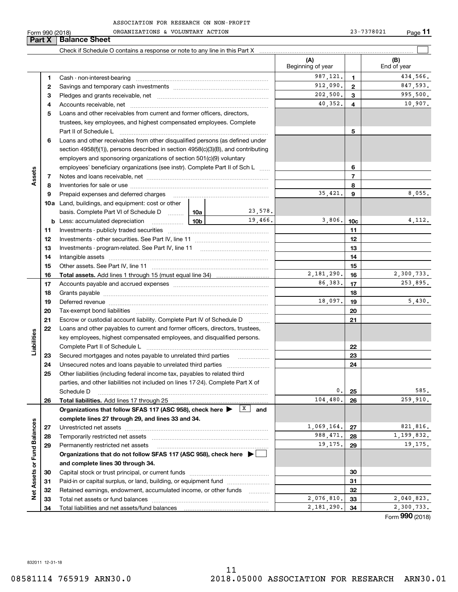|                             | Form 990 (2018) | ORGANIZATIONS & VOLUNTARY ACTION                                                                                                                                                                                               |  |         |                          |                 | 23-7378021<br>$Page$ 11 |
|-----------------------------|-----------------|--------------------------------------------------------------------------------------------------------------------------------------------------------------------------------------------------------------------------------|--|---------|--------------------------|-----------------|-------------------------|
|                             | Part X          | <b>Balance Sheet</b>                                                                                                                                                                                                           |  |         |                          |                 |                         |
|                             |                 |                                                                                                                                                                                                                                |  |         |                          |                 |                         |
|                             |                 |                                                                                                                                                                                                                                |  |         | (A)<br>Beginning of year |                 | (B)<br>End of year      |
|                             | 1.              |                                                                                                                                                                                                                                |  |         | 987, 121.                | 1.              | 434,566.                |
|                             | 2               |                                                                                                                                                                                                                                |  |         | 912,090.                 | $\overline{2}$  | 847,593.                |
|                             | з               |                                                                                                                                                                                                                                |  |         | 202,500.                 | 3               | 995,500.                |
|                             | 4               |                                                                                                                                                                                                                                |  |         | 40,352.                  | 4               | 10,907.                 |
|                             | 5               | Loans and other receivables from current and former officers, directors,                                                                                                                                                       |  |         |                          |                 |                         |
|                             |                 | trustees, key employees, and highest compensated employees. Complete                                                                                                                                                           |  |         |                          |                 |                         |
|                             |                 |                                                                                                                                                                                                                                |  |         |                          | 5               |                         |
|                             | 6               | Loans and other receivables from other disqualified persons (as defined under                                                                                                                                                  |  |         |                          |                 |                         |
|                             |                 | section $4958(f)(1)$ , persons described in section $4958(c)(3)(B)$ , and contributing                                                                                                                                         |  |         |                          |                 |                         |
|                             |                 | employers and sponsoring organizations of section 501(c)(9) voluntary                                                                                                                                                          |  |         |                          |                 |                         |
|                             |                 | employees' beneficiary organizations (see instr). Complete Part II of Sch L                                                                                                                                                    |  |         | 6                        |                 |                         |
| Assets                      | 7               |                                                                                                                                                                                                                                |  |         |                          | $\overline{7}$  |                         |
|                             | 8               |                                                                                                                                                                                                                                |  |         |                          | 8               |                         |
|                             | 9               | Prepaid expenses and deferred charges [11] [11] prepaid expenses and deferred charges [11] [11] minimum materials                                                                                                              |  | 35,421. | 9                        | 8,055.          |                         |
|                             |                 | <b>10a</b> Land, buildings, and equipment: cost or other                                                                                                                                                                       |  |         |                          |                 |                         |
|                             |                 | basis. Complete Part VI of Schedule D $\ldots$   10a                                                                                                                                                                           |  | 23,578. |                          |                 |                         |
|                             |                 |                                                                                                                                                                                                                                |  | 19,466. | 3,806.                   | 10 <sub>c</sub> | 4,112.                  |
|                             | 11              |                                                                                                                                                                                                                                |  |         |                          | 11              |                         |
|                             | 12              |                                                                                                                                                                                                                                |  |         | 12                       |                 |                         |
|                             | 13              |                                                                                                                                                                                                                                |  |         | 13                       |                 |                         |
|                             | 14              |                                                                                                                                                                                                                                |  |         |                          | 14              |                         |
|                             | 15              |                                                                                                                                                                                                                                |  | 15      |                          |                 |                         |
|                             | 16              |                                                                                                                                                                                                                                |  |         | 2,181,290.               | 16              | 2,300,733.              |
|                             | 17              |                                                                                                                                                                                                                                |  |         | 86,383.                  | 17              | 253,895.                |
|                             | 18              |                                                                                                                                                                                                                                |  |         |                          | 18              |                         |
|                             | 19              | Deferred revenue manual contracts and contracts are all the manual contracts and contracts are contracted and contracts are contracted and contract are contracted and contract are contracted and contract are contracted and |  |         | 18,097.                  | 19              | 5,430.                  |
|                             | 20              |                                                                                                                                                                                                                                |  |         |                          | 20              |                         |
|                             | 21              | Escrow or custodial account liability. Complete Part IV of Schedule D                                                                                                                                                          |  |         |                          | 21              |                         |
|                             | 22              | Loans and other payables to current and former officers, directors, trustees,                                                                                                                                                  |  |         |                          |                 |                         |
| Liabilities                 |                 | key employees, highest compensated employees, and disqualified persons.                                                                                                                                                        |  |         |                          |                 |                         |
|                             |                 |                                                                                                                                                                                                                                |  |         |                          | 22              |                         |
|                             | 23              |                                                                                                                                                                                                                                |  |         |                          | 23              |                         |
|                             | 24<br>25        | Other liabilities (including federal income tax, payables to related third                                                                                                                                                     |  |         |                          | 24              |                         |
|                             |                 | parties, and other liabilities not included on lines 17-24). Complete Part X of                                                                                                                                                |  |         |                          |                 |                         |
|                             |                 | Schedule D                                                                                                                                                                                                                     |  |         | 0.                       | 25              | 585.                    |
|                             | 26              | Total liabilities. Add lines 17 through 25                                                                                                                                                                                     |  |         | 104,480.                 | 26              | 259,910.                |
|                             |                 | Organizations that follow SFAS 117 (ASC 958), check here $\blacktriangleright$ $\boxed{\text{X}}$                                                                                                                              |  | and     |                          |                 |                         |
|                             |                 | complete lines 27 through 29, and lines 33 and 34.                                                                                                                                                                             |  |         |                          |                 |                         |
|                             | 27              |                                                                                                                                                                                                                                |  |         | 1,069,164.               | 27              | 821,816.                |
|                             | 28              |                                                                                                                                                                                                                                |  |         | 988, 471.                | 28              | 1,199,832.              |
|                             | 29              | Permanently restricted net assets                                                                                                                                                                                              |  |         | 19,175.                  | 29              | 19,175.                 |
|                             |                 | Organizations that do not follow SFAS 117 (ASC 958), check here ▶ □                                                                                                                                                            |  |         |                          |                 |                         |
| Net Assets or Fund Balances |                 | and complete lines 30 through 34.                                                                                                                                                                                              |  |         |                          |                 |                         |
|                             | 30              |                                                                                                                                                                                                                                |  |         |                          | 30              |                         |
|                             | 31              |                                                                                                                                                                                                                                |  |         |                          | 31              |                         |
|                             | 32              | Retained earnings, endowment, accumulated income, or other funds                                                                                                                                                               |  |         |                          | 32              |                         |
|                             | 33              |                                                                                                                                                                                                                                |  |         | 2,076,810.               | 33              | 2,040,823.              |
|                             | 34              |                                                                                                                                                                                                                                |  |         | 2,181,290.               | 34              | 2,300,733.              |

Form (2018) **990**

832011 12-31-18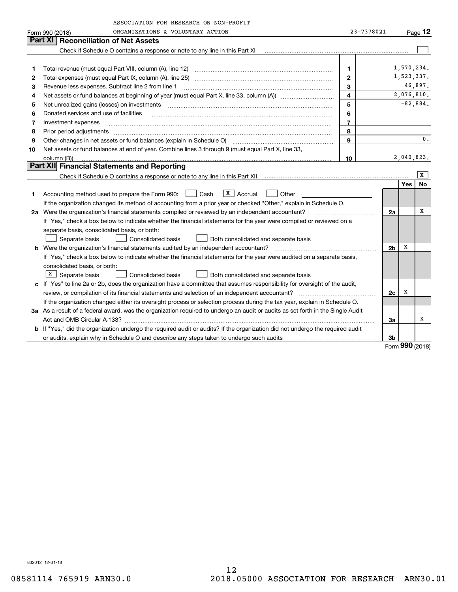|         | ASSOCIATION FOR RESEARCH ON NON-PROFIT                                                                                          |                |                |            |                |
|---------|---------------------------------------------------------------------------------------------------------------------------------|----------------|----------------|------------|----------------|
|         | ORGANIZATIONS & VOLUNTARY ACTION<br>Form 990 (2018)                                                                             | 23-7378021     |                |            | Page $12$      |
| Part XI | <b>Reconciliation of Net Assets</b>                                                                                             |                |                |            |                |
|         | Check if Schedule O contains a response or note to any line in this Part XI                                                     |                |                |            |                |
|         |                                                                                                                                 |                |                |            |                |
| 1       | Total revenue (must equal Part VIII, column (A), line 12)                                                                       | $\mathbf{1}$   |                | 1,570,234. |                |
| 2       |                                                                                                                                 | $\mathbf{2}$   |                | 1,523,337. |                |
| 3       | Revenue less expenses. Subtract line 2 from line 1                                                                              | 3              |                |            | 46,897.        |
| 4       |                                                                                                                                 | $\overline{4}$ |                |            | 2,076,810.     |
| 5       | Net unrealized gains (losses) on investments                                                                                    | 5              |                | $-82,884.$ |                |
| 6       | Donated services and use of facilities                                                                                          | 6              |                |            |                |
| 7       | Investment expenses                                                                                                             | $\overline{7}$ |                |            |                |
| 8       | Prior period adjustments                                                                                                        | 8              |                |            |                |
| 9       | Other changes in net assets or fund balances (explain in Schedule O)                                                            | $\mathbf{q}$   |                |            | $\mathbf{0}$ . |
| 10      | Net assets or fund balances at end of year. Combine lines 3 through 9 (must equal Part X, line 33,                              |                |                |            |                |
|         | column (B))                                                                                                                     | 10             |                | 2,040,823. |                |
|         | Part XII Financial Statements and Reporting                                                                                     |                |                |            |                |
|         |                                                                                                                                 |                |                |            | X              |
|         |                                                                                                                                 |                |                | Yes        | No             |
| 1       | $X \mid$ Accrual<br>Cash<br>Other<br>Accounting method used to prepare the Form 990:                                            |                |                |            |                |
|         | If the organization changed its method of accounting from a prior year or checked "Other," explain in Schedule O.               |                |                |            |                |
|         | 2a Were the organization's financial statements compiled or reviewed by an independent accountant?                              |                | 2a             |            | х              |
|         | If "Yes," check a box below to indicate whether the financial statements for the year were compiled or reviewed on a            |                |                |            |                |
|         | separate basis, consolidated basis, or both:                                                                                    |                |                |            |                |
|         | <b>Consolidated basis</b><br>Separate basis<br>Both consolidated and separate basis                                             |                |                |            |                |
|         | <b>b</b> Were the organization's financial statements audited by an independent accountant?                                     |                | 2 <sub>b</sub> | х          |                |
|         | If "Yes," check a box below to indicate whether the financial statements for the year were audited on a separate basis,         |                |                |            |                |
|         | consolidated basis, or both:                                                                                                    |                |                |            |                |
|         | X   Separate basis<br>Consolidated basis<br>Both consolidated and separate basis                                                |                |                |            |                |
|         | c If "Yes" to line 2a or 2b, does the organization have a committee that assumes responsibility for oversight of the audit,     |                |                |            |                |
|         |                                                                                                                                 |                | 2c             | х          |                |
|         | If the organization changed either its oversight process or selection process during the tax year, explain in Schedule O.       |                |                |            |                |
|         | 3a As a result of a federal award, was the organization required to undergo an audit or audits as set forth in the Single Audit |                |                |            |                |
|         |                                                                                                                                 |                | За             |            | х              |
|         | b If "Yes," did the organization undergo the required audit or audits? If the organization did not undergo the required audit   |                |                |            |                |
|         | or audits, explain why in Schedule O and describe any steps taken to undergo such audits                                        |                | 3b             |            |                |

Form (2018) **990**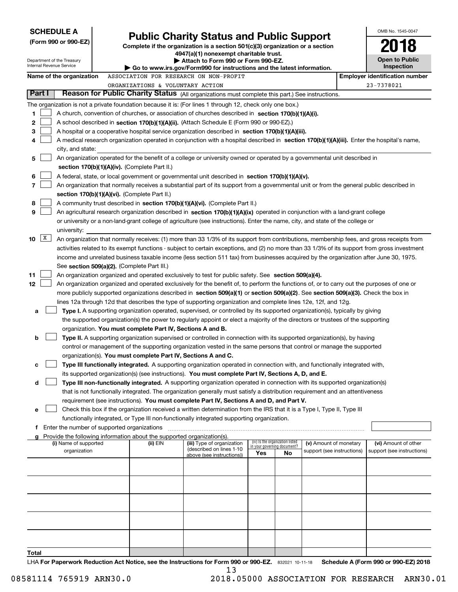| <b>SCHEDULE A</b>                                                                                              |                                             |                                                                                    |                                                                                                                                               |                                    |                                 |                            | OMB No. 1545-0047                     |
|----------------------------------------------------------------------------------------------------------------|---------------------------------------------|------------------------------------------------------------------------------------|-----------------------------------------------------------------------------------------------------------------------------------------------|------------------------------------|---------------------------------|----------------------------|---------------------------------------|
| (Form 990 or 990-EZ)                                                                                           |                                             |                                                                                    | <b>Public Charity Status and Public Support</b>                                                                                               |                                    |                                 |                            |                                       |
|                                                                                                                |                                             |                                                                                    | Complete if the organization is a section $501(c)(3)$ organization or a section<br>4947(a)(1) nonexempt charitable trust.                     |                                    |                                 |                            |                                       |
| Department of the Treasury<br>Internal Revenue Service                                                         |                                             |                                                                                    | Attach to Form 990 or Form 990-EZ.                                                                                                            |                                    |                                 |                            | <b>Open to Public</b>                 |
|                                                                                                                |                                             |                                                                                    | Go to www.irs.gov/Form990 for instructions and the latest information.                                                                        |                                    |                                 |                            | Inspection                            |
| Name of the organization                                                                                       |                                             |                                                                                    | ASSOCIATION FOR RESEARCH ON NON-PROFIT                                                                                                        |                                    |                                 |                            | <b>Employer identification number</b> |
| Part I                                                                                                         |                                             | ORGANIZATIONS & VOLUNTARY ACTION                                                   | Reason for Public Charity Status (All organizations must complete this part.) See instructions.                                               |                                    |                                 |                            | 23-7378021                            |
|                                                                                                                |                                             |                                                                                    |                                                                                                                                               |                                    |                                 |                            |                                       |
| The organization is not a private foundation because it is: (For lines 1 through 12, check only one box.)<br>1 |                                             |                                                                                    | A church, convention of churches, or association of churches described in section 170(b)(1)(A)(i).                                            |                                    |                                 |                            |                                       |
| 2                                                                                                              |                                             |                                                                                    | A school described in section 170(b)(1)(A)(ii). (Attach Schedule E (Form 990 or 990-EZ).)                                                     |                                    |                                 |                            |                                       |
| 3                                                                                                              |                                             |                                                                                    | A hospital or a cooperative hospital service organization described in section 170(b)(1)(A)(iii).                                             |                                    |                                 |                            |                                       |
| 4                                                                                                              |                                             |                                                                                    | A medical research organization operated in conjunction with a hospital described in section 170(b)(1)(A)(iii). Enter the hospital's name,    |                                    |                                 |                            |                                       |
| city, and state:                                                                                               |                                             |                                                                                    |                                                                                                                                               |                                    |                                 |                            |                                       |
| 5                                                                                                              |                                             |                                                                                    | An organization operated for the benefit of a college or university owned or operated by a governmental unit described in                     |                                    |                                 |                            |                                       |
|                                                                                                                |                                             | section $170(b)(1)(A)(iv)$ . (Complete Part II.)                                   |                                                                                                                                               |                                    |                                 |                            |                                       |
| 6                                                                                                              |                                             |                                                                                    | A federal, state, or local government or governmental unit described in section 170(b)(1)(A)(v).                                              |                                    |                                 |                            |                                       |
| 7                                                                                                              |                                             |                                                                                    | An organization that normally receives a substantial part of its support from a governmental unit or from the general public described in     |                                    |                                 |                            |                                       |
|                                                                                                                |                                             | section 170(b)(1)(A)(vi). (Complete Part II.)                                      |                                                                                                                                               |                                    |                                 |                            |                                       |
| 8                                                                                                              |                                             |                                                                                    | A community trust described in section 170(b)(1)(A)(vi). (Complete Part II.)                                                                  |                                    |                                 |                            |                                       |
| 9                                                                                                              |                                             |                                                                                    | An agricultural research organization described in section 170(b)(1)(A)(ix) operated in conjunction with a land-grant college                 |                                    |                                 |                            |                                       |
|                                                                                                                |                                             |                                                                                    | or university or a non-land-grant college of agriculture (see instructions). Enter the name, city, and state of the college or                |                                    |                                 |                            |                                       |
| university:<br>$\mathbf{X}$<br>10                                                                              |                                             |                                                                                    | An organization that normally receives: (1) more than 33 1/3% of its support from contributions, membership fees, and gross receipts from     |                                    |                                 |                            |                                       |
|                                                                                                                |                                             |                                                                                    | activities related to its exempt functions - subject to certain exceptions, and (2) no more than 33 1/3% of its support from gross investment |                                    |                                 |                            |                                       |
|                                                                                                                |                                             |                                                                                    | income and unrelated business taxable income (less section 511 tax) from businesses acquired by the organization after June 30, 1975.         |                                    |                                 |                            |                                       |
|                                                                                                                | See section 509(a)(2). (Complete Part III.) |                                                                                    |                                                                                                                                               |                                    |                                 |                            |                                       |
| 11                                                                                                             |                                             |                                                                                    | An organization organized and operated exclusively to test for public safety. See section 509(a)(4).                                          |                                    |                                 |                            |                                       |
| 12                                                                                                             |                                             |                                                                                    | An organization organized and operated exclusively for the benefit of, to perform the functions of, or to carry out the purposes of one or    |                                    |                                 |                            |                                       |
|                                                                                                                |                                             |                                                                                    | more publicly supported organizations described in section 509(a)(1) or section 509(a)(2). See section 509(a)(3). Check the box in            |                                    |                                 |                            |                                       |
|                                                                                                                |                                             |                                                                                    | lines 12a through 12d that describes the type of supporting organization and complete lines 12e, 12f, and 12g.                                |                                    |                                 |                            |                                       |
| a                                                                                                              |                                             |                                                                                    | Type I. A supporting organization operated, supervised, or controlled by its supported organization(s), typically by giving                   |                                    |                                 |                            |                                       |
|                                                                                                                |                                             |                                                                                    | the supported organization(s) the power to regularly appoint or elect a majority of the directors or trustees of the supporting               |                                    |                                 |                            |                                       |
|                                                                                                                |                                             | organization. You must complete Part IV, Sections A and B.                         |                                                                                                                                               |                                    |                                 |                            |                                       |
| b                                                                                                              |                                             |                                                                                    | Type II. A supporting organization supervised or controlled in connection with its supported organization(s), by having                       |                                    |                                 |                            |                                       |
|                                                                                                                |                                             | organization(s). You must complete Part IV, Sections A and C.                      | control or management of the supporting organization vested in the same persons that control or manage the supported                          |                                    |                                 |                            |                                       |
| с                                                                                                              |                                             |                                                                                    | Type III functionally integrated. A supporting organization operated in connection with, and functionally integrated with,                    |                                    |                                 |                            |                                       |
|                                                                                                                |                                             |                                                                                    | its supported organization(s) (see instructions). You must complete Part IV, Sections A, D, and E.                                            |                                    |                                 |                            |                                       |
| d                                                                                                              |                                             |                                                                                    | Type III non-functionally integrated. A supporting organization operated in connection with its supported organization(s)                     |                                    |                                 |                            |                                       |
|                                                                                                                |                                             |                                                                                    | that is not functionally integrated. The organization generally must satisfy a distribution requirement and an attentiveness                  |                                    |                                 |                            |                                       |
|                                                                                                                |                                             |                                                                                    | requirement (see instructions). You must complete Part IV, Sections A and D, and Part V.                                                      |                                    |                                 |                            |                                       |
| е                                                                                                              |                                             |                                                                                    | Check this box if the organization received a written determination from the IRS that it is a Type I, Type II, Type III                       |                                    |                                 |                            |                                       |
|                                                                                                                |                                             |                                                                                    | functionally integrated, or Type III non-functionally integrated supporting organization.                                                     |                                    |                                 |                            |                                       |
| Enter the number of supported organizations<br>f                                                               |                                             |                                                                                    |                                                                                                                                               |                                    |                                 |                            |                                       |
| g<br>(i) Name of supported                                                                                     |                                             | Provide the following information about the supported organization(s).<br>(ii) EIN | (iii) Type of organization                                                                                                                    |                                    | (iv) Is the organization listed | (v) Amount of monetary     | (vi) Amount of other                  |
| organization                                                                                                   |                                             |                                                                                    | (described on lines 1-10                                                                                                                      | in your governing document?<br>Yes | No                              | support (see instructions) | support (see instructions)            |
|                                                                                                                |                                             |                                                                                    | above (see instructions))                                                                                                                     |                                    |                                 |                            |                                       |
|                                                                                                                |                                             |                                                                                    |                                                                                                                                               |                                    |                                 |                            |                                       |
|                                                                                                                |                                             |                                                                                    |                                                                                                                                               |                                    |                                 |                            |                                       |
|                                                                                                                |                                             |                                                                                    |                                                                                                                                               |                                    |                                 |                            |                                       |
|                                                                                                                |                                             |                                                                                    |                                                                                                                                               |                                    |                                 |                            |                                       |
|                                                                                                                |                                             |                                                                                    |                                                                                                                                               |                                    |                                 |                            |                                       |
|                                                                                                                |                                             |                                                                                    |                                                                                                                                               |                                    |                                 |                            |                                       |
|                                                                                                                |                                             |                                                                                    |                                                                                                                                               |                                    |                                 |                            |                                       |
|                                                                                                                |                                             |                                                                                    |                                                                                                                                               |                                    |                                 |                            |                                       |
|                                                                                                                |                                             |                                                                                    |                                                                                                                                               |                                    |                                 |                            |                                       |
| Total                                                                                                          |                                             |                                                                                    | UA For Reportuarly Reduction Act Notice, see the Instructions for Form 000 or 000 FZ - 000001 10:11:10                                        |                                    |                                 |                            | Schodule A (Form 000 or 000 F7) 2018  |

**or 990-EZ.** 832021 10-11-18 **For Paperwork Reduction Act Notice, see the Instructions for Form 990 or 990-EZ. Schedule A (Form 990 or 990-EZ) 2018 LHA For Paperwork Reduction Act** m 990<br>13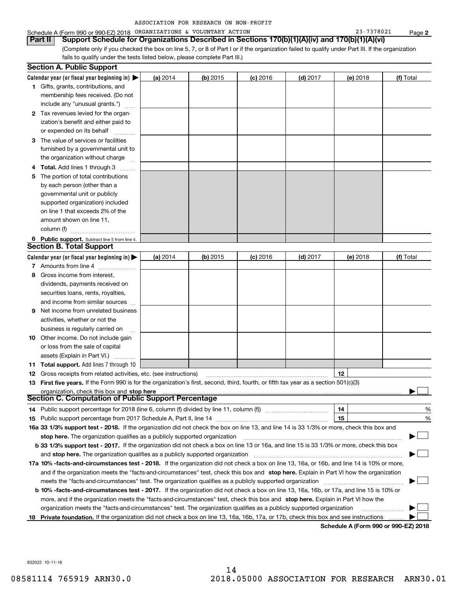| ASSOCIATION FOR RESEARCH ON NON-PROFIT |  |  |  |  |
|----------------------------------------|--|--|--|--|
|----------------------------------------|--|--|--|--|

### Schedule A (Form 990 or 990-EZ) 2018 Page ORGANIZATIONS & VOLUNTARY ACTION 23-7378021

(Complete only if you checked the box on line 5, 7, or 8 of Part I or if the organization failed to qualify under Part III. If the organization fails to qualify under the tests listed below, please complete Part III.) **Part II Support Schedule for Organizations Described in Sections 170(b)(1)(A)(iv) and 170(b)(1)(A)(vi)**

|   | <b>Section A. Public Support</b>                                                                                                               |          |            |            |            |                                       |           |
|---|------------------------------------------------------------------------------------------------------------------------------------------------|----------|------------|------------|------------|---------------------------------------|-----------|
|   | Calendar year (or fiscal year beginning in) $\blacktriangleright$                                                                              | (a) 2014 | $(b)$ 2015 | $(c)$ 2016 | $(d)$ 2017 | (e) 2018                              | (f) Total |
|   | <b>1</b> Gifts, grants, contributions, and                                                                                                     |          |            |            |            |                                       |           |
|   | membership fees received. (Do not                                                                                                              |          |            |            |            |                                       |           |
|   | include any "unusual grants.")                                                                                                                 |          |            |            |            |                                       |           |
|   | 2 Tax revenues levied for the organ-                                                                                                           |          |            |            |            |                                       |           |
|   | ization's benefit and either paid to                                                                                                           |          |            |            |            |                                       |           |
|   | or expended on its behalf                                                                                                                      |          |            |            |            |                                       |           |
|   | 3 The value of services or facilities                                                                                                          |          |            |            |            |                                       |           |
|   | furnished by a governmental unit to                                                                                                            |          |            |            |            |                                       |           |
|   | the organization without charge                                                                                                                |          |            |            |            |                                       |           |
| 4 | <b>Total.</b> Add lines 1 through 3<br>a serenga dan serengai                                                                                  |          |            |            |            |                                       |           |
| 5 | The portion of total contributions                                                                                                             |          |            |            |            |                                       |           |
|   | by each person (other than a                                                                                                                   |          |            |            |            |                                       |           |
|   | governmental unit or publicly                                                                                                                  |          |            |            |            |                                       |           |
|   | supported organization) included                                                                                                               |          |            |            |            |                                       |           |
|   | on line 1 that exceeds 2% of the                                                                                                               |          |            |            |            |                                       |           |
|   | amount shown on line 11,                                                                                                                       |          |            |            |            |                                       |           |
|   | column (f)                                                                                                                                     |          |            |            |            |                                       |           |
|   | 6 Public support. Subtract line 5 from line 4.                                                                                                 |          |            |            |            |                                       |           |
|   | <b>Section B. Total Support</b>                                                                                                                |          |            |            |            |                                       |           |
|   | Calendar year (or fiscal year beginning in)                                                                                                    | (a) 2014 | $(b)$ 2015 | $(c)$ 2016 | $(d)$ 2017 | (e) 2018                              | (f) Total |
|   | 7 Amounts from line 4                                                                                                                          |          |            |            |            |                                       |           |
| 8 | Gross income from interest,                                                                                                                    |          |            |            |            |                                       |           |
|   | dividends, payments received on                                                                                                                |          |            |            |            |                                       |           |
|   | securities loans, rents, royalties,                                                                                                            |          |            |            |            |                                       |           |
|   | and income from similar sources                                                                                                                |          |            |            |            |                                       |           |
| 9 | Net income from unrelated business                                                                                                             |          |            |            |            |                                       |           |
|   | activities, whether or not the                                                                                                                 |          |            |            |            |                                       |           |
|   | business is regularly carried on                                                                                                               |          |            |            |            |                                       |           |
|   | <b>10</b> Other income. Do not include gain                                                                                                    |          |            |            |            |                                       |           |
|   | or loss from the sale of capital                                                                                                               |          |            |            |            |                                       |           |
|   | assets (Explain in Part VI.)                                                                                                                   |          |            |            |            |                                       |           |
|   | <b>11 Total support.</b> Add lines 7 through 10                                                                                                |          |            |            |            |                                       |           |
|   | <b>12</b> Gross receipts from related activities, etc. (see instructions)                                                                      |          |            |            |            | 12                                    |           |
|   | 13 First five years. If the Form 990 is for the organization's first, second, third, fourth, or fifth tax year as a section 501(c)(3)          |          |            |            |            |                                       |           |
|   | organization, check this box and stop here                                                                                                     |          |            |            |            |                                       |           |
|   | Section C. Computation of Public Support Percentage                                                                                            |          |            |            |            |                                       |           |
|   | 14 Public support percentage for 2018 (line 6, column (f) divided by line 11, column (f) <i>manumumumumum</i>                                  |          |            |            |            | 14                                    | %         |
|   |                                                                                                                                                |          |            |            |            | 15                                    | %         |
|   | 16a 33 1/3% support test - 2018. If the organization did not check the box on line 13, and line 14 is 33 1/3% or more, check this box and      |          |            |            |            |                                       |           |
|   | stop here. The organization qualifies as a publicly supported organization                                                                     |          |            |            |            |                                       |           |
|   | b 33 1/3% support test - 2017. If the organization did not check a box on line 13 or 16a, and line 15 is 33 1/3% or more, check this box       |          |            |            |            |                                       |           |
|   | and stop here. The organization qualifies as a publicly supported organization                                                                 |          |            |            |            |                                       |           |
|   | 17a 10% -facts-and-circumstances test - 2018. If the organization did not check a box on line 13, 16a, or 16b, and line 14 is 10% or more,     |          |            |            |            |                                       |           |
|   | and if the organization meets the "facts-and-circumstances" test, check this box and stop here. Explain in Part VI how the organization        |          |            |            |            |                                       |           |
|   | meets the "facts-and-circumstances" test. The organization qualifies as a publicly supported organization                                      |          |            |            |            |                                       |           |
|   | <b>b 10% -facts-and-circumstances test - 2017.</b> If the organization did not check a box on line 13, 16a, 16b, or 17a, and line 15 is 10% or |          |            |            |            |                                       |           |
|   | more, and if the organization meets the "facts-and-circumstances" test, check this box and stop here. Explain in Part VI how the               |          |            |            |            |                                       |           |
|   | organization meets the "facts-and-circumstances" test. The organization qualifies as a publicly supported organization                         |          |            |            |            |                                       |           |
|   | 18 Private foundation. If the organization did not check a box on line 13, 16a, 16b, 17a, or 17b, check this box and see instructions          |          |            |            |            | Cahadula A (Fauna 000 av 000 EZ) 0040 |           |

**Schedule A (Form 990 or 990-EZ) 2018**

832022 10-11-18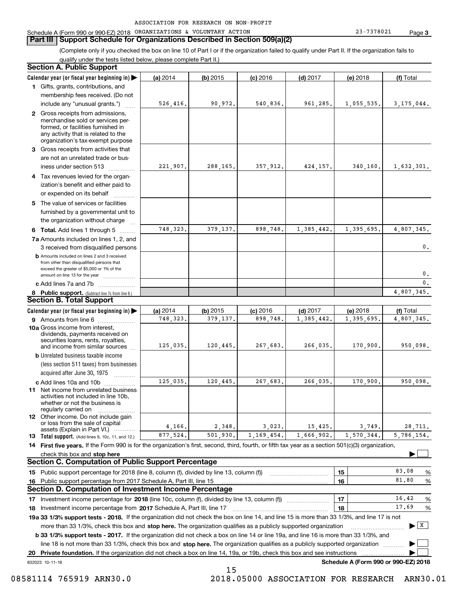#### **Part III Support Schedule for Organizations Described in Section 509(a)(2)**

(Complete only if you checked the box on line 10 of Part I or if the organization failed to qualify under Part II. If the organization fails to qualify under the tests listed below, please complete Part II.)

#### **8 Public support.** (Subtract line 7c from line 6.) **b** Amounts included on lines 2 and 3 received from other than disqualified persons that exceed the greater of \$5,000 or 1% of the amount on line 13 for the year  $\ldots$ ............... **13 Total support.** (Add lines 9, 10c, 11, and 12.) 832023 10-11-18 **Calendar year (or fiscal year beginning in) | Calendar year (or fiscal year beginning in) | (a)** 2014 **| (b)** 2015 **| (c)** 2016 **| (d)** 2017 **| (e)** 2018 **| (f) 1**Gifts, grants, contributions, and **2** Gross receipts from admissions, **3** Gross receipts from activities that **4**Tax revenues levied for the organ-**5** The value of services or facilities **6 Total.** Add lines 1 through 5  $\ldots$ ... **7a**Amounts included on lines 1, 2, and **c** Add lines 7a and 7b  $\ldots$   $\ldots$   $\ldots$  ... **(a)** 2014 **| (b)** 2015 **| (c)** 2016 **| (d)** 2017 **| (e)** 2018 **| (f) 9** Amounts from line 6  $^{10}$ **10a**Gross income from interest, **b** Unrelated business taxable income **c** Add lines 10a and 10b  $^{100}$ **11** Net income from unrelated business **12** Other income. Do not include gain **14 First five years.** If the Form 990 is for the organization's first, second, third, fourth, or fifth tax year as a section 501(c)(3) organization, **stop here** check this box and | **151615161718 2017** Investment income percentage from Schedule A, Part III, line 17 ~~~~~~~~~~~~~~~~~~**19a 33 1/3% support tests - 2018.** If the organization did not check the box on line 14, and line 15 is more than 33 1/3%, and line 17 is not **20Private foundation.**  If the organization did not check a box on line 14, 19a, or 19b, check this box and see instructions | Investment income percentage for 2018 (line 10c, column (f), divided by line 13, column (f)) **1718b 33 1/3% support tests - 2017.** If the organization did not check a box on line 14 or line 19a, and line 16 is more than 33 1/3%, and more than 33 1/3%, check this box and stop here. The organization qualifies as a publicly supported organization *manimumment* line 18 is not more than 33 1/3%, check this box and stop here. The organization qualifies as a publicly supported organization  $\Box$ **Schedule A (Form 990 or 990-EZ) 2018** (less section 511 taxes) from businesses acquired after June 30, 1975 (a) 2014 14 **| (b)** 2015 **| (c)** 2016 **| (d)** 2017 **| (e)** 2018 **| (f)** Total membership fees received. (Do not include any "unusual grants.") merchandise sold or services performed, or facilities furnished in any activity that is related to the organization's tax-exempt purpose are not an unrelated trade or business under section 513  $\quad$ ization's benefit and either paid to or expended on its behalf  $^{+}_{-}, \dots$ furnished by a governmental unit to the organization without charge 3 received from disqualified persons (a) 2014 14 **| (b)** 2015 **| (c)** 2016 **| (d)** 2017 **| (e)** 2018 **| (f)** Total dividends, payments received on securities loans, rents, royalties, and income from similar sources activities not included in line 10b, whether or not the business is regularly carried on or loss from the sale of capital assets (Explain in Part VI.) ............ Public support percentage for 2018 (line 8, column (f), divided by line 13, column (f)) Public support percentage from 2017 Schedule A, Part III, line 15 % %  $\ldots$  | 17 |  $\ldots$  16.42 %  $\ldots$  | 18 |  $\qquad \qquad$   $\frac{17.69}{96}$  % **Section A. Public Support Section B. Total Support Section C. Computation of Public Support Percentage Section D. Computation of Investment Income Percentage**  $\mathcal{L}^{\text{max}}$  $\boxed{\mathbf{X}}$  $\mathcal{L}^{\text{max}}$  $\mathcal{L}^{\text{max}}$ 526,416. 90,972. 540,836. 961,285. 1,055,535. 3,175,044. 221,907. 288,165. 357,912. 424,157. 340,160. 1,632,301. 748,323. 379,137. 898,748. 1,385,442. 1,395,695. 4,807,345. 748,323. 379,137. 898,748. 1,385,442. 1,395,695. 4,807,345.  $\mathbf{0}$ . 0. $\overline{0}$ . 4,807,345. 125,035. 120,445. 267,683. 266,035. 170,900. 950,098. 125,035. 120,445. 267,683. 266,035. 170,900. 950,098. 4,166. 2,348. 3,023. 15,425. 3,749. 28,711. 5,786,154. 83.0881.8016.4217.69877,524. 501,930. 1,169,454. 1,666,902. 1,570,344. 15

 <sup>08581114 765919</sup> ARN30.0 2018.05000 ASSOCIATION FOR RESEARCH ARN30.01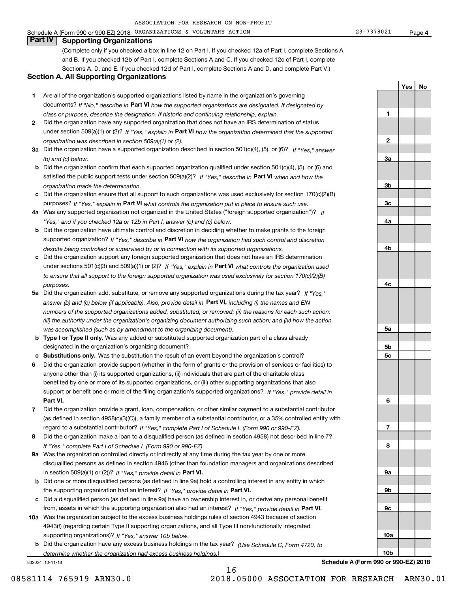Schedule A (Form 990 or 990-EZ) 2018 Page ORGANIZATIONS & VOLUNTARY ACTION 23-7378021

**1**

**2**

**YesNo**

# **Part IV Supporting Organizations**

(Complete only if you checked a box in line 12 on Part I. If you checked 12a of Part I, complete Sections A and B. If you checked 12b of Part I, complete Sections A and C. If you checked 12c of Part I, complete Sections A, D, and E. If you checked 12d of Part I, complete Sections A and D, and complete Part V.)

#### **Section A. All Supporting Organizations**

- **1** Are all of the organization's supported organizations listed by name in the organization's governing documents? If "No," describe in **Part VI** how the supported organizations are designated. If designated by *class or purpose, describe the designation. If historic and continuing relationship, explain.*
- **2** Did the organization have any supported organization that does not have an IRS determination of status under section 509(a)(1) or (2)? If "Yes," explain in Part VI how the organization determined that the supported *organization was described in section 509(a)(1) or (2).*
- **3a** Did the organization have a supported organization described in section 501(c)(4), (5), or (6)? If "Yes," answer *(b) and (c) below.*
- **b** Did the organization confirm that each supported organization qualified under section 501(c)(4), (5), or (6) and satisfied the public support tests under section 509(a)(2)? If "Yes," describe in **Part VI** when and how the *organization made the determination.*
- **c**Did the organization ensure that all support to such organizations was used exclusively for section 170(c)(2)(B) purposes? If "Yes," explain in **Part VI** what controls the organization put in place to ensure such use.
- **4a***If* Was any supported organization not organized in the United States ("foreign supported organization")? *"Yes," and if you checked 12a or 12b in Part I, answer (b) and (c) below.*
- **b** Did the organization have ultimate control and discretion in deciding whether to make grants to the foreign supported organization? If "Yes," describe in **Part VI** how the organization had such control and discretion *despite being controlled or supervised by or in connection with its supported organizations.*
- **c** Did the organization support any foreign supported organization that does not have an IRS determination under sections 501(c)(3) and 509(a)(1) or (2)? If "Yes," explain in **Part VI** what controls the organization used *to ensure that all support to the foreign supported organization was used exclusively for section 170(c)(2)(B) purposes.*
- **5a** Did the organization add, substitute, or remove any supported organizations during the tax year? If "Yes," answer (b) and (c) below (if applicable). Also, provide detail in **Part VI,** including (i) the names and EIN *numbers of the supported organizations added, substituted, or removed; (ii) the reasons for each such action; (iii) the authority under the organization's organizing document authorizing such action; and (iv) how the action was accomplished (such as by amendment to the organizing document).*
- **b** Type I or Type II only. Was any added or substituted supported organization part of a class already designated in the organization's organizing document?
- **cSubstitutions only.**  Was the substitution the result of an event beyond the organization's control?
- **6** Did the organization provide support (whether in the form of grants or the provision of services or facilities) to **Part VI.** *If "Yes," provide detail in* support or benefit one or more of the filing organization's supported organizations? anyone other than (i) its supported organizations, (ii) individuals that are part of the charitable class benefited by one or more of its supported organizations, or (iii) other supporting organizations that also
- **7**Did the organization provide a grant, loan, compensation, or other similar payment to a substantial contributor *If "Yes," complete Part I of Schedule L (Form 990 or 990-EZ).* regard to a substantial contributor? (as defined in section 4958(c)(3)(C)), a family member of a substantial contributor, or a 35% controlled entity with
- **8** Did the organization make a loan to a disqualified person (as defined in section 4958) not described in line 7? *If "Yes," complete Part I of Schedule L (Form 990 or 990-EZ).*
- **9a** Was the organization controlled directly or indirectly at any time during the tax year by one or more in section 509(a)(1) or (2))? If "Yes," *provide detail in* <code>Part VI.</code> disqualified persons as defined in section 4946 (other than foundation managers and organizations described
- **b** Did one or more disqualified persons (as defined in line 9a) hold a controlling interest in any entity in which the supporting organization had an interest? If "Yes," provide detail in P**art VI**.
- **c**Did a disqualified person (as defined in line 9a) have an ownership interest in, or derive any personal benefit from, assets in which the supporting organization also had an interest? If "Yes," provide detail in P**art VI.**
- **10a** Was the organization subject to the excess business holdings rules of section 4943 because of section supporting organizations)? If "Yes," answer 10b below. 4943(f) (regarding certain Type II supporting organizations, and all Type III non-functionally integrated
- **b** Did the organization have any excess business holdings in the tax year? (Use Schedule C, Form 4720, to *determine whether the organization had excess business holdings.)*

16

832024 10-11-18

**Schedule A (Form 990 or 990-EZ) 2018**

**3a3b3c4a4b4c5a 5b5c6789a 9b9c10a10b**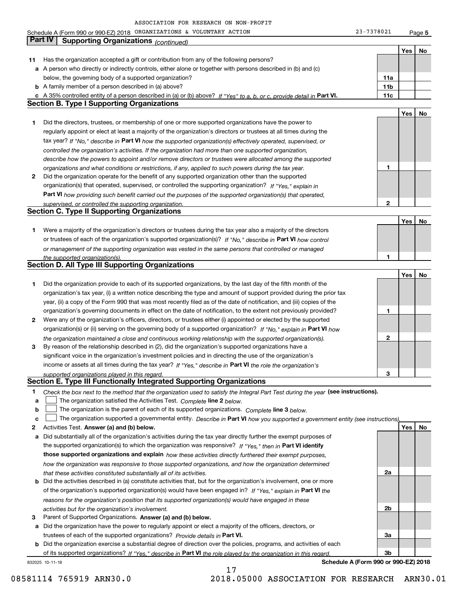Schedule A (Form 990 or 990-EZ) 2018 Page ORGANIZATIONS & VOLUNTARY ACTION 23-7378021

**5**

|    | Part IV<br><b>Supporting Organizations (continued)</b>                                                                            |     |     |    |
|----|-----------------------------------------------------------------------------------------------------------------------------------|-----|-----|----|
|    |                                                                                                                                   |     | Yes | No |
| 11 | Has the organization accepted a gift or contribution from any of the following persons?                                           |     |     |    |
|    | a A person who directly or indirectly controls, either alone or together with persons described in (b) and (c)                    |     |     |    |
|    | below, the governing body of a supported organization?                                                                            | 11a |     |    |
|    | <b>b</b> A family member of a person described in (a) above?                                                                      | 11b |     |    |
|    | c A 35% controlled entity of a person described in (a) or (b) above? If "Yes" to a, b, or c, provide detail in Part VI.           | 11c |     |    |
|    | <b>Section B. Type I Supporting Organizations</b>                                                                                 |     |     |    |
|    |                                                                                                                                   |     | Yes | No |
| 1  | Did the directors, trustees, or membership of one or more supported organizations have the power to                               |     |     |    |
|    | regularly appoint or elect at least a majority of the organization's directors or trustees at all times during the                |     |     |    |
|    | tax year? If "No," describe in Part VI how the supported organization(s) effectively operated, supervised, or                     |     |     |    |
|    | controlled the organization's activities. If the organization had more than one supported organization,                           |     |     |    |
|    | describe how the powers to appoint and/or remove directors or trustees were allocated among the supported                         |     |     |    |
|    | organizations and what conditions or restrictions, if any, applied to such powers during the tax year.                            | 1   |     |    |
| 2  | Did the organization operate for the benefit of any supported organization other than the supported                               |     |     |    |
|    | organization(s) that operated, supervised, or controlled the supporting organization? If "Yes," explain in                        |     |     |    |
|    | Part VI how providing such benefit carried out the purposes of the supported organization(s) that operated,                       |     |     |    |
|    | supervised, or controlled the supporting organization.                                                                            | 2   |     |    |
|    | <b>Section C. Type II Supporting Organizations</b>                                                                                |     |     |    |
|    |                                                                                                                                   |     | Yes | No |
| 1  | Were a majority of the organization's directors or trustees during the tax year also a majority of the directors                  |     |     |    |
|    | or trustees of each of the organization's supported organization(s)? If "No," describe in Part VI how control                     |     |     |    |
|    | or management of the supporting organization was vested in the same persons that controlled or managed                            |     |     |    |
|    | the supported organization(s).                                                                                                    |     |     |    |
|    | <b>Section D. All Type III Supporting Organizations</b>                                                                           |     |     |    |
|    |                                                                                                                                   |     | Yes | No |
| 1  | Did the organization provide to each of its supported organizations, by the last day of the fifth month of the                    |     |     |    |
|    | organization's tax year, (i) a written notice describing the type and amount of support provided during the prior tax             |     |     |    |
|    | year, (ii) a copy of the Form 990 that was most recently filed as of the date of notification, and (iii) copies of the            |     |     |    |
|    | organization's governing documents in effect on the date of notification, to the extent not previously provided?                  | 1   |     |    |
| 2  | Were any of the organization's officers, directors, or trustees either (i) appointed or elected by the supported                  |     |     |    |
|    | organization(s) or (ii) serving on the governing body of a supported organization? If "No," explain in Part VI how                |     |     |    |
|    | the organization maintained a close and continuous working relationship with the supported organization(s).                       | 2   |     |    |
| з  | By reason of the relationship described in (2), did the organization's supported organizations have a                             |     |     |    |
|    | significant voice in the organization's investment policies and in directing the use of the organization's                        |     |     |    |
|    | income or assets at all times during the tax year? If "Yes," describe in Part VI the role the organization's                      |     |     |    |
|    | supported organizations played in this regard.                                                                                    | 3   |     |    |
|    | Section E. Type III Functionally Integrated Supporting Organizations                                                              |     |     |    |
| 1  | Check the box next to the method that the organization used to satisfy the Integral Part Test during the year (see instructions). |     |     |    |
| a  | The organization satisfied the Activities Test. Complete line 2 below.                                                            |     |     |    |
| b  | The organization is the parent of each of its supported organizations. Complete line 3 below.                                     |     |     |    |
| C  | The organization supported a governmental entity. Describe in Part VI how you supported a government entity (see instructions).   |     |     |    |
| 2  | Activities Test. Answer (a) and (b) below.                                                                                        |     | Yes | No |
| a  | Did substantially all of the organization's activities during the tax year directly further the exempt purposes of                |     |     |    |
|    | the supported organization(s) to which the organization was responsive? If "Yes," then in Part VI identify                        |     |     |    |
|    | those supported organizations and explain how these activities directly furthered their exempt purposes,                          |     |     |    |
|    | how the organization was responsive to those supported organizations, and how the organization determined                         |     |     |    |
|    | that these activities constituted substantially all of its activities.                                                            | 2a  |     |    |
|    | <b>b</b> Did the activities described in (a) constitute activities that, but for the organization's involvement, one or more      |     |     |    |
|    | of the organization's supported organization(s) would have been engaged in? If "Yes," explain in Part VI the                      |     |     |    |
|    | reasons for the organization's position that its supported organization(s) would have engaged in these                            |     |     |    |
|    | activities but for the organization's involvement.                                                                                | 2b  |     |    |
| з  | Parent of Supported Organizations. Answer (a) and (b) below.                                                                      |     |     |    |
| а  | Did the organization have the power to regularly appoint or elect a majority of the officers, directors, or                       |     |     |    |
|    | trustees of each of the supported organizations? Provide details in Part VI.                                                      | 3a  |     |    |
|    | <b>b</b> Did the organization exercise a substantial degree of direction over the policies, programs, and activities of each      |     |     |    |
|    | of its supported organizations? If "Yes," describe in Part VI the role played by the organization in this regard                  | Зb  |     |    |
|    | Schedule A (Form 990 or 990-EZ) 2018<br>832025 10-11-18                                                                           |     |     |    |

17

**Schedule A (Form 990 or 990-EZ) 2018**

08581114 765919 ARN30.0 2018.05000 ASSOCIATION FOR RESEARCH ARN30.01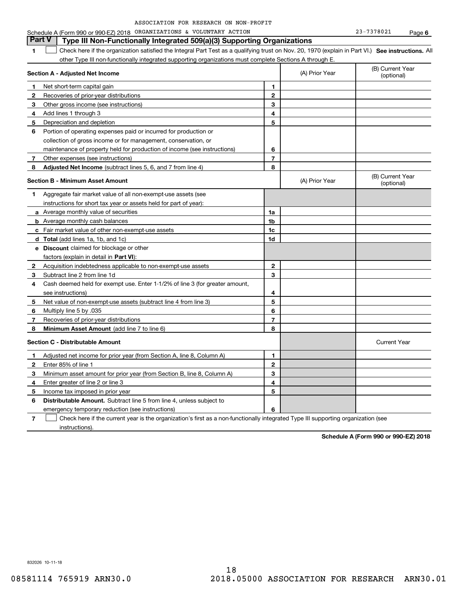| ASSOCIATION FOR RESEARCH ON NON-PROFIT |  |  |  |  |  |  |
|----------------------------------------|--|--|--|--|--|--|
|----------------------------------------|--|--|--|--|--|--|

#### **1SEP 10. See instructions.** All antegral Part Test as a qualifying trust on Nov. 20, 1970 (explain in Part VI.) See instructions. All **Section A - Adjusted Net Income 12** Recoveries of prior-year distributions **3** Other gross income (see instructions) **4**Add lines 1 through 3 **56** Portion of operating expenses paid or incurred for production or **7** Other expenses (see instructions) **8** Adjusted Net Income (subtract lines 5, 6, and 7 from line 4) **8 8 1234567Section B - Minimum Asset Amount 1**Aggregate fair market value of all non-exempt-use assets (see **2**Acquisition indebtedness applicable to non-exempt-use assets **3** Subtract line 2 from line 1d **4**Cash deemed held for exempt use. Enter 1-1/2% of line 3 (for greater amount, **5** Net value of non-exempt-use assets (subtract line 4 from line 3) **678a** Average monthly value of securities **b** Average monthly cash balances **c**Fair market value of other non-exempt-use assets **dTotal**  (add lines 1a, 1b, and 1c) **eDiscount** claimed for blockage or other **1a1b1c1d2345678**factors (explain in detail in **Part VI**): **Minimum Asset Amount**  (add line 7 to line 6) **Section C - Distributable Amount 12**Enter 85% of line 1 **3456** Distributable Amount. Subtract line 5 from line 4, unless subject to **123456**other Type III non-functionally integrated supporting organizations must complete Sections A through E. (B) Current Year (optional)(A) Prior Year Net short-term capital gain Depreciation and depletion collection of gross income or for management, conservation, or maintenance of property held for production of income (see instructions) (B) Current Year (optional)(A) Prior Year instructions for short tax year or assets held for part of year): see instructions) Multiply line 5 by .035 Recoveries of prior-year distributions Current Year Adjusted net income for prior year (from Section A, line 8, Column A) Minimum asset amount for prior year (from Section B, line 8, Column A) Enter greater of line 2 or line 3 Income tax imposed in prior year emergency temporary reduction (see instructions) **Part V Type III Non-Functionally Integrated 509(a)(3) Supporting Organizations**   $\mathcal{L}^{\text{max}}$

**7**Check here if the current year is the organization's first as a non-functionally integrated Type III supporting organization (see instructions). $\mathcal{L}^{\text{max}}$ 

**Schedule A (Form 990 or 990-EZ) 2018**

832026 10-11-18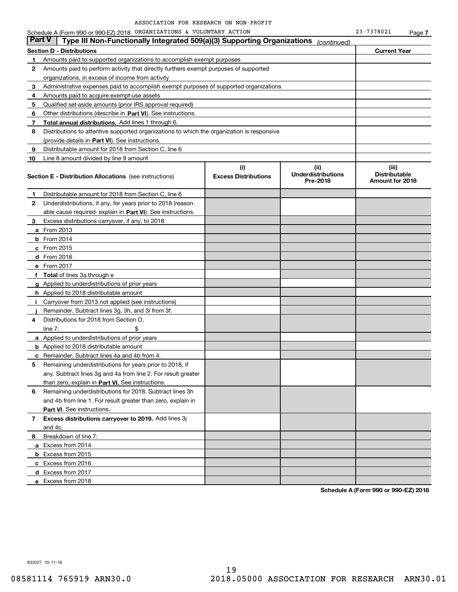|               | Schedule A (Form 990 or 990-EZ) 2018 ORGANIZATIONS & VOLUNTARY ACTION                      |                                    |                                               | 23-7378021                                       | Page 7 |
|---------------|--------------------------------------------------------------------------------------------|------------------------------------|-----------------------------------------------|--------------------------------------------------|--------|
| <b>Part V</b> | Type III Non-Functionally Integrated 509(a)(3) Supporting Organizations                    |                                    | (continued)                                   |                                                  |        |
|               | <b>Section D - Distributions</b>                                                           |                                    |                                               | <b>Current Year</b>                              |        |
| 1             | Amounts paid to supported organizations to accomplish exempt purposes                      |                                    |                                               |                                                  |        |
| 2             | Amounts paid to perform activity that directly furthers exempt purposes of supported       |                                    |                                               |                                                  |        |
|               | organizations, in excess of income from activity                                           |                                    |                                               |                                                  |        |
| 3             | Administrative expenses paid to accomplish exempt purposes of supported organizations      |                                    |                                               |                                                  |        |
| 4             | Amounts paid to acquire exempt-use assets                                                  |                                    |                                               |                                                  |        |
| 5             | Qualified set-aside amounts (prior IRS approval required)                                  |                                    |                                               |                                                  |        |
| 6             | Other distributions (describe in Part VI). See instructions.                               |                                    |                                               |                                                  |        |
| 7             | Total annual distributions. Add lines 1 through 6.                                         |                                    |                                               |                                                  |        |
| 8             | Distributions to attentive supported organizations to which the organization is responsive |                                    |                                               |                                                  |        |
|               | (provide details in Part VI). See instructions.                                            |                                    |                                               |                                                  |        |
| 9             | Distributable amount for 2018 from Section C, line 6                                       |                                    |                                               |                                                  |        |
| 10            | Line 8 amount divided by line 9 amount                                                     |                                    |                                               |                                                  |        |
|               | <b>Section E - Distribution Allocations</b> (see instructions)                             | (i)<br><b>Excess Distributions</b> | (ii)<br><b>Underdistributions</b><br>Pre-2018 | (iii)<br><b>Distributable</b><br>Amount for 2018 |        |
| 1             | Distributable amount for 2018 from Section C, line 6                                       |                                    |                                               |                                                  |        |
| 2             | Underdistributions, if any, for years prior to 2018 (reason-                               |                                    |                                               |                                                  |        |
|               | able cause required- explain in Part VI). See instructions.                                |                                    |                                               |                                                  |        |
| З.            | Excess distributions carryover, if any, to 2018                                            |                                    |                                               |                                                  |        |
|               | <b>a</b> From 2013                                                                         |                                    |                                               |                                                  |        |
|               | <b>b</b> From $2014$                                                                       |                                    |                                               |                                                  |        |
|               | $c$ From 2015                                                                              |                                    |                                               |                                                  |        |
|               | $d$ From 2016                                                                              |                                    |                                               |                                                  |        |
|               | e From 2017                                                                                |                                    |                                               |                                                  |        |
|               | f Total of lines 3a through e                                                              |                                    |                                               |                                                  |        |
|               | g Applied to underdistributions of prior years                                             |                                    |                                               |                                                  |        |
|               | <b>h</b> Applied to 2018 distributable amount                                              |                                    |                                               |                                                  |        |
| л.            | Carryover from 2013 not applied (see instructions)                                         |                                    |                                               |                                                  |        |
|               | Remainder. Subtract lines 3g, 3h, and 3i from 3f.                                          |                                    |                                               |                                                  |        |
| 4             | Distributions for 2018 from Section D,                                                     |                                    |                                               |                                                  |        |
|               | \$<br>line $7:$                                                                            |                                    |                                               |                                                  |        |
|               | <b>a</b> Applied to underdistributions of prior years                                      |                                    |                                               |                                                  |        |
|               | <b>b</b> Applied to 2018 distributable amount                                              |                                    |                                               |                                                  |        |
|               | <b>c</b> Remainder. Subtract lines 4a and 4b from 4.                                       |                                    |                                               |                                                  |        |
|               | Remaining underdistributions for years prior to 2018, if                                   |                                    |                                               |                                                  |        |
|               | any. Subtract lines 3q and 4a from line 2. For result greater                              |                                    |                                               |                                                  |        |
|               | than zero, explain in Part VI. See instructions.                                           |                                    |                                               |                                                  |        |
| 6             | Remaining underdistributions for 2018. Subtract lines 3h                                   |                                    |                                               |                                                  |        |
|               | and 4b from line 1. For result greater than zero, explain in                               |                                    |                                               |                                                  |        |
|               | <b>Part VI.</b> See instructions.                                                          |                                    |                                               |                                                  |        |
| 7             | Excess distributions carryover to 2019. Add lines 3j                                       |                                    |                                               |                                                  |        |
|               | and 4c.                                                                                    |                                    |                                               |                                                  |        |
| 8             | Breakdown of line 7:                                                                       |                                    |                                               |                                                  |        |
|               | a Excess from 2014                                                                         |                                    |                                               |                                                  |        |
|               | <b>b</b> Excess from 2015                                                                  |                                    |                                               |                                                  |        |
|               | c Excess from 2016                                                                         |                                    |                                               |                                                  |        |
|               | d Excess from 2017                                                                         |                                    |                                               |                                                  |        |
|               | e Excess from 2018                                                                         |                                    |                                               |                                                  |        |

**Schedule A (Form 990 or 990-EZ) 2018**

832027 10-11-18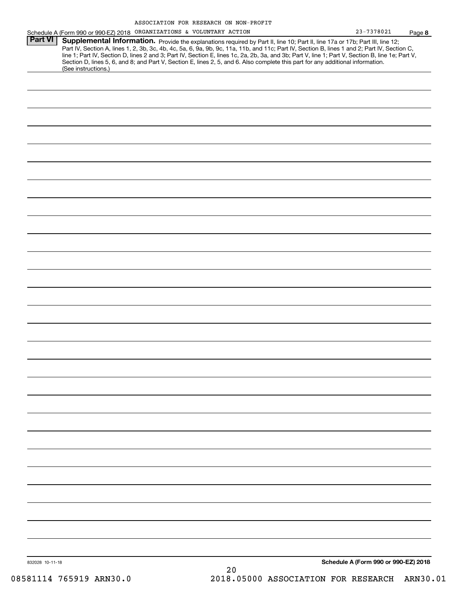|                 | Schedule A (Form 990 or 990-EZ) 2018 ORGANIZATIONS & VOLUNTARY ACTION                                                                                                                                                                                                                                                                                                                                                             | 23-7378021                           | Page 8 |
|-----------------|-----------------------------------------------------------------------------------------------------------------------------------------------------------------------------------------------------------------------------------------------------------------------------------------------------------------------------------------------------------------------------------------------------------------------------------|--------------------------------------|--------|
| <b>Part VI</b>  | Supplemental Information. Provide the explanations required by Part II, line 10; Part II, line 17a or 17b; Part III, line 12;<br>Part IV, Section A, lines 1, 2, 3b, 3c, 4b, 4c, 5a, 6, 9a, 9b, 9c, 11a, 11b, and 11c; Part IV, Section B, lines 1 and 2; Part IV, Section C,<br>line 1; Part IV, Section D, lines 2 and 3; Part IV, Section E, lines 1c, 2a, 2b, 3a, and 3b; Part V, line 1; Part V, Section B, line 1e; Part V, |                                      |        |
|                 | Section D, lines 5, 6, and 8; and Part V, Section E, lines 2, 5, and 6. Also complete this part for any additional information.<br>(See instructions.)                                                                                                                                                                                                                                                                            |                                      |        |
|                 |                                                                                                                                                                                                                                                                                                                                                                                                                                   |                                      |        |
|                 |                                                                                                                                                                                                                                                                                                                                                                                                                                   |                                      |        |
|                 |                                                                                                                                                                                                                                                                                                                                                                                                                                   |                                      |        |
|                 |                                                                                                                                                                                                                                                                                                                                                                                                                                   |                                      |        |
|                 |                                                                                                                                                                                                                                                                                                                                                                                                                                   |                                      |        |
|                 |                                                                                                                                                                                                                                                                                                                                                                                                                                   |                                      |        |
|                 |                                                                                                                                                                                                                                                                                                                                                                                                                                   |                                      |        |
|                 |                                                                                                                                                                                                                                                                                                                                                                                                                                   |                                      |        |
|                 |                                                                                                                                                                                                                                                                                                                                                                                                                                   |                                      |        |
|                 |                                                                                                                                                                                                                                                                                                                                                                                                                                   |                                      |        |
|                 |                                                                                                                                                                                                                                                                                                                                                                                                                                   |                                      |        |
|                 |                                                                                                                                                                                                                                                                                                                                                                                                                                   |                                      |        |
|                 |                                                                                                                                                                                                                                                                                                                                                                                                                                   |                                      |        |
|                 |                                                                                                                                                                                                                                                                                                                                                                                                                                   |                                      |        |
|                 |                                                                                                                                                                                                                                                                                                                                                                                                                                   |                                      |        |
|                 |                                                                                                                                                                                                                                                                                                                                                                                                                                   |                                      |        |
|                 |                                                                                                                                                                                                                                                                                                                                                                                                                                   |                                      |        |
|                 |                                                                                                                                                                                                                                                                                                                                                                                                                                   |                                      |        |
|                 |                                                                                                                                                                                                                                                                                                                                                                                                                                   |                                      |        |
|                 |                                                                                                                                                                                                                                                                                                                                                                                                                                   |                                      |        |
|                 |                                                                                                                                                                                                                                                                                                                                                                                                                                   |                                      |        |
|                 |                                                                                                                                                                                                                                                                                                                                                                                                                                   |                                      |        |
|                 |                                                                                                                                                                                                                                                                                                                                                                                                                                   |                                      |        |
|                 |                                                                                                                                                                                                                                                                                                                                                                                                                                   |                                      |        |
|                 |                                                                                                                                                                                                                                                                                                                                                                                                                                   |                                      |        |
|                 |                                                                                                                                                                                                                                                                                                                                                                                                                                   |                                      |        |
|                 |                                                                                                                                                                                                                                                                                                                                                                                                                                   | Schedule A (Form 990 or 990-EZ) 2018 |        |
| 832028 10-11-18 |                                                                                                                                                                                                                                                                                                                                                                                                                                   |                                      |        |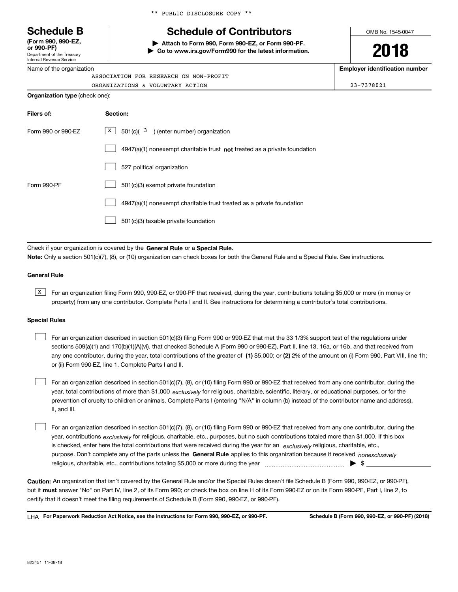Department of the Treasury Internal Revenue Service **(Form 990, 990-EZ, or 990-PF)**

Name of the organization

|  |  | ** PUBLIC DISCLOSURE COPY ** |  |  |
|--|--|------------------------------|--|--|
|--|--|------------------------------|--|--|

# **Schedule B Schedule of Contributors**

**| Attach to Form 990, Form 990-EZ, or Form 990-PF. | Go to www.irs.gov/Form990 for the latest information.** OMB No. 1545-0047

**2018**

**Employer identification number**

ORGANIZATIONS & VOLUNTARY ACTION 23-7378021

|                                       | ASSOCIATION FOR RESEARCH ON NON-PROFIT |
|---------------------------------------|----------------------------------------|
|                                       | ORGANIZATIONS & VOLUNTARY ACTION       |
| <b>Organization type</b> (check one): |                                        |

| Filers of:         | Section:                                                                           |
|--------------------|------------------------------------------------------------------------------------|
| Form 990 or 990-FZ | X  <br>$501(c)$ ( $3$ ) (enter number) organization                                |
|                    | $4947(a)(1)$ nonexempt charitable trust <b>not</b> treated as a private foundation |
|                    | 527 political organization                                                         |
| Form 990-PF        | 501(c)(3) exempt private foundation                                                |
|                    | 4947(a)(1) nonexempt charitable trust treated as a private foundation              |
|                    | 501(c)(3) taxable private foundation                                               |

Check if your organization is covered by the **General Rule** or a **Special Rule. Note:**  Only a section 501(c)(7), (8), or (10) organization can check boxes for both the General Rule and a Special Rule. See instructions.

#### **General Rule**

 $\overline{X}$  For an organization filing Form 990, 990-EZ, or 990-PF that received, during the year, contributions totaling \$5,000 or more (in money or property) from any one contributor. Complete Parts I and II. See instructions for determining a contributor's total contributions.

#### **Special Rules**

| For an organization described in section 501(c)(3) filing Form 990 or 990-EZ that met the 33 1/3% support test of the regulations under               |
|-------------------------------------------------------------------------------------------------------------------------------------------------------|
| sections 509(a)(1) and 170(b)(1)(A)(vi), that checked Schedule A (Form 990 or 990-EZ), Part II, line 13, 16a, or 16b, and that received from          |
| any one contributor, during the year, total contributions of the greater of (1) \$5,000; or (2) 2% of the amount on (i) Form 990, Part VIII, line 1h; |
| or (ii) Form 990-EZ, line 1. Complete Parts I and II.                                                                                                 |

year, total contributions of more than \$1,000 *exclusively* for religious, charitable, scientific, literary, or educational purposes, or for the For an organization described in section 501(c)(7), (8), or (10) filing Form 990 or 990-EZ that received from any one contributor, during the prevention of cruelty to children or animals. Complete Parts I (entering "N/A" in column (b) instead of the contributor name and address), II, and III.  $\mathcal{L}^{\text{max}}$ 

purpose. Don't complete any of the parts unless the **General Rule** applies to this organization because it received *nonexclusively* year, contributions <sub>exclusively</sub> for religious, charitable, etc., purposes, but no such contributions totaled more than \$1,000. If this box is checked, enter here the total contributions that were received during the year for an  $\;$ exclusively religious, charitable, etc., For an organization described in section 501(c)(7), (8), or (10) filing Form 990 or 990-EZ that received from any one contributor, during the religious, charitable, etc., contributions totaling \$5,000 or more during the year  $\Box$ — $\Box$  =  $\Box$  $\mathcal{L}^{\text{max}}$ 

**Caution:**  An organization that isn't covered by the General Rule and/or the Special Rules doesn't file Schedule B (Form 990, 990-EZ, or 990-PF),  **must** but it answer "No" on Part IV, line 2, of its Form 990; or check the box on line H of its Form 990-EZ or on its Form 990-PF, Part I, line 2, to certify that it doesn't meet the filing requirements of Schedule B (Form 990, 990-EZ, or 990-PF).

**For Paperwork Reduction Act Notice, see the instructions for Form 990, 990-EZ, or 990-PF. Schedule B (Form 990, 990-EZ, or 990-PF) (2018)** LHA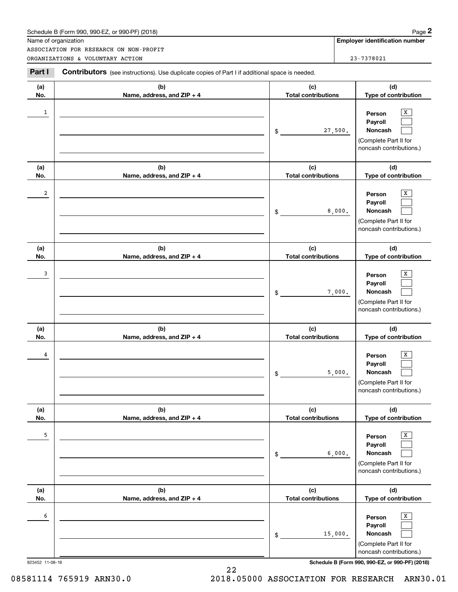| Schedule B (Form 990. 990-EZ. or 990-PF) (2018) | Page |
|-------------------------------------------------|------|
|-------------------------------------------------|------|

|                         | Schedule B (Form 990, 990-EZ, or 990-PF) (2018)                                                |                                   |         | Page 2                                                                                |
|-------------------------|------------------------------------------------------------------------------------------------|-----------------------------------|---------|---------------------------------------------------------------------------------------|
|                         | Name of organization<br>ASSOCIATION FOR RESEARCH ON NON-PROFIT                                 |                                   |         | Employer identification number                                                        |
|                         | ORGANIZATIONS & VOLUNTARY ACTION                                                               |                                   |         | 23-7378021                                                                            |
| Part I                  | Contributors (see instructions). Use duplicate copies of Part I if additional space is needed. |                                   |         |                                                                                       |
| (a)<br>No.              | (b)<br>Name, address, and ZIP + 4                                                              | (c)<br><b>Total contributions</b> |         | (d)<br>Type of contribution                                                           |
| 1                       |                                                                                                | \$                                | 27,500. | Х<br>Person<br>Payroll<br>Noncash<br>(Complete Part II for<br>noncash contributions.) |
| (a)<br>No.              | (b)<br>Name, address, and ZIP + 4                                                              | (c)<br><b>Total contributions</b> |         | (d)<br>Type of contribution                                                           |
| $\overline{\mathbf{2}}$ |                                                                                                | \$                                | 8,000.  | х<br>Person<br>Payroll<br>Noncash<br>(Complete Part II for<br>noncash contributions.) |
| (a)<br>No.              | (b)<br>Name, address, and ZIP + 4                                                              | (c)<br><b>Total contributions</b> |         | (d)<br>Type of contribution                                                           |
| 3                       |                                                                                                | \$                                | 7,000.  | х<br>Person<br>Payroll<br>Noncash<br>(Complete Part II for<br>noncash contributions.) |
| (a)<br>No.              | (b)<br>Name, address, and ZIP + 4                                                              | (c)<br><b>Total contributions</b> |         | (d)<br>Type of contribution                                                           |
| 4                       |                                                                                                | \$                                | 5,000.  | х<br>Person<br>Payroll<br>Noncash<br>(Complete Part II for<br>noncash contributions.) |
| (a)<br>No.              | (b)<br>Name, address, and ZIP + 4                                                              | (c)<br><b>Total contributions</b> |         | (d)<br>Type of contribution                                                           |
| 5                       |                                                                                                | \$                                | 6,000.  | X<br>Person<br>Payroll<br>Noncash<br>(Complete Part II for<br>noncash contributions.) |
| (a)<br>No.              | (b)<br>Name, address, and ZIP + 4                                                              | (c)<br><b>Total contributions</b> |         | (d)<br>Type of contribution                                                           |
| 6                       |                                                                                                | \$                                | 15,000. | X<br>Person<br>Payroll<br>Noncash<br>(Complete Part II for<br>noncash contributions.) |

823452 11-08-18 **Schedule B (Form 990, 990-EZ, or 990-PF) (2018)**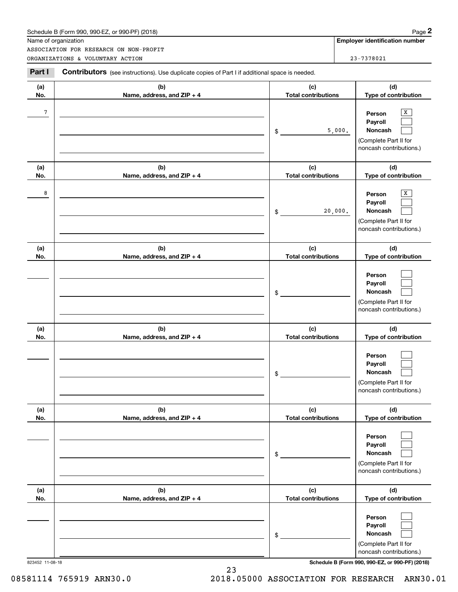| Schedule B (Form 990. 990-EZ. or 990-PF) (2018) | Page |
|-------------------------------------------------|------|
|-------------------------------------------------|------|

|            | Schedule B (Form 990, 990-EZ, or 990-PF) (2018)                                                       |                                   | Page 2                                                                                           |
|------------|-------------------------------------------------------------------------------------------------------|-----------------------------------|--------------------------------------------------------------------------------------------------|
|            | Name of organization                                                                                  |                                   | <b>Employer identification number</b>                                                            |
|            | ASSOCIATION FOR RESEARCH ON NON-PROFIT<br>ORGANIZATIONS & VOLUNTARY ACTION                            |                                   | 23-7378021                                                                                       |
| Part I     | <b>Contributors</b> (see instructions). Use duplicate copies of Part I if additional space is needed. |                                   |                                                                                                  |
| (a)<br>No. | (b)<br>Name, address, and ZIP + 4                                                                     | (c)<br><b>Total contributions</b> | (d)<br>Type of contribution                                                                      |
| 7          |                                                                                                       | \$                                | X<br>Person<br>Payroll<br>5,000.<br>Noncash<br>(Complete Part II for<br>noncash contributions.)  |
| (a)<br>No. | (b)<br>Name, address, and ZIP + 4                                                                     | (c)<br><b>Total contributions</b> | (d)<br>Type of contribution                                                                      |
| 8          |                                                                                                       | \$                                | Х<br>Person<br>Payroll<br>Noncash<br>20,000.<br>(Complete Part II for<br>noncash contributions.) |
| (a)<br>No. | (b)<br>Name, address, and ZIP + 4                                                                     | (c)<br><b>Total contributions</b> | (d)<br>Type of contribution                                                                      |
|            |                                                                                                       | \$                                | Person<br>Payroll<br>Noncash<br>(Complete Part II for<br>noncash contributions.)                 |
| (a)<br>No. | (b)<br>Name, address, and ZIP + 4                                                                     | (c)<br><b>Total contributions</b> | (d)<br>Type of contribution                                                                      |
|            |                                                                                                       | \$                                | Person<br>Payroll<br>Noncash<br>(Complete Part II for<br>noncash contributions.)                 |
| (a)<br>No. | (b)<br>Name, address, and ZIP + 4                                                                     | (c)<br><b>Total contributions</b> | (d)<br>Type of contribution                                                                      |
|            |                                                                                                       | \$                                | Person<br>Payroll<br>Noncash<br>(Complete Part II for<br>noncash contributions.)                 |
| (a)<br>No. | (b)<br>Name, address, and ZIP + 4                                                                     | (c)<br><b>Total contributions</b> | (d)<br>Type of contribution                                                                      |
|            |                                                                                                       | \$                                | Person<br>Payroll<br>Noncash<br>(Complete Part II for<br>noncash contributions.)                 |

823452 11-08-18 **Schedule B (Form 990, 990-EZ, or 990-PF) (2018)**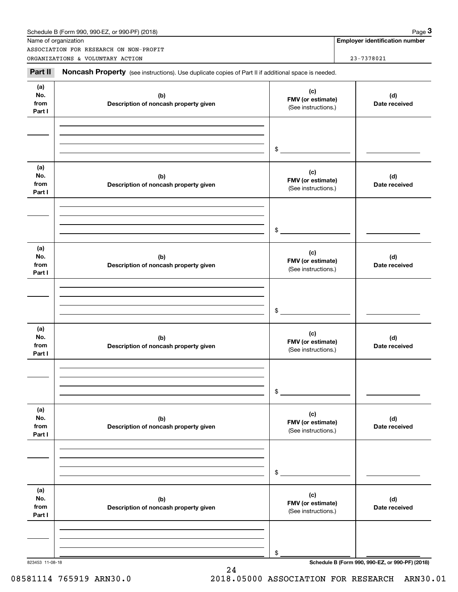|                              | ASSOCIATION FOR RESEARCH ON NON-PROFIT                                                              |                                                 |                      |
|------------------------------|-----------------------------------------------------------------------------------------------------|-------------------------------------------------|----------------------|
|                              | ORGANIZATIONS & VOLUNTARY ACTION                                                                    |                                                 | 23-7378021           |
| Part II                      | Noncash Property (see instructions). Use duplicate copies of Part II if additional space is needed. |                                                 |                      |
| (a)<br>No.<br>from<br>Part I | (b)<br>Description of noncash property given                                                        | (c)<br>FMV (or estimate)<br>(See instructions.) | (d)<br>Date received |
|                              |                                                                                                     | \$                                              |                      |
| (a)<br>No.<br>from<br>Part I | (b)<br>Description of noncash property given                                                        | (c)<br>FMV (or estimate)<br>(See instructions.) | (d)<br>Date received |
|                              |                                                                                                     | \$                                              |                      |
| (a)<br>No.<br>from<br>Part I | (b)<br>Description of noncash property given                                                        | (c)<br>FMV (or estimate)<br>(See instructions.) | (d)<br>Date received |
|                              |                                                                                                     | \$                                              |                      |
| (a)<br>No.<br>from<br>Part I | (b)<br>Description of noncash property given                                                        | (c)<br>FMV (or estimate)<br>(See instructions.) | (d)<br>Date received |
|                              |                                                                                                     | \$                                              |                      |
| (a)<br>No.<br>from<br>Part I | (b)<br>Description of noncash property given                                                        | (c)<br>FMV (or estimate)<br>(See instructions.) | (d)<br>Date received |
|                              |                                                                                                     | \$                                              |                      |
| (a)<br>No.<br>from<br>Part I | (b)<br>Description of noncash property given                                                        | (c)<br>FMV (or estimate)<br>(See instructions.) | (d)<br>Date received |
|                              |                                                                                                     |                                                 |                      |
|                              |                                                                                                     | \$                                              |                      |

24

823453 11-08-18 **Schedule B (Form 990, 990-EZ, or 990-PF) (2018)**

### 08581114 765919 ARN30.0 2018.05000 ASSOCIATION FOR RESEARCH ARN30.01

| Schedule B (Form 990, 990-EZ, or 990-PF) (2018) | Page |
|-------------------------------------------------|------|
|-------------------------------------------------|------|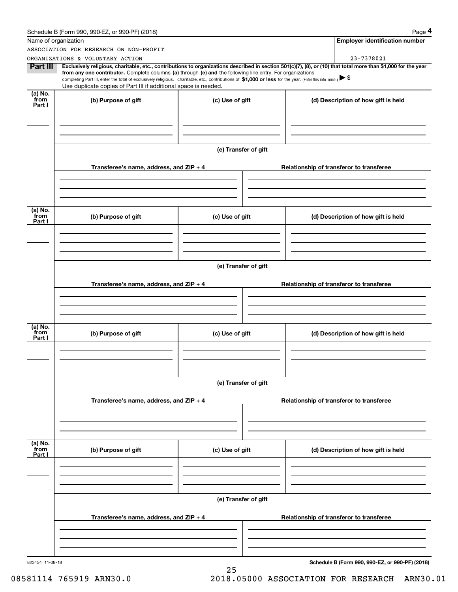|                           | Schedule B (Form 990, 990-EZ, or 990-PF) (2018)                                                                                                                                                                                                                                                                                                                                                                                              |                      | Page 4                                          |
|---------------------------|----------------------------------------------------------------------------------------------------------------------------------------------------------------------------------------------------------------------------------------------------------------------------------------------------------------------------------------------------------------------------------------------------------------------------------------------|----------------------|-------------------------------------------------|
|                           | Name of organization                                                                                                                                                                                                                                                                                                                                                                                                                         |                      | <b>Employer identification number</b>           |
|                           | ASSOCIATION FOR RESEARCH ON NON-PROFIT                                                                                                                                                                                                                                                                                                                                                                                                       |                      |                                                 |
|                           | ORGANIZATIONS & VOLUNTARY ACTION                                                                                                                                                                                                                                                                                                                                                                                                             |                      | 23-7378021                                      |
| Part III                  | Exclusively religious, charitable, etc., contributions to organizations described in section 501(c)(7), (8), or (10) that total more than \$1,000 for the year<br>from any one contributor. Complete columns (a) through (e) and the following line entry. For organizations<br>completing Part III, enter the total of exclusively religious, charitable, etc., contributions of \$1,000 or less for the year. (Enter this info. once.) \\$ |                      |                                                 |
|                           | Use duplicate copies of Part III if additional space is needed.                                                                                                                                                                                                                                                                                                                                                                              |                      |                                                 |
| (a) No.<br>from<br>Part I | (b) Purpose of gift                                                                                                                                                                                                                                                                                                                                                                                                                          | (c) Use of gift      | (d) Description of how gift is held             |
|                           |                                                                                                                                                                                                                                                                                                                                                                                                                                              |                      |                                                 |
|                           |                                                                                                                                                                                                                                                                                                                                                                                                                                              | (e) Transfer of gift |                                                 |
|                           | Transferee's name, address, and $ZIP + 4$                                                                                                                                                                                                                                                                                                                                                                                                    |                      | Relationship of transferor to transferee        |
|                           |                                                                                                                                                                                                                                                                                                                                                                                                                                              |                      |                                                 |
| (a) No.<br>from           |                                                                                                                                                                                                                                                                                                                                                                                                                                              |                      |                                                 |
| Part I                    | (b) Purpose of gift                                                                                                                                                                                                                                                                                                                                                                                                                          | (c) Use of gift      | (d) Description of how gift is held             |
|                           |                                                                                                                                                                                                                                                                                                                                                                                                                                              |                      |                                                 |
|                           |                                                                                                                                                                                                                                                                                                                                                                                                                                              | (e) Transfer of gift |                                                 |
|                           | Transferee's name, address, and ZIP + 4                                                                                                                                                                                                                                                                                                                                                                                                      |                      | Relationship of transferor to transferee        |
|                           |                                                                                                                                                                                                                                                                                                                                                                                                                                              |                      |                                                 |
| (a) No.<br>from           | (b) Purpose of gift                                                                                                                                                                                                                                                                                                                                                                                                                          | (c) Use of gift      | (d) Description of how gift is held             |
| Part I                    |                                                                                                                                                                                                                                                                                                                                                                                                                                              |                      |                                                 |
|                           |                                                                                                                                                                                                                                                                                                                                                                                                                                              |                      |                                                 |
|                           |                                                                                                                                                                                                                                                                                                                                                                                                                                              | (e) Transfer of gift |                                                 |
|                           | Transferee's name, address, and $ZIP + 4$                                                                                                                                                                                                                                                                                                                                                                                                    |                      | Relationship of transferor to transferee        |
|                           |                                                                                                                                                                                                                                                                                                                                                                                                                                              |                      |                                                 |
| (a) No.<br>from<br>Part I | (b) Purpose of gift                                                                                                                                                                                                                                                                                                                                                                                                                          | (c) Use of gift      | (d) Description of how gift is held             |
|                           |                                                                                                                                                                                                                                                                                                                                                                                                                                              |                      |                                                 |
|                           |                                                                                                                                                                                                                                                                                                                                                                                                                                              |                      |                                                 |
|                           |                                                                                                                                                                                                                                                                                                                                                                                                                                              | (e) Transfer of gift |                                                 |
|                           | Transferee's name, address, and $ZIP + 4$                                                                                                                                                                                                                                                                                                                                                                                                    |                      | Relationship of transferor to transferee        |
|                           |                                                                                                                                                                                                                                                                                                                                                                                                                                              |                      |                                                 |
| 823454 11-08-18           |                                                                                                                                                                                                                                                                                                                                                                                                                                              | 25                   | Schedule B (Form 990, 990-EZ, or 990-PF) (2018) |

08581114 765919 ARN30.0 2018.05000 ASSOCIATION FOR RESEARCH ARN30.01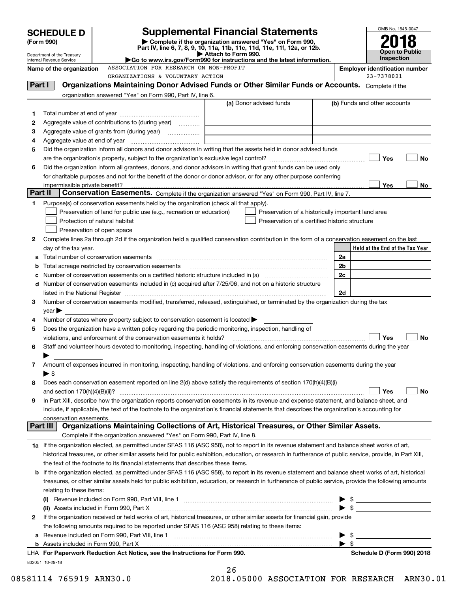|         | <b>SCHEDULE D</b>                                      |                                                                                                        | <b>Supplemental Financial Statements</b>                                                                                                                                                                                                                                                                                                                                                                                                                                                                                                                                                                                                                                                                                                                                                                                                                                                                                                                                                                                                                                                                                                                                                                                                                                                                                                                                                                                                                                                                                                                                                                                                                                                                       |                         | OMB No. 1545-0047                     |
|---------|--------------------------------------------------------|--------------------------------------------------------------------------------------------------------|----------------------------------------------------------------------------------------------------------------------------------------------------------------------------------------------------------------------------------------------------------------------------------------------------------------------------------------------------------------------------------------------------------------------------------------------------------------------------------------------------------------------------------------------------------------------------------------------------------------------------------------------------------------------------------------------------------------------------------------------------------------------------------------------------------------------------------------------------------------------------------------------------------------------------------------------------------------------------------------------------------------------------------------------------------------------------------------------------------------------------------------------------------------------------------------------------------------------------------------------------------------------------------------------------------------------------------------------------------------------------------------------------------------------------------------------------------------------------------------------------------------------------------------------------------------------------------------------------------------------------------------------------------------------------------------------------------------|-------------------------|---------------------------------------|
|         | (Form 990)                                             |                                                                                                        | Complete if the organization answered "Yes" on Form 990,                                                                                                                                                                                                                                                                                                                                                                                                                                                                                                                                                                                                                                                                                                                                                                                                                                                                                                                                                                                                                                                                                                                                                                                                                                                                                                                                                                                                                                                                                                                                                                                                                                                       |                         |                                       |
|         |                                                        |                                                                                                        |                                                                                                                                                                                                                                                                                                                                                                                                                                                                                                                                                                                                                                                                                                                                                                                                                                                                                                                                                                                                                                                                                                                                                                                                                                                                                                                                                                                                                                                                                                                                                                                                                                                                                                                |                         | <b>Open to Public</b>                 |
|         | Department of the Treasury<br>Internal Revenue Service |                                                                                                        |                                                                                                                                                                                                                                                                                                                                                                                                                                                                                                                                                                                                                                                                                                                                                                                                                                                                                                                                                                                                                                                                                                                                                                                                                                                                                                                                                                                                                                                                                                                                                                                                                                                                                                                |                         | Inspection                            |
|         | Name of the organization                               | ASSOCIATION FOR RESEARCH ON NON-PROFIT                                                                 |                                                                                                                                                                                                                                                                                                                                                                                                                                                                                                                                                                                                                                                                                                                                                                                                                                                                                                                                                                                                                                                                                                                                                                                                                                                                                                                                                                                                                                                                                                                                                                                                                                                                                                                |                         | <b>Employer identification number</b> |
|         |                                                        | ORGANIZATIONS & VOLUNTARY ACTION                                                                       |                                                                                                                                                                                                                                                                                                                                                                                                                                                                                                                                                                                                                                                                                                                                                                                                                                                                                                                                                                                                                                                                                                                                                                                                                                                                                                                                                                                                                                                                                                                                                                                                                                                                                                                |                         | 23-7378021                            |
| Part I  |                                                        |                                                                                                        |                                                                                                                                                                                                                                                                                                                                                                                                                                                                                                                                                                                                                                                                                                                                                                                                                                                                                                                                                                                                                                                                                                                                                                                                                                                                                                                                                                                                                                                                                                                                                                                                                                                                                                                |                         |                                       |
|         |                                                        | organization answered "Yes" on Form 990, Part IV, line 6.                                              |                                                                                                                                                                                                                                                                                                                                                                                                                                                                                                                                                                                                                                                                                                                                                                                                                                                                                                                                                                                                                                                                                                                                                                                                                                                                                                                                                                                                                                                                                                                                                                                                                                                                                                                |                         |                                       |
|         |                                                        |                                                                                                        |                                                                                                                                                                                                                                                                                                                                                                                                                                                                                                                                                                                                                                                                                                                                                                                                                                                                                                                                                                                                                                                                                                                                                                                                                                                                                                                                                                                                                                                                                                                                                                                                                                                                                                                |                         |                                       |
| 1<br>2  |                                                        | Aggregate value of contributions to (during year)                                                      |                                                                                                                                                                                                                                                                                                                                                                                                                                                                                                                                                                                                                                                                                                                                                                                                                                                                                                                                                                                                                                                                                                                                                                                                                                                                                                                                                                                                                                                                                                                                                                                                                                                                                                                |                         |                                       |
| з       |                                                        |                                                                                                        | Part IV, line 6, 7, 8, 9, 10, 11a, 11b, 11c, 11d, 11e, 11f, 12a, or 12b.<br>Attach to Form 990.<br>Go to www.irs.gov/Form990 for instructions and the latest information.<br>Organizations Maintaining Donor Advised Funds or Other Similar Funds or Accounts. Complete if the<br>(a) Donor advised funds<br>(b) Funds and other accounts<br>Did the organization inform all donors and donor advisors in writing that the assets held in donor advised funds<br>Did the organization inform all grantees, donors, and donor advisors in writing that grant funds can be used only<br>for charitable purposes and not for the benefit of the donor or donor advisor, or for any other purpose conferring<br>Conservation Easements. Complete if the organization answered "Yes" on Form 990, Part IV, line 7.<br>Preservation of a historically important land area<br>Preservation of a certified historic structure<br>Complete lines 2a through 2d if the organization held a qualified conservation contribution in the form of a conservation easement on the last<br>2a<br>2 <sub>b</sub><br>2c<br>Number of conservation easements on a certified historic structure included in (a) manufacture included in (a)<br>Number of conservation easements included in (c) acquired after 7/25/06, and not on a historic structure<br>2d<br>listed in the National Register [111] Marshall Register [11] Marshall Register [11] Marshall Register [11] Marshall Register [11] Marshall Register [11] Marshall Register [11] Marshall Register [11] Marshall Register [11]<br>Number of conservation easements modified, transferred, released, extinguished, or terminated by the organization during the tax |                         |                                       |
| 4       | Aggregate value at end of year                         |                                                                                                        |                                                                                                                                                                                                                                                                                                                                                                                                                                                                                                                                                                                                                                                                                                                                                                                                                                                                                                                                                                                                                                                                                                                                                                                                                                                                                                                                                                                                                                                                                                                                                                                                                                                                                                                |                         |                                       |
| 5       |                                                        |                                                                                                        |                                                                                                                                                                                                                                                                                                                                                                                                                                                                                                                                                                                                                                                                                                                                                                                                                                                                                                                                                                                                                                                                                                                                                                                                                                                                                                                                                                                                                                                                                                                                                                                                                                                                                                                |                         |                                       |
|         |                                                        |                                                                                                        |                                                                                                                                                                                                                                                                                                                                                                                                                                                                                                                                                                                                                                                                                                                                                                                                                                                                                                                                                                                                                                                                                                                                                                                                                                                                                                                                                                                                                                                                                                                                                                                                                                                                                                                |                         | Yes<br>No                             |
| 6       |                                                        |                                                                                                        |                                                                                                                                                                                                                                                                                                                                                                                                                                                                                                                                                                                                                                                                                                                                                                                                                                                                                                                                                                                                                                                                                                                                                                                                                                                                                                                                                                                                                                                                                                                                                                                                                                                                                                                |                         |                                       |
|         |                                                        |                                                                                                        |                                                                                                                                                                                                                                                                                                                                                                                                                                                                                                                                                                                                                                                                                                                                                                                                                                                                                                                                                                                                                                                                                                                                                                                                                                                                                                                                                                                                                                                                                                                                                                                                                                                                                                                |                         |                                       |
|         | impermissible private benefit?                         |                                                                                                        |                                                                                                                                                                                                                                                                                                                                                                                                                                                                                                                                                                                                                                                                                                                                                                                                                                                                                                                                                                                                                                                                                                                                                                                                                                                                                                                                                                                                                                                                                                                                                                                                                                                                                                                |                         | Yes<br>No.                            |
| Part II |                                                        |                                                                                                        |                                                                                                                                                                                                                                                                                                                                                                                                                                                                                                                                                                                                                                                                                                                                                                                                                                                                                                                                                                                                                                                                                                                                                                                                                                                                                                                                                                                                                                                                                                                                                                                                                                                                                                                |                         |                                       |
| 1       |                                                        | Purpose(s) of conservation easements held by the organization (check all that apply).                  |                                                                                                                                                                                                                                                                                                                                                                                                                                                                                                                                                                                                                                                                                                                                                                                                                                                                                                                                                                                                                                                                                                                                                                                                                                                                                                                                                                                                                                                                                                                                                                                                                                                                                                                |                         |                                       |
|         |                                                        | Preservation of land for public use (e.g., recreation or education)                                    |                                                                                                                                                                                                                                                                                                                                                                                                                                                                                                                                                                                                                                                                                                                                                                                                                                                                                                                                                                                                                                                                                                                                                                                                                                                                                                                                                                                                                                                                                                                                                                                                                                                                                                                |                         |                                       |
|         |                                                        | Protection of natural habitat                                                                          |                                                                                                                                                                                                                                                                                                                                                                                                                                                                                                                                                                                                                                                                                                                                                                                                                                                                                                                                                                                                                                                                                                                                                                                                                                                                                                                                                                                                                                                                                                                                                                                                                                                                                                                |                         |                                       |
|         |                                                        | Preservation of open space                                                                             |                                                                                                                                                                                                                                                                                                                                                                                                                                                                                                                                                                                                                                                                                                                                                                                                                                                                                                                                                                                                                                                                                                                                                                                                                                                                                                                                                                                                                                                                                                                                                                                                                                                                                                                |                         |                                       |
| 2       |                                                        |                                                                                                        |                                                                                                                                                                                                                                                                                                                                                                                                                                                                                                                                                                                                                                                                                                                                                                                                                                                                                                                                                                                                                                                                                                                                                                                                                                                                                                                                                                                                                                                                                                                                                                                                                                                                                                                |                         |                                       |
|         | day of the tax year.                                   |                                                                                                        |                                                                                                                                                                                                                                                                                                                                                                                                                                                                                                                                                                                                                                                                                                                                                                                                                                                                                                                                                                                                                                                                                                                                                                                                                                                                                                                                                                                                                                                                                                                                                                                                                                                                                                                |                         | Held at the End of the Tax Year       |
| а       |                                                        | Total number of conservation easements                                                                 |                                                                                                                                                                                                                                                                                                                                                                                                                                                                                                                                                                                                                                                                                                                                                                                                                                                                                                                                                                                                                                                                                                                                                                                                                                                                                                                                                                                                                                                                                                                                                                                                                                                                                                                |                         |                                       |
|         |                                                        | Total acreage restricted by conservation easements                                                     |                                                                                                                                                                                                                                                                                                                                                                                                                                                                                                                                                                                                                                                                                                                                                                                                                                                                                                                                                                                                                                                                                                                                                                                                                                                                                                                                                                                                                                                                                                                                                                                                                                                                                                                |                         |                                       |
| с       |                                                        |                                                                                                        |                                                                                                                                                                                                                                                                                                                                                                                                                                                                                                                                                                                                                                                                                                                                                                                                                                                                                                                                                                                                                                                                                                                                                                                                                                                                                                                                                                                                                                                                                                                                                                                                                                                                                                                |                         |                                       |
| d       |                                                        |                                                                                                        |                                                                                                                                                                                                                                                                                                                                                                                                                                                                                                                                                                                                                                                                                                                                                                                                                                                                                                                                                                                                                                                                                                                                                                                                                                                                                                                                                                                                                                                                                                                                                                                                                                                                                                                |                         |                                       |
|         |                                                        |                                                                                                        |                                                                                                                                                                                                                                                                                                                                                                                                                                                                                                                                                                                                                                                                                                                                                                                                                                                                                                                                                                                                                                                                                                                                                                                                                                                                                                                                                                                                                                                                                                                                                                                                                                                                                                                |                         |                                       |
| 3       |                                                        |                                                                                                        |                                                                                                                                                                                                                                                                                                                                                                                                                                                                                                                                                                                                                                                                                                                                                                                                                                                                                                                                                                                                                                                                                                                                                                                                                                                                                                                                                                                                                                                                                                                                                                                                                                                                                                                |                         |                                       |
| 4       | $\vee$ ear $\blacktriangleright$                       | Number of states where property subject to conservation easement is located >                          |                                                                                                                                                                                                                                                                                                                                                                                                                                                                                                                                                                                                                                                                                                                                                                                                                                                                                                                                                                                                                                                                                                                                                                                                                                                                                                                                                                                                                                                                                                                                                                                                                                                                                                                |                         |                                       |
| 5       |                                                        | Does the organization have a written policy regarding the periodic monitoring, inspection, handling of |                                                                                                                                                                                                                                                                                                                                                                                                                                                                                                                                                                                                                                                                                                                                                                                                                                                                                                                                                                                                                                                                                                                                                                                                                                                                                                                                                                                                                                                                                                                                                                                                                                                                                                                |                         |                                       |
|         |                                                        | violations, and enforcement of the conservation easements it holds?                                    |                                                                                                                                                                                                                                                                                                                                                                                                                                                                                                                                                                                                                                                                                                                                                                                                                                                                                                                                                                                                                                                                                                                                                                                                                                                                                                                                                                                                                                                                                                                                                                                                                                                                                                                |                         | No<br>Yes                             |
| 6       |                                                        |                                                                                                        | Staff and volunteer hours devoted to monitoring, inspecting, handling of violations, and enforcing conservation easements during the year                                                                                                                                                                                                                                                                                                                                                                                                                                                                                                                                                                                                                                                                                                                                                                                                                                                                                                                                                                                                                                                                                                                                                                                                                                                                                                                                                                                                                                                                                                                                                                      |                         |                                       |
|         |                                                        |                                                                                                        |                                                                                                                                                                                                                                                                                                                                                                                                                                                                                                                                                                                                                                                                                                                                                                                                                                                                                                                                                                                                                                                                                                                                                                                                                                                                                                                                                                                                                                                                                                                                                                                                                                                                                                                |                         |                                       |
| 7       |                                                        |                                                                                                        | Amount of expenses incurred in monitoring, inspecting, handling of violations, and enforcing conservation easements during the year                                                                                                                                                                                                                                                                                                                                                                                                                                                                                                                                                                                                                                                                                                                                                                                                                                                                                                                                                                                                                                                                                                                                                                                                                                                                                                                                                                                                                                                                                                                                                                            |                         |                                       |
|         | $\blacktriangleright$ \$                               |                                                                                                        |                                                                                                                                                                                                                                                                                                                                                                                                                                                                                                                                                                                                                                                                                                                                                                                                                                                                                                                                                                                                                                                                                                                                                                                                                                                                                                                                                                                                                                                                                                                                                                                                                                                                                                                |                         |                                       |
| 8       |                                                        |                                                                                                        | Does each conservation easement reported on line 2(d) above satisfy the requirements of section 170(h)(4)(B)(i)                                                                                                                                                                                                                                                                                                                                                                                                                                                                                                                                                                                                                                                                                                                                                                                                                                                                                                                                                                                                                                                                                                                                                                                                                                                                                                                                                                                                                                                                                                                                                                                                |                         |                                       |
|         | and section $170(h)(4)(B)(ii)?$                        |                                                                                                        |                                                                                                                                                                                                                                                                                                                                                                                                                                                                                                                                                                                                                                                                                                                                                                                                                                                                                                                                                                                                                                                                                                                                                                                                                                                                                                                                                                                                                                                                                                                                                                                                                                                                                                                |                         | Yes<br><b>No</b>                      |
| 9       |                                                        |                                                                                                        | In Part XIII, describe how the organization reports conservation easements in its revenue and expense statement, and balance sheet, and                                                                                                                                                                                                                                                                                                                                                                                                                                                                                                                                                                                                                                                                                                                                                                                                                                                                                                                                                                                                                                                                                                                                                                                                                                                                                                                                                                                                                                                                                                                                                                        |                         |                                       |
|         |                                                        |                                                                                                        | include, if applicable, the text of the footnote to the organization's financial statements that describes the organization's accounting for                                                                                                                                                                                                                                                                                                                                                                                                                                                                                                                                                                                                                                                                                                                                                                                                                                                                                                                                                                                                                                                                                                                                                                                                                                                                                                                                                                                                                                                                                                                                                                   |                         |                                       |
|         | conservation easements.                                |                                                                                                        |                                                                                                                                                                                                                                                                                                                                                                                                                                                                                                                                                                                                                                                                                                                                                                                                                                                                                                                                                                                                                                                                                                                                                                                                                                                                                                                                                                                                                                                                                                                                                                                                                                                                                                                |                         |                                       |
|         | Part III                                               |                                                                                                        | Organizations Maintaining Collections of Art, Historical Treasures, or Other Similar Assets.                                                                                                                                                                                                                                                                                                                                                                                                                                                                                                                                                                                                                                                                                                                                                                                                                                                                                                                                                                                                                                                                                                                                                                                                                                                                                                                                                                                                                                                                                                                                                                                                                   |                         |                                       |
|         |                                                        | Complete if the organization answered "Yes" on Form 990, Part IV, line 8.                              |                                                                                                                                                                                                                                                                                                                                                                                                                                                                                                                                                                                                                                                                                                                                                                                                                                                                                                                                                                                                                                                                                                                                                                                                                                                                                                                                                                                                                                                                                                                                                                                                                                                                                                                |                         |                                       |
|         |                                                        |                                                                                                        | 1a If the organization elected, as permitted under SFAS 116 (ASC 958), not to report in its revenue statement and balance sheet works of art,                                                                                                                                                                                                                                                                                                                                                                                                                                                                                                                                                                                                                                                                                                                                                                                                                                                                                                                                                                                                                                                                                                                                                                                                                                                                                                                                                                                                                                                                                                                                                                  |                         |                                       |
|         |                                                        |                                                                                                        | historical treasures, or other similar assets held for public exhibition, education, or research in furtherance of public service, provide, in Part XIII,                                                                                                                                                                                                                                                                                                                                                                                                                                                                                                                                                                                                                                                                                                                                                                                                                                                                                                                                                                                                                                                                                                                                                                                                                                                                                                                                                                                                                                                                                                                                                      |                         |                                       |
|         |                                                        | the text of the footnote to its financial statements that describes these items.                       |                                                                                                                                                                                                                                                                                                                                                                                                                                                                                                                                                                                                                                                                                                                                                                                                                                                                                                                                                                                                                                                                                                                                                                                                                                                                                                                                                                                                                                                                                                                                                                                                                                                                                                                |                         |                                       |
|         |                                                        |                                                                                                        | <b>b</b> If the organization elected, as permitted under SFAS 116 (ASC 958), to report in its revenue statement and balance sheet works of art, historical                                                                                                                                                                                                                                                                                                                                                                                                                                                                                                                                                                                                                                                                                                                                                                                                                                                                                                                                                                                                                                                                                                                                                                                                                                                                                                                                                                                                                                                                                                                                                     |                         |                                       |
|         |                                                        |                                                                                                        | treasures, or other similar assets held for public exhibition, education, or research in furtherance of public service, provide the following amounts                                                                                                                                                                                                                                                                                                                                                                                                                                                                                                                                                                                                                                                                                                                                                                                                                                                                                                                                                                                                                                                                                                                                                                                                                                                                                                                                                                                                                                                                                                                                                          |                         |                                       |
|         | relating to these items:                               |                                                                                                        |                                                                                                                                                                                                                                                                                                                                                                                                                                                                                                                                                                                                                                                                                                                                                                                                                                                                                                                                                                                                                                                                                                                                                                                                                                                                                                                                                                                                                                                                                                                                                                                                                                                                                                                |                         |                                       |
|         |                                                        |                                                                                                        |                                                                                                                                                                                                                                                                                                                                                                                                                                                                                                                                                                                                                                                                                                                                                                                                                                                                                                                                                                                                                                                                                                                                                                                                                                                                                                                                                                                                                                                                                                                                                                                                                                                                                                                |                         |                                       |
|         |                                                        | (ii) Assets included in Form 990, Part X                                                               |                                                                                                                                                                                                                                                                                                                                                                                                                                                                                                                                                                                                                                                                                                                                                                                                                                                                                                                                                                                                                                                                                                                                                                                                                                                                                                                                                                                                                                                                                                                                                                                                                                                                                                                |                         |                                       |
| 2       |                                                        |                                                                                                        | If the organization received or held works of art, historical treasures, or other similar assets for financial gain, provide                                                                                                                                                                                                                                                                                                                                                                                                                                                                                                                                                                                                                                                                                                                                                                                                                                                                                                                                                                                                                                                                                                                                                                                                                                                                                                                                                                                                                                                                                                                                                                                   |                         |                                       |
|         |                                                        | the following amounts required to be reported under SFAS 116 (ASC 958) relating to these items:        |                                                                                                                                                                                                                                                                                                                                                                                                                                                                                                                                                                                                                                                                                                                                                                                                                                                                                                                                                                                                                                                                                                                                                                                                                                                                                                                                                                                                                                                                                                                                                                                                                                                                                                                |                         |                                       |
| а       |                                                        |                                                                                                        | Revenue included on Form 990, Part VIII, line 1 [2000] [2000] [2000] [2000] [3000] [3000] [3000] [3000] [3000                                                                                                                                                                                                                                                                                                                                                                                                                                                                                                                                                                                                                                                                                                                                                                                                                                                                                                                                                                                                                                                                                                                                                                                                                                                                                                                                                                                                                                                                                                                                                                                                  | \$                      |                                       |
|         |                                                        |                                                                                                        |                                                                                                                                                                                                                                                                                                                                                                                                                                                                                                                                                                                                                                                                                                                                                                                                                                                                                                                                                                                                                                                                                                                                                                                                                                                                                                                                                                                                                                                                                                                                                                                                                                                                                                                | $\blacktriangleright$ s |                                       |
|         |                                                        | LHA For Paperwork Reduction Act Notice, see the Instructions for Form 990.                             |                                                                                                                                                                                                                                                                                                                                                                                                                                                                                                                                                                                                                                                                                                                                                                                                                                                                                                                                                                                                                                                                                                                                                                                                                                                                                                                                                                                                                                                                                                                                                                                                                                                                                                                |                         | Schedule D (Form 990) 2018            |
|         | 832051 10-29-18                                        |                                                                                                        |                                                                                                                                                                                                                                                                                                                                                                                                                                                                                                                                                                                                                                                                                                                                                                                                                                                                                                                                                                                                                                                                                                                                                                                                                                                                                                                                                                                                                                                                                                                                                                                                                                                                                                                |                         |                                       |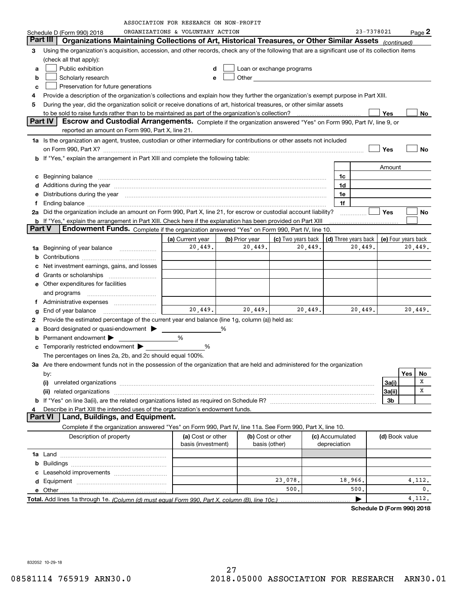| ORGANIZATIONS & VOLUNTARY ACTION<br>23-7378021<br>$Page$ 2<br>Schedule D (Form 990) 2018<br>Part III<br>Organizations Maintaining Collections of Art, Historical Treasures, or Other Similar Assets (continued)<br>Using the organization's acquisition, accession, and other records, check any of the following that are a significant use of its collection items<br>з<br>(check all that apply):<br>Public exhibition<br>Loan or exchange programs<br>d<br>a<br>Scholarly research<br>Other and the control of the control of the control of the control of the control of the control of the control of the control of the control of the control of the control of the control of the control of the control of th<br>b<br>e<br>Preservation for future generations<br>c<br>Provide a description of the organization's collections and explain how they further the organization's exempt purpose in Part XIII.<br>4<br>During the year, did the organization solicit or receive donations of art, historical treasures, or other similar assets<br>5<br>to be sold to raise funds rather than to be maintained as part of the organization's collection?<br>Yes<br>No.<br>Part IV<br>Escrow and Custodial Arrangements. Complete if the organization answered "Yes" on Form 990, Part IV, line 9, or<br>reported an amount on Form 990, Part X, line 21.<br>1a Is the organization an agent, trustee, custodian or other intermediary for contributions or other assets not included<br>on Form 990, Part X? [11] The Content of The Content of The Content of The Content of The Content of The Content of The Content of The Content of The Content of The Content of The Content of The Content of The Content of T<br>Yes<br>No<br><b>b</b> If "Yes," explain the arrangement in Part XIII and complete the following table:<br>Amount<br>1c<br>Beginning balance<br>с<br>Additions during the year manufactured and an annual contract of the year manufactured and all the year manufactured and all the year manufactured and all the year manufactured and all the year manufactured and all the yea<br>1d<br>d<br>Distributions during the year manufactured and continuum and contact the year manufactured and contact the year<br>1e<br>е<br>1f<br>f<br>Did the organization include an amount on Form 990, Part X, line 21, for escrow or custodial account liability?<br><b>Yes</b><br>No<br>2a<br><b>b</b> If "Yes," explain the arrangement in Part XIII. Check here if the explanation has been provided on Part XIII<br><b>Part V</b><br>Endowment Funds. Complete if the organization answered "Yes" on Form 990, Part IV, line 10.<br>(c) Two years back<br>(b) Prior year<br>(d) Three years back<br>(e) Four years back<br>(a) Current year<br>20,449.<br>20,449.<br>20,449.<br>20,449.<br>20,449.<br>Beginning of year balance<br>1a<br>b<br>Net investment earnings, gains, and losses<br>c<br>d<br><b>e</b> Other expenditures for facilities<br>and programs<br>Administrative expenses<br>Ť.<br>20,449.<br>20,449.<br>20,449.<br>20,449.<br>20,449.<br>End of year balance<br>g<br>Provide the estimated percentage of the current year end balance (line 1g, column (a)) held as:<br>2<br>Board designated or quasi-endowment ><br>%<br>a<br>Permanent endowment<br>%<br>b<br>Temporarily restricted endowment ><br>%<br>с<br>The percentages on lines 2a, 2b, and 2c should equal 100%.<br>3a Are there endowment funds not in the possession of the organization that are held and administered for the organization<br>Yes<br>No<br>by:<br>х<br>3a(i)<br>х<br>(ii) related organizations<br>3a(ii)<br>3b<br>Describe in Part XIII the intended uses of the organization's endowment funds.<br>4<br>Land, Buildings, and Equipment.<br><b>Part VI</b><br>Complete if the organization answered "Yes" on Form 990, Part IV, line 11a. See Form 990, Part X, line 10.<br>(b) Cost or other<br>Description of property<br>(a) Cost or other<br>(c) Accumulated<br>(d) Book value<br>basis (investment)<br>basis (other)<br>depreciation<br>b<br>23,078.<br>18,966.<br>4,112.<br>500.<br>0.<br>500.<br>4, 112.<br>▶ |  | ASSOCIATION FOR RESEARCH ON NON-PROFIT |  |  |  |  |
|-------------------------------------------------------------------------------------------------------------------------------------------------------------------------------------------------------------------------------------------------------------------------------------------------------------------------------------------------------------------------------------------------------------------------------------------------------------------------------------------------------------------------------------------------------------------------------------------------------------------------------------------------------------------------------------------------------------------------------------------------------------------------------------------------------------------------------------------------------------------------------------------------------------------------------------------------------------------------------------------------------------------------------------------------------------------------------------------------------------------------------------------------------------------------------------------------------------------------------------------------------------------------------------------------------------------------------------------------------------------------------------------------------------------------------------------------------------------------------------------------------------------------------------------------------------------------------------------------------------------------------------------------------------------------------------------------------------------------------------------------------------------------------------------------------------------------------------------------------------------------------------------------------------------------------------------------------------------------------------------------------------------------------------------------------------------------------------------------------------------------------------------------------------------------------------------------------------------------------------------------------------------------------------------------------------------------------------------------------------------------------------------------------------------------------------------------------------------------------------------------------------------------------------------------------------------------------------------------------------------------------------------------------------------------------------------------------------------------------------------------------------------------------------------------------------------------------------------------------------------------------------------------------------------------------------------------------------------------------------------------------------------------------------------------------------------------------------------------------------------------------------------------------------------------------------------------------------------------------------------------------------------------------------------------------------------------------------------------------------------------------------------------------------------------------------------------------------------------------------------------------------------------------------------------------------------------------------------------------------------------------------------------------------------------------------------------------------------------------------------------------------------------------------------------------------------------------------------------------------------------------------------------------------------------------------------------------------------------------------------------------------------------------------------------------------------------------------------------------------------------------------------------------|--|----------------------------------------|--|--|--|--|
|                                                                                                                                                                                                                                                                                                                                                                                                                                                                                                                                                                                                                                                                                                                                                                                                                                                                                                                                                                                                                                                                                                                                                                                                                                                                                                                                                                                                                                                                                                                                                                                                                                                                                                                                                                                                                                                                                                                                                                                                                                                                                                                                                                                                                                                                                                                                                                                                                                                                                                                                                                                                                                                                                                                                                                                                                                                                                                                                                                                                                                                                                                                                                                                                                                                                                                                                                                                                                                                                                                                                                                                                                                                                                                                                                                                                                                                                                                                                                                                                                                                                                                                                                       |  |                                        |  |  |  |  |
|                                                                                                                                                                                                                                                                                                                                                                                                                                                                                                                                                                                                                                                                                                                                                                                                                                                                                                                                                                                                                                                                                                                                                                                                                                                                                                                                                                                                                                                                                                                                                                                                                                                                                                                                                                                                                                                                                                                                                                                                                                                                                                                                                                                                                                                                                                                                                                                                                                                                                                                                                                                                                                                                                                                                                                                                                                                                                                                                                                                                                                                                                                                                                                                                                                                                                                                                                                                                                                                                                                                                                                                                                                                                                                                                                                                                                                                                                                                                                                                                                                                                                                                                                       |  |                                        |  |  |  |  |
|                                                                                                                                                                                                                                                                                                                                                                                                                                                                                                                                                                                                                                                                                                                                                                                                                                                                                                                                                                                                                                                                                                                                                                                                                                                                                                                                                                                                                                                                                                                                                                                                                                                                                                                                                                                                                                                                                                                                                                                                                                                                                                                                                                                                                                                                                                                                                                                                                                                                                                                                                                                                                                                                                                                                                                                                                                                                                                                                                                                                                                                                                                                                                                                                                                                                                                                                                                                                                                                                                                                                                                                                                                                                                                                                                                                                                                                                                                                                                                                                                                                                                                                                                       |  |                                        |  |  |  |  |
|                                                                                                                                                                                                                                                                                                                                                                                                                                                                                                                                                                                                                                                                                                                                                                                                                                                                                                                                                                                                                                                                                                                                                                                                                                                                                                                                                                                                                                                                                                                                                                                                                                                                                                                                                                                                                                                                                                                                                                                                                                                                                                                                                                                                                                                                                                                                                                                                                                                                                                                                                                                                                                                                                                                                                                                                                                                                                                                                                                                                                                                                                                                                                                                                                                                                                                                                                                                                                                                                                                                                                                                                                                                                                                                                                                                                                                                                                                                                                                                                                                                                                                                                                       |  |                                        |  |  |  |  |
|                                                                                                                                                                                                                                                                                                                                                                                                                                                                                                                                                                                                                                                                                                                                                                                                                                                                                                                                                                                                                                                                                                                                                                                                                                                                                                                                                                                                                                                                                                                                                                                                                                                                                                                                                                                                                                                                                                                                                                                                                                                                                                                                                                                                                                                                                                                                                                                                                                                                                                                                                                                                                                                                                                                                                                                                                                                                                                                                                                                                                                                                                                                                                                                                                                                                                                                                                                                                                                                                                                                                                                                                                                                                                                                                                                                                                                                                                                                                                                                                                                                                                                                                                       |  |                                        |  |  |  |  |
|                                                                                                                                                                                                                                                                                                                                                                                                                                                                                                                                                                                                                                                                                                                                                                                                                                                                                                                                                                                                                                                                                                                                                                                                                                                                                                                                                                                                                                                                                                                                                                                                                                                                                                                                                                                                                                                                                                                                                                                                                                                                                                                                                                                                                                                                                                                                                                                                                                                                                                                                                                                                                                                                                                                                                                                                                                                                                                                                                                                                                                                                                                                                                                                                                                                                                                                                                                                                                                                                                                                                                                                                                                                                                                                                                                                                                                                                                                                                                                                                                                                                                                                                                       |  |                                        |  |  |  |  |
|                                                                                                                                                                                                                                                                                                                                                                                                                                                                                                                                                                                                                                                                                                                                                                                                                                                                                                                                                                                                                                                                                                                                                                                                                                                                                                                                                                                                                                                                                                                                                                                                                                                                                                                                                                                                                                                                                                                                                                                                                                                                                                                                                                                                                                                                                                                                                                                                                                                                                                                                                                                                                                                                                                                                                                                                                                                                                                                                                                                                                                                                                                                                                                                                                                                                                                                                                                                                                                                                                                                                                                                                                                                                                                                                                                                                                                                                                                                                                                                                                                                                                                                                                       |  |                                        |  |  |  |  |
|                                                                                                                                                                                                                                                                                                                                                                                                                                                                                                                                                                                                                                                                                                                                                                                                                                                                                                                                                                                                                                                                                                                                                                                                                                                                                                                                                                                                                                                                                                                                                                                                                                                                                                                                                                                                                                                                                                                                                                                                                                                                                                                                                                                                                                                                                                                                                                                                                                                                                                                                                                                                                                                                                                                                                                                                                                                                                                                                                                                                                                                                                                                                                                                                                                                                                                                                                                                                                                                                                                                                                                                                                                                                                                                                                                                                                                                                                                                                                                                                                                                                                                                                                       |  |                                        |  |  |  |  |
|                                                                                                                                                                                                                                                                                                                                                                                                                                                                                                                                                                                                                                                                                                                                                                                                                                                                                                                                                                                                                                                                                                                                                                                                                                                                                                                                                                                                                                                                                                                                                                                                                                                                                                                                                                                                                                                                                                                                                                                                                                                                                                                                                                                                                                                                                                                                                                                                                                                                                                                                                                                                                                                                                                                                                                                                                                                                                                                                                                                                                                                                                                                                                                                                                                                                                                                                                                                                                                                                                                                                                                                                                                                                                                                                                                                                                                                                                                                                                                                                                                                                                                                                                       |  |                                        |  |  |  |  |
|                                                                                                                                                                                                                                                                                                                                                                                                                                                                                                                                                                                                                                                                                                                                                                                                                                                                                                                                                                                                                                                                                                                                                                                                                                                                                                                                                                                                                                                                                                                                                                                                                                                                                                                                                                                                                                                                                                                                                                                                                                                                                                                                                                                                                                                                                                                                                                                                                                                                                                                                                                                                                                                                                                                                                                                                                                                                                                                                                                                                                                                                                                                                                                                                                                                                                                                                                                                                                                                                                                                                                                                                                                                                                                                                                                                                                                                                                                                                                                                                                                                                                                                                                       |  |                                        |  |  |  |  |
|                                                                                                                                                                                                                                                                                                                                                                                                                                                                                                                                                                                                                                                                                                                                                                                                                                                                                                                                                                                                                                                                                                                                                                                                                                                                                                                                                                                                                                                                                                                                                                                                                                                                                                                                                                                                                                                                                                                                                                                                                                                                                                                                                                                                                                                                                                                                                                                                                                                                                                                                                                                                                                                                                                                                                                                                                                                                                                                                                                                                                                                                                                                                                                                                                                                                                                                                                                                                                                                                                                                                                                                                                                                                                                                                                                                                                                                                                                                                                                                                                                                                                                                                                       |  |                                        |  |  |  |  |
|                                                                                                                                                                                                                                                                                                                                                                                                                                                                                                                                                                                                                                                                                                                                                                                                                                                                                                                                                                                                                                                                                                                                                                                                                                                                                                                                                                                                                                                                                                                                                                                                                                                                                                                                                                                                                                                                                                                                                                                                                                                                                                                                                                                                                                                                                                                                                                                                                                                                                                                                                                                                                                                                                                                                                                                                                                                                                                                                                                                                                                                                                                                                                                                                                                                                                                                                                                                                                                                                                                                                                                                                                                                                                                                                                                                                                                                                                                                                                                                                                                                                                                                                                       |  |                                        |  |  |  |  |
|                                                                                                                                                                                                                                                                                                                                                                                                                                                                                                                                                                                                                                                                                                                                                                                                                                                                                                                                                                                                                                                                                                                                                                                                                                                                                                                                                                                                                                                                                                                                                                                                                                                                                                                                                                                                                                                                                                                                                                                                                                                                                                                                                                                                                                                                                                                                                                                                                                                                                                                                                                                                                                                                                                                                                                                                                                                                                                                                                                                                                                                                                                                                                                                                                                                                                                                                                                                                                                                                                                                                                                                                                                                                                                                                                                                                                                                                                                                                                                                                                                                                                                                                                       |  |                                        |  |  |  |  |
|                                                                                                                                                                                                                                                                                                                                                                                                                                                                                                                                                                                                                                                                                                                                                                                                                                                                                                                                                                                                                                                                                                                                                                                                                                                                                                                                                                                                                                                                                                                                                                                                                                                                                                                                                                                                                                                                                                                                                                                                                                                                                                                                                                                                                                                                                                                                                                                                                                                                                                                                                                                                                                                                                                                                                                                                                                                                                                                                                                                                                                                                                                                                                                                                                                                                                                                                                                                                                                                                                                                                                                                                                                                                                                                                                                                                                                                                                                                                                                                                                                                                                                                                                       |  |                                        |  |  |  |  |
|                                                                                                                                                                                                                                                                                                                                                                                                                                                                                                                                                                                                                                                                                                                                                                                                                                                                                                                                                                                                                                                                                                                                                                                                                                                                                                                                                                                                                                                                                                                                                                                                                                                                                                                                                                                                                                                                                                                                                                                                                                                                                                                                                                                                                                                                                                                                                                                                                                                                                                                                                                                                                                                                                                                                                                                                                                                                                                                                                                                                                                                                                                                                                                                                                                                                                                                                                                                                                                                                                                                                                                                                                                                                                                                                                                                                                                                                                                                                                                                                                                                                                                                                                       |  |                                        |  |  |  |  |
|                                                                                                                                                                                                                                                                                                                                                                                                                                                                                                                                                                                                                                                                                                                                                                                                                                                                                                                                                                                                                                                                                                                                                                                                                                                                                                                                                                                                                                                                                                                                                                                                                                                                                                                                                                                                                                                                                                                                                                                                                                                                                                                                                                                                                                                                                                                                                                                                                                                                                                                                                                                                                                                                                                                                                                                                                                                                                                                                                                                                                                                                                                                                                                                                                                                                                                                                                                                                                                                                                                                                                                                                                                                                                                                                                                                                                                                                                                                                                                                                                                                                                                                                                       |  |                                        |  |  |  |  |
|                                                                                                                                                                                                                                                                                                                                                                                                                                                                                                                                                                                                                                                                                                                                                                                                                                                                                                                                                                                                                                                                                                                                                                                                                                                                                                                                                                                                                                                                                                                                                                                                                                                                                                                                                                                                                                                                                                                                                                                                                                                                                                                                                                                                                                                                                                                                                                                                                                                                                                                                                                                                                                                                                                                                                                                                                                                                                                                                                                                                                                                                                                                                                                                                                                                                                                                                                                                                                                                                                                                                                                                                                                                                                                                                                                                                                                                                                                                                                                                                                                                                                                                                                       |  |                                        |  |  |  |  |
|                                                                                                                                                                                                                                                                                                                                                                                                                                                                                                                                                                                                                                                                                                                                                                                                                                                                                                                                                                                                                                                                                                                                                                                                                                                                                                                                                                                                                                                                                                                                                                                                                                                                                                                                                                                                                                                                                                                                                                                                                                                                                                                                                                                                                                                                                                                                                                                                                                                                                                                                                                                                                                                                                                                                                                                                                                                                                                                                                                                                                                                                                                                                                                                                                                                                                                                                                                                                                                                                                                                                                                                                                                                                                                                                                                                                                                                                                                                                                                                                                                                                                                                                                       |  |                                        |  |  |  |  |
|                                                                                                                                                                                                                                                                                                                                                                                                                                                                                                                                                                                                                                                                                                                                                                                                                                                                                                                                                                                                                                                                                                                                                                                                                                                                                                                                                                                                                                                                                                                                                                                                                                                                                                                                                                                                                                                                                                                                                                                                                                                                                                                                                                                                                                                                                                                                                                                                                                                                                                                                                                                                                                                                                                                                                                                                                                                                                                                                                                                                                                                                                                                                                                                                                                                                                                                                                                                                                                                                                                                                                                                                                                                                                                                                                                                                                                                                                                                                                                                                                                                                                                                                                       |  |                                        |  |  |  |  |
|                                                                                                                                                                                                                                                                                                                                                                                                                                                                                                                                                                                                                                                                                                                                                                                                                                                                                                                                                                                                                                                                                                                                                                                                                                                                                                                                                                                                                                                                                                                                                                                                                                                                                                                                                                                                                                                                                                                                                                                                                                                                                                                                                                                                                                                                                                                                                                                                                                                                                                                                                                                                                                                                                                                                                                                                                                                                                                                                                                                                                                                                                                                                                                                                                                                                                                                                                                                                                                                                                                                                                                                                                                                                                                                                                                                                                                                                                                                                                                                                                                                                                                                                                       |  |                                        |  |  |  |  |
|                                                                                                                                                                                                                                                                                                                                                                                                                                                                                                                                                                                                                                                                                                                                                                                                                                                                                                                                                                                                                                                                                                                                                                                                                                                                                                                                                                                                                                                                                                                                                                                                                                                                                                                                                                                                                                                                                                                                                                                                                                                                                                                                                                                                                                                                                                                                                                                                                                                                                                                                                                                                                                                                                                                                                                                                                                                                                                                                                                                                                                                                                                                                                                                                                                                                                                                                                                                                                                                                                                                                                                                                                                                                                                                                                                                                                                                                                                                                                                                                                                                                                                                                                       |  |                                        |  |  |  |  |
|                                                                                                                                                                                                                                                                                                                                                                                                                                                                                                                                                                                                                                                                                                                                                                                                                                                                                                                                                                                                                                                                                                                                                                                                                                                                                                                                                                                                                                                                                                                                                                                                                                                                                                                                                                                                                                                                                                                                                                                                                                                                                                                                                                                                                                                                                                                                                                                                                                                                                                                                                                                                                                                                                                                                                                                                                                                                                                                                                                                                                                                                                                                                                                                                                                                                                                                                                                                                                                                                                                                                                                                                                                                                                                                                                                                                                                                                                                                                                                                                                                                                                                                                                       |  |                                        |  |  |  |  |
|                                                                                                                                                                                                                                                                                                                                                                                                                                                                                                                                                                                                                                                                                                                                                                                                                                                                                                                                                                                                                                                                                                                                                                                                                                                                                                                                                                                                                                                                                                                                                                                                                                                                                                                                                                                                                                                                                                                                                                                                                                                                                                                                                                                                                                                                                                                                                                                                                                                                                                                                                                                                                                                                                                                                                                                                                                                                                                                                                                                                                                                                                                                                                                                                                                                                                                                                                                                                                                                                                                                                                                                                                                                                                                                                                                                                                                                                                                                                                                                                                                                                                                                                                       |  |                                        |  |  |  |  |
|                                                                                                                                                                                                                                                                                                                                                                                                                                                                                                                                                                                                                                                                                                                                                                                                                                                                                                                                                                                                                                                                                                                                                                                                                                                                                                                                                                                                                                                                                                                                                                                                                                                                                                                                                                                                                                                                                                                                                                                                                                                                                                                                                                                                                                                                                                                                                                                                                                                                                                                                                                                                                                                                                                                                                                                                                                                                                                                                                                                                                                                                                                                                                                                                                                                                                                                                                                                                                                                                                                                                                                                                                                                                                                                                                                                                                                                                                                                                                                                                                                                                                                                                                       |  |                                        |  |  |  |  |
|                                                                                                                                                                                                                                                                                                                                                                                                                                                                                                                                                                                                                                                                                                                                                                                                                                                                                                                                                                                                                                                                                                                                                                                                                                                                                                                                                                                                                                                                                                                                                                                                                                                                                                                                                                                                                                                                                                                                                                                                                                                                                                                                                                                                                                                                                                                                                                                                                                                                                                                                                                                                                                                                                                                                                                                                                                                                                                                                                                                                                                                                                                                                                                                                                                                                                                                                                                                                                                                                                                                                                                                                                                                                                                                                                                                                                                                                                                                                                                                                                                                                                                                                                       |  |                                        |  |  |  |  |
|                                                                                                                                                                                                                                                                                                                                                                                                                                                                                                                                                                                                                                                                                                                                                                                                                                                                                                                                                                                                                                                                                                                                                                                                                                                                                                                                                                                                                                                                                                                                                                                                                                                                                                                                                                                                                                                                                                                                                                                                                                                                                                                                                                                                                                                                                                                                                                                                                                                                                                                                                                                                                                                                                                                                                                                                                                                                                                                                                                                                                                                                                                                                                                                                                                                                                                                                                                                                                                                                                                                                                                                                                                                                                                                                                                                                                                                                                                                                                                                                                                                                                                                                                       |  |                                        |  |  |  |  |
|                                                                                                                                                                                                                                                                                                                                                                                                                                                                                                                                                                                                                                                                                                                                                                                                                                                                                                                                                                                                                                                                                                                                                                                                                                                                                                                                                                                                                                                                                                                                                                                                                                                                                                                                                                                                                                                                                                                                                                                                                                                                                                                                                                                                                                                                                                                                                                                                                                                                                                                                                                                                                                                                                                                                                                                                                                                                                                                                                                                                                                                                                                                                                                                                                                                                                                                                                                                                                                                                                                                                                                                                                                                                                                                                                                                                                                                                                                                                                                                                                                                                                                                                                       |  |                                        |  |  |  |  |
|                                                                                                                                                                                                                                                                                                                                                                                                                                                                                                                                                                                                                                                                                                                                                                                                                                                                                                                                                                                                                                                                                                                                                                                                                                                                                                                                                                                                                                                                                                                                                                                                                                                                                                                                                                                                                                                                                                                                                                                                                                                                                                                                                                                                                                                                                                                                                                                                                                                                                                                                                                                                                                                                                                                                                                                                                                                                                                                                                                                                                                                                                                                                                                                                                                                                                                                                                                                                                                                                                                                                                                                                                                                                                                                                                                                                                                                                                                                                                                                                                                                                                                                                                       |  |                                        |  |  |  |  |
|                                                                                                                                                                                                                                                                                                                                                                                                                                                                                                                                                                                                                                                                                                                                                                                                                                                                                                                                                                                                                                                                                                                                                                                                                                                                                                                                                                                                                                                                                                                                                                                                                                                                                                                                                                                                                                                                                                                                                                                                                                                                                                                                                                                                                                                                                                                                                                                                                                                                                                                                                                                                                                                                                                                                                                                                                                                                                                                                                                                                                                                                                                                                                                                                                                                                                                                                                                                                                                                                                                                                                                                                                                                                                                                                                                                                                                                                                                                                                                                                                                                                                                                                                       |  |                                        |  |  |  |  |
|                                                                                                                                                                                                                                                                                                                                                                                                                                                                                                                                                                                                                                                                                                                                                                                                                                                                                                                                                                                                                                                                                                                                                                                                                                                                                                                                                                                                                                                                                                                                                                                                                                                                                                                                                                                                                                                                                                                                                                                                                                                                                                                                                                                                                                                                                                                                                                                                                                                                                                                                                                                                                                                                                                                                                                                                                                                                                                                                                                                                                                                                                                                                                                                                                                                                                                                                                                                                                                                                                                                                                                                                                                                                                                                                                                                                                                                                                                                                                                                                                                                                                                                                                       |  |                                        |  |  |  |  |
|                                                                                                                                                                                                                                                                                                                                                                                                                                                                                                                                                                                                                                                                                                                                                                                                                                                                                                                                                                                                                                                                                                                                                                                                                                                                                                                                                                                                                                                                                                                                                                                                                                                                                                                                                                                                                                                                                                                                                                                                                                                                                                                                                                                                                                                                                                                                                                                                                                                                                                                                                                                                                                                                                                                                                                                                                                                                                                                                                                                                                                                                                                                                                                                                                                                                                                                                                                                                                                                                                                                                                                                                                                                                                                                                                                                                                                                                                                                                                                                                                                                                                                                                                       |  |                                        |  |  |  |  |
|                                                                                                                                                                                                                                                                                                                                                                                                                                                                                                                                                                                                                                                                                                                                                                                                                                                                                                                                                                                                                                                                                                                                                                                                                                                                                                                                                                                                                                                                                                                                                                                                                                                                                                                                                                                                                                                                                                                                                                                                                                                                                                                                                                                                                                                                                                                                                                                                                                                                                                                                                                                                                                                                                                                                                                                                                                                                                                                                                                                                                                                                                                                                                                                                                                                                                                                                                                                                                                                                                                                                                                                                                                                                                                                                                                                                                                                                                                                                                                                                                                                                                                                                                       |  |                                        |  |  |  |  |
|                                                                                                                                                                                                                                                                                                                                                                                                                                                                                                                                                                                                                                                                                                                                                                                                                                                                                                                                                                                                                                                                                                                                                                                                                                                                                                                                                                                                                                                                                                                                                                                                                                                                                                                                                                                                                                                                                                                                                                                                                                                                                                                                                                                                                                                                                                                                                                                                                                                                                                                                                                                                                                                                                                                                                                                                                                                                                                                                                                                                                                                                                                                                                                                                                                                                                                                                                                                                                                                                                                                                                                                                                                                                                                                                                                                                                                                                                                                                                                                                                                                                                                                                                       |  |                                        |  |  |  |  |
|                                                                                                                                                                                                                                                                                                                                                                                                                                                                                                                                                                                                                                                                                                                                                                                                                                                                                                                                                                                                                                                                                                                                                                                                                                                                                                                                                                                                                                                                                                                                                                                                                                                                                                                                                                                                                                                                                                                                                                                                                                                                                                                                                                                                                                                                                                                                                                                                                                                                                                                                                                                                                                                                                                                                                                                                                                                                                                                                                                                                                                                                                                                                                                                                                                                                                                                                                                                                                                                                                                                                                                                                                                                                                                                                                                                                                                                                                                                                                                                                                                                                                                                                                       |  |                                        |  |  |  |  |
|                                                                                                                                                                                                                                                                                                                                                                                                                                                                                                                                                                                                                                                                                                                                                                                                                                                                                                                                                                                                                                                                                                                                                                                                                                                                                                                                                                                                                                                                                                                                                                                                                                                                                                                                                                                                                                                                                                                                                                                                                                                                                                                                                                                                                                                                                                                                                                                                                                                                                                                                                                                                                                                                                                                                                                                                                                                                                                                                                                                                                                                                                                                                                                                                                                                                                                                                                                                                                                                                                                                                                                                                                                                                                                                                                                                                                                                                                                                                                                                                                                                                                                                                                       |  |                                        |  |  |  |  |
|                                                                                                                                                                                                                                                                                                                                                                                                                                                                                                                                                                                                                                                                                                                                                                                                                                                                                                                                                                                                                                                                                                                                                                                                                                                                                                                                                                                                                                                                                                                                                                                                                                                                                                                                                                                                                                                                                                                                                                                                                                                                                                                                                                                                                                                                                                                                                                                                                                                                                                                                                                                                                                                                                                                                                                                                                                                                                                                                                                                                                                                                                                                                                                                                                                                                                                                                                                                                                                                                                                                                                                                                                                                                                                                                                                                                                                                                                                                                                                                                                                                                                                                                                       |  |                                        |  |  |  |  |
|                                                                                                                                                                                                                                                                                                                                                                                                                                                                                                                                                                                                                                                                                                                                                                                                                                                                                                                                                                                                                                                                                                                                                                                                                                                                                                                                                                                                                                                                                                                                                                                                                                                                                                                                                                                                                                                                                                                                                                                                                                                                                                                                                                                                                                                                                                                                                                                                                                                                                                                                                                                                                                                                                                                                                                                                                                                                                                                                                                                                                                                                                                                                                                                                                                                                                                                                                                                                                                                                                                                                                                                                                                                                                                                                                                                                                                                                                                                                                                                                                                                                                                                                                       |  |                                        |  |  |  |  |
|                                                                                                                                                                                                                                                                                                                                                                                                                                                                                                                                                                                                                                                                                                                                                                                                                                                                                                                                                                                                                                                                                                                                                                                                                                                                                                                                                                                                                                                                                                                                                                                                                                                                                                                                                                                                                                                                                                                                                                                                                                                                                                                                                                                                                                                                                                                                                                                                                                                                                                                                                                                                                                                                                                                                                                                                                                                                                                                                                                                                                                                                                                                                                                                                                                                                                                                                                                                                                                                                                                                                                                                                                                                                                                                                                                                                                                                                                                                                                                                                                                                                                                                                                       |  |                                        |  |  |  |  |
|                                                                                                                                                                                                                                                                                                                                                                                                                                                                                                                                                                                                                                                                                                                                                                                                                                                                                                                                                                                                                                                                                                                                                                                                                                                                                                                                                                                                                                                                                                                                                                                                                                                                                                                                                                                                                                                                                                                                                                                                                                                                                                                                                                                                                                                                                                                                                                                                                                                                                                                                                                                                                                                                                                                                                                                                                                                                                                                                                                                                                                                                                                                                                                                                                                                                                                                                                                                                                                                                                                                                                                                                                                                                                                                                                                                                                                                                                                                                                                                                                                                                                                                                                       |  |                                        |  |  |  |  |
|                                                                                                                                                                                                                                                                                                                                                                                                                                                                                                                                                                                                                                                                                                                                                                                                                                                                                                                                                                                                                                                                                                                                                                                                                                                                                                                                                                                                                                                                                                                                                                                                                                                                                                                                                                                                                                                                                                                                                                                                                                                                                                                                                                                                                                                                                                                                                                                                                                                                                                                                                                                                                                                                                                                                                                                                                                                                                                                                                                                                                                                                                                                                                                                                                                                                                                                                                                                                                                                                                                                                                                                                                                                                                                                                                                                                                                                                                                                                                                                                                                                                                                                                                       |  |                                        |  |  |  |  |
|                                                                                                                                                                                                                                                                                                                                                                                                                                                                                                                                                                                                                                                                                                                                                                                                                                                                                                                                                                                                                                                                                                                                                                                                                                                                                                                                                                                                                                                                                                                                                                                                                                                                                                                                                                                                                                                                                                                                                                                                                                                                                                                                                                                                                                                                                                                                                                                                                                                                                                                                                                                                                                                                                                                                                                                                                                                                                                                                                                                                                                                                                                                                                                                                                                                                                                                                                                                                                                                                                                                                                                                                                                                                                                                                                                                                                                                                                                                                                                                                                                                                                                                                                       |  |                                        |  |  |  |  |
|                                                                                                                                                                                                                                                                                                                                                                                                                                                                                                                                                                                                                                                                                                                                                                                                                                                                                                                                                                                                                                                                                                                                                                                                                                                                                                                                                                                                                                                                                                                                                                                                                                                                                                                                                                                                                                                                                                                                                                                                                                                                                                                                                                                                                                                                                                                                                                                                                                                                                                                                                                                                                                                                                                                                                                                                                                                                                                                                                                                                                                                                                                                                                                                                                                                                                                                                                                                                                                                                                                                                                                                                                                                                                                                                                                                                                                                                                                                                                                                                                                                                                                                                                       |  |                                        |  |  |  |  |
|                                                                                                                                                                                                                                                                                                                                                                                                                                                                                                                                                                                                                                                                                                                                                                                                                                                                                                                                                                                                                                                                                                                                                                                                                                                                                                                                                                                                                                                                                                                                                                                                                                                                                                                                                                                                                                                                                                                                                                                                                                                                                                                                                                                                                                                                                                                                                                                                                                                                                                                                                                                                                                                                                                                                                                                                                                                                                                                                                                                                                                                                                                                                                                                                                                                                                                                                                                                                                                                                                                                                                                                                                                                                                                                                                                                                                                                                                                                                                                                                                                                                                                                                                       |  |                                        |  |  |  |  |
|                                                                                                                                                                                                                                                                                                                                                                                                                                                                                                                                                                                                                                                                                                                                                                                                                                                                                                                                                                                                                                                                                                                                                                                                                                                                                                                                                                                                                                                                                                                                                                                                                                                                                                                                                                                                                                                                                                                                                                                                                                                                                                                                                                                                                                                                                                                                                                                                                                                                                                                                                                                                                                                                                                                                                                                                                                                                                                                                                                                                                                                                                                                                                                                                                                                                                                                                                                                                                                                                                                                                                                                                                                                                                                                                                                                                                                                                                                                                                                                                                                                                                                                                                       |  |                                        |  |  |  |  |
|                                                                                                                                                                                                                                                                                                                                                                                                                                                                                                                                                                                                                                                                                                                                                                                                                                                                                                                                                                                                                                                                                                                                                                                                                                                                                                                                                                                                                                                                                                                                                                                                                                                                                                                                                                                                                                                                                                                                                                                                                                                                                                                                                                                                                                                                                                                                                                                                                                                                                                                                                                                                                                                                                                                                                                                                                                                                                                                                                                                                                                                                                                                                                                                                                                                                                                                                                                                                                                                                                                                                                                                                                                                                                                                                                                                                                                                                                                                                                                                                                                                                                                                                                       |  |                                        |  |  |  |  |
|                                                                                                                                                                                                                                                                                                                                                                                                                                                                                                                                                                                                                                                                                                                                                                                                                                                                                                                                                                                                                                                                                                                                                                                                                                                                                                                                                                                                                                                                                                                                                                                                                                                                                                                                                                                                                                                                                                                                                                                                                                                                                                                                                                                                                                                                                                                                                                                                                                                                                                                                                                                                                                                                                                                                                                                                                                                                                                                                                                                                                                                                                                                                                                                                                                                                                                                                                                                                                                                                                                                                                                                                                                                                                                                                                                                                                                                                                                                                                                                                                                                                                                                                                       |  |                                        |  |  |  |  |
|                                                                                                                                                                                                                                                                                                                                                                                                                                                                                                                                                                                                                                                                                                                                                                                                                                                                                                                                                                                                                                                                                                                                                                                                                                                                                                                                                                                                                                                                                                                                                                                                                                                                                                                                                                                                                                                                                                                                                                                                                                                                                                                                                                                                                                                                                                                                                                                                                                                                                                                                                                                                                                                                                                                                                                                                                                                                                                                                                                                                                                                                                                                                                                                                                                                                                                                                                                                                                                                                                                                                                                                                                                                                                                                                                                                                                                                                                                                                                                                                                                                                                                                                                       |  |                                        |  |  |  |  |
|                                                                                                                                                                                                                                                                                                                                                                                                                                                                                                                                                                                                                                                                                                                                                                                                                                                                                                                                                                                                                                                                                                                                                                                                                                                                                                                                                                                                                                                                                                                                                                                                                                                                                                                                                                                                                                                                                                                                                                                                                                                                                                                                                                                                                                                                                                                                                                                                                                                                                                                                                                                                                                                                                                                                                                                                                                                                                                                                                                                                                                                                                                                                                                                                                                                                                                                                                                                                                                                                                                                                                                                                                                                                                                                                                                                                                                                                                                                                                                                                                                                                                                                                                       |  |                                        |  |  |  |  |
|                                                                                                                                                                                                                                                                                                                                                                                                                                                                                                                                                                                                                                                                                                                                                                                                                                                                                                                                                                                                                                                                                                                                                                                                                                                                                                                                                                                                                                                                                                                                                                                                                                                                                                                                                                                                                                                                                                                                                                                                                                                                                                                                                                                                                                                                                                                                                                                                                                                                                                                                                                                                                                                                                                                                                                                                                                                                                                                                                                                                                                                                                                                                                                                                                                                                                                                                                                                                                                                                                                                                                                                                                                                                                                                                                                                                                                                                                                                                                                                                                                                                                                                                                       |  |                                        |  |  |  |  |
|                                                                                                                                                                                                                                                                                                                                                                                                                                                                                                                                                                                                                                                                                                                                                                                                                                                                                                                                                                                                                                                                                                                                                                                                                                                                                                                                                                                                                                                                                                                                                                                                                                                                                                                                                                                                                                                                                                                                                                                                                                                                                                                                                                                                                                                                                                                                                                                                                                                                                                                                                                                                                                                                                                                                                                                                                                                                                                                                                                                                                                                                                                                                                                                                                                                                                                                                                                                                                                                                                                                                                                                                                                                                                                                                                                                                                                                                                                                                                                                                                                                                                                                                                       |  |                                        |  |  |  |  |
|                                                                                                                                                                                                                                                                                                                                                                                                                                                                                                                                                                                                                                                                                                                                                                                                                                                                                                                                                                                                                                                                                                                                                                                                                                                                                                                                                                                                                                                                                                                                                                                                                                                                                                                                                                                                                                                                                                                                                                                                                                                                                                                                                                                                                                                                                                                                                                                                                                                                                                                                                                                                                                                                                                                                                                                                                                                                                                                                                                                                                                                                                                                                                                                                                                                                                                                                                                                                                                                                                                                                                                                                                                                                                                                                                                                                                                                                                                                                                                                                                                                                                                                                                       |  |                                        |  |  |  |  |
|                                                                                                                                                                                                                                                                                                                                                                                                                                                                                                                                                                                                                                                                                                                                                                                                                                                                                                                                                                                                                                                                                                                                                                                                                                                                                                                                                                                                                                                                                                                                                                                                                                                                                                                                                                                                                                                                                                                                                                                                                                                                                                                                                                                                                                                                                                                                                                                                                                                                                                                                                                                                                                                                                                                                                                                                                                                                                                                                                                                                                                                                                                                                                                                                                                                                                                                                                                                                                                                                                                                                                                                                                                                                                                                                                                                                                                                                                                                                                                                                                                                                                                                                                       |  |                                        |  |  |  |  |
|                                                                                                                                                                                                                                                                                                                                                                                                                                                                                                                                                                                                                                                                                                                                                                                                                                                                                                                                                                                                                                                                                                                                                                                                                                                                                                                                                                                                                                                                                                                                                                                                                                                                                                                                                                                                                                                                                                                                                                                                                                                                                                                                                                                                                                                                                                                                                                                                                                                                                                                                                                                                                                                                                                                                                                                                                                                                                                                                                                                                                                                                                                                                                                                                                                                                                                                                                                                                                                                                                                                                                                                                                                                                                                                                                                                                                                                                                                                                                                                                                                                                                                                                                       |  |                                        |  |  |  |  |
|                                                                                                                                                                                                                                                                                                                                                                                                                                                                                                                                                                                                                                                                                                                                                                                                                                                                                                                                                                                                                                                                                                                                                                                                                                                                                                                                                                                                                                                                                                                                                                                                                                                                                                                                                                                                                                                                                                                                                                                                                                                                                                                                                                                                                                                                                                                                                                                                                                                                                                                                                                                                                                                                                                                                                                                                                                                                                                                                                                                                                                                                                                                                                                                                                                                                                                                                                                                                                                                                                                                                                                                                                                                                                                                                                                                                                                                                                                                                                                                                                                                                                                                                                       |  |                                        |  |  |  |  |
|                                                                                                                                                                                                                                                                                                                                                                                                                                                                                                                                                                                                                                                                                                                                                                                                                                                                                                                                                                                                                                                                                                                                                                                                                                                                                                                                                                                                                                                                                                                                                                                                                                                                                                                                                                                                                                                                                                                                                                                                                                                                                                                                                                                                                                                                                                                                                                                                                                                                                                                                                                                                                                                                                                                                                                                                                                                                                                                                                                                                                                                                                                                                                                                                                                                                                                                                                                                                                                                                                                                                                                                                                                                                                                                                                                                                                                                                                                                                                                                                                                                                                                                                                       |  |                                        |  |  |  |  |

**Schedule D (Form 990) 2018**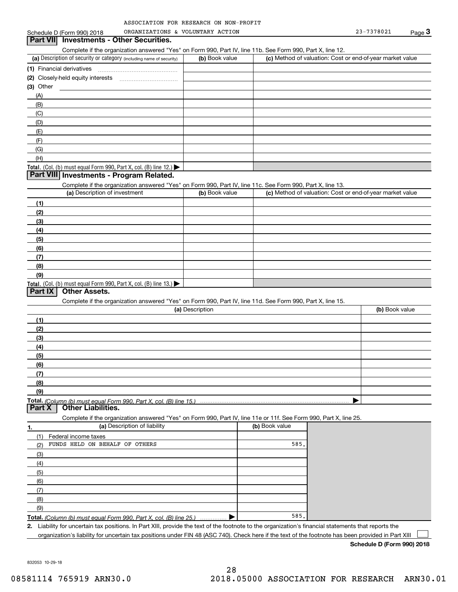| ASSOCIATION FOR RESEARCH ON NON-PROFIT |  |  |
|----------------------------------------|--|--|
|                                        |  |  |

| Schedule D (Form 990) 2018                                                                                                                        | ORGANIZATIONS & VOLUNTARY ACTION |                | 23-7378021                                                | $Page$ <sup>3</sup> |
|---------------------------------------------------------------------------------------------------------------------------------------------------|----------------------------------|----------------|-----------------------------------------------------------|---------------------|
| Part VII Investments - Other Securities.                                                                                                          |                                  |                |                                                           |                     |
| Complete if the organization answered "Yes" on Form 990, Part IV, line 11b. See Form 990, Part X, line 12.                                        |                                  |                |                                                           |                     |
| (a) Description of security or category (including name of security)                                                                              | (b) Book value                   |                | (c) Method of valuation: Cost or end-of-year market value |                     |
|                                                                                                                                                   |                                  |                |                                                           |                     |
|                                                                                                                                                   |                                  |                |                                                           |                     |
| $(3)$ Other                                                                                                                                       |                                  |                |                                                           |                     |
| (A)                                                                                                                                               |                                  |                |                                                           |                     |
| (B)                                                                                                                                               |                                  |                |                                                           |                     |
| (C)                                                                                                                                               |                                  |                |                                                           |                     |
| (D)                                                                                                                                               |                                  |                |                                                           |                     |
| (E)                                                                                                                                               |                                  |                |                                                           |                     |
| (F)                                                                                                                                               |                                  |                |                                                           |                     |
| (G)                                                                                                                                               |                                  |                |                                                           |                     |
| (H)                                                                                                                                               |                                  |                |                                                           |                     |
| Total. (Col. (b) must equal Form 990, Part X, col. (B) line 12.) $\blacktriangleright$<br>Part VIII Investments - Program Related.                |                                  |                |                                                           |                     |
|                                                                                                                                                   |                                  |                |                                                           |                     |
| Complete if the organization answered "Yes" on Form 990, Part IV, line 11c. See Form 990, Part X, line 13.<br>(a) Description of investment       | (b) Book value                   |                | (c) Method of valuation: Cost or end-of-year market value |                     |
|                                                                                                                                                   |                                  |                |                                                           |                     |
| (1)                                                                                                                                               |                                  |                |                                                           |                     |
| (2)                                                                                                                                               |                                  |                |                                                           |                     |
| (3)                                                                                                                                               |                                  |                |                                                           |                     |
| (4)                                                                                                                                               |                                  |                |                                                           |                     |
| (5)                                                                                                                                               |                                  |                |                                                           |                     |
| (6)                                                                                                                                               |                                  |                |                                                           |                     |
| (7)                                                                                                                                               |                                  |                |                                                           |                     |
| (8)                                                                                                                                               |                                  |                |                                                           |                     |
| (9)<br>Total. (Col. (b) must equal Form 990, Part X, col. (B) line 13.)                                                                           |                                  |                |                                                           |                     |
| <b>Other Assets.</b><br>Part IX                                                                                                                   |                                  |                |                                                           |                     |
| Complete if the organization answered "Yes" on Form 990, Part IV, line 11d. See Form 990, Part X, line 15.                                        |                                  |                |                                                           |                     |
|                                                                                                                                                   | (a) Description                  |                |                                                           | (b) Book value      |
|                                                                                                                                                   |                                  |                |                                                           |                     |
|                                                                                                                                                   |                                  |                |                                                           |                     |
| (1)                                                                                                                                               |                                  |                |                                                           |                     |
| (2)                                                                                                                                               |                                  |                |                                                           |                     |
| (3)                                                                                                                                               |                                  |                |                                                           |                     |
| (4)                                                                                                                                               |                                  |                |                                                           |                     |
| (5)                                                                                                                                               |                                  |                |                                                           |                     |
| (6)                                                                                                                                               |                                  |                |                                                           |                     |
| (7)                                                                                                                                               |                                  |                |                                                           |                     |
| (8)                                                                                                                                               |                                  |                |                                                           |                     |
| (9)                                                                                                                                               |                                  |                |                                                           |                     |
| Total. (Column (b) must equal Form 990. Part X, col. (B) line 15.)<br>Part X<br><b>Other Liabilities.</b>                                         |                                  |                |                                                           |                     |
|                                                                                                                                                   |                                  |                |                                                           |                     |
| Complete if the organization answered "Yes" on Form 990, Part IV, line 11e or 11f. See Form 990, Part X, line 25.<br>(a) Description of liability |                                  | (b) Book value |                                                           |                     |
| (1)                                                                                                                                               |                                  |                |                                                           |                     |
| Federal income taxes<br>FUNDS HELD ON BEHALF OF OTHERS<br>(2)                                                                                     |                                  | 585.           |                                                           |                     |
| (3)                                                                                                                                               |                                  |                |                                                           |                     |
| (4)                                                                                                                                               |                                  |                |                                                           |                     |
| (5)                                                                                                                                               |                                  |                |                                                           |                     |
| (6)                                                                                                                                               |                                  |                |                                                           |                     |
| (7)                                                                                                                                               |                                  |                |                                                           |                     |
| 1.<br>(8)                                                                                                                                         |                                  |                |                                                           |                     |
| (9)                                                                                                                                               |                                  |                |                                                           |                     |

organization's liability for uncertain tax positions under FIN 48 (ASC 740). Check here if the text of the footnote has been provided in Part XIII

**Schedule D (Form 990) 2018**

832053 10-29-18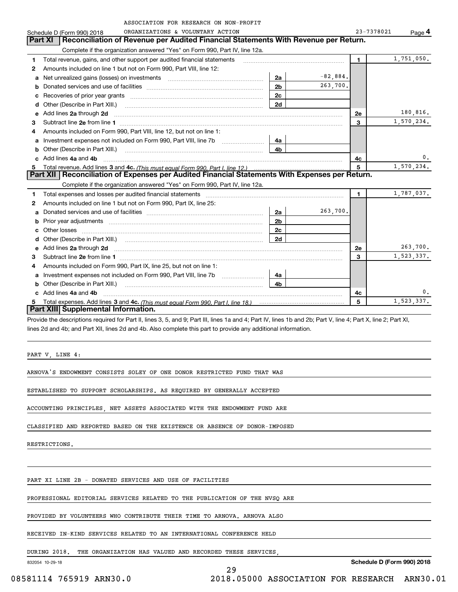|   | ASSOCIATION FOR RESEARCH ON NON-PROFIT                                                                                                                                                                                              |                |            |              |                     |
|---|-------------------------------------------------------------------------------------------------------------------------------------------------------------------------------------------------------------------------------------|----------------|------------|--------------|---------------------|
|   | ORGANIZATIONS & VOLUNTARY ACTION<br>Schedule D (Form 990) 2018                                                                                                                                                                      |                |            | 23-7378021   | $Page$ <sup>4</sup> |
|   | Reconciliation of Revenue per Audited Financial Statements With Revenue per Return.<br>Part XI                                                                                                                                      |                |            |              |                     |
|   | Complete if the organization answered "Yes" on Form 990, Part IV, line 12a.                                                                                                                                                         |                |            |              |                     |
| 1 | Total revenue, gains, and other support per audited financial statements                                                                                                                                                            |                |            | 1.           | 1,751,050.          |
| 2 | Amounts included on line 1 but not on Form 990, Part VIII, line 12:                                                                                                                                                                 |                |            |              |                     |
| a | Net unrealized gains (losses) on investments                                                                                                                                                                                        | 2a             | $-82,884.$ |              |                     |
| b |                                                                                                                                                                                                                                     | 2 <sub>b</sub> | 263,700.   |              |                     |
| с |                                                                                                                                                                                                                                     | 2 <sub>c</sub> |            |              |                     |
| d | Other (Describe in Part XIII.) <b>Construction Contract Construction</b> Chern Construction Chern Chern Chern Chern Chern Chern Chern Chern Chern Chern Chern Chern Chern Chern Chern Chern Chern Chern Chern Chern Chern Chern Che | 2d             |            |              |                     |
| е | Add lines 2a through 2d                                                                                                                                                                                                             |                |            | <b>2e</b>    | 180,816.            |
| 3 |                                                                                                                                                                                                                                     |                |            | 3            | 1,570,234.          |
| 4 | Amounts included on Form 990, Part VIII, line 12, but not on line 1:                                                                                                                                                                |                |            |              |                     |
| a | Investment expenses not included on Form 990, Part VIII, line 7b                                                                                                                                                                    | 4a             |            |              |                     |
| b | Other (Describe in Part XIII.)                                                                                                                                                                                                      | 4b             |            |              |                     |
|   | Add lines 4a and 4b                                                                                                                                                                                                                 |                |            | 4с           | 0.                  |
| 5 |                                                                                                                                                                                                                                     |                |            | 5            | 1,570,234.          |
|   | Part XII   Reconciliation of Expenses per Audited Financial Statements With Expenses per Return.                                                                                                                                    |                |            |              |                     |
|   | Complete if the organization answered "Yes" on Form 990, Part IV, line 12a.                                                                                                                                                         |                |            |              |                     |
| 1 | Total expenses and losses per audited financial statements [11] [12] manuscription control in the statements [13] manuscription of the statements [13] manuscription of the statements and the statements and the statements a      |                |            | $\mathbf{1}$ | 1,787,037.          |
| 2 | Amounts included on line 1 but not on Form 990, Part IX, line 25:                                                                                                                                                                   |                |            |              |                     |
| a |                                                                                                                                                                                                                                     | 2a             | 263,700.   |              |                     |
| b | Prior year adjustments [111] Prior year adjustments [11] measure material measurements [11] measurements and t                                                                                                                      | 2 <sub>b</sub> |            |              |                     |
|   | Other losses                                                                                                                                                                                                                        | 2 <sub>c</sub> |            |              |                     |
| d | Other (Describe in Part XIII.) (COLORGIAN CONTEXT)                                                                                                                                                                                  | 2d             |            |              |                     |
| e |                                                                                                                                                                                                                                     |                |            | 2e           | 263,700.            |
| 3 |                                                                                                                                                                                                                                     |                |            | 3            | 1,523,337.          |
|   | Amounts included on Form 990, Part IX, line 25, but not on line 1:                                                                                                                                                                  |                |            |              |                     |
| a |                                                                                                                                                                                                                                     | 4a             |            |              |                     |
| b | Other (Describe in Part XIII.)                                                                                                                                                                                                      | 4b             |            |              |                     |
|   | c Add lines 4a and 4b                                                                                                                                                                                                               |                |            | 4c           | 0.                  |
|   |                                                                                                                                                                                                                                     |                |            | 5            | 1,523,337.          |
|   | Part XIII Supplemental Information.                                                                                                                                                                                                 |                |            |              |                     |
|   | Provide the descriptions required for Part II lines 3, 5, and 9: Part III lines 1a and 4: Part IV lines 1b and 2b: Part V, line 4: Part X, line 2: Part XI                                                                          |                |            |              |                     |

riptions required for Part II, lines 3, 5, and 9; Part III, lines 1a and 4; Part IV, lines 1b and 2b; Part V, line 4; Part X, line 2; Part XI, lines 2d and 4b; and Part XII, lines 2d and 4b. Also complete this part to provide any additional information.

PART V, LINE 4:

ARNOVA'S ENDOWMENT CONSISTS SOLEY OF ONE DONOR RESTRICTED FUND THAT WAS

ESTABLISHED TO SUPPORT SCHOLARSHIPS. AS REQUIRED BY GENERALLY ACCEPTED

ACCOUNTING PRINCIPLES, NET ASSETS ASSOCIATED WITH THE ENDOWMENT FUND ARE

CLASSIFIED AND REPORTED BASED ON THE EXISTENCE OR ABSENCE OF DONOR-IMPOSED

RESTRICTIONS.

PART XI LINE 2B - DONATED SERVICES AND USE OF FACILITIES

PROFESSIONAL EDITORIAL SERVICES RELATED TO THE PUBLICATION OF THE NVSQ ARE

PROVIDED BY VOLUNTEERS WHO CONTRIBUTE THEIR TIME TO ARNOVA. ARNOVA ALSO

RECEIVED IN-KIND SERVICES RELATED TO AN INTERNATIONAL CONFERENCE HELD

DURING 2018. THE ORGANIZATION HAS VALUED AND RECORDED THESE SERVICES,

832054 10-29-18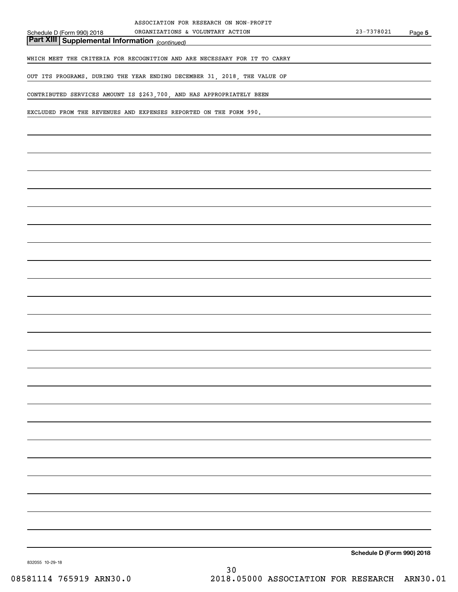*(continued)* **Part XIII Supplemental Information** 

WHICH MEET THE CRITERIA FOR RECOGNITION AND ARE NECESSARY FOR IT TO CARRY

OUT ITS PROGRAMS. DURING THE YEAR ENDING DECEMBER 31, 2018, THE VALUE OF

CONTRIBUTED SERVICES AMOUNT IS \$263,700, AND HAS APPROPRIATELY BEEN

EXCLUDED FROM THE REVENUES AND EXPENSES REPORTED ON THE FORM 990.

**Schedule D (Form 990) 2018**

832055 10-29-18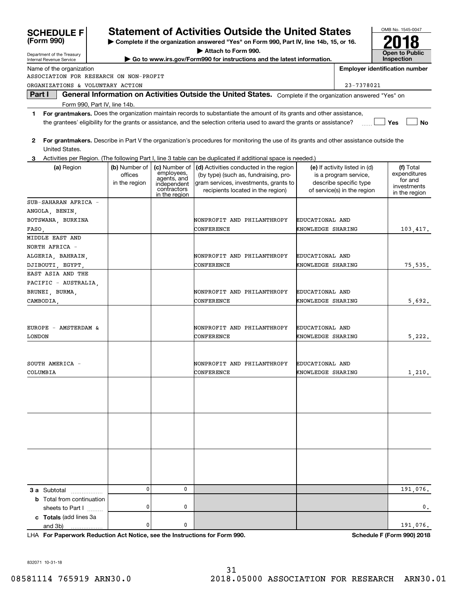| (Form 990)                             |                                           |                                                                                           | Complete if the organization answered "Yes" on Form 990, Part IV, line 14b, 15, or 16.                                                                        |                                      |                                                                                                                 |                                                                      |
|----------------------------------------|-------------------------------------------|-------------------------------------------------------------------------------------------|---------------------------------------------------------------------------------------------------------------------------------------------------------------|--------------------------------------|-----------------------------------------------------------------------------------------------------------------|----------------------------------------------------------------------|
| Department of the Treasury             |                                           |                                                                                           | Attach to Form 990.                                                                                                                                           |                                      |                                                                                                                 | <b>Open to Public</b>                                                |
| Internal Revenue Service               |                                           |                                                                                           | Go to www.irs.gov/Form990 for instructions and the latest information.                                                                                        |                                      |                                                                                                                 | <b>Inspection</b>                                                    |
| Name of the organization               |                                           |                                                                                           |                                                                                                                                                               |                                      |                                                                                                                 | <b>Employer identification number</b>                                |
| ASSOCIATION FOR RESEARCH ON NON-PROFIT |                                           |                                                                                           |                                                                                                                                                               |                                      |                                                                                                                 |                                                                      |
| ORGANIZATIONS & VOLUNTARY ACTION       |                                           |                                                                                           |                                                                                                                                                               |                                      | 23-7378021                                                                                                      |                                                                      |
| Part I                                 |                                           |                                                                                           | General Information on Activities Outside the United States. Complete if the organization answered "Yes" on                                                   |                                      |                                                                                                                 |                                                                      |
| Form 990, Part IV, line 14b.           |                                           |                                                                                           |                                                                                                                                                               |                                      |                                                                                                                 |                                                                      |
| 1                                      |                                           |                                                                                           | For grantmakers. Does the organization maintain records to substantiate the amount of its grants and other assistance,                                        |                                      |                                                                                                                 |                                                                      |
|                                        |                                           |                                                                                           | the grantees' eligibility for the grants or assistance, and the selection criteria used to award the grants or assistance?                                    |                                      |                                                                                                                 | Yes<br>No                                                            |
| 2<br>United States.                    |                                           |                                                                                           | For grantmakers. Describe in Part V the organization's procedures for monitoring the use of its grants and other assistance outside the                       |                                      |                                                                                                                 |                                                                      |
|                                        |                                           |                                                                                           | Activities per Region. (The following Part I, line 3 table can be duplicated if additional space is needed.)                                                  |                                      |                                                                                                                 |                                                                      |
| (a) Region                             | (b) Number of<br>offices<br>in the region | (c) Number of<br>employees,<br>agents, and<br>independent<br>contractors<br>in the region | (d) Activities conducted in the region<br>(by type) (such as, fundraising, pro-<br>gram services, investments, grants to<br>recipients located in the region) |                                      | (e) If activity listed in (d)<br>is a program service,<br>describe specific type<br>of service(s) in the region | (f) Total<br>expenditures<br>for and<br>investments<br>in the region |
| SUB-SAHARAN AFRICA -                   |                                           |                                                                                           |                                                                                                                                                               |                                      |                                                                                                                 |                                                                      |
| ANGOLA, BENIN,                         |                                           |                                                                                           |                                                                                                                                                               |                                      |                                                                                                                 |                                                                      |
| BOTSWANA, BURKINA                      |                                           |                                                                                           | NONPROFIT AND PHILANTHROPY                                                                                                                                    | EDUCATIONAL AND                      |                                                                                                                 |                                                                      |
| FASO,                                  |                                           |                                                                                           | CONFERENCE                                                                                                                                                    | KNOWLEDGE SHARING                    |                                                                                                                 | 103, 417.                                                            |
| MIDDLE EAST AND                        |                                           |                                                                                           |                                                                                                                                                               |                                      |                                                                                                                 |                                                                      |
| NORTH AFRICA -                         |                                           |                                                                                           |                                                                                                                                                               |                                      |                                                                                                                 |                                                                      |
| ALGERIA, BAHRAIN,                      |                                           |                                                                                           | NONPROFIT AND PHILANTHROPY<br>CONFERENCE                                                                                                                      | EDUCATIONAL AND<br>KNOWLEDGE SHARING |                                                                                                                 |                                                                      |
| DJIBOUTI, EGYPT,<br>EAST ASIA AND THE  |                                           |                                                                                           |                                                                                                                                                               |                                      |                                                                                                                 | 75, 535.                                                             |
| PACIFIC - AUSTRALIA,                   |                                           |                                                                                           |                                                                                                                                                               |                                      |                                                                                                                 |                                                                      |
| BRUNEI, BURMA,                         |                                           |                                                                                           | NONPROFIT AND PHILANTHROPY                                                                                                                                    | EDUCATIONAL AND                      |                                                                                                                 |                                                                      |
| CAMBODIA,                              |                                           |                                                                                           | CONFERENCE                                                                                                                                                    | KNOWLEDGE SHARING                    |                                                                                                                 | 5,692.                                                               |
|                                        |                                           |                                                                                           |                                                                                                                                                               |                                      |                                                                                                                 |                                                                      |
|                                        |                                           |                                                                                           |                                                                                                                                                               |                                      |                                                                                                                 |                                                                      |
| EUROPE - AMSTERDAM &                   |                                           |                                                                                           | NONPROFIT AND PHILANTHROPY                                                                                                                                    | EDUCATIONAL AND                      |                                                                                                                 |                                                                      |
| <b>LONDON</b>                          |                                           |                                                                                           | CONFERENCE                                                                                                                                                    | KNOWLEDGE SHARING                    |                                                                                                                 | 5,222.                                                               |
|                                        |                                           |                                                                                           |                                                                                                                                                               |                                      |                                                                                                                 |                                                                      |
|                                        |                                           |                                                                                           |                                                                                                                                                               |                                      |                                                                                                                 |                                                                      |
| SOUTH AMERICA -                        |                                           |                                                                                           | NONPROFIT AND PHILANTHROPY                                                                                                                                    | EDUCATIONAL AND                      |                                                                                                                 |                                                                      |
| COLUMBIA                               |                                           |                                                                                           | CONFERENCE                                                                                                                                                    | KNOWLEDGE SHARING                    |                                                                                                                 | 1,210.                                                               |
|                                        |                                           |                                                                                           |                                                                                                                                                               |                                      |                                                                                                                 |                                                                      |
|                                        |                                           |                                                                                           |                                                                                                                                                               |                                      |                                                                                                                 |                                                                      |
|                                        |                                           |                                                                                           |                                                                                                                                                               |                                      |                                                                                                                 |                                                                      |
|                                        |                                           |                                                                                           |                                                                                                                                                               |                                      |                                                                                                                 |                                                                      |
|                                        |                                           |                                                                                           |                                                                                                                                                               |                                      |                                                                                                                 |                                                                      |
|                                        |                                           |                                                                                           |                                                                                                                                                               |                                      |                                                                                                                 |                                                                      |
|                                        |                                           |                                                                                           |                                                                                                                                                               |                                      |                                                                                                                 |                                                                      |
|                                        |                                           |                                                                                           |                                                                                                                                                               |                                      |                                                                                                                 |                                                                      |
|                                        |                                           |                                                                                           |                                                                                                                                                               |                                      |                                                                                                                 |                                                                      |
|                                        |                                           |                                                                                           |                                                                                                                                                               |                                      |                                                                                                                 |                                                                      |
|                                        |                                           |                                                                                           |                                                                                                                                                               |                                      |                                                                                                                 |                                                                      |
| 3 a Subtotal                           | 0                                         | 0                                                                                         |                                                                                                                                                               |                                      |                                                                                                                 | 191,076.                                                             |
| <b>b</b> Total from continuation       |                                           |                                                                                           |                                                                                                                                                               |                                      |                                                                                                                 |                                                                      |
| sheets to Part I                       | 0                                         | 0                                                                                         |                                                                                                                                                               |                                      |                                                                                                                 | 0.                                                                   |
| c Totals (add lines 3a                 |                                           |                                                                                           |                                                                                                                                                               |                                      |                                                                                                                 |                                                                      |
| and 3b)                                | 0                                         | 0                                                                                         |                                                                                                                                                               |                                      |                                                                                                                 | 191,076.                                                             |

**Statement of Activities Outside the United States** 

**For Paperwork Reduction Act Notice, see the Instructions for Form 990. Schedule F (Form 990) 2018** LHA

OMB No. 1545-0047

832071 10-31-18

**SCHEDULE F**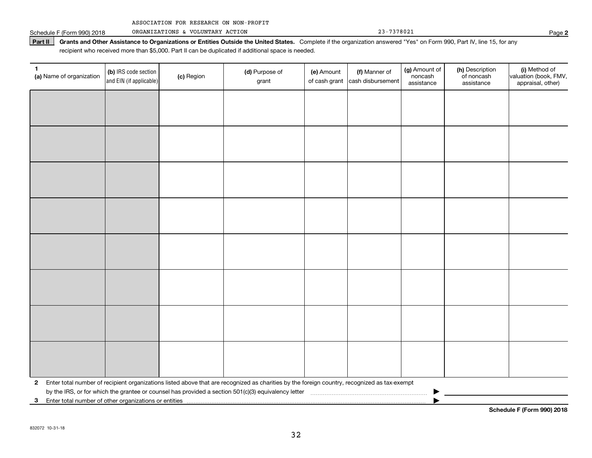|  | ASSOCIATION FOR RESEARCH ON NON-PROFIT |  |  |  |  |
|--|----------------------------------------|--|--|--|--|
|--|----------------------------------------|--|--|--|--|

Schedule F (Form 990) 2018 Page ORGANIZATIONS & VOLUNTARY ACTION 23-7378021

Part II | Grants and Other Assistance to Organizations or Entities Outside the United States. Complete if the organization answered "Yes" on Form 990, Part IV, line 15, for any recipient who received more than \$5,000. Part II can be duplicated if additional space is needed.

| 1<br>(a) Name of organization                              | (b) IRS code section<br>and EIN (if applicable) | (c) Region | (d) Purpose of<br>grant                                                                                                                      | (e) Amount<br>of cash grant | (f) Manner of<br>cash disbursement | (g) Amount of<br>noncash<br>assistance | (h) Description<br>of noncash<br>assistance | (i) Method of<br>valuation (book, FMV,<br>appraisal, other) |
|------------------------------------------------------------|-------------------------------------------------|------------|----------------------------------------------------------------------------------------------------------------------------------------------|-----------------------------|------------------------------------|----------------------------------------|---------------------------------------------|-------------------------------------------------------------|
|                                                            |                                                 |            |                                                                                                                                              |                             |                                    |                                        |                                             |                                                             |
|                                                            |                                                 |            |                                                                                                                                              |                             |                                    |                                        |                                             |                                                             |
|                                                            |                                                 |            |                                                                                                                                              |                             |                                    |                                        |                                             |                                                             |
|                                                            |                                                 |            |                                                                                                                                              |                             |                                    |                                        |                                             |                                                             |
|                                                            |                                                 |            |                                                                                                                                              |                             |                                    |                                        |                                             |                                                             |
|                                                            |                                                 |            |                                                                                                                                              |                             |                                    |                                        |                                             |                                                             |
|                                                            |                                                 |            |                                                                                                                                              |                             |                                    |                                        |                                             |                                                             |
|                                                            |                                                 |            |                                                                                                                                              |                             |                                    |                                        |                                             |                                                             |
|                                                            |                                                 |            |                                                                                                                                              |                             |                                    |                                        |                                             |                                                             |
|                                                            |                                                 |            |                                                                                                                                              |                             |                                    |                                        |                                             |                                                             |
|                                                            |                                                 |            |                                                                                                                                              |                             |                                    |                                        |                                             |                                                             |
|                                                            |                                                 |            |                                                                                                                                              |                             |                                    |                                        |                                             |                                                             |
|                                                            |                                                 |            |                                                                                                                                              |                             |                                    |                                        |                                             |                                                             |
|                                                            |                                                 |            |                                                                                                                                              |                             |                                    |                                        |                                             |                                                             |
|                                                            |                                                 |            |                                                                                                                                              |                             |                                    |                                        |                                             |                                                             |
|                                                            |                                                 |            |                                                                                                                                              |                             |                                    |                                        |                                             |                                                             |
| $\mathbf{2}$                                               |                                                 |            | Enter total number of recipient organizations listed above that are recognized as charities by the foreign country, recognized as tax-exempt |                             |                                    |                                        |                                             |                                                             |
| Enter total number of other organizations or entities<br>3 |                                                 |            |                                                                                                                                              |                             |                                    |                                        |                                             |                                                             |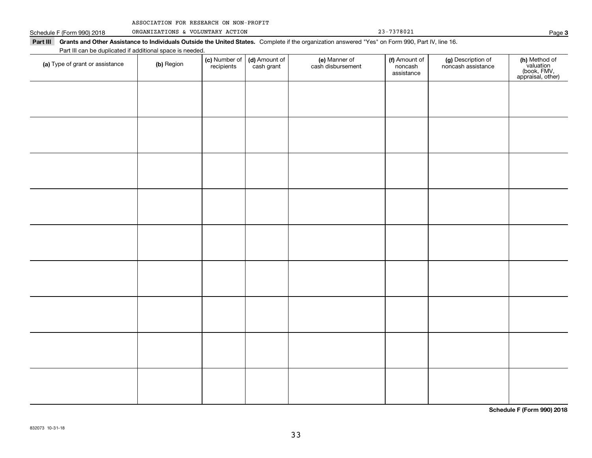| ASSOCIATION FOR RESEARCH ON NON-PROFIT |  |  |  |  |
|----------------------------------------|--|--|--|--|
|----------------------------------------|--|--|--|--|

Schedule F (Form 990) 2018 ORGANIZATIONS & VOLUNTARY ACTION 23-7378021 Page

| Part III can be duplicated if additional space is needed. |            | (c) Number of | (d) Amount of | (e) Manner of     | (f) Amount of         | (g) Description of |                                                                |
|-----------------------------------------------------------|------------|---------------|---------------|-------------------|-----------------------|--------------------|----------------------------------------------------------------|
| (a) Type of grant or assistance                           | (b) Region | recipients    | cash grant    | cash disbursement | noncash<br>assistance | noncash assistance | (h) Method of<br>valuation<br>(book, FMV,<br>appraisal, other) |
|                                                           |            |               |               |                   |                       |                    |                                                                |
|                                                           |            |               |               |                   |                       |                    |                                                                |
|                                                           |            |               |               |                   |                       |                    |                                                                |
|                                                           |            |               |               |                   |                       |                    |                                                                |
|                                                           |            |               |               |                   |                       |                    |                                                                |
|                                                           |            |               |               |                   |                       |                    |                                                                |
|                                                           |            |               |               |                   |                       |                    |                                                                |
|                                                           |            |               |               |                   |                       |                    |                                                                |
|                                                           |            |               |               |                   |                       |                    |                                                                |
|                                                           |            |               |               |                   |                       |                    |                                                                |
|                                                           |            |               |               |                   |                       |                    |                                                                |
|                                                           |            |               |               |                   |                       |                    |                                                                |
|                                                           |            |               |               |                   |                       |                    |                                                                |
|                                                           |            |               |               |                   |                       |                    |                                                                |
|                                                           |            |               |               |                   |                       |                    |                                                                |
|                                                           |            |               |               |                   |                       |                    |                                                                |
|                                                           |            |               |               |                   |                       |                    |                                                                |
|                                                           |            |               |               |                   |                       |                    |                                                                |

**Schedule F (Form 990) 2018**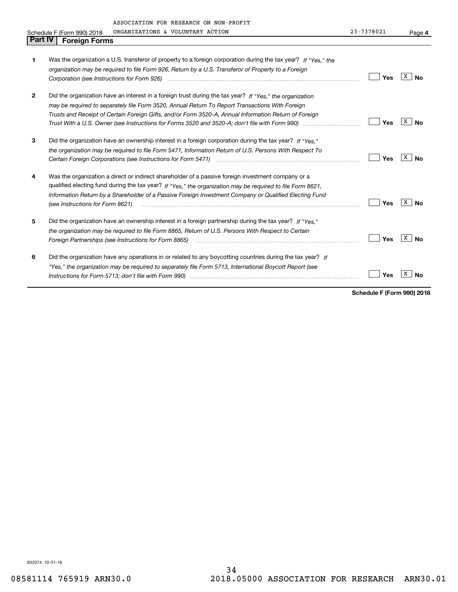| <b>Part IV</b> | ASSOCIATION FOR RESEARCH ON NON-PROFIT<br>ORGANIZATIONS & VOLUNTARY ACTION<br>Schedule F (Form 990) 2018<br><b>Foreign Forms</b> | 23-7378021 | Page 4  |
|----------------|----------------------------------------------------------------------------------------------------------------------------------|------------|---------|
|                |                                                                                                                                  |            |         |
| 1              | Was the organization a U.S. transferor of property to a foreign corporation during the tax year? If "Yes." the                   |            |         |
|                | organization may be required to file Form 926, Return by a U.S. Transferor of Property to a Foreign                              |            |         |
|                | Corporation (see Instructions for Form 926) <i>manual content content corporation (see Instructions</i> for Form 926)            | Yes        | x<br>N٥ |
| 2              | Did the organization have an interest in a foreign trust during the tax year? If "Yes," the organization                         |            |         |
|                | may be required to separately file Form 3520, Annual Return To Report Transactions With Foreign                                  |            |         |
|                | Trusts and Receipt of Certain Foreign Gifts, and/or Form 3520-A, Annual Information Return of Foreign                            |            |         |
|                |                                                                                                                                  | Yes        | x<br>Nο |
| 3              | Did the organization have an ownership interest in a foreign corporation during the tax year? If "Yes."                          |            |         |
|                | the organization may be required to file Form 5471, Information Return of U.S. Persons With Respect To                           |            |         |
|                |                                                                                                                                  | Yes        | x<br>N٥ |
| 4              | Was the organization a direct or indirect shareholder of a passive foreign investment company or a                               |            |         |
|                | qualified electing fund during the tax year? If "Yes," the organization may be required to file Form 8621,                       |            |         |
|                | Information Return by a Shareholder of a Passive Foreign Investment Company or Qualified Electing Fund                           |            |         |
|                | (see Instructions for Form 8621)                                                                                                 | Yes        | х<br>Nο |
| 5              | Did the organization have an ownership interest in a foreign partnership during the tax year? If "Yes."                          |            |         |
|                | the organization may be required to file Form 8865, Return of U.S. Persons With Respect to Certain                               |            |         |
|                | Foreign Partnerships (see Instructions for Form 8865) <i>manual content content content content content content</i> co           | Yes        |         |
|                |                                                                                                                                  |            |         |

| 6 | Did the organization have any operations in or related to any boycotting countries during the tax year? If |                                  |  |
|---|------------------------------------------------------------------------------------------------------------|----------------------------------|--|
|   | "Yes," the organization may be required to separately file Form 5713, International Boycott Report (see    |                                  |  |
|   |                                                                                                            | $\Box$ Yes $\boxed{\text{x}}$ No |  |

**Schedule F (Form 990) 2018**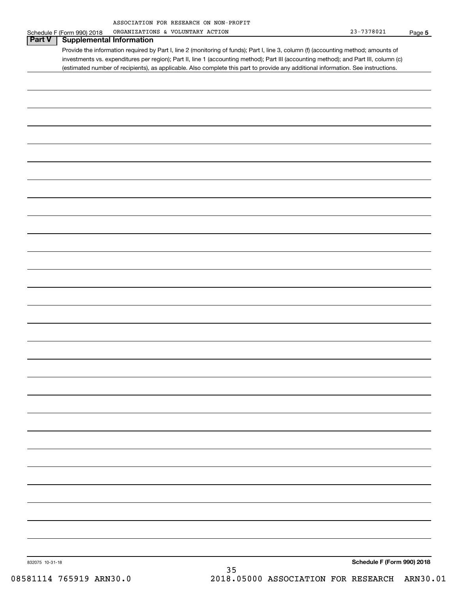| ASSOCIATION FOR RESEARCH ON NON-PROFIT |  |  |
|----------------------------------------|--|--|
|                                        |  |  |

|                 | Schedule F (Form 990) 2018      | ORGANIZATIONS & VOLUNTARY ACTION                                                                                                      |    | $23 - 7378021$             | Page 5 |
|-----------------|---------------------------------|---------------------------------------------------------------------------------------------------------------------------------------|----|----------------------------|--------|
| Part V          | <b>Supplemental Information</b> |                                                                                                                                       |    |                            |        |
|                 |                                 | Provide the information required by Part I, line 2 (monitoring of funds); Part I, line 3, column (f) (accounting method; amounts of   |    |                            |        |
|                 |                                 | investments vs. expenditures per region); Part II, line 1 (accounting method); Part III (accounting method); and Part III, column (c) |    |                            |        |
|                 |                                 | (estimated number of recipients), as applicable. Also complete this part to provide any additional information. See instructions.     |    |                            |        |
|                 |                                 |                                                                                                                                       |    |                            |        |
|                 |                                 |                                                                                                                                       |    |                            |        |
|                 |                                 |                                                                                                                                       |    |                            |        |
|                 |                                 |                                                                                                                                       |    |                            |        |
|                 |                                 |                                                                                                                                       |    |                            |        |
|                 |                                 |                                                                                                                                       |    |                            |        |
|                 |                                 |                                                                                                                                       |    |                            |        |
|                 |                                 |                                                                                                                                       |    |                            |        |
|                 |                                 |                                                                                                                                       |    |                            |        |
|                 |                                 |                                                                                                                                       |    |                            |        |
|                 |                                 |                                                                                                                                       |    |                            |        |
|                 |                                 |                                                                                                                                       |    |                            |        |
|                 |                                 |                                                                                                                                       |    |                            |        |
|                 |                                 |                                                                                                                                       |    |                            |        |
|                 |                                 |                                                                                                                                       |    |                            |        |
|                 |                                 |                                                                                                                                       |    |                            |        |
|                 |                                 |                                                                                                                                       |    |                            |        |
|                 |                                 |                                                                                                                                       |    |                            |        |
|                 |                                 |                                                                                                                                       |    |                            |        |
|                 |                                 |                                                                                                                                       |    |                            |        |
|                 |                                 |                                                                                                                                       |    |                            |        |
|                 |                                 |                                                                                                                                       |    |                            |        |
|                 |                                 |                                                                                                                                       |    |                            |        |
|                 |                                 |                                                                                                                                       |    |                            |        |
|                 |                                 |                                                                                                                                       |    |                            |        |
|                 |                                 |                                                                                                                                       |    |                            |        |
|                 |                                 |                                                                                                                                       |    |                            |        |
|                 |                                 |                                                                                                                                       |    |                            |        |
|                 |                                 |                                                                                                                                       |    |                            |        |
|                 |                                 |                                                                                                                                       |    |                            |        |
|                 |                                 |                                                                                                                                       |    |                            |        |
|                 |                                 |                                                                                                                                       |    |                            |        |
|                 |                                 |                                                                                                                                       |    |                            |        |
|                 |                                 |                                                                                                                                       |    |                            |        |
|                 |                                 |                                                                                                                                       |    |                            |        |
|                 |                                 |                                                                                                                                       |    |                            |        |
|                 |                                 |                                                                                                                                       |    |                            |        |
|                 |                                 |                                                                                                                                       |    |                            |        |
|                 |                                 |                                                                                                                                       |    |                            |        |
|                 |                                 |                                                                                                                                       |    |                            |        |
|                 |                                 |                                                                                                                                       |    |                            |        |
|                 |                                 |                                                                                                                                       |    |                            |        |
|                 |                                 |                                                                                                                                       |    |                            |        |
|                 |                                 |                                                                                                                                       |    |                            |        |
|                 |                                 |                                                                                                                                       |    |                            |        |
|                 |                                 |                                                                                                                                       |    |                            |        |
|                 |                                 |                                                                                                                                       |    |                            |        |
|                 |                                 |                                                                                                                                       |    |                            |        |
|                 |                                 |                                                                                                                                       |    |                            |        |
|                 |                                 |                                                                                                                                       |    |                            |        |
| 832075 10-31-18 |                                 |                                                                                                                                       | 35 | Schedule F (Form 990) 2018 |        |
|                 |                                 |                                                                                                                                       |    |                            |        |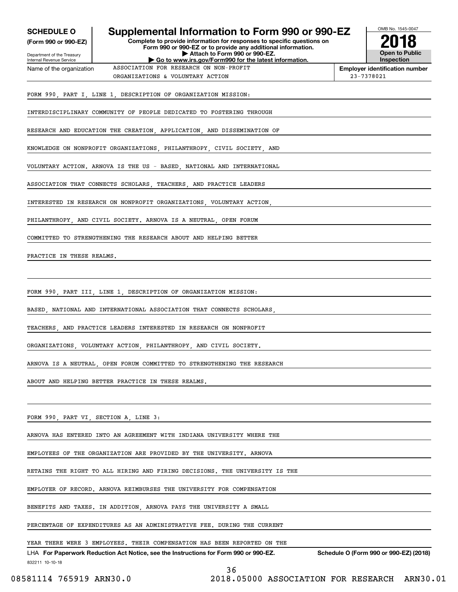| <b>SCHEDULE O</b>                                                              | Supplemental Information to Form 990 or 990-EZ                                                                                                                                                                                   | OMB No. 1545-0047                      |
|--------------------------------------------------------------------------------|----------------------------------------------------------------------------------------------------------------------------------------------------------------------------------------------------------------------------------|----------------------------------------|
| (Form 990 or 990-EZ)<br>Department of the Treasury<br>Internal Revenue Service | Complete to provide information for responses to specific questions on<br>Form 990 or 990-EZ or to provide any additional information.<br>Attach to Form 990 or 990-EZ.<br>Go to www.irs.gov/Form990 for the latest information. | <b>Open to Public</b><br>Inspection    |
| Name of the organization                                                       | ASSOCIATION FOR RESEARCH ON NON-PROFIT                                                                                                                                                                                           | <b>Employer identification number</b>  |
|                                                                                | ORGANIZATIONS & VOLUNTARY ACTION                                                                                                                                                                                                 | 23-7378021                             |
|                                                                                | FORM 990, PART I, LINE 1, DESCRIPTION OF ORGANIZATION MISSION:                                                                                                                                                                   |                                        |
|                                                                                | INTERDISCIPLINARY COMMUNITY OF PEOPLE DEDICATED TO FOSTERING THROUGH                                                                                                                                                             |                                        |
|                                                                                | RESEARCH AND EDUCATION THE CREATION, APPLICATION, AND DISSEMINATION OF                                                                                                                                                           |                                        |
|                                                                                | KNOWLEDGE ON NONPROFIT ORGANIZATIONS, PHILANTHROPY, CIVIL SOCIETY, AND                                                                                                                                                           |                                        |
|                                                                                | VOLUNTARY ACTION. ARNOVA IS THE US - BASED, NATIONAL AND INTERNATIONAL                                                                                                                                                           |                                        |
|                                                                                | ASSOCIATION THAT CONNECTS SCHOLARS, TEACHERS, AND PRACTICE LEADERS                                                                                                                                                               |                                        |
|                                                                                | INTERESTED IN RESEARCH ON NONPROFIT ORGANIZATIONS, VOLUNTARY ACTION,                                                                                                                                                             |                                        |
|                                                                                | PHILANTHROPY, AND CIVIL SOCIETY. ARNOVA IS A NEUTRAL, OPEN FORUM                                                                                                                                                                 |                                        |
|                                                                                | COMMITTED TO STRENGTHENING THE RESEARCH ABOUT AND HELPING BETTER                                                                                                                                                                 |                                        |
| PRACTICE IN THESE REALMS.                                                      |                                                                                                                                                                                                                                  |                                        |
|                                                                                |                                                                                                                                                                                                                                  |                                        |
|                                                                                | FORM 990, PART III, LINE 1, DESCRIPTION OF ORGANIZATION MISSION:                                                                                                                                                                 |                                        |
|                                                                                | BASED, NATIONAL AND INTERNATIONAL ASSOCIATION THAT CONNECTS SCHOLARS,                                                                                                                                                            |                                        |
|                                                                                | TEACHERS, AND PRACTICE LEADERS INTERESTED IN RESEARCH ON NONPROFIT                                                                                                                                                               |                                        |
|                                                                                | ORGANIZATIONS, VOLUNTARY ACTION, PHILANTHROPY, AND CIVIL SOCIETY.                                                                                                                                                                |                                        |
|                                                                                | ARNOVA IS A NEUTRAL, OPEN FORUM COMMITTED TO STRENGTHENING THE RESEARCH                                                                                                                                                          |                                        |
|                                                                                | ABOUT AND HELPING BETTER PRACTICE IN THESE REALMS.                                                                                                                                                                               |                                        |
|                                                                                |                                                                                                                                                                                                                                  |                                        |
| FORM 990, PART VI, SECTION A, LINE 3:                                          |                                                                                                                                                                                                                                  |                                        |
|                                                                                | ARNOVA HAS ENTERED INTO AN AGREEMENT WITH INDIANA UNIVERSITY WHERE THE                                                                                                                                                           |                                        |
|                                                                                | EMPLOYEES OF THE ORGANIZATION ARE PROVIDED BY THE UNIVERSITY. ARNOVA                                                                                                                                                             |                                        |
|                                                                                | RETAINS THE RIGHT TO ALL HIRING AND FIRING DECISIONS. THE UNIVERSITY IS THE                                                                                                                                                      |                                        |
|                                                                                | EMPLOYER OF RECORD. ARNOVA REIMBURSES THE UNIVERSITY FOR COMPENSATION                                                                                                                                                            |                                        |
|                                                                                | BENEFITS AND TAXES. IN ADDITION, ARNOVA PAYS THE UNIVERSITY A SMALL                                                                                                                                                              |                                        |
|                                                                                | PERCENTAGE OF EXPENDITURES AS AN ADMINISTRATIVE FEE. DURING THE CURRENT                                                                                                                                                          |                                        |
|                                                                                | YEAR THERE WERE 3 EMPLOYEES. THEIR COMPENSATION HAS BEEN REPORTED ON THE                                                                                                                                                         |                                        |
| 832211 10-10-18                                                                | LHA For Paperwork Reduction Act Notice, see the Instructions for Form 990 or 990-EZ.                                                                                                                                             | Schedule O (Form 990 or 990-EZ) (2018) |
| 08581114 765919 ARN30.0                                                        | 36<br>2018.05000 ASSOCIATION FOR RESEARCH ARN30.01                                                                                                                                                                               |                                        |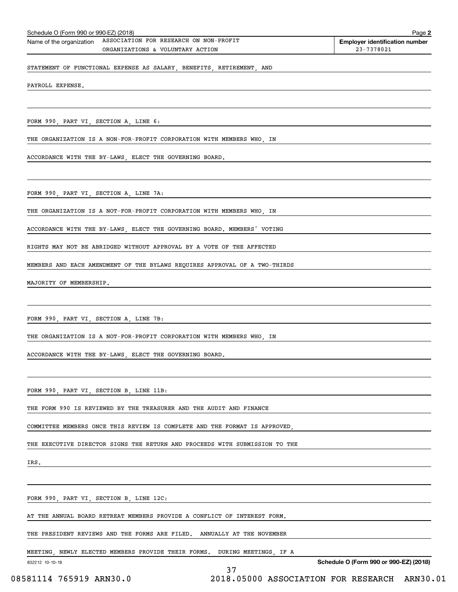| Schedule O (Form 990 or 990-EZ) (2018)<br>Page 2 |                                        |                                       |
|--------------------------------------------------|----------------------------------------|---------------------------------------|
| Name of the organization                         | ASSOCIATION FOR RESEARCH ON NON-PROFIT | <b>Employer identification number</b> |
|                                                  | ORGANIZATIONS & VOLUNTARY ACTION       | 23-7378021                            |
|                                                  |                                        |                                       |

STATEMENT OF FUNCTIONAL EXPENSE AS SALARY, BENEFITS, RETIREMENT, AND

PAYROLL EXPENSE.

FORM 990, PART VI, SECTION A, LINE 6:

THE ORGANIZATION IS A NON-FOR-PROFIT CORPORATION WITH MEMBERS WHO, IN

ACCORDANCE WITH THE BY-LAWS, ELECT THE GOVERNING BOARD.

FORM 990, PART VI, SECTION A, LINE 7A:

THE ORGANIZATION IS A NOT-FOR-PROFIT CORPORATION WITH MEMBERS WHO, IN

ACCORDANCE WITH THE BY-LAWS, ELECT THE GOVERNING BOARD. MEMBERS' VOTING

RIGHTS MAY NOT BE ABRIDGED WITHOUT APPROVAL BY A VOTE OF THE AFFECTED

MEMBERS AND EACH AMENDMENT OF THE BYLAWS REQUIRES APPROVAL OF A TWO-THIRDS

MAJORITY OF MEMBERSHIP.

FORM 990, PART VI, SECTION A, LINE 7B:

THE ORGANIZATION IS A NOT-FOR-PROFIT CORPORATION WITH MEMBERS WHO, IN

ACCORDANCE WITH THE BY-LAWS, ELECT THE GOVERNING BOARD.

FORM 990, PART VI, SECTION B, LINE 11B:

THE FORM 990 IS REVIEWED BY THE TREASURER AND THE AUDIT AND FINANCE

COMMITTEE MEMBERS ONCE THIS REVIEW IS COMPLETE AND THE FORMAT IS APPROVED,

THE EXECUTIVE DIRECTOR SIGNS THE RETURN AND PROCEEDS WITH SUBMISSION TO THE

IRS.

FORM 990, PART VI, SECTION B, LINE 12C:

AT THE ANNUAL BOARD RETREAT MEMBERS PROVIDE A CONFLICT OF INTEREST FORM.

THE PRESIDENT REVIEWS AND THE FORMS ARE FILED. ANNUALLY AT THE NOVEMBER

MEETING, NEWLY ELECTED MEMBERS PROVIDE THEIR FORMS. DURING MEETINGS, IF A

37

832212 10-10-18

**Schedule O (Form 990 or 990-EZ) (2018)**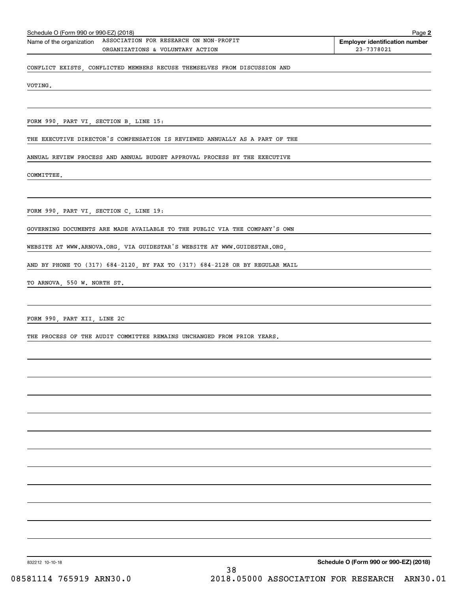| Schedule O (Form 990 or 990-EZ) (2018)<br>Page 2 |                                        |                                       |  |
|--------------------------------------------------|----------------------------------------|---------------------------------------|--|
| Name of the organization                         | ASSOCIATION FOR RESEARCH ON NON-PROFIT | <b>Employer identification number</b> |  |
|                                                  | ORGANIZATIONS & VOLUNTARY ACTION       | 23-7378021                            |  |
|                                                  |                                        |                                       |  |

CONFLICT EXISTS, CONFLICTED MEMBERS RECUSE THEMSELVES FROM DISCUSSION AND

VOTING.

FORM 990, PART VI, SECTION B, LINE 15:

THE EXECUTIVE DIRECTOR'S COMPENSATION IS REVIEWED ANNUALLY AS A PART OF THE

ANNUAL REVIEW PROCESS AND ANNUAL BUDGET APPROVAL PROCESS BY THE EXECUTIVE

COMMITTEE.

FORM 990, PART VI, SECTION C, LINE 19:

GOVERNING DOCUMENTS ARE MADE AVAILABLE TO THE PUBLIC VIA THE COMPANY'S OWN

WEBSITE AT WWW.ARNOVA.ORG, VIA GUIDESTAR'S WEBSITE AT WWW.GUIDESTAR.ORG,

AND BY PHONE TO (317) 684-2120, BY FAX TO (317) 684-2128 OR BY REGULAR MAIL

TO ARNOVA, 550 W. NORTH ST.

FORM 990, PART XII, LINE 2C

THE PROCESS OF THE AUDIT COMMITTEE REMAINS UNCHANGED FROM PRIOR YEARS.

832212 10-10-18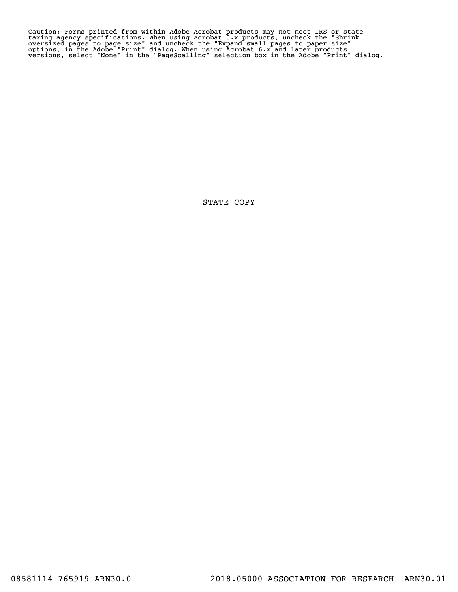Caution: Forms printed from within Adobe Acrobat products may not meet IRS or state<br>taxing agency specifications. When using Acrobat 5.x products, uncheck the "Shrink<br>oversized pages to page size" and uncheck the "Expand s

STATE COPY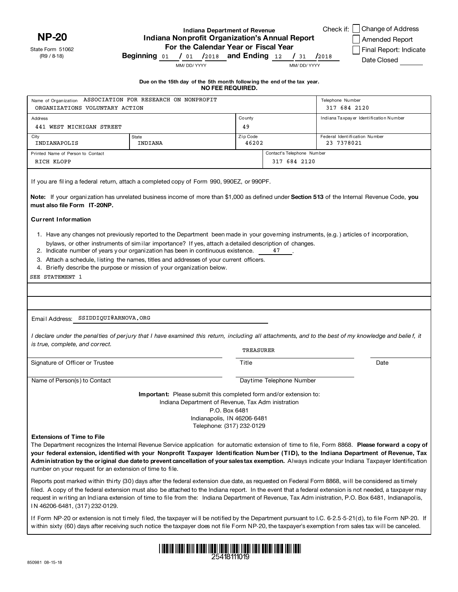**NP-20**

State Form 51062 (R9 / 8-18)

# **Indiana Department of Revenue Indiana Nonprofit Organization's Annual Report For the Calendar Year or Fiscal Year**

Check if: □ Change of Address

Amended Report Final Report: Indicate Date Closed

**Beginning** 01 / **/ and Ending / /** 01 2018 12 31 2018

MM/ DD/ YYYY MM/ DD/ YYYY

| Due on the 15th day of the 5th month following the end of the tax year. |  |
|-------------------------------------------------------------------------|--|
| <b>NO FEE REQUIRED.</b>                                                 |  |
|                                                                         |  |

| Name of Organization ASSOCIATION FOR RESEARCH ON NONPROFIT                                    |                                                                                                                                                                                                                                                                                                                                                                                                                                                                                                                                                                                                                                                                                                                                                        |                                                                                                                                 | Telephone Number              |                                        |
|-----------------------------------------------------------------------------------------------|--------------------------------------------------------------------------------------------------------------------------------------------------------------------------------------------------------------------------------------------------------------------------------------------------------------------------------------------------------------------------------------------------------------------------------------------------------------------------------------------------------------------------------------------------------------------------------------------------------------------------------------------------------------------------------------------------------------------------------------------------------|---------------------------------------------------------------------------------------------------------------------------------|-------------------------------|----------------------------------------|
| ORGANIZATIONS VOLUNTARY ACTION                                                                |                                                                                                                                                                                                                                                                                                                                                                                                                                                                                                                                                                                                                                                                                                                                                        |                                                                                                                                 | 317 684 2120                  |                                        |
| <b>Address</b>                                                                                |                                                                                                                                                                                                                                                                                                                                                                                                                                                                                                                                                                                                                                                                                                                                                        | County                                                                                                                          |                               | Indiana Taxpayer Identification Number |
| 441 WEST MICHIGAN STREET                                                                      |                                                                                                                                                                                                                                                                                                                                                                                                                                                                                                                                                                                                                                                                                                                                                        | 49                                                                                                                              |                               |                                        |
| City                                                                                          | <b>State</b>                                                                                                                                                                                                                                                                                                                                                                                                                                                                                                                                                                                                                                                                                                                                           | Zip Code                                                                                                                        | Federal Identification Number |                                        |
| INDIANAPOLIS                                                                                  | INDIANA                                                                                                                                                                                                                                                                                                                                                                                                                                                                                                                                                                                                                                                                                                                                                | 46202                                                                                                                           | 23 7378021                    |                                        |
| Printed Name of Person to Contact                                                             |                                                                                                                                                                                                                                                                                                                                                                                                                                                                                                                                                                                                                                                                                                                                                        |                                                                                                                                 | Contact's Telephone Number    |                                        |
| RICH KLOPP                                                                                    |                                                                                                                                                                                                                                                                                                                                                                                                                                                                                                                                                                                                                                                                                                                                                        |                                                                                                                                 | 317 684 2120                  |                                        |
| must also file Form IT-20NP.<br><b>Current Information</b><br>SEE STATEMENT 1                 | If you are filing a federal return, attach a completed copy of Form 990, 990EZ, or 990PF.<br>Note: If your organization has unrelated business income of more than \$1,000 as defined under Section 513 of the Internal Revenue Code, you<br>1. Have any changes not previously reported to the Department been made in your governing instruments, (e.g.) articles of incorporation,<br>bylaws, or other instruments of similar importance? If yes, attach a detailed description of changes.<br>2. Indicate number of years your organization has been in continuous existence.<br>3. Attach a schedule, listing the names, titles and addresses of your current officers.<br>4. Briefly describe the purpose or mission of your organization below. |                                                                                                                                 | 47                            |                                        |
| Email Address: SSIDDIQUI@ARNOVA.ORG                                                           |                                                                                                                                                                                                                                                                                                                                                                                                                                                                                                                                                                                                                                                                                                                                                        |                                                                                                                                 |                               |                                        |
|                                                                                               | I declare under the penalties of perjury that I have examined this return, including all attachments, and to the best of my knowledge and belief, it                                                                                                                                                                                                                                                                                                                                                                                                                                                                                                                                                                                                   |                                                                                                                                 |                               |                                        |
| is true, complete, and correct.                                                               |                                                                                                                                                                                                                                                                                                                                                                                                                                                                                                                                                                                                                                                                                                                                                        | TREASURER                                                                                                                       |                               |                                        |
| Signature of Officer or Trustee                                                               |                                                                                                                                                                                                                                                                                                                                                                                                                                                                                                                                                                                                                                                                                                                                                        | Title                                                                                                                           |                               | Date                                   |
| Name of Person(s) to Contact                                                                  |                                                                                                                                                                                                                                                                                                                                                                                                                                                                                                                                                                                                                                                                                                                                                        |                                                                                                                                 | Daytime Telephone Number      |                                        |
|                                                                                               | Important: Please submit this completed form and/or extension to:                                                                                                                                                                                                                                                                                                                                                                                                                                                                                                                                                                                                                                                                                      | Indiana Department of Revenue, Tax Adm inistration<br>P.O. Box 6481<br>Indianapolis, IN 46206-6481<br>Telephone: (317) 232-0129 |                               |                                        |
| <b>Extensions of Time to File</b><br>number on your request for an extension of time to file. | The Department recognizes the Internal Revenue Service application for automatic extension of time to file, Form 8868. Please forward a copy of<br>your federal extension, identified with your Nonprofit Taxpayer Identification Number (TID), to the Indiana Department of Revenue, Tax<br>Administration by the original due date to prevent cancellation of your salestax exemption. Always indicate your Indiana Taxpayer Identification                                                                                                                                                                                                                                                                                                          |                                                                                                                                 |                               |                                        |
|                                                                                               | Reports post marked within thirty (30) days after the federal extension due date, as requested on Federal Form 8868, will be considered as timely                                                                                                                                                                                                                                                                                                                                                                                                                                                                                                                                                                                                      |                                                                                                                                 |                               |                                        |

filed. A copy of the federal extension must also be attached to the Indiana report. In the event that a federal extension is not needed, a taxpayer may request in writing an Indiana extension of time to file from the: Indiana Department of Revenue, Tax Adm inistration, P.O. Box 6481, Indianapol is, N 46206-6481, (317) 232-0129.

If Form NP-20 or extension is not timely fi led, the taxpayer wi ll be notified by the Department pursuant to I.C. 6-2.5-5-21(d), to fi le Form NP-20. If w ithin sixty (60) days after receiving such notice the taxpayer does not file Form NP-20, the taxpayer's exemption from sales tax wil l be canceled.

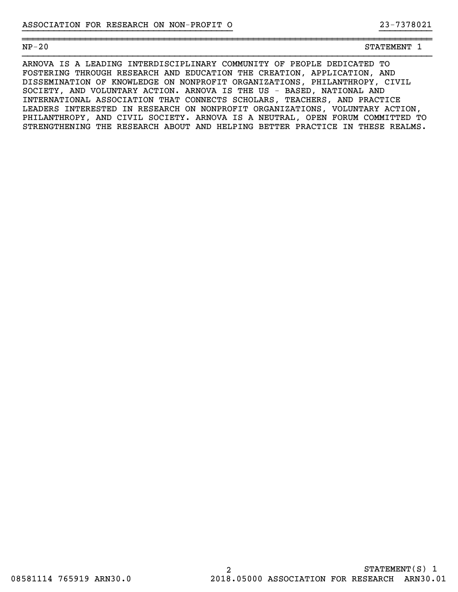## NP-20 STATEMENT 1

ARNOVA IS A LEADING INTERDISCIPLINARY COMMUNITY OF PEOPLE DEDICATED TO FOSTERING THROUGH RESEARCH AND EDUCATION THE CREATION, APPLICATION, AND DISSEMINATION OF KNOWLEDGE ON NONPROFIT ORGANIZATIONS, PHILANTHROPY, CIVIL SOCIETY, AND VOLUNTARY ACTION. ARNOVA IS THE US - BASED, NATIONAL AND INTERNATIONAL ASSOCIATION THAT CONNECTS SCHOLARS, TEACHERS, AND PRACTICE LEADERS INTERESTED IN RESEARCH ON NONPROFIT ORGANIZATIONS, VOLUNTARY ACTION, PHILANTHROPY, AND CIVIL SOCIETY. ARNOVA IS A NEUTRAL, OPEN FORUM COMMITTED TO STRENGTHENING THE RESEARCH ABOUT AND HELPING BETTER PRACTICE IN THESE REALMS.

}}}}}}}}}}}}}}}}}}}}}}}}}}}}}}}}}}}}}}}} }}}}}}}}}}

~~~~~~~~~~~~~~~~~~~~~~~~~~~~~~~~~~~~~~~~~~~~~~~~~~~~~~~~~~~~~~~~~~~~~~~~~~~~~~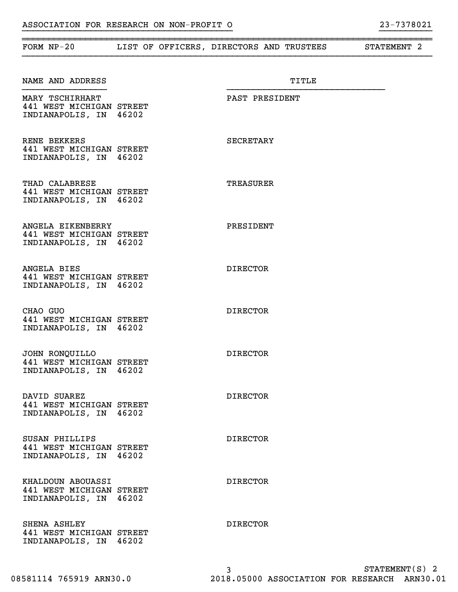| ASSUCIAIIUN FUK KESEAKUN UN NUN-FKUFII U | 77001077 |
|------------------------------------------|----------|
|                                          |          |
|                                          |          |

| FORM $NP-20$                                                            | LIST OF OFFICERS, DIRECTORS AND TRUSTEES | STATEMENT <sub>2</sub> |
|-------------------------------------------------------------------------|------------------------------------------|------------------------|
| NAME AND ADDRESS                                                        | TITLE                                    |                        |
| MARY TSCHIRHART<br>441 WEST MICHIGAN STREET<br>INDIANAPOLIS, IN 46202   | PAST PRESIDENT                           |                        |
| RENE BEKKERS<br>441 WEST MICHIGAN STREET<br>INDIANAPOLIS, IN 46202      | SECRETARY                                |                        |
| THAD CALABRESE<br>441 WEST MICHIGAN STREET<br>INDIANAPOLIS, IN 46202    | TREASURER                                |                        |
| ANGELA EIKENBERRY<br>441 WEST MICHIGAN STREET<br>INDIANAPOLIS, IN 46202 | PRESIDENT                                |                        |
| ANGELA BIES<br>441 WEST MICHIGAN STREET<br>INDIANAPOLIS, IN 46202       | <b>DIRECTOR</b>                          |                        |
| CHAO GUO<br>441 WEST MICHIGAN STREET<br>INDIANAPOLIS, IN 46202          | <b>DIRECTOR</b>                          |                        |
| JOHN RONQUILLO<br>441 WEST MICHIGAN STREET<br>INDIANAPOLIS, IN 46202    | <b>DIRECTOR</b>                          |                        |
| DAVID SUAREZ<br>441 WEST MICHIGAN STREET<br>INDIANAPOLIS, IN 46202      | <b>DIRECTOR</b>                          |                        |
| SUSAN PHILLIPS<br>441 WEST MICHIGAN STREET<br>INDIANAPOLIS, IN 46202    | <b>DIRECTOR</b>                          |                        |
| KHALDOUN ABOUASSI<br>441 WEST MICHIGAN STREET<br>INDIANAPOLIS, IN 46202 | <b>DIRECTOR</b>                          |                        |
| SHENA ASHLEY<br>441 WEST MICHIGAN STREET<br>INDIANAPOLIS, IN 46202      | <b>DIRECTOR</b>                          |                        |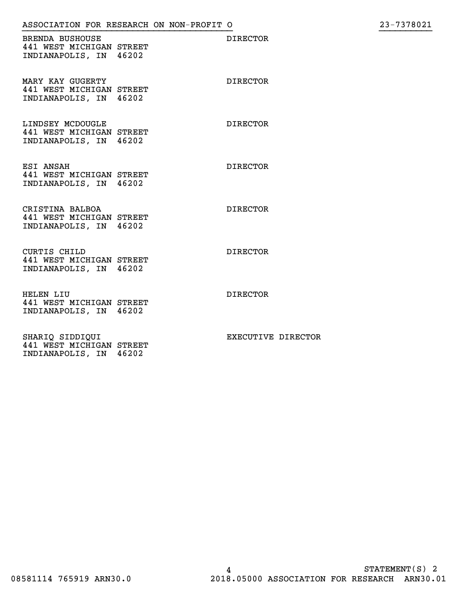}}}}}}}}}}}}}}}}}}}}}}}}}}}}}}}}}}}}}}}} }}}}}}}}}}

BRENDA BUSHOUSE DIRECTOR 441 WEST MICHIGAN STREET INDIANAPOLIS, IN 46202

MARY KAY GUGERTY DIRECTOR 441 WEST MICHIGAN STREET INDIANAPOLIS, IN 46202

LINDSEY MCDOUGLE DIRECTOR 441 WEST MICHIGAN STREET INDIANAPOLIS, IN 46202

ESI ANSAH DIRECTOR 441 WEST MICHIGAN STREET INDIANAPOLIS, IN 46202

CRISTINA BALBOA DIRECTOR 441 WEST MICHIGAN STREET INDIANAPOLIS, IN 46202

CURTIS CHILD DIRECTOR 441 WEST MICHIGAN STREET INDIANAPOLIS, IN 46202

HELEN LIU DIRECTOR 441 WEST MICHIGAN STREET INDIANAPOLIS, IN 46202

SHARIQ SIDDIQUI **EXECUTIVE DIRECTOR** 441 WEST MICHIGAN STREET INDIANAPOLIS, IN 46202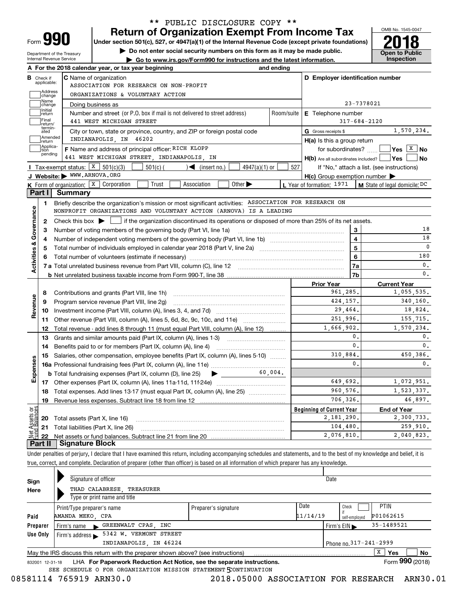| Form |  |
|------|--|

Department of the Treasury Internal Revenue Service

# **Return of Organization Exempt From Income Tax** \*\* PUBLIC DISCLOSURE COPY \*\*

Under section 501(c), 527, or 4947(a)(1) of the Internal Revenue Code (except private foundations) **2018** 

**| Do not enter social security numbers on this form as it may be made public.**

**| Go to www.irs.gov/Form990 for instructions and the latest information. Inspection**



| В                       |                         |                                                                                                                                                     |            |                                                     |                         |                                                        |
|-------------------------|-------------------------|-----------------------------------------------------------------------------------------------------------------------------------------------------|------------|-----------------------------------------------------|-------------------------|--------------------------------------------------------|
|                         | Check if<br>applicable: | <b>C</b> Name of organization<br>ASSOCIATION FOR RESEARCH ON NON-PROFIT                                                                             |            | D Employer identification number                    |                         |                                                        |
|                         | Address<br>change       | ORGANIZATIONS & VOLUNTARY ACTION                                                                                                                    |            |                                                     |                         |                                                        |
|                         | Name<br>change          | Doing business as                                                                                                                                   |            |                                                     | 23-7378021              |                                                        |
|                         | Initial<br>return       | Number and street (or P.O. box if mail is not delivered to street address)                                                                          | Room/suite | <b>E</b> Telephone number                           |                         |                                                        |
|                         | Final<br>return/        | 441 WEST MICHIGAN STREET                                                                                                                            |            |                                                     | $317 - 684 - 2120$      |                                                        |
|                         | termin-<br>ated         | City or town, state or province, country, and ZIP or foreign postal code                                                                            |            | G Gross receipts \$                                 |                         | 1,570,234.                                             |
|                         | Amended<br>return       | INDIANAPOLIS, IN 46202                                                                                                                              |            | H(a) Is this a group return                         |                         |                                                        |
|                         | Applica-<br>tion        | F Name and address of principal officer: RICH KLOPP                                                                                                 |            | for subordinates?                                   |                         | $\sqrt{\mathsf{Yes}\ \boxed{\mathrm{X}}\ \mathsf{No}}$ |
|                         | pending                 | 441 WEST MICHIGAN STREET, INDIANAPOLIS, IN                                                                                                          |            | $H(b)$ Are all subordinates included? $\Box$ Yes    |                         | No                                                     |
|                         |                         | Tax-exempt status: $X \mid 501(c)(3)$<br>501(c) (<br>$\sqrt{\frac{1}{1}}$ (insert no.)<br>$4947(a)(1)$ or                                           | 527        |                                                     |                         | If "No," attach a list. (see instructions)             |
|                         |                         | J Website: WWW.ARNOVA.ORG                                                                                                                           |            | $H(c)$ Group exemption number $\blacktriangleright$ |                         |                                                        |
|                         |                         | <b>K</b> Form of organization: $\boxed{\textbf{x}}$ Corporation<br>Trust<br>Other $\blacktriangleright$<br>Association                              |            | L Year of formation: 1971                           |                         | $\vert$ M State of legal domicile: DC                  |
| Part I                  |                         | <b>Summary</b>                                                                                                                                      |            |                                                     |                         |                                                        |
|                         | 1.                      | Briefly describe the organization's mission or most significant activities: ASSOCIATION FOR RESEARCH ON                                             |            |                                                     |                         |                                                        |
|                         |                         | NONPROFIT ORGANIZATIONS AND VOLUNTARY ACTION (ARNOVA) IS A LEADING                                                                                  |            |                                                     |                         |                                                        |
|                         | 2                       | Check this box $\blacktriangleright$ $\blacksquare$ if the organization discontinued its operations or disposed of more than 25% of its net assets. |            |                                                     |                         |                                                        |
|                         | 3                       | Number of voting members of the governing body (Part VI, line 1a)                                                                                   |            |                                                     | 3                       | 18                                                     |
|                         | 4                       |                                                                                                                                                     |            |                                                     | $\overline{\mathbf{4}}$ | 18                                                     |
|                         | 5                       |                                                                                                                                                     |            |                                                     | 5                       | C                                                      |
|                         |                         |                                                                                                                                                     |            |                                                     | 6                       | 180                                                    |
| Activities & Governance |                         |                                                                                                                                                     |            |                                                     | 7a                      | 0.                                                     |
|                         |                         |                                                                                                                                                     |            |                                                     |                         |                                                        |
|                         |                         |                                                                                                                                                     |            |                                                     | 7b                      |                                                        |
|                         |                         |                                                                                                                                                     |            | <b>Prior Year</b>                                   |                         | $\mathbf{0}$ .<br><b>Current Year</b>                  |
|                         | 8                       | Contributions and grants (Part VIII, line 1h)                                                                                                       |            | 961,285.                                            |                         | 1,055,535.                                             |
|                         | 9                       | Program service revenue (Part VIII, line 2g)                                                                                                        |            | 424, 157.                                           |                         | 340,160.                                               |
|                         | 10                      |                                                                                                                                                     |            | 29,464.                                             |                         | 18,824.                                                |
|                         | 11                      | Other revenue (Part VIII, column (A), lines 5, 6d, 8c, 9c, 10c, and 11e)                                                                            |            | 251.996.                                            |                         | 155,715.                                               |
|                         | 12                      | Total revenue - add lines 8 through 11 (must equal Part VIII, column (A), line 12)                                                                  |            | 1,666,902.                                          |                         | 1,570,234.                                             |
|                         | 13                      | Grants and similar amounts paid (Part IX, column (A), lines 1-3)                                                                                    |            |                                                     | $\mathbf{0}$ .          | 0.                                                     |
|                         | 14                      |                                                                                                                                                     |            |                                                     | $\mathbf{0}$ .          | 0.                                                     |
|                         | 15                      | Salaries, other compensation, employee benefits (Part IX, column (A), lines 5-10)                                                                   |            | 310,884.                                            |                         | 450,386.                                               |
|                         |                         |                                                                                                                                                     |            |                                                     | $\mathbf{0}$ .          | 0.                                                     |
| Revenue                 |                         | 60.004.<br><b>b</b> Total fundraising expenses (Part IX, column (D), line 25)                                                                       |            |                                                     |                         |                                                        |
| Expenses                |                         |                                                                                                                                                     |            | 649,692.                                            |                         | 1,072,951.                                             |
|                         | 18                      | Total expenses. Add lines 13-17 (must equal Part IX, column (A), line 25) [                                                                         |            | 960,576.                                            |                         | 1,523,337.                                             |
|                         | 19                      |                                                                                                                                                     |            | 706,326.                                            |                         |                                                        |
|                         |                         |                                                                                                                                                     |            | <b>Beginning of Current Year</b>                    |                         | 46,897.<br><b>End of Year</b>                          |
|                         |                         | <b>20</b> Total assets (Part X, line 16)                                                                                                            |            | 2,181,290.                                          |                         | 2,300,733.                                             |
| Ξğ<br>Ċ.                | 21                      | Total liabilities (Part X, line 26)                                                                                                                 |            | 104,480.<br>2,076,810.                              |                         | 259,910.                                               |

Under penalties of perjury, I declare that I have examined this return, including accompanying schedules and statements, and to the best of my knowledge and belief, it is true, correct, and complete. Declaration of preparer (other than officer) is based on all information of which preparer has any knowledge.

| Sign<br>Here | Signature of officer<br>THAD CALABRESE, TREASURER<br>Type or print name and title                            |                      |                  | Date                             |                   |  |
|--------------|--------------------------------------------------------------------------------------------------------------|----------------------|------------------|----------------------------------|-------------------|--|
| Paid         | Print/Type preparer's name<br>AMANDA MEKO, CPA                                                               | Preparer's signature | Date<br>11/14/19 | Check<br>self-employed           | PTIN<br>P01062615 |  |
| Preparer     | GREENWALT CPAS, INC<br>Firm's name<br>$\blacktriangleright$                                                  |                      |                  | Firm's $EIN \blacktriangleright$ | 35-1489521        |  |
| Use Only     | 5342 W. VERMONT STREET<br>Firm's address                                                                     |                      |                  |                                  |                   |  |
|              | INDIANAPOLIS, IN 46224                                                                                       |                      |                  | Phone no. 317-241-2999           |                   |  |
|              | х<br>Yes<br>No<br>May the IRS discuss this return with the preparer shown above? (see instructions)          |                      |                  |                                  |                   |  |
|              | Form 990 (2018)<br>LHA For Paperwork Reduction Act Notice, see the separate instructions.<br>832001 12-31-18 |                      |                  |                                  |                   |  |

SEE SCHEDULE O FOR ORGANIZATION MISSION STATEMENT CONTINUATION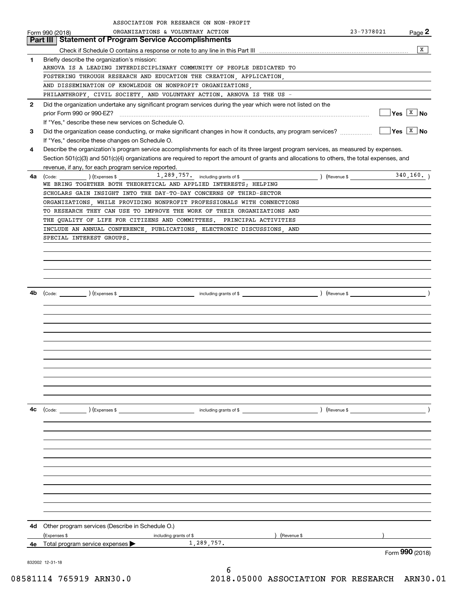|              | ASSOCIATION FOR RESEARCH ON NON-PROFIT                                                                                                       |                              |                             |
|--------------|----------------------------------------------------------------------------------------------------------------------------------------------|------------------------------|-----------------------------|
|              | ORGANIZATIONS & VOLUNTARY ACTION<br>Form 990 (2018)                                                                                          | 23-7378021                   | Page 2                      |
|              | <b>Statement of Program Service Accomplishments</b><br>Part III                                                                              |                              |                             |
|              |                                                                                                                                              |                              | x                           |
| 1            | Briefly describe the organization's mission:                                                                                                 |                              |                             |
|              | ARNOVA IS A LEADING INTERDISCIPLINARY COMMUNITY OF PEOPLE DEDICATED TO                                                                       |                              |                             |
|              | FOSTERING THROUGH RESEARCH AND EDUCATION THE CREATION, APPLICATION,<br>AND DISSEMINATION OF KNOWLEDGE ON NONPROFIT ORGANIZATIONS,            |                              |                             |
|              | PHILANTHROPY, CIVIL SOCIETY, AND VOLUNTARY ACTION. ARNOVA IS THE US -                                                                        |                              |                             |
| $\mathbf{2}$ | Did the organization undertake any significant program services during the year which were not listed on the                                 |                              |                             |
|              |                                                                                                                                              |                              | $ Yes \tX$ No               |
|              | If "Yes," describe these new services on Schedule O.                                                                                         |                              |                             |
| 3            | Did the organization cease conducting, or make significant changes in how it conducts, any program services?                                 |                              | $\sqrt{Y}$ es $\sqrt{X}$ No |
|              | If "Yes," describe these changes on Schedule O.                                                                                              |                              |                             |
| 4            | Describe the organization's program service accomplishments for each of its three largest program services, as measured by expenses.         |                              |                             |
|              | Section 501(c)(3) and 501(c)(4) organizations are required to report the amount of grants and allocations to others, the total expenses, and |                              |                             |
|              | revenue, if any, for each program service reported.                                                                                          |                              |                             |
| 4a           | $\frac{1}{289}$ , $757$ including grants of \$                                                                                               | $($ Revenue \$ $\frac{1}{2}$ | 340, 160.                   |
|              | WE BRING TOGETHER BOTH THEORETICAL AND APPLIED INTERESTS; HELPING                                                                            |                              |                             |
|              | SCHOLARS GAIN INSIGHT INTO THE DAY-TO-DAY CONCERNS OF THIRD-SECTOR                                                                           |                              |                             |
|              | ORGANIZATIONS, WHILE PROVIDING NONPROFIT PROFESSIONALS WITH CONNECTIONS                                                                      |                              |                             |
|              | TO RESEARCH THEY CAN USE TO IMPROVE THE WORK OF THEIR ORGANIZATIONS AND                                                                      |                              |                             |
|              | THE QUALITY OF LIFE FOR CITIZENS AND COMMITTEES. PRINCIPAL ACTIVITIES                                                                        |                              |                             |
|              | INCLUDE AN ANNUAL CONFERENCE, PUBLICATIONS, ELECTRONIC DISCUSSIONS, AND                                                                      |                              |                             |
|              | SPECIAL INTEREST GROUPS.                                                                                                                     |                              |                             |
|              |                                                                                                                                              |                              |                             |
|              |                                                                                                                                              |                              |                             |
|              |                                                                                                                                              |                              |                             |
|              |                                                                                                                                              |                              |                             |
| 4b           |                                                                                                                                              |                              |                             |
|              |                                                                                                                                              |                              |                             |
|              |                                                                                                                                              |                              |                             |
|              |                                                                                                                                              |                              |                             |
|              |                                                                                                                                              |                              |                             |
|              |                                                                                                                                              |                              |                             |
|              |                                                                                                                                              |                              |                             |
|              |                                                                                                                                              |                              |                             |
|              |                                                                                                                                              |                              |                             |
|              |                                                                                                                                              |                              |                             |
|              |                                                                                                                                              |                              |                             |
|              |                                                                                                                                              |                              |                             |
|              |                                                                                                                                              |                              |                             |
| 4c           |                                                                                                                                              | $\left(\text{Revenue }$      |                             |
|              |                                                                                                                                              |                              |                             |
|              |                                                                                                                                              |                              |                             |
|              |                                                                                                                                              |                              |                             |
|              |                                                                                                                                              |                              |                             |
|              |                                                                                                                                              |                              |                             |
|              |                                                                                                                                              |                              |                             |
|              |                                                                                                                                              |                              |                             |
|              |                                                                                                                                              |                              |                             |
|              |                                                                                                                                              |                              |                             |
|              |                                                                                                                                              |                              |                             |
|              |                                                                                                                                              |                              |                             |
| 4d -         | Other program services (Describe in Schedule O.)                                                                                             |                              |                             |
|              | ) (Revenue \$<br>(Expenses \$<br>including grants of \$                                                                                      |                              |                             |
| 4е           | 1,289,757.<br>Total program service expenses >                                                                                               |                              |                             |
|              |                                                                                                                                              |                              | Form 990 (2018)             |
|              | 832002 12-31-18                                                                                                                              |                              |                             |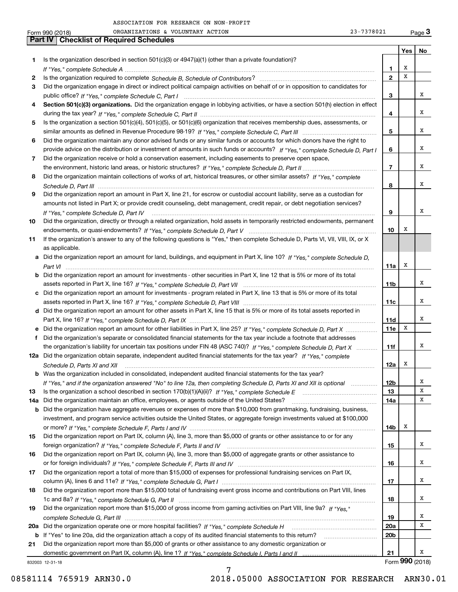|     | 23-7378021<br>ORGANIZATIONS & VOLUNTARY ACTION<br>Form 990 (2018)                                                                    |                 |     | Page $3$        |
|-----|--------------------------------------------------------------------------------------------------------------------------------------|-----------------|-----|-----------------|
|     | Part IV<br><b>Checklist of Required Schedules</b>                                                                                    |                 |     |                 |
|     |                                                                                                                                      |                 | Yes | No              |
| 1   | Is the organization described in section $501(c)(3)$ or $4947(a)(1)$ (other than a private foundation)?                              |                 |     |                 |
|     |                                                                                                                                      | 1               | х   |                 |
| 2   |                                                                                                                                      | $\mathbf{2}$    | x   |                 |
| 3   | Did the organization engage in direct or indirect political campaign activities on behalf of or in opposition to candidates for      |                 |     |                 |
|     |                                                                                                                                      | 3               |     | х               |
| 4   | Section 501(c)(3) organizations. Did the organization engage in lobbying activities, or have a section 501(h) election in effect     |                 |     |                 |
|     |                                                                                                                                      | 4               |     | x               |
| 5   | Is the organization a section 501(c)(4), 501(c)(5), or 501(c)(6) organization that receives membership dues, assessments, or         |                 |     |                 |
|     |                                                                                                                                      | 5               |     | х               |
| 6   | Did the organization maintain any donor advised funds or any similar funds or accounts for which donors have the right to            |                 |     |                 |
|     | provide advice on the distribution or investment of amounts in such funds or accounts? If "Yes," complete Schedule D, Part I         | 6               |     | х               |
|     |                                                                                                                                      |                 |     |                 |
| 7   | Did the organization receive or hold a conservation easement, including easements to preserve open space,                            |                 |     | x               |
|     |                                                                                                                                      | $\overline{7}$  |     |                 |
| 8   | Did the organization maintain collections of works of art, historical treasures, or other similar assets? If "Yes," complete         |                 |     |                 |
|     |                                                                                                                                      | 8               |     | х               |
| 9   | Did the organization report an amount in Part X, line 21, for escrow or custodial account liability, serve as a custodian for        |                 |     |                 |
|     | amounts not listed in Part X; or provide credit counseling, debt management, credit repair, or debt negotiation services?            |                 |     |                 |
|     |                                                                                                                                      | 9               |     | x               |
| 10  | Did the organization, directly or through a related organization, hold assets in temporarily restricted endowments, permanent        |                 |     |                 |
|     |                                                                                                                                      | 10              | х   |                 |
| 11  | If the organization's answer to any of the following questions is "Yes," then complete Schedule D, Parts VI, VII, VIII, IX, or X     |                 |     |                 |
|     | as applicable.                                                                                                                       |                 |     |                 |
|     | a Did the organization report an amount for land, buildings, and equipment in Part X, line 10? If "Yes," complete Schedule D,        |                 |     |                 |
|     |                                                                                                                                      | 11a             | х   |                 |
|     | <b>b</b> Did the organization report an amount for investments - other securities in Part X, line 12 that is 5% or more of its total |                 |     |                 |
|     |                                                                                                                                      | 11 <sub>b</sub> |     | х               |
|     | c Did the organization report an amount for investments - program related in Part X, line 13 that is 5% or more of its total         |                 |     |                 |
|     |                                                                                                                                      | 11c             |     | х               |
|     | d Did the organization report an amount for other assets in Part X, line 15 that is 5% or more of its total assets reported in       |                 |     |                 |
|     |                                                                                                                                      | 11d             |     | x               |
|     | e Did the organization report an amount for other liabilities in Part X, line 25? If "Yes," complete Schedule D, Part X              | 11e             | X   |                 |
| f   | Did the organization's separate or consolidated financial statements for the tax year include a footnote that addresses              |                 |     |                 |
|     | the organization's liability for uncertain tax positions under FIN 48 (ASC 740)? If "Yes," complete Schedule D, Part X               | 11f             |     | х               |
|     | 12a Did the organization obtain separate, independent audited financial statements for the tax year? If "Yes," complete              |                 |     |                 |
|     |                                                                                                                                      | 12a             | х   |                 |
|     | <b>b</b> Was the organization included in consolidated, independent audited financial statements for the tax year?                   |                 |     |                 |
|     |                                                                                                                                      |                 |     | x               |
|     | If "Yes," and if the organization answered "No" to line 12a, then completing Schedule D, Parts XI and XII is optional                | 12 <sub>b</sub> |     | х               |
| 13  |                                                                                                                                      | 13              |     |                 |
| 14a | Did the organization maintain an office, employees, or agents outside of the United States?                                          | 14a             |     | x               |
| b   | Did the organization have aggregate revenues or expenses of more than \$10,000 from grantmaking, fundraising, business,              |                 |     |                 |
|     | investment, and program service activities outside the United States, or aggregate foreign investments valued at \$100,000           |                 |     |                 |
|     |                                                                                                                                      | 14b             | x   |                 |
| 15  | Did the organization report on Part IX, column (A), line 3, more than \$5,000 of grants or other assistance to or for any            |                 |     |                 |
|     |                                                                                                                                      | 15              |     | x               |
| 16  | Did the organization report on Part IX, column (A), line 3, more than \$5,000 of aggregate grants or other assistance to             |                 |     |                 |
|     |                                                                                                                                      | 16              |     | x               |
| 17  | Did the organization report a total of more than \$15,000 of expenses for professional fundraising services on Part IX,              |                 |     |                 |
|     |                                                                                                                                      | 17              |     | х               |
| 18  | Did the organization report more than \$15,000 total of fundraising event gross income and contributions on Part VIII, lines         |                 |     |                 |
|     |                                                                                                                                      | 18              |     | х               |
| 19  | Did the organization report more than \$15,000 of gross income from gaming activities on Part VIII, line 9a? If "Yes."               |                 |     |                 |
|     |                                                                                                                                      | 19              |     | x               |
|     | 20a Did the organization operate one or more hospital facilities? If "Yes," complete Schedule H                                      | 20a             |     | х               |
|     | b If "Yes" to line 20a, did the organization attach a copy of its audited financial statements to this return?                       | 20 <sub>b</sub> |     |                 |
| 21  | Did the organization report more than \$5,000 of grants or other assistance to any domestic organization or                          |                 |     |                 |
|     |                                                                                                                                      | 21              |     | x               |
|     | 832003 12-31-18                                                                                                                      |                 |     | Form 990 (2018) |
|     |                                                                                                                                      |                 |     |                 |

7

832003 12-31-18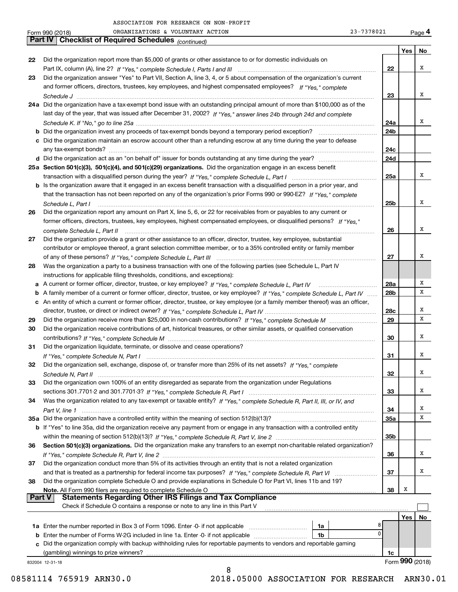|    | 23-7378021<br>ORGANIZATIONS & VOLUNTARY ACTION<br>Form 990 (2018)                                                                 |        |                 | Page 4 |
|----|-----------------------------------------------------------------------------------------------------------------------------------|--------|-----------------|--------|
|    | Part IV   Checklist of Required Schedules (continued)                                                                             |        |                 |        |
|    |                                                                                                                                   |        | Yes             | No     |
| 22 | Did the organization report more than \$5,000 of grants or other assistance to or for domestic individuals on                     |        |                 |        |
|    |                                                                                                                                   | 22     |                 | x      |
| 23 | Did the organization answer "Yes" to Part VII, Section A, line 3, 4, or 5 about compensation of the organization's current        |        |                 |        |
|    | and former officers, directors, trustees, key employees, and highest compensated employees? If "Yes," complete                    |        |                 |        |
|    |                                                                                                                                   | 23     |                 | x      |
|    | 24a Did the organization have a tax-exempt bond issue with an outstanding principal amount of more than \$100,000 as of the       |        |                 |        |
|    | last day of the year, that was issued after December 31, 2002? If "Yes," answer lines 24b through 24d and complete                |        |                 |        |
|    |                                                                                                                                   | 24a    |                 | х      |
|    |                                                                                                                                   | 24b    |                 |        |
|    | c Did the organization maintain an escrow account other than a refunding escrow at any time during the year to defease            |        |                 |        |
|    |                                                                                                                                   | 24c    |                 |        |
|    |                                                                                                                                   | 24d    |                 |        |
|    | 25a Section 501(c)(3), 501(c)(4), and 501(c)(29) organizations. Did the organization engage in an excess benefit                  |        |                 |        |
|    |                                                                                                                                   | 25a    |                 | х      |
|    | b Is the organization aware that it engaged in an excess benefit transaction with a disqualified person in a prior year, and      |        |                 |        |
|    | that the transaction has not been reported on any of the organization's prior Forms 990 or 990-EZ? If "Yes," complete             |        |                 |        |
|    | Schedule L, Part I                                                                                                                | 25b    |                 | x      |
| 26 | Did the organization report any amount on Part X, line 5, 6, or 22 for receivables from or payables to any current or             |        |                 |        |
|    | former officers, directors, trustees, key employees, highest compensated employees, or disqualified persons? If "Yes."            |        |                 |        |
|    |                                                                                                                                   | 26     |                 | x      |
| 27 | Did the organization provide a grant or other assistance to an officer, director, trustee, key employee, substantial              |        |                 |        |
|    | contributor or employee thereof, a grant selection committee member, or to a 35% controlled entity or family member               |        |                 |        |
|    |                                                                                                                                   | 27     |                 | х      |
| 28 | Was the organization a party to a business transaction with one of the following parties (see Schedule L, Part IV                 |        |                 |        |
|    | instructions for applicable filing thresholds, conditions, and exceptions):                                                       |        |                 |        |
|    | a A current or former officer, director, trustee, or key employee? If "Yes," complete Schedule L, Part IV                         | 28a    |                 | Χ      |
|    | b A family member of a current or former officer, director, trustee, or key employee? If "Yes," complete Schedule L, Part IV      | 28b    |                 | х      |
|    | c An entity of which a current or former officer, director, trustee, or key employee (or a family member thereof) was an officer, |        |                 |        |
|    |                                                                                                                                   | 28c    |                 | х      |
| 29 |                                                                                                                                   | 29     |                 | X      |
| 30 | Did the organization receive contributions of art, historical treasures, or other similar assets, or qualified conservation       |        |                 |        |
|    |                                                                                                                                   | 30     |                 | x      |
| 31 | Did the organization liquidate, terminate, or dissolve and cease operations?                                                      |        |                 |        |
|    | If "Yes," complete Schedule N, Part I measurements and contained a strategy of the strategy of the strategy of                    | 31     |                 | х      |
|    | Did the organization sell, exchange, dispose of, or transfer more than 25% of its net assets? If "Yes," complete                  |        |                 |        |
|    |                                                                                                                                   | 32     |                 | Χ      |
| 33 | Did the organization own 100% of an entity disregarded as separate from the organization under Regulations                        |        |                 |        |
|    |                                                                                                                                   | 33     |                 | x      |
| 34 | Was the organization related to any tax-exempt or taxable entity? If "Yes," complete Schedule R, Part II, III, or IV, and         |        |                 |        |
|    |                                                                                                                                   | 34     |                 | x      |
|    | 35a Did the organization have a controlled entity within the meaning of section 512(b)(13)?                                       | 35a    |                 | X      |
|    | b If "Yes" to line 35a, did the organization receive any payment from or engage in any transaction with a controlled entity       |        |                 |        |
|    |                                                                                                                                   | 35b    |                 |        |
| 36 | Section 501(c)(3) organizations. Did the organization make any transfers to an exempt non-charitable related organization?        |        |                 |        |
|    |                                                                                                                                   | 36     |                 | х      |
| 37 | Did the organization conduct more than 5% of its activities through an entity that is not a related organization                  |        |                 |        |
|    |                                                                                                                                   | 37     |                 | х      |
| 38 | Did the organization complete Schedule O and provide explanations in Schedule O for Part VI, lines 11b and 19?                    |        |                 |        |
|    | Note. All Form 990 filers are required to complete Schedule O                                                                     | 38     | Х               |        |
|    | <b>Statements Regarding Other IRS Filings and Tax Compliance</b><br><b>Part V</b>                                                 |        |                 |        |
|    | Check if Schedule O contains a response or note to any line in this Part V                                                        |        |                 |        |
|    |                                                                                                                                   |        | Yes             | No     |
|    | 1a                                                                                                                                | 8<br>0 |                 |        |
|    | <b>b</b> Enter the number of Forms W-2G included in line 1a. Enter -0- if not applicable<br>1b                                    |        |                 |        |
|    | c Did the organization comply with backup withholding rules for reportable payments to vendors and reportable gaming              |        |                 |        |
|    |                                                                                                                                   | 1c     | Form 990 (2018) |        |
|    | 832004 12-31-18<br>8                                                                                                              |        |                 |        |
|    |                                                                                                                                   |        |                 |        |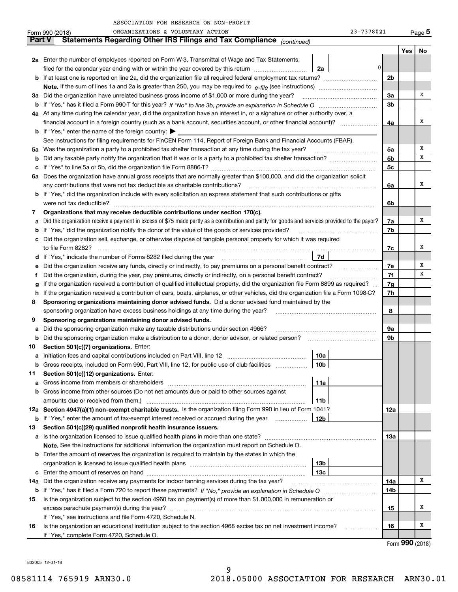| 23-7378021 | Pa |
|------------|----|
|------------|----|

|     |               | ORGANIZATIONS & VOLUNTARY ACTION<br>23-7378021<br>Form 990 (2018)                                                                                                                         |                |     | Page 5 |
|-----|---------------|-------------------------------------------------------------------------------------------------------------------------------------------------------------------------------------------|----------------|-----|--------|
|     | <b>Part V</b> | Statements Regarding Other IRS Filings and Tax Compliance (continued)                                                                                                                     |                |     |        |
|     |               |                                                                                                                                                                                           |                | Yes | No     |
|     |               | 2a Enter the number of employees reported on Form W-3, Transmittal of Wage and Tax Statements,                                                                                            |                |     |        |
|     |               | 0<br>filed for the calendar year ending with or within the year covered by this return<br>2a                                                                                              |                |     |        |
|     |               |                                                                                                                                                                                           | 2 <sub>b</sub> |     |        |
|     |               |                                                                                                                                                                                           |                |     |        |
| За  |               | Did the organization have unrelated business gross income of \$1,000 or more during the year?                                                                                             | 3a             |     | х      |
| b   |               |                                                                                                                                                                                           | 3 <sub>b</sub> |     |        |
|     |               | 4a At any time during the calendar year, did the organization have an interest in, or a signature or other authority over, a                                                              |                |     |        |
|     |               | financial account in a foreign country (such as a bank account, securities account, or other financial account)?                                                                          | 4a             |     | х      |
|     |               | <b>b</b> If "Yes," enter the name of the foreign country: $\blacktriangleright$                                                                                                           |                |     |        |
|     |               | See instructions for filing requirements for FinCEN Form 114, Report of Foreign Bank and Financial Accounts (FBAR).                                                                       |                |     |        |
| 5a  |               | Was the organization a party to a prohibited tax shelter transaction at any time during the tax year?                                                                                     | 5a             |     | х      |
| b   |               |                                                                                                                                                                                           | 5 <sub>b</sub> |     | х      |
| с   |               |                                                                                                                                                                                           | 5с             |     |        |
|     |               | 6a Does the organization have annual gross receipts that are normally greater than \$100,000, and did the organization solicit                                                            |                |     |        |
|     |               |                                                                                                                                                                                           | 6a             |     | х      |
|     |               | <b>b</b> If "Yes," did the organization include with every solicitation an express statement that such contributions or gifts                                                             |                |     |        |
|     |               | were not tax deductible?                                                                                                                                                                  | 6b             |     |        |
| 7   |               | Organizations that may receive deductible contributions under section 170(c).                                                                                                             |                |     |        |
| а   |               | Did the organization receive a payment in excess of \$75 made partly as a contribution and partly for goods and services provided to the payor?                                           | 7a             |     | х      |
| b   |               | If "Yes," did the organization notify the donor of the value of the goods or services provided?                                                                                           | 7b             |     |        |
|     |               | Did the organization sell, exchange, or otherwise dispose of tangible personal property for which it was required                                                                         |                |     |        |
|     |               |                                                                                                                                                                                           | 7с             |     | х      |
| d   |               | 7d                                                                                                                                                                                        |                |     |        |
| е   |               | Did the organization receive any funds, directly or indirectly, to pay premiums on a personal benefit contract?                                                                           | 7е             |     | х      |
| f   |               | Did the organization, during the year, pay premiums, directly or indirectly, on a personal benefit contract?                                                                              | 7f             |     | х      |
| g   |               | If the organization received a contribution of qualified intellectual property, did the organization file Form 8899 as required?                                                          | 7 <sub>g</sub> |     |        |
| h   |               | If the organization received a contribution of cars, boats, airplanes, or other vehicles, did the organization file a Form 1098-C?                                                        | 7h             |     |        |
| 8   |               | Sponsoring organizations maintaining donor advised funds. Did a donor advised fund maintained by the                                                                                      |                |     |        |
|     |               | sponsoring organization have excess business holdings at any time during the year?                                                                                                        | 8              |     |        |
| 9   |               | Sponsoring organizations maintaining donor advised funds.                                                                                                                                 |                |     |        |
| а   |               | Did the sponsoring organization make any taxable distributions under section 4966?                                                                                                        | 9a             |     |        |
| b   |               | Did the sponsoring organization make a distribution to a donor, donor advisor, or related person?                                                                                         | 9b             |     |        |
| 10  |               | Section 501(c)(7) organizations. Enter:                                                                                                                                                   |                |     |        |
| а   |               | 10a<br>Initiation fees and capital contributions included on Part VIII, line 12 [100] [100] [100] [100] [100] [100] [                                                                     |                |     |        |
|     |               | 10 <sub>b</sub><br>Gross receipts, included on Form 990, Part VIII, line 12, for public use of club facilities                                                                            |                |     |        |
| 11  |               | Section 501(c)(12) organizations. Enter:                                                                                                                                                  |                |     |        |
| а   |               | Gross income from members or shareholders<br>11a                                                                                                                                          |                |     |        |
| b   |               | Gross income from other sources (Do not net amounts due or paid to other sources against                                                                                                  |                |     |        |
|     |               | 11 <sub>b</sub>                                                                                                                                                                           |                |     |        |
|     |               | 12a Section 4947(a)(1) non-exempt charitable trusts. Is the organization filing Form 990 in lieu of Form 1041?                                                                            | 12a            |     |        |
|     |               | 12b<br><b>b</b> If "Yes," enter the amount of tax-exempt interest received or accrued during the year <i>manument</i> of                                                                  |                |     |        |
| 13  |               | Section 501(c)(29) qualified nonprofit health insurance issuers.                                                                                                                          |                |     |        |
| a   |               | Is the organization licensed to issue qualified health plans in more than one state?<br>Note. See the instructions for additional information the organization must report on Schedule O. | 13а            |     |        |
| b   |               | Enter the amount of reserves the organization is required to maintain by the states in which the                                                                                          |                |     |        |
|     |               | 13b                                                                                                                                                                                       |                |     |        |
| с   |               | 13c                                                                                                                                                                                       |                |     |        |
| 14a |               | Did the organization receive any payments for indoor tanning services during the tax year?                                                                                                | 14a            |     | x      |
|     |               |                                                                                                                                                                                           | 14b            |     |        |
| 15  |               | Is the organization subject to the section 4960 tax on payment(s) of more than \$1,000,000 in remuneration or                                                                             |                |     |        |
|     |               |                                                                                                                                                                                           | 15             |     | x      |
|     |               | If "Yes," see instructions and file Form 4720, Schedule N.                                                                                                                                |                |     |        |
| 16  |               | Is the organization an educational institution subject to the section 4968 excise tax on net investment income?                                                                           | 16             |     | x      |
|     |               | If "Yes," complete Form 4720, Schedule O.                                                                                                                                                 |                |     |        |
|     |               |                                                                                                                                                                                           |                |     |        |

Form (2018) **990**

832005 12-31-18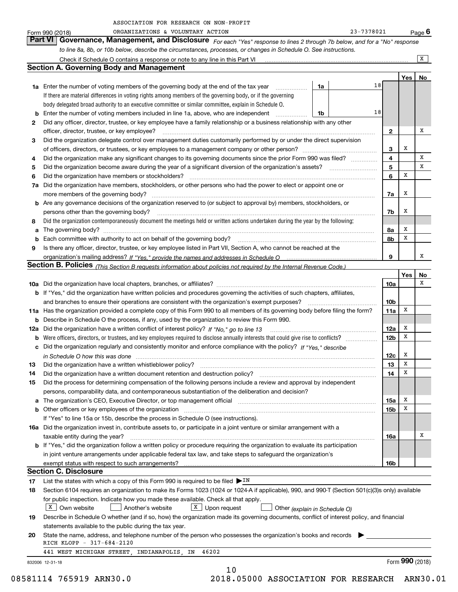|    | ORGANIZATIONS & VOLUNTARY ACTION<br>Form 990 (2018)                                                                                                                                                                                |    | 23-7378021 |                 |     | Page $6$        |
|----|------------------------------------------------------------------------------------------------------------------------------------------------------------------------------------------------------------------------------------|----|------------|-----------------|-----|-----------------|
|    | Governance, Management, and Disclosure For each "Yes" response to lines 2 through 7b below, and for a "No" response<br><b>Part VI</b>                                                                                              |    |            |                 |     |                 |
|    | to line 8a, 8b, or 10b below, describe the circumstances, processes, or changes in Schedule O. See instructions.                                                                                                                   |    |            |                 |     |                 |
|    |                                                                                                                                                                                                                                    |    |            |                 |     | X               |
|    | <b>Section A. Governing Body and Management</b>                                                                                                                                                                                    |    |            |                 |     |                 |
|    |                                                                                                                                                                                                                                    |    |            |                 | Yes | No              |
|    | <b>1a</b> Enter the number of voting members of the governing body at the end of the tax year <i>manumum</i>                                                                                                                       | 1a | 18         |                 |     |                 |
|    | If there are material differences in voting rights among members of the governing body, or if the governing                                                                                                                        |    |            |                 |     |                 |
|    | body delegated broad authority to an executive committee or similar committee, explain in Schedule O.                                                                                                                              |    |            |                 |     |                 |
|    | <b>b</b> Enter the number of voting members included in line 1a, above, who are independent                                                                                                                                        | 1b | 18         |                 |     |                 |
| 2  | Did any officer, director, trustee, or key employee have a family relationship or a business relationship with any other                                                                                                           |    |            |                 |     |                 |
|    | officer, director, trustee, or key employee?                                                                                                                                                                                       |    |            | $\mathbf{2}$    |     | x               |
| 3  | Did the organization delegate control over management duties customarily performed by or under the direct supervision                                                                                                              |    |            |                 |     |                 |
|    |                                                                                                                                                                                                                                    |    |            | 3               | х   |                 |
| 4  | Did the organization make any significant changes to its governing documents since the prior Form 990 was filed?                                                                                                                   |    |            | 4               |     | х               |
| 5  |                                                                                                                                                                                                                                    |    |            | 5               |     | x               |
| 6  | Did the organization have members or stockholders?                                                                                                                                                                                 |    |            | 6               | х   |                 |
|    | 7a Did the organization have members, stockholders, or other persons who had the power to elect or appoint one or                                                                                                                  |    |            |                 |     |                 |
|    | more members of the governing body?                                                                                                                                                                                                |    |            | 7a              | x   |                 |
|    | <b>b</b> Are any governance decisions of the organization reserved to (or subject to approval by) members, stockholders, or                                                                                                        |    |            |                 |     |                 |
|    | persons other than the governing body?                                                                                                                                                                                             |    |            | 7b              | х   |                 |
| 8  | Did the organization contemporaneously document the meetings held or written actions undertaken during the year by the following:                                                                                                  |    |            |                 |     |                 |
|    |                                                                                                                                                                                                                                    |    |            | 8a              | X   |                 |
|    | <b>b</b> Each committee with authority to act on behalf of the governing body?                                                                                                                                                     |    |            | 8b              | X   |                 |
| 9  | Is there any officer, director, trustee, or key employee listed in Part VII, Section A, who cannot be reached at the                                                                                                               |    |            |                 |     |                 |
|    |                                                                                                                                                                                                                                    |    |            | 9               |     | х               |
|    | Section B. Policies (This Section B requests information about policies not required by the Internal Revenue Code.)                                                                                                                |    |            |                 |     |                 |
|    |                                                                                                                                                                                                                                    |    |            |                 | Yes | No<br>х         |
|    |                                                                                                                                                                                                                                    |    |            | 10a             |     |                 |
|    | b If "Yes," did the organization have written policies and procedures governing the activities of such chapters, affiliates,                                                                                                       |    |            | 10 <sub>b</sub> |     |                 |
|    | and branches to ensure their operations are consistent with the organization's exempt purposes?<br>11a Has the organization provided a complete copy of this Form 990 to all members of its governing body before filing the form? |    |            | 11a             | х   |                 |
|    | <b>b</b> Describe in Schedule O the process, if any, used by the organization to review this Form 990.                                                                                                                             |    |            |                 |     |                 |
|    | 12a Did the organization have a written conflict of interest policy? If "No," go to line 13                                                                                                                                        |    |            | 12a             | X   |                 |
|    |                                                                                                                                                                                                                                    |    |            | 12 <sub>b</sub> | x   |                 |
|    | c Did the organization regularly and consistently monitor and enforce compliance with the policy? If "Yes," describe                                                                                                               |    |            |                 |     |                 |
|    |                                                                                                                                                                                                                                    |    |            | 12c             | х   |                 |
| 13 | Did the organization have a written whistleblower policy?                                                                                                                                                                          |    |            | 13              | x   |                 |
| 14 | Did the organization have a written document retention and destruction policy?                                                                                                                                                     |    |            | 14              | X   |                 |
| 15 | Did the process for determining compensation of the following persons include a review and approval by independent                                                                                                                 |    |            |                 |     |                 |
|    | persons, comparability data, and contemporaneous substantiation of the deliberation and decision?                                                                                                                                  |    |            |                 |     |                 |
| а  | The organization's CEO, Executive Director, or top management official manufactured content of the organization's CEO, Executive Director, or top management official                                                              |    |            | 15a             | X   |                 |
|    |                                                                                                                                                                                                                                    |    |            | 15 <sub>b</sub> | х   |                 |
|    | If "Yes" to line 15a or 15b, describe the process in Schedule O (see instructions).                                                                                                                                                |    |            |                 |     |                 |
|    | 16a Did the organization invest in, contribute assets to, or participate in a joint venture or similar arrangement with a                                                                                                          |    |            |                 |     |                 |
|    | taxable entity during the year?                                                                                                                                                                                                    |    |            | 16a             |     | х               |
|    | <b>b</b> If "Yes," did the organization follow a written policy or procedure requiring the organization to evaluate its participation                                                                                              |    |            |                 |     |                 |
|    | in joint venture arrangements under applicable federal tax law, and take steps to safeguard the organization's                                                                                                                     |    |            |                 |     |                 |
|    |                                                                                                                                                                                                                                    |    |            | 16b             |     |                 |
|    | <b>Section C. Disclosure</b>                                                                                                                                                                                                       |    |            |                 |     |                 |
| 17 | List the states with which a copy of this Form 990 is required to be filed $\blacktriangleright$ IN                                                                                                                                |    |            |                 |     |                 |
| 18 | Section 6104 requires an organization to make its Forms 1023 (1024 or 1024-A if applicable), 990, and 990-T (Section 501(c)(3)s only) available                                                                                    |    |            |                 |     |                 |
|    | for public inspection. Indicate how you made these available. Check all that apply.                                                                                                                                                |    |            |                 |     |                 |
|    | X Own website<br>$X$ Upon request<br>Another's website<br>Other (explain in Schedule O)                                                                                                                                            |    |            |                 |     |                 |
| 19 | Describe in Schedule O whether (and if so, how) the organization made its governing documents, conflict of interest policy, and financial                                                                                          |    |            |                 |     |                 |
|    | statements available to the public during the tax year.                                                                                                                                                                            |    |            |                 |     |                 |
| 20 | State the name, address, and telephone number of the person who possesses the organization's books and records<br>RICH KLOPP - 317-684-2120                                                                                        |    |            |                 |     |                 |
|    | 441 WEST MICHIGAN STREET, INDIANAPOLIS, IN<br>46202                                                                                                                                                                                |    |            |                 |     |                 |
|    | 832006 12-31-18                                                                                                                                                                                                                    |    |            |                 |     | Form 990 (2018) |
|    | 10                                                                                                                                                                                                                                 |    |            |                 |     |                 |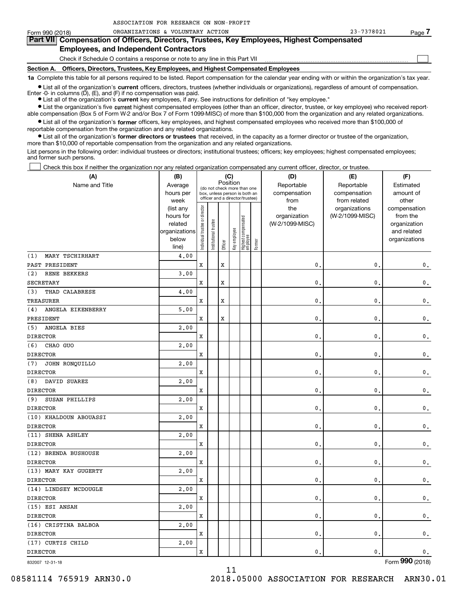| Form 990 (2018) | ORGANIZATIONS & VOLUNTARY ACTION                                                                                                                           | 23-7378021 | Page |
|-----------------|------------------------------------------------------------------------------------------------------------------------------------------------------------|------------|------|
|                 | Part VII Compensation of Officers, Directors, Trustees, Key Employees, Highest Compensated                                                                 |            |      |
|                 | <b>Employees, and Independent Contractors</b>                                                                                                              |            |      |
|                 | Check if Schedule O contains a response or note to any line in this Part VII                                                                               |            |      |
|                 | Section A. Officers, Directors, Trustees, Key Employees, and Highest Compensated Employees                                                                 |            |      |
|                 | 1a Complete this table for all persons required to be listed. Report compensation for the calendar year ending with or within the organization's tax year. |            |      |

**•** List all of the organization's current officers, directors, trustees (whether individuals or organizations), regardless of amount of compensation.

Enter -0- in columns (D), (E), and (F) if no compensation was paid.

ASSOCIATION FOR RESEARCH ON NON-PROFIT

**•** List the organization's five current highest compensated employees (other than an officer, director, trustee, or key employee) who received report-● List all of the organization's **current** key employees, if any. See instructions for definition of "key employee."

able compensation (Box 5 of Form W-2 and/or Box 7 of Form 1099-MISC) of more than \$100,000 from the organization and any related organizations.

 $\bullet$  List all of the organization's **former** officers, key employees, and highest compensated employees who received more than \$100,000 of reportable compensation from the organization and any related organizations.

**•** List all of the organization's former directors or trustees that received, in the capacity as a former director or trustee of the organization, more than \$10,000 of reportable compensation from the organization and any related organizations.

List persons in the following order: individual trustees or directors; institutional trustees; officers; key employees; highest compensated employees; and former such persons.

Check this box if neither the organization nor any related organization compensated any current officer, director, or trustee.

| (A)                        | (B)                  |                                |                                 |             | (C)                                                                      |                                 |        | (D)                             | (E)                        | (F)                         |
|----------------------------|----------------------|--------------------------------|---------------------------------|-------------|--------------------------------------------------------------------------|---------------------------------|--------|---------------------------------|----------------------------|-----------------------------|
| Name and Title             | Average<br>hours per |                                |                                 |             | Position<br>(do not check more than one<br>box, unless person is both an |                                 |        | Reportable<br>compensation      | Reportable<br>compensation | Estimated<br>amount of      |
|                            | week                 |                                | officer and a director/trustee) |             |                                                                          |                                 |        | from                            | from related               | other                       |
|                            | (list any            | Individual trustee or director |                                 |             |                                                                          |                                 |        | the                             | organizations              | compensation                |
|                            | hours for<br>related |                                |                                 |             |                                                                          |                                 |        | organization<br>(W-2/1099-MISC) | (W-2/1099-MISC)            | from the                    |
|                            | organizations        |                                |                                 |             |                                                                          |                                 |        |                                 |                            | organization<br>and related |
|                            | below                |                                | Institutional trustee           |             | Key employee                                                             | Highest compensated<br>employee |        |                                 |                            | organizations               |
|                            | line)                |                                |                                 | Officer     |                                                                          |                                 | Former |                                 |                            |                             |
| MARY TSCHIRHART<br>(1)     | 4,00                 |                                |                                 |             |                                                                          |                                 |        |                                 |                            |                             |
| PAST PRESIDENT             |                      | X                              |                                 | $\mathbf x$ |                                                                          |                                 |        | $\mathbf{0}$                    | $\mathbf{0}$               | $\mathbf 0$ .               |
| (2)<br><b>RENE BEKKERS</b> | 3,00                 |                                |                                 |             |                                                                          |                                 |        |                                 |                            |                             |
| <b>SECRETARY</b>           |                      | X                              |                                 | $\mathbf x$ |                                                                          |                                 |        | 0                               | $\mathbf 0$                | $\mathbf 0$ .               |
| THAD CALABRESE<br>(3)      | 4.00                 |                                |                                 |             |                                                                          |                                 |        |                                 |                            |                             |
| <b>TREASURER</b>           |                      | X                              |                                 | $\mathbf x$ |                                                                          |                                 |        | $\mathbf{0}$                    | $\mathbf 0$                | 0.                          |
| ANGELA EIKENBERRY<br>(4)   | 5.00                 |                                |                                 |             |                                                                          |                                 |        |                                 |                            |                             |
| PRESIDENT                  |                      | X                              |                                 | $\mathbf x$ |                                                                          |                                 |        | $\mathbf{0}$                    | $\mathbf 0$                | $\mathbf{0}$ .              |
| ANGELA BIES<br>(5)         | 2,00                 |                                |                                 |             |                                                                          |                                 |        |                                 |                            |                             |
| <b>DIRECTOR</b>            |                      | X                              |                                 |             |                                                                          |                                 |        | $\mathbf{0}$                    | $\mathbf{0}$               | $\mathsf{0}\,.$             |
| (6)<br>CHAO GUO            | 2,00                 |                                |                                 |             |                                                                          |                                 |        |                                 |                            |                             |
| <b>DIRECTOR</b>            |                      | X                              |                                 |             |                                                                          |                                 |        | 0                               | $\mathbf 0$                | $\mathsf{0}\,.$             |
| JOHN RONQUILLO<br>(7)      | 2,00                 |                                |                                 |             |                                                                          |                                 |        |                                 |                            |                             |
| <b>DIRECTOR</b>            |                      | X                              |                                 |             |                                                                          |                                 |        | $\mathbf{0}$                    | $\mathbf 0$                | $\mathsf{0}\,.$             |
| DAVID SUAREZ<br>(8)        | 2,00                 |                                |                                 |             |                                                                          |                                 |        |                                 |                            |                             |
| <b>DIRECTOR</b>            |                      | X                              |                                 |             |                                                                          |                                 |        | 0                               | $\mathbf 0$                | $\mathsf{0}\,.$             |
| SUSAN PHILLIPS<br>(9)      | 2,00                 |                                |                                 |             |                                                                          |                                 |        |                                 |                            |                             |
| <b>DIRECTOR</b>            |                      | X                              |                                 |             |                                                                          |                                 |        | $\mathbf{0}$                    | $\mathbf 0$                | $\mathbf 0$ .               |
| (10) KHALDOUN ABOUASSI     | 2,00                 |                                |                                 |             |                                                                          |                                 |        |                                 |                            |                             |
| <b>DIRECTOR</b>            |                      | x                              |                                 |             |                                                                          |                                 |        | 0                               | 0                          | $\mathbf 0$ .               |
| (11) SHENA ASHLEY          | 2,00                 |                                |                                 |             |                                                                          |                                 |        |                                 |                            |                             |
| <b>DIRECTOR</b>            |                      | X                              |                                 |             |                                                                          |                                 |        | $\mathbf{0}$                    | $\mathbf 0$                | $\mathbf 0$ .               |
| (12) BRENDA BUSHOUSE       | 2,00                 |                                |                                 |             |                                                                          |                                 |        |                                 |                            |                             |
| <b>DIRECTOR</b>            |                      | X                              |                                 |             |                                                                          |                                 |        | 0                               | 0                          | $\mathbf 0$ .               |
| (13) MARY KAY GUGERTY      | 2.00                 |                                |                                 |             |                                                                          |                                 |        |                                 |                            |                             |
| <b>DIRECTOR</b>            |                      | X                              |                                 |             |                                                                          |                                 |        | 0                               | $\mathbf{0}$               | $\mathbf 0$ .               |
| (14) LINDSEY MCDOUGLE      | 2.00                 |                                |                                 |             |                                                                          |                                 |        |                                 |                            |                             |
| <b>DIRECTOR</b>            |                      | X                              |                                 |             |                                                                          |                                 |        | 0                               | $\mathbf{0}$               | $\mathbf 0$ .               |
| (15) ESI ANSAH             | 2,00                 |                                |                                 |             |                                                                          |                                 |        |                                 |                            |                             |
| <b>DIRECTOR</b>            |                      | X                              |                                 |             |                                                                          |                                 |        | 0                               | $\mathbf{0}$               | $\mathsf{0}\,.$             |
| (16) CRISTINA BALBOA       | 2,00                 |                                |                                 |             |                                                                          |                                 |        |                                 |                            |                             |
| <b>DIRECTOR</b>            |                      | X                              |                                 |             |                                                                          |                                 |        | 0                               | $\mathbf{0}$               | $\mathsf{0}\,.$             |
| (17) CURTIS CHILD          | 2,00                 |                                |                                 |             |                                                                          |                                 |        |                                 |                            |                             |
| <b>DIRECTOR</b>            |                      | X                              |                                 |             |                                                                          |                                 |        | $\mathbf{0}$                    | $\mathbf{0}$               | 0.                          |

11

832007 12-31-18

Form (2018) **990**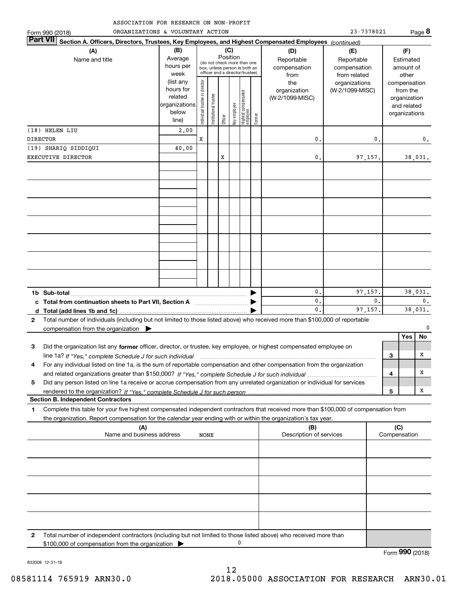| ASSOCIATION FOR RESEARCH ON NON-PROFIT |  |
|----------------------------------------|--|
|----------------------------------------|--|

|                       | ORGANIZATIONS & VOLUNTARY ACTION<br>Form 990 (2018)                                                                                                                                      | CIAIIUN FUR RESEARCH UN NUN-FRUFII                                       |                               |                       |                                                                                                                    |              |                                 |        |                                                                                     | 23-7378021                                                                            |                |     |                                                                                    | Page 8         |
|-----------------------|------------------------------------------------------------------------------------------------------------------------------------------------------------------------------------------|--------------------------------------------------------------------------|-------------------------------|-----------------------|--------------------------------------------------------------------------------------------------------------------|--------------|---------------------------------|--------|-------------------------------------------------------------------------------------|---------------------------------------------------------------------------------------|----------------|-----|------------------------------------------------------------------------------------|----------------|
| <b>Part VII</b>       | Section A. Officers, Directors, Trustees, Key Employees, and Highest Compensated Employees (continued)                                                                                   |                                                                          |                               |                       |                                                                                                                    |              |                                 |        |                                                                                     |                                                                                       |                |     |                                                                                    |                |
| (A)<br>Name and title |                                                                                                                                                                                          | (B)<br>Average<br>hours per<br>week<br>(list any<br>hours for<br>related |                               |                       | (C)<br>Position<br>(do not check more than one<br>box, unless person is both an<br>officer and a director/trustee) |              |                                 |        | (D)<br>Reportable<br>compensation<br>from<br>the<br>organization<br>(W-2/1099-MISC) | (E)<br>Reportable<br>compensation<br>from related<br>organizations<br>(W-2/1099-MISC) |                |     | (F)<br>Estimated<br>amount of<br>other<br>compensation<br>from the<br>organization |                |
|                       | (18) HELEN LIU                                                                                                                                                                           | organizations<br>below<br>line)                                          | ndividual trustee or director | Institutional trustee | Officer                                                                                                            | Key employee | Highest compensated<br>employee | Former |                                                                                     |                                                                                       |                |     | and related<br>organizations                                                       |                |
| <b>DIRECTOR</b>       |                                                                                                                                                                                          | 2,00                                                                     | x                             |                       |                                                                                                                    |              |                                 |        | 0.                                                                                  |                                                                                       | 0.             |     |                                                                                    | 0.             |
|                       | (19) SHARIQ SIDDIQUI                                                                                                                                                                     | 40.00                                                                    |                               |                       |                                                                                                                    |              |                                 |        |                                                                                     |                                                                                       |                |     |                                                                                    |                |
|                       | EXECUTIVE DIRECTOR                                                                                                                                                                       |                                                                          |                               |                       | X                                                                                                                  |              |                                 |        | 0.                                                                                  | 97,157.                                                                               |                |     |                                                                                    | 38,031.        |
|                       |                                                                                                                                                                                          |                                                                          |                               |                       |                                                                                                                    |              |                                 |        |                                                                                     |                                                                                       |                |     |                                                                                    |                |
|                       |                                                                                                                                                                                          |                                                                          |                               |                       |                                                                                                                    |              |                                 |        |                                                                                     |                                                                                       |                |     |                                                                                    |                |
|                       |                                                                                                                                                                                          |                                                                          |                               |                       |                                                                                                                    |              |                                 |        |                                                                                     |                                                                                       |                |     |                                                                                    |                |
|                       |                                                                                                                                                                                          |                                                                          |                               |                       |                                                                                                                    |              |                                 |        |                                                                                     |                                                                                       |                |     |                                                                                    |                |
|                       |                                                                                                                                                                                          |                                                                          |                               |                       |                                                                                                                    |              |                                 |        |                                                                                     |                                                                                       |                |     |                                                                                    |                |
|                       | 1b Sub-total                                                                                                                                                                             |                                                                          |                               |                       |                                                                                                                    |              |                                 |        | 0.                                                                                  | 97,157.                                                                               |                |     |                                                                                    | 38,031.        |
|                       |                                                                                                                                                                                          |                                                                          |                               |                       |                                                                                                                    |              |                                 |        | 0.                                                                                  |                                                                                       | $\mathbf{0}$ . |     |                                                                                    | $\mathbf{0}$ . |
|                       |                                                                                                                                                                                          |                                                                          |                               |                       |                                                                                                                    |              |                                 |        | $\mathbf{0}$ .                                                                      | 97,157.                                                                               |                |     |                                                                                    | 38,031.        |
| 2                     | Total number of individuals (including but not limited to those listed above) who received more than \$100,000 of reportable<br>compensation from the organization $\blacktriangleright$ |                                                                          |                               |                       |                                                                                                                    |              |                                 |        |                                                                                     |                                                                                       |                |     |                                                                                    | $\Omega$       |
|                       |                                                                                                                                                                                          |                                                                          |                               |                       |                                                                                                                    |              |                                 |        |                                                                                     |                                                                                       |                |     | Yes                                                                                | No             |
| 3                     | Did the organization list any former officer, director, or trustee, key employee, or highest compensated employee on                                                                     |                                                                          |                               |                       |                                                                                                                    |              |                                 |        |                                                                                     |                                                                                       |                |     |                                                                                    |                |
|                       | line 1a? If "Yes," complete Schedule J for such individual material contains and the Yes," complete Schedule J for such individual                                                       |                                                                          |                               |                       |                                                                                                                    |              |                                 |        |                                                                                     |                                                                                       |                | 3   |                                                                                    | х              |
| 4                     | For any individual listed on line 1a, is the sum of reportable compensation and other compensation from the organization                                                                 |                                                                          |                               |                       |                                                                                                                    |              |                                 |        |                                                                                     |                                                                                       |                |     |                                                                                    |                |
|                       |                                                                                                                                                                                          |                                                                          |                               |                       |                                                                                                                    |              |                                 |        |                                                                                     |                                                                                       |                | 4   |                                                                                    | х              |
| 5                     | Did any person listed on line 1a receive or accrue compensation from any unrelated organization or individual for services                                                               |                                                                          |                               |                       |                                                                                                                    |              |                                 |        |                                                                                     |                                                                                       |                | 5   |                                                                                    | x              |
|                       | <b>Section B. Independent Contractors</b>                                                                                                                                                |                                                                          |                               |                       |                                                                                                                    |              |                                 |        |                                                                                     |                                                                                       |                |     |                                                                                    |                |
| 1                     | Complete this table for your five highest compensated independent contractors that received more than \$100,000 of compensation from                                                     |                                                                          |                               |                       |                                                                                                                    |              |                                 |        |                                                                                     |                                                                                       |                |     |                                                                                    |                |
|                       | the organization. Report compensation for the calendar year ending with or within the organization's tax year.                                                                           |                                                                          |                               |                       |                                                                                                                    |              |                                 |        |                                                                                     |                                                                                       |                |     |                                                                                    |                |
|                       | (A)<br>Name and business address                                                                                                                                                         |                                                                          | NONE                          |                       |                                                                                                                    |              |                                 |        | (B)<br>Description of services                                                      |                                                                                       |                | (C) | Compensation                                                                       |                |
|                       |                                                                                                                                                                                          |                                                                          |                               |                       |                                                                                                                    |              |                                 |        |                                                                                     |                                                                                       |                |     |                                                                                    |                |
|                       |                                                                                                                                                                                          |                                                                          |                               |                       |                                                                                                                    |              |                                 |        |                                                                                     |                                                                                       |                |     |                                                                                    |                |
|                       |                                                                                                                                                                                          |                                                                          |                               |                       |                                                                                                                    |              |                                 |        |                                                                                     |                                                                                       |                |     |                                                                                    |                |

12

0

Total number of independent contractors (including but not limited to those listed above) who received more than

\$100,000 of compensation from the organization  $\blacktriangleright$ 

832008 12-31-18

**2**

Form (2018) **990**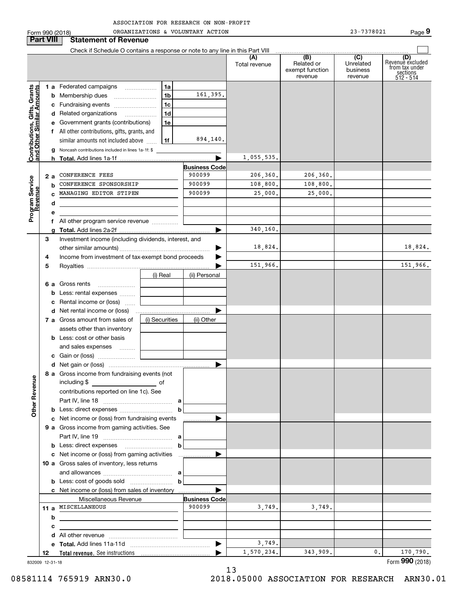| ASSOCIATION FOR RESEARCH ON NON-PROFIT |  |  |
|----------------------------------------|--|--|
|                                        |  |  |

|                                                           |                           | Form 990 (2018)                                                               |                | ORGANIZATIONS & VOLUNTARY ACTION |                      |                                                 | 23-7378021                              | Page 9                                                             |
|-----------------------------------------------------------|---------------------------|-------------------------------------------------------------------------------|----------------|----------------------------------|----------------------|-------------------------------------------------|-----------------------------------------|--------------------------------------------------------------------|
|                                                           | <b>Part VIII</b>          | <b>Statement of Revenue</b>                                                   |                |                                  |                      |                                                 |                                         |                                                                    |
|                                                           |                           | Check if Schedule O contains a response or note to any line in this Part VIII |                |                                  |                      |                                                 |                                         |                                                                    |
|                                                           |                           |                                                                               |                |                                  | (A)<br>Total revenue | (B)<br>Related or<br>exempt function<br>revenue | (C)<br>Unrelated<br>business<br>revenue | (D)<br>Revenuè excluded<br>from tax under<br>sections<br>512 - 514 |
|                                                           |                           | 1 a Federated campaigns                                                       | 1a             |                                  |                      |                                                 |                                         |                                                                    |
| Contributions, Gifts, Grants<br>and Other Similar Amounts |                           |                                                                               | 1 <sub>b</sub> | 161,395.                         |                      |                                                 |                                         |                                                                    |
|                                                           |                           | c Fundraising events                                                          | 1c             |                                  |                      |                                                 |                                         |                                                                    |
|                                                           |                           | d Related organizations                                                       | 1 <sub>d</sub> |                                  |                      |                                                 |                                         |                                                                    |
|                                                           |                           | e Government grants (contributions)                                           | 1e             |                                  |                      |                                                 |                                         |                                                                    |
|                                                           |                           | f All other contributions, gifts, grants, and                                 |                |                                  |                      |                                                 |                                         |                                                                    |
|                                                           |                           | similar amounts not included above                                            | 1f             | 894,140.                         |                      |                                                 |                                         |                                                                    |
|                                                           |                           | <b>g</b> Noncash contributions included in lines 1a-1f: \$                    |                |                                  |                      |                                                 |                                         |                                                                    |
|                                                           |                           |                                                                               |                |                                  | 1,055,535.           |                                                 |                                         |                                                                    |
|                                                           |                           |                                                                               |                | <b>Business Code</b>             |                      |                                                 |                                         |                                                                    |
|                                                           | 2 a                       | CONFERENCE FEES                                                               |                | 900099                           | 206, 360.            | 206, 360.                                       |                                         |                                                                    |
|                                                           | b                         | CONFERENCE SPONSORSHIP                                                        |                | 900099                           | 108,800.             | 108,800.                                        |                                         |                                                                    |
| Program Service<br>Revenue                                |                           | MANAGING EDITOR STIPEN                                                        |                | 900099                           | 25,000.              | 25,000.                                         |                                         |                                                                    |
|                                                           | d                         |                                                                               |                |                                  |                      |                                                 |                                         |                                                                    |
|                                                           | е                         |                                                                               |                |                                  |                      |                                                 |                                         |                                                                    |
|                                                           |                           | f All other program service revenue                                           |                |                                  |                      |                                                 |                                         |                                                                    |
|                                                           |                           |                                                                               |                | ▶                                | 340,160.             |                                                 |                                         |                                                                    |
|                                                           | 3                         | Investment income (including dividends, interest, and                         |                |                                  |                      |                                                 |                                         |                                                                    |
|                                                           |                           |                                                                               |                | ▶                                | 18,824.              |                                                 |                                         | 18,824.                                                            |
|                                                           | 4                         | Income from investment of tax-exempt bond proceeds                            |                | ▶                                |                      |                                                 |                                         |                                                                    |
|                                                           | 5                         |                                                                               |                |                                  | 151,966.             |                                                 |                                         | 151,966.                                                           |
|                                                           |                           |                                                                               | (i) Real       | (ii) Personal                    |                      |                                                 |                                         |                                                                    |
|                                                           |                           | 6 a Gross rents                                                               |                |                                  |                      |                                                 |                                         |                                                                    |
|                                                           |                           | <b>b</b> Less: rental expenses                                                |                |                                  |                      |                                                 |                                         |                                                                    |
|                                                           | c Rental income or (loss) |                                                                               |                |                                  |                      |                                                 |                                         |                                                                    |
|                                                           |                           | <b>d</b> Net rental income or (loss)                                          |                |                                  |                      |                                                 |                                         |                                                                    |
|                                                           |                           | 7 a Gross amount from sales of                                                | (i) Securities | (ii) Other                       |                      |                                                 |                                         |                                                                    |
|                                                           |                           | assets other than inventory                                                   |                |                                  |                      |                                                 |                                         |                                                                    |
|                                                           |                           | <b>b</b> Less: cost or other basis                                            |                |                                  |                      |                                                 |                                         |                                                                    |
|                                                           |                           | and sales expenses                                                            |                |                                  |                      |                                                 |                                         |                                                                    |
|                                                           |                           | c Gain or (loss)                                                              |                |                                  |                      |                                                 |                                         |                                                                    |
|                                                           |                           | 8 a Gross income from fundraising events (not                                 |                |                                  |                      |                                                 |                                         |                                                                    |
|                                                           |                           |                                                                               |                |                                  |                      |                                                 |                                         |                                                                    |
|                                                           |                           | contributions reported on line 1c). See                                       |                |                                  |                      |                                                 |                                         |                                                                    |
| <b>Other Revenue</b>                                      |                           |                                                                               |                |                                  |                      |                                                 |                                         |                                                                    |
|                                                           |                           |                                                                               | b              |                                  |                      |                                                 |                                         |                                                                    |
|                                                           |                           | c Net income or (loss) from fundraising events                                |                | ▶<br>.                           |                      |                                                 |                                         |                                                                    |
|                                                           |                           | 9 a Gross income from gaming activities. See                                  |                |                                  |                      |                                                 |                                         |                                                                    |
|                                                           |                           |                                                                               | a              |                                  |                      |                                                 |                                         |                                                                    |
|                                                           |                           |                                                                               | b              |                                  |                      |                                                 |                                         |                                                                    |
|                                                           |                           | c Net income or (loss) from gaming activities                                 |                | ▶<br>.                           |                      |                                                 |                                         |                                                                    |
|                                                           |                           | 10 a Gross sales of inventory, less returns                                   |                |                                  |                      |                                                 |                                         |                                                                    |
|                                                           |                           |                                                                               |                |                                  |                      |                                                 |                                         |                                                                    |
|                                                           |                           |                                                                               | b              |                                  |                      |                                                 |                                         |                                                                    |
|                                                           |                           | c Net income or (loss) from sales of inventory                                |                |                                  |                      |                                                 |                                         |                                                                    |
|                                                           |                           | Miscellaneous Revenue                                                         |                | <b>Business Code</b>             |                      |                                                 |                                         |                                                                    |
|                                                           |                           | 11 a MISCELLANEOUS                                                            |                | 900099                           | 3,749.               | 3,749.                                          |                                         |                                                                    |
|                                                           | b                         |                                                                               |                |                                  |                      |                                                 |                                         |                                                                    |
|                                                           | с                         |                                                                               |                |                                  |                      |                                                 |                                         |                                                                    |
|                                                           |                           |                                                                               |                |                                  |                      |                                                 |                                         |                                                                    |
|                                                           |                           |                                                                               |                | ▶                                | 3,749.               |                                                 |                                         |                                                                    |
|                                                           | 12                        |                                                                               |                |                                  | 1,570,234.           | 343,909.                                        | 0.                                      | 170,790.                                                           |
|                                                           | 832009 12-31-18           |                                                                               |                |                                  |                      |                                                 |                                         | Form 990 (2018)                                                    |

832009 12-31-18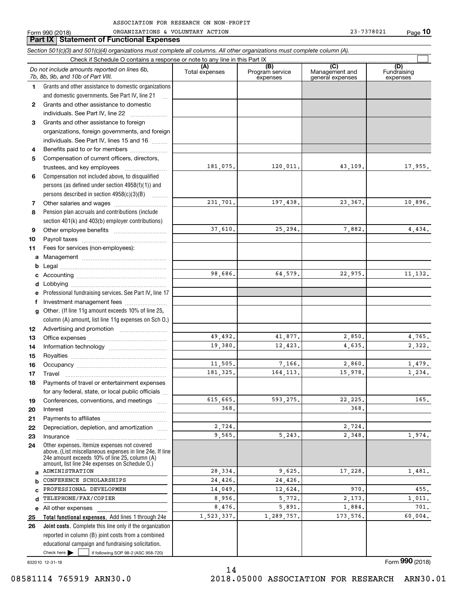|              | Part IX Statement of Functional Expenses                                                                                   |                       |                                    |                                           |                                |
|--------------|----------------------------------------------------------------------------------------------------------------------------|-----------------------|------------------------------------|-------------------------------------------|--------------------------------|
|              | Section 501(c)(3) and 501(c)(4) organizations must complete all columns. All other organizations must complete column (A). |                       |                                    |                                           |                                |
|              | Check if Schedule O contains a response or note to any line in this Part IX                                                |                       |                                    |                                           |                                |
|              | Do not include amounts reported on lines 6b,<br>7b, 8b, 9b, and 10b of Part VIII.                                          | (A)<br>Total expenses | (B)<br>Program service<br>expenses | (C)<br>Management and<br>general expenses | (D)<br>Fundraising<br>expenses |
| 1            | Grants and other assistance to domestic organizations                                                                      |                       |                                    |                                           |                                |
|              | and domestic governments. See Part IV, line 21                                                                             |                       |                                    |                                           |                                |
| $\mathbf{2}$ | Grants and other assistance to domestic                                                                                    |                       |                                    |                                           |                                |
|              | individuals. See Part IV, line 22                                                                                          |                       |                                    |                                           |                                |
| 3            | Grants and other assistance to foreign                                                                                     |                       |                                    |                                           |                                |
|              | organizations, foreign governments, and foreign                                                                            |                       |                                    |                                           |                                |
|              | individuals. See Part IV, lines 15 and 16                                                                                  |                       |                                    |                                           |                                |
| 4            | Benefits paid to or for members                                                                                            |                       |                                    |                                           |                                |
| 5            | Compensation of current officers, directors,                                                                               |                       |                                    |                                           |                                |
|              | trustees, and key employees                                                                                                | 181,075.              | 120,011.                           | 43,109.                                   | 17,955.                        |
| 6            | Compensation not included above, to disqualified                                                                           |                       |                                    |                                           |                                |
|              | persons (as defined under section 4958(f)(1)) and                                                                          |                       |                                    |                                           |                                |
|              | persons described in section $4958(c)(3)(B)$                                                                               |                       |                                    | 23, 367.                                  |                                |
| 7            |                                                                                                                            | 231,701.              | 197,438.                           |                                           | 10,896.                        |
| 8            | Pension plan accruals and contributions (include                                                                           |                       |                                    |                                           |                                |
|              | section 401(k) and 403(b) employer contributions)                                                                          | 37,610.               | 25,294.                            | 7,882.                                    | 4,434.                         |
| 9            |                                                                                                                            |                       |                                    |                                           |                                |
| 10<br>11     | Fees for services (non-employees):                                                                                         |                       |                                    |                                           |                                |
| а            |                                                                                                                            |                       |                                    |                                           |                                |
| b            |                                                                                                                            |                       |                                    |                                           |                                |
| c            |                                                                                                                            | 98,686.               | 64,579.                            | 22,975.                                   | 11, 132.                       |
| d            | Lobbying                                                                                                                   |                       |                                    |                                           |                                |
| е            | Professional fundraising services. See Part IV, line 17                                                                    |                       |                                    |                                           |                                |
| f            | Investment management fees                                                                                                 |                       |                                    |                                           |                                |
| g            | Other. (If line 11g amount exceeds 10% of line 25,                                                                         |                       |                                    |                                           |                                |
|              | column (A) amount, list line 11g expenses on Sch O.)                                                                       |                       |                                    |                                           |                                |
| 12           |                                                                                                                            |                       |                                    |                                           |                                |
| 13           |                                                                                                                            | 49,492.               | 41.877.                            | 2,850.                                    | 4,765.                         |
| 14           |                                                                                                                            | 19,380.               | 12,423.                            | 4,635.                                    | 2,322.                         |
| 15           |                                                                                                                            |                       |                                    |                                           |                                |
| 16           |                                                                                                                            | 11,505.               | 7,166.                             | 2,860.                                    | 1,479.                         |
| 17           | Travel                                                                                                                     | 181,325.              | 164, 113.                          | 15,978.                                   | 1,234.                         |
| 18           | Payments of travel or entertainment expenses                                                                               |                       |                                    |                                           |                                |
|              | for any federal, state, or local public officials                                                                          |                       |                                    |                                           |                                |
| 19           | Conferences, conventions, and meetings                                                                                     | 615,665.              | 593,275.                           | 22, 225.                                  | 165.                           |
| 20           | Interest                                                                                                                   | 368.                  |                                    | 368.                                      |                                |
| 21           |                                                                                                                            | 2,724.                |                                    | 2,724.                                    |                                |
| 22           | Depreciation, depletion, and amortization                                                                                  | 9,565.                | 5,243.                             | 2,348.                                    | 1,974.                         |
| 23<br>24     | Insurance<br>Other expenses. Itemize expenses not covered                                                                  |                       |                                    |                                           |                                |
|              | above. (List miscellaneous expenses in line 24e. If line                                                                   |                       |                                    |                                           |                                |
|              | 24e amount exceeds 10% of line 25, column (A)<br>amount, list line 24e expenses on Schedule O.)                            |                       |                                    |                                           |                                |
| a            | ADMINISTRATION                                                                                                             | 28,334.               | 9,625.                             | 17,228.                                   | 1,481.                         |
| b            | CONFERENCE SCHOLARSHIPS                                                                                                    | 24,426.               | 24,426.                            |                                           |                                |
| C            | PROFESSIONAL DEVELOPMEN                                                                                                    | 14,049.               | 12,624.                            | 970.                                      | 455.                           |
| d            | TELEPHONE/FAX/COPIER                                                                                                       | 8,956.                | 5,772.                             | 2,173.                                    | 1,011.                         |
| е            | All other expenses                                                                                                         | 8,476.                | 5,891.                             | 1,884.                                    | 701.                           |
| 25           | Total functional expenses. Add lines 1 through 24e                                                                         | 1,523,337.            | 1,289,757.                         | 173,576.                                  | 60,004.                        |
| 26           | Joint costs. Complete this line only if the organization                                                                   |                       |                                    |                                           |                                |
|              | reported in column (B) joint costs from a combined                                                                         |                       |                                    |                                           |                                |
|              | educational campaign and fundraising solicitation.                                                                         |                       |                                    |                                           |                                |

14

832010 12-31-18

 $Check here$ 

Form (2018) **990**

Check here  $\begin{array}{|c|c|c|c|c|}\hline \text{ } & \text{ if following SOP 98-2 (ASC 958-720)} \hline \end{array}$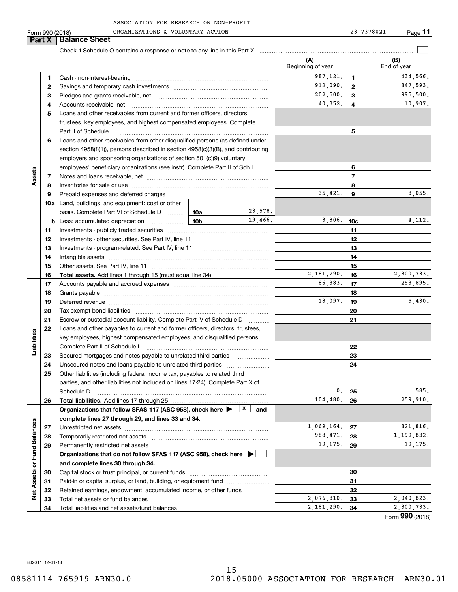**Part X Balance Sheet**

|                             |          |                                                                                                                                                                                                                                |  |                          | (A)<br>Beginning of year |                | (B)<br>End of year     |
|-----------------------------|----------|--------------------------------------------------------------------------------------------------------------------------------------------------------------------------------------------------------------------------------|--|--------------------------|--------------------------|----------------|------------------------|
|                             | 1        |                                                                                                                                                                                                                                |  |                          | 987,121.                 | 1              | 434,566.               |
|                             | 2        |                                                                                                                                                                                                                                |  |                          | 912,090.                 | $\mathbf{2}$   | 847,593.               |
|                             | з        |                                                                                                                                                                                                                                |  |                          | 202,500.                 | 3              | 995,500.               |
|                             | 4        |                                                                                                                                                                                                                                |  |                          | 40,352.                  | 4              | 10,907.                |
|                             | 5        | Loans and other receivables from current and former officers, directors,                                                                                                                                                       |  |                          |                          |                |                        |
|                             |          | trustees, key employees, and highest compensated employees. Complete                                                                                                                                                           |  |                          |                          |                |                        |
|                             | 6        | Part II of Schedule L<br>Loans and other receivables from other disqualified persons (as defined under                                                                                                                         |  |                          |                          | 5              |                        |
|                             |          | section $4958(f)(1)$ , persons described in section $4958(c)(3)(B)$ , and contributing                                                                                                                                         |  |                          |                          |                |                        |
|                             |          | employers and sponsoring organizations of section 501(c)(9) voluntary                                                                                                                                                          |  |                          |                          |                |                        |
|                             |          | employees' beneficiary organizations (see instr). Complete Part II of Sch L                                                                                                                                                    |  |                          |                          | 6              |                        |
| Assets                      | 7        |                                                                                                                                                                                                                                |  |                          |                          | $\overline{7}$ |                        |
|                             | 8        |                                                                                                                                                                                                                                |  |                          |                          | 8              |                        |
|                             | 9        | Prepaid expenses and deferred charges [11] matter continuum matter and the Prepaid expenses and deferred charges                                                                                                               |  |                          | 35,421.                  | 9              | 8,055.                 |
|                             |          | <b>10a</b> Land, buildings, and equipment: cost or other                                                                                                                                                                       |  |                          |                          |                |                        |
|                             |          | basis. Complete Part VI of Schedule D  10a                                                                                                                                                                                     |  | 23,578.                  |                          |                |                        |
|                             |          | <u> 10b</u><br><b>b</b> Less: accumulated depreciation                                                                                                                                                                         |  | 19,466.                  | 3,806.                   | 10c            | 4,112.                 |
|                             | 11       |                                                                                                                                                                                                                                |  |                          |                          | 11             |                        |
|                             | 12       |                                                                                                                                                                                                                                |  |                          |                          | 12             |                        |
|                             | 13       |                                                                                                                                                                                                                                |  |                          |                          | 13             |                        |
|                             | 14       |                                                                                                                                                                                                                                |  |                          |                          | 14             |                        |
|                             | 15       |                                                                                                                                                                                                                                |  |                          | 15                       |                |                        |
|                             | 16       |                                                                                                                                                                                                                                |  |                          | 2,181,290.               | 16             | 2,300,733.             |
|                             | 17       |                                                                                                                                                                                                                                |  | 86,383.                  | 17                       | 253,895.       |                        |
|                             | 18       |                                                                                                                                                                                                                                |  |                          |                          | 18             |                        |
|                             | 19       | Deferred revenue manual contracts and contracts are all the manual contracts and contracts are contracted and contracts are contracted and contract are contracted and contract are contracted and contract are contracted and |  |                          | 18,097.                  | 19             | 5,430.                 |
|                             | 20       |                                                                                                                                                                                                                                |  |                          |                          | 20             |                        |
|                             | 21       | Escrow or custodial account liability. Complete Part IV of Schedule D                                                                                                                                                          |  |                          |                          | 21             |                        |
|                             | 22       | Loans and other payables to current and former officers, directors, trustees,                                                                                                                                                  |  |                          |                          |                |                        |
|                             |          | key employees, highest compensated employees, and disqualified persons.                                                                                                                                                        |  |                          |                          |                |                        |
| Liabilities                 |          |                                                                                                                                                                                                                                |  |                          |                          | 22             |                        |
|                             | 23       | Secured mortgages and notes payable to unrelated third parties                                                                                                                                                                 |  | $\overline{\phantom{a}}$ |                          | 23             |                        |
|                             | 24       |                                                                                                                                                                                                                                |  |                          |                          | 24             |                        |
|                             | 25       | Other liabilities (including federal income tax, payables to related third                                                                                                                                                     |  |                          |                          |                |                        |
|                             |          | parties, and other liabilities not included on lines 17-24). Complete Part X of                                                                                                                                                |  |                          |                          |                |                        |
|                             |          | Schedule D                                                                                                                                                                                                                     |  |                          | 0.                       | 25             | 585.                   |
|                             | 26       | Total liabilities. Add lines 17 through 25                                                                                                                                                                                     |  |                          | 104,480.                 | 26             | 259,910.               |
|                             |          | Organizations that follow SFAS 117 (ASC 958), check here >                                                                                                                                                                     |  | $\vert x \vert$<br>and   |                          |                |                        |
|                             |          | complete lines 27 through 29, and lines 33 and 34.                                                                                                                                                                             |  |                          |                          |                |                        |
|                             | 27       |                                                                                                                                                                                                                                |  |                          | 1,069,164.<br>988, 471.  | 27             | 821,816.<br>1,199,832. |
|                             | 28       | Temporarily restricted net assets                                                                                                                                                                                              |  |                          | 19,175.                  | 28             | 19,175.                |
| Net Assets or Fund Balances | 29       | Permanently restricted net assets                                                                                                                                                                                              |  |                          |                          | 29             |                        |
|                             |          | Organizations that do not follow SFAS 117 (ASC 958), check here ▶                                                                                                                                                              |  |                          |                          |                |                        |
|                             |          | and complete lines 30 through 34.                                                                                                                                                                                              |  |                          |                          |                |                        |
|                             | 30       | Paid-in or capital surplus, or land, building, or equipment fund                                                                                                                                                               |  |                          |                          | 30<br>31       |                        |
|                             | 31<br>32 |                                                                                                                                                                                                                                |  |                          |                          | 32             |                        |
|                             | 33       | Retained earnings, endowment, accumulated income, or other funds<br>Total net assets or fund balances                                                                                                                          |  |                          | 2,076,810.               | 33             | 2,040,823.             |
|                             | 34       |                                                                                                                                                                                                                                |  |                          | 2,181,290.               | 34             | 2,300,733.             |
|                             |          |                                                                                                                                                                                                                                |  |                          |                          |                |                        |

Form (2018) **990**

832011 12-31-18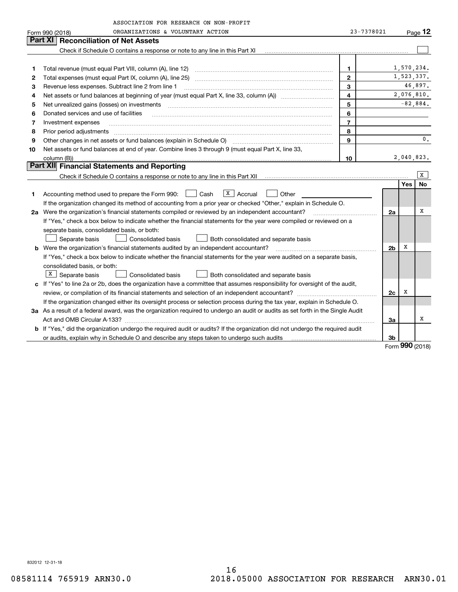|         | ASSOCIATION FOR RESEARCH ON NON-PROFIT                                                                                          |                |                |            |                |
|---------|---------------------------------------------------------------------------------------------------------------------------------|----------------|----------------|------------|----------------|
|         | ORGANIZATIONS & VOLUNTARY ACTION<br>Form 990 (2018)                                                                             | 23-7378021     |                |            | Page $12$      |
| Part XI | <b>Reconciliation of Net Assets</b>                                                                                             |                |                |            |                |
|         | Check if Schedule O contains a response or note to any line in this Part XI                                                     |                |                |            |                |
|         |                                                                                                                                 |                |                |            |                |
| 1       | Total revenue (must equal Part VIII, column (A), line 12)                                                                       | $\mathbf{1}$   |                | 1,570,234. |                |
| 2       |                                                                                                                                 | $\mathbf{2}$   |                | 1,523,337. |                |
| 3       | Revenue less expenses. Subtract line 2 from line 1                                                                              | 3              |                |            | 46,897.        |
| 4       |                                                                                                                                 | $\overline{4}$ |                |            | 2,076,810.     |
| 5       | Net unrealized gains (losses) on investments                                                                                    | 5              |                | $-82,884.$ |                |
| 6       | Donated services and use of facilities                                                                                          | 6              |                |            |                |
| 7       | Investment expenses                                                                                                             | $\overline{7}$ |                |            |                |
| 8       | Prior period adjustments                                                                                                        | 8              |                |            |                |
| 9       | Other changes in net assets or fund balances (explain in Schedule O)                                                            | $\mathbf{q}$   |                |            | $\mathbf{0}$ . |
| 10      | Net assets or fund balances at end of year. Combine lines 3 through 9 (must equal Part X, line 33,                              |                |                |            |                |
|         | column (B))                                                                                                                     | 10             |                | 2,040,823. |                |
|         | Part XII Financial Statements and Reporting                                                                                     |                |                |            |                |
|         |                                                                                                                                 |                |                |            | X              |
|         |                                                                                                                                 |                |                | Yes        | No             |
| 1       | $X \mid$ Accrual<br>Cash<br>Other<br>Accounting method used to prepare the Form 990:                                            |                |                |            |                |
|         | If the organization changed its method of accounting from a prior year or checked "Other," explain in Schedule O.               |                |                |            |                |
|         | 2a Were the organization's financial statements compiled or reviewed by an independent accountant?                              |                | 2a             |            | х              |
|         | If "Yes," check a box below to indicate whether the financial statements for the year were compiled or reviewed on a            |                |                |            |                |
|         | separate basis, consolidated basis, or both:                                                                                    |                |                |            |                |
|         | <b>Consolidated basis</b><br>Separate basis<br>Both consolidated and separate basis                                             |                |                |            |                |
|         | <b>b</b> Were the organization's financial statements audited by an independent accountant?                                     |                | 2 <sub>b</sub> | х          |                |
|         | If "Yes," check a box below to indicate whether the financial statements for the year were audited on a separate basis,         |                |                |            |                |
|         | consolidated basis, or both:                                                                                                    |                |                |            |                |
|         | X   Separate basis<br>Consolidated basis<br>Both consolidated and separate basis                                                |                |                |            |                |
|         | c If "Yes" to line 2a or 2b, does the organization have a committee that assumes responsibility for oversight of the audit,     |                |                |            |                |
|         |                                                                                                                                 |                | 2c             | х          |                |
|         | If the organization changed either its oversight process or selection process during the tax year, explain in Schedule O.       |                |                |            |                |
|         | 3a As a result of a federal award, was the organization required to undergo an audit or audits as set forth in the Single Audit |                |                |            |                |
|         |                                                                                                                                 |                | За             |            | х              |
|         | b If "Yes," did the organization undergo the required audit or audits? If the organization did not undergo the required audit   |                |                |            |                |
|         | or audits, explain why in Schedule O and describe any steps taken to undergo such audits                                        |                | 3b             |            |                |

Form (2018) **990**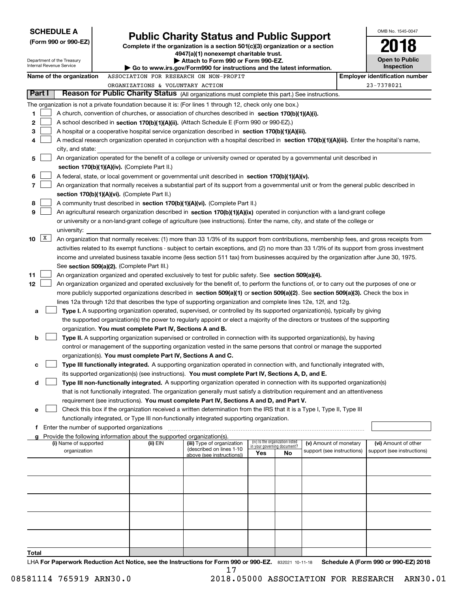| <b>SCHEDULE A</b>                                                                                              |                                             |                                                                                    |                                                                                                                                               |                                    |                                 |                            |            | OMB No. 1545-0047                     |  |
|----------------------------------------------------------------------------------------------------------------|---------------------------------------------|------------------------------------------------------------------------------------|-----------------------------------------------------------------------------------------------------------------------------------------------|------------------------------------|---------------------------------|----------------------------|------------|---------------------------------------|--|
| (Form 990 or 990-EZ)                                                                                           |                                             |                                                                                    | <b>Public Charity Status and Public Support</b>                                                                                               |                                    |                                 |                            |            |                                       |  |
|                                                                                                                |                                             |                                                                                    | Complete if the organization is a section $501(c)(3)$ organization or a section<br>4947(a)(1) nonexempt charitable trust.                     |                                    |                                 |                            |            |                                       |  |
| Department of the Treasury<br>Internal Revenue Service                                                         |                                             | Attach to Form 990 or Form 990-EZ.                                                 |                                                                                                                                               |                                    |                                 |                            |            | <b>Open to Public</b>                 |  |
|                                                                                                                |                                             |                                                                                    | Go to www.irs.gov/Form990 for instructions and the latest information.                                                                        |                                    |                                 |                            | Inspection |                                       |  |
| Name of the organization                                                                                       |                                             |                                                                                    | ASSOCIATION FOR RESEARCH ON NON-PROFIT                                                                                                        |                                    |                                 |                            |            | <b>Employer identification number</b> |  |
| Part I                                                                                                         |                                             | ORGANIZATIONS & VOLUNTARY ACTION                                                   | Reason for Public Charity Status (All organizations must complete this part.) See instructions.                                               |                                    |                                 |                            |            | 23-7378021                            |  |
|                                                                                                                |                                             |                                                                                    |                                                                                                                                               |                                    |                                 |                            |            |                                       |  |
| The organization is not a private foundation because it is: (For lines 1 through 12, check only one box.)<br>1 |                                             |                                                                                    | A church, convention of churches, or association of churches described in section 170(b)(1)(A)(i).                                            |                                    |                                 |                            |            |                                       |  |
| 2                                                                                                              |                                             |                                                                                    | A school described in section 170(b)(1)(A)(ii). (Attach Schedule E (Form 990 or 990-EZ).)                                                     |                                    |                                 |                            |            |                                       |  |
| 3                                                                                                              |                                             |                                                                                    | A hospital or a cooperative hospital service organization described in section 170(b)(1)(A)(iii).                                             |                                    |                                 |                            |            |                                       |  |
| 4                                                                                                              |                                             |                                                                                    | A medical research organization operated in conjunction with a hospital described in section 170(b)(1)(A)(iii). Enter the hospital's name,    |                                    |                                 |                            |            |                                       |  |
| city, and state:                                                                                               |                                             |                                                                                    |                                                                                                                                               |                                    |                                 |                            |            |                                       |  |
| 5                                                                                                              |                                             |                                                                                    | An organization operated for the benefit of a college or university owned or operated by a governmental unit described in                     |                                    |                                 |                            |            |                                       |  |
|                                                                                                                |                                             | section $170(b)(1)(A)(iv)$ . (Complete Part II.)                                   |                                                                                                                                               |                                    |                                 |                            |            |                                       |  |
| 6                                                                                                              |                                             |                                                                                    | A federal, state, or local government or governmental unit described in section 170(b)(1)(A)(v).                                              |                                    |                                 |                            |            |                                       |  |
| 7                                                                                                              |                                             |                                                                                    | An organization that normally receives a substantial part of its support from a governmental unit or from the general public described in     |                                    |                                 |                            |            |                                       |  |
|                                                                                                                |                                             | section 170(b)(1)(A)(vi). (Complete Part II.)                                      |                                                                                                                                               |                                    |                                 |                            |            |                                       |  |
| 8                                                                                                              |                                             |                                                                                    | A community trust described in section 170(b)(1)(A)(vi). (Complete Part II.)                                                                  |                                    |                                 |                            |            |                                       |  |
| 9                                                                                                              |                                             |                                                                                    | An agricultural research organization described in section 170(b)(1)(A)(ix) operated in conjunction with a land-grant college                 |                                    |                                 |                            |            |                                       |  |
|                                                                                                                |                                             |                                                                                    | or university or a non-land-grant college of agriculture (see instructions). Enter the name, city, and state of the college or                |                                    |                                 |                            |            |                                       |  |
| university:<br>$\mathbf{X}$<br>10                                                                              |                                             |                                                                                    | An organization that normally receives: (1) more than 33 1/3% of its support from contributions, membership fees, and gross receipts from     |                                    |                                 |                            |            |                                       |  |
|                                                                                                                |                                             |                                                                                    | activities related to its exempt functions - subject to certain exceptions, and (2) no more than 33 1/3% of its support from gross investment |                                    |                                 |                            |            |                                       |  |
|                                                                                                                |                                             |                                                                                    | income and unrelated business taxable income (less section 511 tax) from businesses acquired by the organization after June 30, 1975.         |                                    |                                 |                            |            |                                       |  |
|                                                                                                                | See section 509(a)(2). (Complete Part III.) |                                                                                    |                                                                                                                                               |                                    |                                 |                            |            |                                       |  |
| 11                                                                                                             |                                             |                                                                                    | An organization organized and operated exclusively to test for public safety. See section 509(a)(4).                                          |                                    |                                 |                            |            |                                       |  |
| 12                                                                                                             |                                             |                                                                                    | An organization organized and operated exclusively for the benefit of, to perform the functions of, or to carry out the purposes of one or    |                                    |                                 |                            |            |                                       |  |
|                                                                                                                |                                             |                                                                                    | more publicly supported organizations described in section 509(a)(1) or section 509(a)(2). See section 509(a)(3). Check the box in            |                                    |                                 |                            |            |                                       |  |
|                                                                                                                |                                             |                                                                                    | lines 12a through 12d that describes the type of supporting organization and complete lines 12e, 12f, and 12g.                                |                                    |                                 |                            |            |                                       |  |
| a                                                                                                              |                                             |                                                                                    | Type I. A supporting organization operated, supervised, or controlled by its supported organization(s), typically by giving                   |                                    |                                 |                            |            |                                       |  |
|                                                                                                                |                                             |                                                                                    | the supported organization(s) the power to regularly appoint or elect a majority of the directors or trustees of the supporting               |                                    |                                 |                            |            |                                       |  |
|                                                                                                                |                                             | organization. You must complete Part IV, Sections A and B.                         |                                                                                                                                               |                                    |                                 |                            |            |                                       |  |
| b                                                                                                              |                                             |                                                                                    | Type II. A supporting organization supervised or controlled in connection with its supported organization(s), by having                       |                                    |                                 |                            |            |                                       |  |
|                                                                                                                |                                             | organization(s). You must complete Part IV, Sections A and C.                      | control or management of the supporting organization vested in the same persons that control or manage the supported                          |                                    |                                 |                            |            |                                       |  |
| с                                                                                                              |                                             |                                                                                    | Type III functionally integrated. A supporting organization operated in connection with, and functionally integrated with,                    |                                    |                                 |                            |            |                                       |  |
|                                                                                                                |                                             |                                                                                    | its supported organization(s) (see instructions). You must complete Part IV, Sections A, D, and E.                                            |                                    |                                 |                            |            |                                       |  |
| d                                                                                                              |                                             |                                                                                    | Type III non-functionally integrated. A supporting organization operated in connection with its supported organization(s)                     |                                    |                                 |                            |            |                                       |  |
|                                                                                                                |                                             |                                                                                    | that is not functionally integrated. The organization generally must satisfy a distribution requirement and an attentiveness                  |                                    |                                 |                            |            |                                       |  |
|                                                                                                                |                                             |                                                                                    | requirement (see instructions). You must complete Part IV, Sections A and D, and Part V.                                                      |                                    |                                 |                            |            |                                       |  |
| е                                                                                                              |                                             |                                                                                    | Check this box if the organization received a written determination from the IRS that it is a Type I, Type II, Type III                       |                                    |                                 |                            |            |                                       |  |
|                                                                                                                |                                             |                                                                                    | functionally integrated, or Type III non-functionally integrated supporting organization.                                                     |                                    |                                 |                            |            |                                       |  |
| Enter the number of supported organizations<br>f                                                               |                                             |                                                                                    |                                                                                                                                               |                                    |                                 |                            |            |                                       |  |
| g<br>(i) Name of supported                                                                                     |                                             | Provide the following information about the supported organization(s).<br>(ii) EIN | (iii) Type of organization                                                                                                                    |                                    | (iv) Is the organization listed | (v) Amount of monetary     |            | (vi) Amount of other                  |  |
| organization                                                                                                   |                                             |                                                                                    | (described on lines 1-10                                                                                                                      | in your governing document?<br>Yes | No                              | support (see instructions) |            | support (see instructions)            |  |
|                                                                                                                |                                             |                                                                                    | above (see instructions))                                                                                                                     |                                    |                                 |                            |            |                                       |  |
|                                                                                                                |                                             |                                                                                    |                                                                                                                                               |                                    |                                 |                            |            |                                       |  |
|                                                                                                                |                                             |                                                                                    |                                                                                                                                               |                                    |                                 |                            |            |                                       |  |
|                                                                                                                |                                             |                                                                                    |                                                                                                                                               |                                    |                                 |                            |            |                                       |  |
|                                                                                                                |                                             |                                                                                    |                                                                                                                                               |                                    |                                 |                            |            |                                       |  |
|                                                                                                                |                                             |                                                                                    |                                                                                                                                               |                                    |                                 |                            |            |                                       |  |
|                                                                                                                |                                             |                                                                                    |                                                                                                                                               |                                    |                                 |                            |            |                                       |  |
|                                                                                                                |                                             |                                                                                    |                                                                                                                                               |                                    |                                 |                            |            |                                       |  |
|                                                                                                                |                                             |                                                                                    |                                                                                                                                               |                                    |                                 |                            |            |                                       |  |
|                                                                                                                |                                             |                                                                                    |                                                                                                                                               |                                    |                                 |                            |            |                                       |  |
| Total                                                                                                          |                                             |                                                                                    | UA For Reportuarly Reduction Act Notice, see the Instructions for Form 000 or 000 FZ - 000001 10:11:10                                        |                                    |                                 |                            |            | Schodule A (Form 000 or 000 F7) 2018  |  |

**or 990-EZ.** 832021 10-11-18 **Rotice, see the Instructions for Form 990 or 990-EZ.** 832021 10-11-18 Schedule A (Form 990 or 990-EZ) 2018 **LHA For Paperwork Reduction Act** orm 990<br>17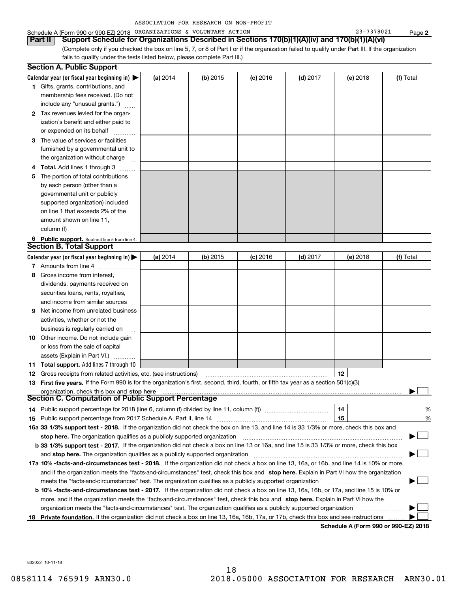| ASSOCIATION FOR RESEARCH ON NON-PROFIT |  |  |  |  |
|----------------------------------------|--|--|--|--|
|----------------------------------------|--|--|--|--|

# Schedule A (Form 990 or 990-EZ) 2018 Page ORGANIZATIONS & VOLUNTARY ACTION 23-7378021

(Complete only if you checked the box on line 5, 7, or 8 of Part I or if the organization failed to qualify under Part III. If the organization fails to qualify under the tests listed below, please complete Part III.) **Part II Support Schedule for Organizations Described in Sections 170(b)(1)(A)(iv) and 170(b)(1)(A)(vi)**

|    | <b>Section A. Public Support</b>                                                                                                               |            |            |            |            |            |           |
|----|------------------------------------------------------------------------------------------------------------------------------------------------|------------|------------|------------|------------|------------|-----------|
|    | Calendar year (or fiscal year beginning in) $\blacktriangleright$                                                                              | (a) 2014   | $(b)$ 2015 | $(c)$ 2016 | $(d)$ 2017 | $(e)$ 2018 | (f) Total |
|    | <b>1</b> Gifts, grants, contributions, and                                                                                                     |            |            |            |            |            |           |
|    | membership fees received. (Do not                                                                                                              |            |            |            |            |            |           |
|    | include any "unusual grants.")                                                                                                                 |            |            |            |            |            |           |
|    | 2 Tax revenues levied for the organ-                                                                                                           |            |            |            |            |            |           |
|    | ization's benefit and either paid to                                                                                                           |            |            |            |            |            |           |
|    | or expended on its behalf                                                                                                                      |            |            |            |            |            |           |
|    | 3 The value of services or facilities                                                                                                          |            |            |            |            |            |           |
|    | furnished by a governmental unit to                                                                                                            |            |            |            |            |            |           |
|    | the organization without charge                                                                                                                |            |            |            |            |            |           |
|    | 4 Total. Add lines 1 through 3                                                                                                                 |            |            |            |            |            |           |
| 5  | The portion of total contributions                                                                                                             |            |            |            |            |            |           |
|    | by each person (other than a                                                                                                                   |            |            |            |            |            |           |
|    | governmental unit or publicly                                                                                                                  |            |            |            |            |            |           |
|    | supported organization) included                                                                                                               |            |            |            |            |            |           |
|    | on line 1 that exceeds 2% of the                                                                                                               |            |            |            |            |            |           |
|    | amount shown on line 11,                                                                                                                       |            |            |            |            |            |           |
|    | column (f)                                                                                                                                     |            |            |            |            |            |           |
|    | 6 Public support. Subtract line 5 from line 4.                                                                                                 |            |            |            |            |            |           |
|    | Section B. Total Support                                                                                                                       |            |            |            |            |            |           |
|    | Calendar year (or fiscal year beginning in) $\blacktriangleright$                                                                              | (a) $2014$ | $(b)$ 2015 | $(c)$ 2016 | $(d)$ 2017 | (e) 2018   | (f) Total |
|    | 7 Amounts from line 4                                                                                                                          |            |            |            |            |            |           |
|    | 8 Gross income from interest,                                                                                                                  |            |            |            |            |            |           |
|    | dividends, payments received on                                                                                                                |            |            |            |            |            |           |
|    | securities loans, rents, royalties,                                                                                                            |            |            |            |            |            |           |
|    | and income from similar sources                                                                                                                |            |            |            |            |            |           |
| 9. | Net income from unrelated business                                                                                                             |            |            |            |            |            |           |
|    | activities, whether or not the                                                                                                                 |            |            |            |            |            |           |
|    | business is regularly carried on                                                                                                               |            |            |            |            |            |           |
|    | <b>10</b> Other income. Do not include gain                                                                                                    |            |            |            |            |            |           |
|    | or loss from the sale of capital                                                                                                               |            |            |            |            |            |           |
|    | assets (Explain in Part VI.)                                                                                                                   |            |            |            |            |            |           |
|    | 11 Total support. Add lines 7 through 10                                                                                                       |            |            |            |            |            |           |
|    | <b>12</b> Gross receipts from related activities, etc. (see instructions)                                                                      |            |            |            |            | 12         |           |
|    | 13 First five years. If the Form 990 is for the organization's first, second, third, fourth, or fifth tax year as a section 501(c)(3)          |            |            |            |            |            |           |
|    | organization, check this box and stop here                                                                                                     |            |            |            |            |            |           |
|    | Section C. Computation of Public Support Percentage                                                                                            |            |            |            |            |            |           |
|    | 14 Public support percentage for 2018 (line 6, column (f) divided by line 11, column (f) <i>manumumumumum</i>                                  |            |            |            |            | 14         | %         |
|    |                                                                                                                                                |            |            |            |            | 15         | %         |
|    | 16a 33 1/3% support test - 2018. If the organization did not check the box on line 13, and line 14 is 33 1/3% or more, check this box and      |            |            |            |            |            |           |
|    | stop here. The organization qualifies as a publicly supported organization                                                                     |            |            |            |            |            |           |
|    | b 33 1/3% support test - 2017. If the organization did not check a box on line 13 or 16a, and line 15 is 33 1/3% or more, check this box       |            |            |            |            |            |           |
|    | and stop here. The organization qualifies as a publicly supported organization                                                                 |            |            |            |            |            |           |
|    | 17a 10% -facts-and-circumstances test - 2018. If the organization did not check a box on line 13, 16a, or 16b, and line 14 is 10% or more,     |            |            |            |            |            |           |
|    | and if the organization meets the "facts-and-circumstances" test, check this box and stop here. Explain in Part VI how the organization        |            |            |            |            |            |           |
|    | meets the "facts-and-circumstances" test. The organization qualifies as a publicly supported organization                                      |            |            |            |            |            |           |
|    | <b>b 10% -facts-and-circumstances test - 2017.</b> If the organization did not check a box on line 13, 16a, 16b, or 17a, and line 15 is 10% or |            |            |            |            |            |           |
|    | more, and if the organization meets the "facts-and-circumstances" test, check this box and stop here. Explain in Part VI how the               |            |            |            |            |            |           |
|    | organization meets the "facts-and-circumstances" test. The organization qualifies as a publicly supported organization                         |            |            |            |            |            |           |
|    | 18 Private foundation. If the organization did not check a box on line 13, 16a, 16b, 17a, or 17b, check this box and see instructions          |            |            |            |            |            |           |
|    |                                                                                                                                                |            |            |            |            |            |           |

**Schedule A (Form 990 or 990-EZ) 2018**

832022 10-11-18

**2**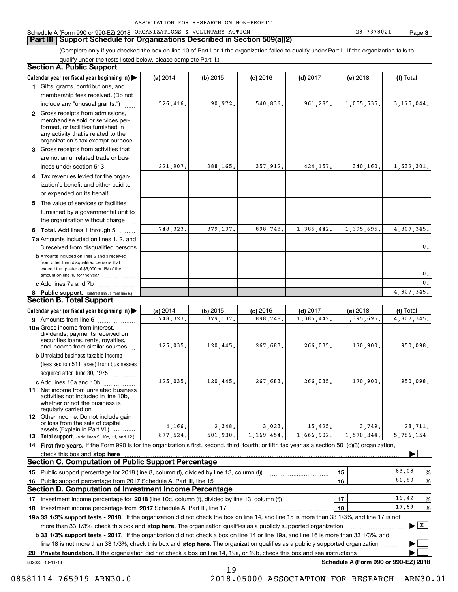#### **Part III Support Schedule for Organizations Described in Section 509(a)(2)**

(Complete only if you checked the box on line 10 of Part I or if the organization failed to qualify under Part II. If the organization fails to qualify under the tests listed below, please complete Part II.)

#### **8 Public support.** (Subtract line 7c from line 6.) **b** Amounts included on lines 2 and 3 received from other than disqualified persons that exceed the greater of \$5,000 or 1% of the amount on line 13 for the year  $\ldots$ ............... **13 Total support.** (Add lines 9, 10c, 11, and 12.) 832023 10-11-18 **Calendar year (or fiscal year beginning in) | Calendar year (or fiscal year beginning in) | (a)** 2014 **| (b)** 2015 **| (c)** 2016 **| (d)** 2017 **| (e)** 2018 **| (f) 1**Gifts, grants, contributions, and **2** Gross receipts from admissions, **3** Gross receipts from activities that **4**Tax revenues levied for the organ-**5** The value of services or facilities **6 Total.** Add lines 1 through 5  $\ldots$ ... **7a**Amounts included on lines 1, 2, and **c** Add lines 7a and 7b  $\ldots$   $\ldots$   $\ldots$  ... **(a)** 2014 **| (b)** 2015 **| (c)** 2016 **| (d)** 2017 **| (e)** 2018 **| (f) 9** Amounts from line 6  $^{10}$ **10a**Gross income from interest, **b** Unrelated business taxable income **c** Add lines 10a and 10b  $^{100}$ **11** Net income from unrelated business **12** Other income. Do not include gain **14 First five years.** If the Form 990 is for the organization's first, second, third, fourth, or fifth tax year as a section 501(c)(3) organization, **stop here** check this box and | **151615161718 2017** Investment income percentage from Schedule A, Part III, line 17 ~~~~~~~~~~~~~~~~~~**19a 33 1/3% support tests - 2018.** If the organization did not check the box on line 14, and line 15 is more than 33 1/3%, and line 17 is not **20Private foundation.**  If the organization did not check a box on line 14, 19a, or 19b, check this box and see instructions | Investment income percentage for 2018 (line 10c, column (f), divided by line 13, column (f)) **1718b 33 1/3% support tests - 2017.** If the organization did not check a box on line 14 or line 19a, and line 16 is more than 33 1/3%, and more than 33 1/3%, check this box and stop here. The organization qualifies as a publicly supported organization *manimumment* line 18 is not more than 33 1/3%, check this box and stop here. The organization qualifies as a publicly supported organization  $\Box$ **Schedule A (Form 990 or 990-EZ) 2018** (less section 511 taxes) from businesses acquired after June 30, 1975 (a) 2014 14 **| (b)** 2015 **| (c)** 2016 **| (d)** 2017 **| (e)** 2018 **| (f)** Total membership fees received. (Do not include any "unusual grants.") merchandise sold or services performed, or facilities furnished in any activity that is related to the organization's tax-exempt purpose are not an unrelated trade or business under section 513  $\quad$ ization's benefit and either paid to or expended on its behalf  $^{+}_{-}\,$   $^{+}\,$   $^{+}\,$ furnished by a governmental unit to the organization without charge 3 received from disqualified persons (a) 2014 14 **| (b)** 2015 **| (c)** 2016 **| (d)** 2017 **| (e)** 2018 **| (f)** Total dividends, payments received on securities loans, rents, royalties, and income from similar sources activities not included in line 10b, whether or not the business is regularly carried on or loss from the sale of capital assets (Explain in Part VI.) ............ Public support percentage for 2018 (line 8, column (f), divided by line 13, column (f)) Public support percentage from 2017 Schedule A, Part III, line 15 % %  $\ldots$  | 17 |  $\ldots$  16.42 %  $\ldots$  | 18 |  $\qquad \qquad$   $\frac{17.69}{96}$  % **Section A. Public Support Section B. Total Support Section C. Computation of Public Support Percentage Section D. Computation of Investment Income Percentage**  $\mathcal{L}^{\text{max}}$  $\boxed{\mathbf{X}}$  $\mathcal{L}^{\text{max}}$  $\mathcal{L}^{\text{max}}$ 526,416. 90,972. 540,836. 961,285. 1,055,535. 3,175,044. 221,907. 288,165. 357,912. 424,157. 340,160. 1,632,301. 748,323. 379,137. 898,748. 1,385,442. 1,395,695. 4,807,345. 748,323. 379,137. 898,748. 1,385,442. 1,395,695. 4,807,345. 0.0. $\overline{0}$ . 4,807,345. 125,035. 120,445. 267,683. 266,035. 170,900. 950,098. 125,035. 120,445. 267,683. 266,035. 170,900. 950,098. 4,166. 2,348. 3,023. 15,425. 3,749. 28,711. 5,786,154. 83.0881.8016.4217.69877,524. 501,930. 1,169,454. 1,666,902. 1,570,344.

19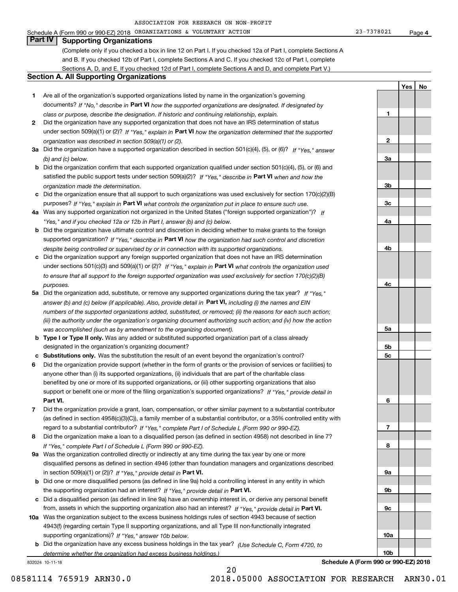Schedule A (Form 990 or 990-EZ) 2018 Page ORGANIZATIONS & VOLUNTARY ACTION 23-7378021

**1**

**2**

**3a**

**3b**

**3c**

**4a**

**4b**

**4c**

**5a**

**5b5c**

**6**

**7**

**8**

**9a**

**9b**

**9c**

**10a**

**10b**

**YesNo**

# **Part IV Supporting Organizations**

(Complete only if you checked a box in line 12 on Part I. If you checked 12a of Part I, complete Sections A and B. If you checked 12b of Part I, complete Sections A and C. If you checked 12c of Part I, complete Sections A, D, and E. If you checked 12d of Part I, complete Sections A and D, and complete Part V.)

### **Section A. All Supporting Organizations**

- **1** Are all of the organization's supported organizations listed by name in the organization's governing documents? If "No," describe in **Part VI** how the supported organizations are designated. If designated by *class or purpose, describe the designation. If historic and continuing relationship, explain.*
- **2** Did the organization have any supported organization that does not have an IRS determination of status under section 509(a)(1) or (2)? If "Yes," explain in Part VI how the organization determined that the supported *organization was described in section 509(a)(1) or (2).*
- **3a** Did the organization have a supported organization described in section 501(c)(4), (5), or (6)? If "Yes," answer *(b) and (c) below.*
- **b** Did the organization confirm that each supported organization qualified under section 501(c)(4), (5), or (6) and satisfied the public support tests under section 509(a)(2)? If "Yes," describe in **Part VI** when and how the *organization made the determination.*
- **c**Did the organization ensure that all support to such organizations was used exclusively for section 170(c)(2)(B) purposes? If "Yes," explain in **Part VI** what controls the organization put in place to ensure such use.
- **4a***If* Was any supported organization not organized in the United States ("foreign supported organization")? *"Yes," and if you checked 12a or 12b in Part I, answer (b) and (c) below.*
- **b** Did the organization have ultimate control and discretion in deciding whether to make grants to the foreign supported organization? If "Yes," describe in **Part VI** how the organization had such control and discretion *despite being controlled or supervised by or in connection with its supported organizations.*
- **c** Did the organization support any foreign supported organization that does not have an IRS determination under sections 501(c)(3) and 509(a)(1) or (2)? If "Yes," explain in **Part VI** what controls the organization used *to ensure that all support to the foreign supported organization was used exclusively for section 170(c)(2)(B) purposes.*
- **5a***If "Yes,"* Did the organization add, substitute, or remove any supported organizations during the tax year? answer (b) and (c) below (if applicable). Also, provide detail in **Part VI,** including (i) the names and EIN *numbers of the supported organizations added, substituted, or removed; (ii) the reasons for each such action; (iii) the authority under the organization's organizing document authorizing such action; and (iv) how the action was accomplished (such as by amendment to the organizing document).*
- **b** Type I or Type II only. Was any added or substituted supported organization part of a class already designated in the organization's organizing document?
- **cSubstitutions only.**  Was the substitution the result of an event beyond the organization's control?
- **6** Did the organization provide support (whether in the form of grants or the provision of services or facilities) to **Part VI.** *If "Yes," provide detail in* support or benefit one or more of the filing organization's supported organizations? anyone other than (i) its supported organizations, (ii) individuals that are part of the charitable class benefited by one or more of its supported organizations, or (iii) other supporting organizations that also
- **7**Did the organization provide a grant, loan, compensation, or other similar payment to a substantial contributor *If "Yes," complete Part I of Schedule L (Form 990 or 990-EZ).* regard to a substantial contributor? (as defined in section 4958(c)(3)(C)), a family member of a substantial contributor, or a 35% controlled entity with
- **8** Did the organization make a loan to a disqualified person (as defined in section 4958) not described in line 7? *If "Yes," complete Part I of Schedule L (Form 990 or 990-EZ).*
- **9a** Was the organization controlled directly or indirectly at any time during the tax year by one or more in section 509(a)(1) or (2))? If "Yes," *provide detail in* <code>Part VI.</code> disqualified persons as defined in section 4946 (other than foundation managers and organizations described
- **b** Did one or more disqualified persons (as defined in line 9a) hold a controlling interest in any entity in which the supporting organization had an interest? If "Yes," provide detail in P**art VI**.
- **c**Did a disqualified person (as defined in line 9a) have an ownership interest in, or derive any personal benefit from, assets in which the supporting organization also had an interest? If "Yes," provide detail in P**art VI.**
- **10a** Was the organization subject to the excess business holdings rules of section 4943 because of section supporting organizations)? If "Yes," answer 10b below. 4943(f) (regarding certain Type II supporting organizations, and all Type III non-functionally integrated
- **b** Did the organization have any excess business holdings in the tax year? (Use Schedule C, Form 4720, to *determine whether the organization had excess business holdings.)*

20

832024 10-11-18

**Schedule A (Form 990 or 990-EZ) 2018**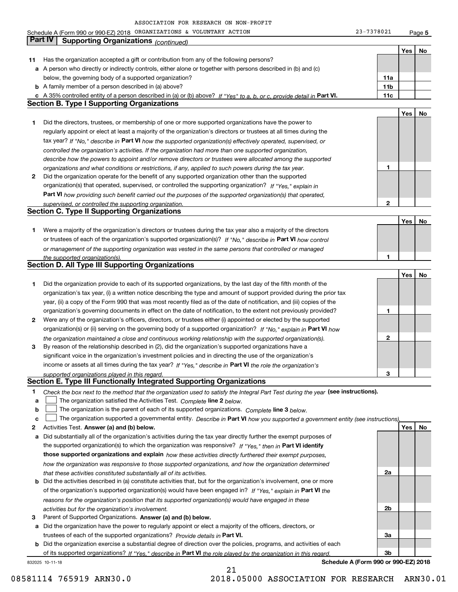Schedule A (Form 990 or 990-EZ) 2018 Page ORGANIZATIONS & VOLUNTARY ACTION 23-7378021

**5**

|    | <b>Part IV</b><br>Supporting Organizations (continued)                                                                                                                                                               |              |     |    |
|----|----------------------------------------------------------------------------------------------------------------------------------------------------------------------------------------------------------------------|--------------|-----|----|
|    |                                                                                                                                                                                                                      |              | Yes | No |
| 11 | Has the organization accepted a gift or contribution from any of the following persons?                                                                                                                              |              |     |    |
|    | a A person who directly or indirectly controls, either alone or together with persons described in (b) and (c)                                                                                                       |              |     |    |
|    | below, the governing body of a supported organization?                                                                                                                                                               | 11a          |     |    |
|    | <b>b</b> A family member of a person described in (a) above?                                                                                                                                                         | 11b          |     |    |
|    | c A 35% controlled entity of a person described in (a) or (b) above? If "Yes" to a, b, or c, provide detail in Part VI.                                                                                              | 11c          |     |    |
|    | <b>Section B. Type I Supporting Organizations</b>                                                                                                                                                                    |              |     |    |
|    |                                                                                                                                                                                                                      |              | Yes | No |
| 1  | Did the directors, trustees, or membership of one or more supported organizations have the power to                                                                                                                  |              |     |    |
|    | regularly appoint or elect at least a majority of the organization's directors or trustees at all times during the                                                                                                   |              |     |    |
|    | tax year? If "No," describe in Part VI how the supported organization(s) effectively operated, supervised, or                                                                                                        |              |     |    |
|    | controlled the organization's activities. If the organization had more than one supported organization,                                                                                                              |              |     |    |
|    | describe how the powers to appoint and/or remove directors or trustees were allocated among the supported                                                                                                            |              |     |    |
|    | organizations and what conditions or restrictions, if any, applied to such powers during the tax year.                                                                                                               | 1            |     |    |
| 2  | Did the organization operate for the benefit of any supported organization other than the supported                                                                                                                  |              |     |    |
|    | organization(s) that operated, supervised, or controlled the supporting organization? If "Yes," explain in                                                                                                           |              |     |    |
|    | Part VI how providing such benefit carried out the purposes of the supported organization(s) that operated,                                                                                                          |              |     |    |
|    | supervised, or controlled the supporting organization.                                                                                                                                                               | 2            |     |    |
|    | <b>Section C. Type II Supporting Organizations</b>                                                                                                                                                                   |              |     |    |
|    |                                                                                                                                                                                                                      |              | Yes | No |
| 1  | Were a majority of the organization's directors or trustees during the tax year also a majority of the directors                                                                                                     |              |     |    |
|    | or trustees of each of the organization's supported organization(s)? If "No," describe in Part VI how control                                                                                                        |              |     |    |
|    | or management of the supporting organization was vested in the same persons that controlled or managed                                                                                                               |              |     |    |
|    | the supported organization(s).                                                                                                                                                                                       | 1            |     |    |
|    | <b>Section D. All Type III Supporting Organizations</b>                                                                                                                                                              |              |     |    |
|    |                                                                                                                                                                                                                      |              | Yes | No |
| 1  | Did the organization provide to each of its supported organizations, by the last day of the fifth month of the                                                                                                       |              |     |    |
|    | organization's tax year, (i) a written notice describing the type and amount of support provided during the prior tax                                                                                                |              |     |    |
|    | year, (ii) a copy of the Form 990 that was most recently filed as of the date of notification, and (iii) copies of the                                                                                               |              |     |    |
|    | organization's governing documents in effect on the date of notification, to the extent not previously provided?                                                                                                     | 1            |     |    |
| 2  | Were any of the organization's officers, directors, or trustees either (i) appointed or elected by the supported                                                                                                     |              |     |    |
|    | organization(s) or (ii) serving on the governing body of a supported organization? If "No," explain in Part VI how                                                                                                   | $\mathbf{2}$ |     |    |
| 3  | the organization maintained a close and continuous working relationship with the supported organization(s).<br>By reason of the relationship described in (2), did the organization's supported organizations have a |              |     |    |
|    | significant voice in the organization's investment policies and in directing the use of the organization's                                                                                                           |              |     |    |
|    | income or assets at all times during the tax year? If "Yes," describe in Part VI the role the organization's                                                                                                         |              |     |    |
|    |                                                                                                                                                                                                                      | 3            |     |    |
|    | supported organizations played in this regard.<br>Section E. Type III Functionally Integrated Supporting Organizations                                                                                               |              |     |    |
| 1  | Check the box next to the method that the organization used to satisfy the Integral Part Test during the year (see instructions).                                                                                    |              |     |    |
| a  | The organization satisfied the Activities Test. Complete line 2 below.                                                                                                                                               |              |     |    |
| b  | The organization is the parent of each of its supported organizations. Complete line 3 below.                                                                                                                        |              |     |    |
| c  | The organization supported a governmental entity. Describe in Part VI how you supported a government entity (see instructions),                                                                                      |              |     |    |
| 2  | Activities Test. Answer (a) and (b) below.                                                                                                                                                                           |              | Yes | No |
| а  | Did substantially all of the organization's activities during the tax year directly further the exempt purposes of                                                                                                   |              |     |    |
|    | the supported organization(s) to which the organization was responsive? If "Yes," then in Part VI identify                                                                                                           |              |     |    |
|    | those supported organizations and explain how these activities directly furthered their exempt purposes,                                                                                                             |              |     |    |
|    | how the organization was responsive to those supported organizations, and how the organization determined                                                                                                            |              |     |    |
|    | that these activities constituted substantially all of its activities.                                                                                                                                               | 2a           |     |    |
| b  | Did the activities described in (a) constitute activities that, but for the organization's involvement, one or more                                                                                                  |              |     |    |
|    | of the organization's supported organization(s) would have been engaged in? If "Yes," explain in Part VI the                                                                                                         |              |     |    |
|    | reasons for the organization's position that its supported organization(s) would have engaged in these                                                                                                               |              |     |    |
|    | activities but for the organization's involvement.                                                                                                                                                                   | 2b           |     |    |
| з  | Parent of Supported Organizations. Answer (a) and (b) below.                                                                                                                                                         |              |     |    |
| а  | Did the organization have the power to regularly appoint or elect a majority of the officers, directors, or                                                                                                          |              |     |    |
|    | trustees of each of the supported organizations? Provide details in Part VI.                                                                                                                                         | За           |     |    |
| b  | Did the organization exercise a substantial degree of direction over the policies, programs, and activities of each                                                                                                  |              |     |    |
|    | of its supported organizations? If "Yes," describe in Part VI the role played by the organization in this regard.                                                                                                    | Зb           |     |    |

21

832025 10-11-18

**Schedule A (Form 990 or 990-EZ) 2018**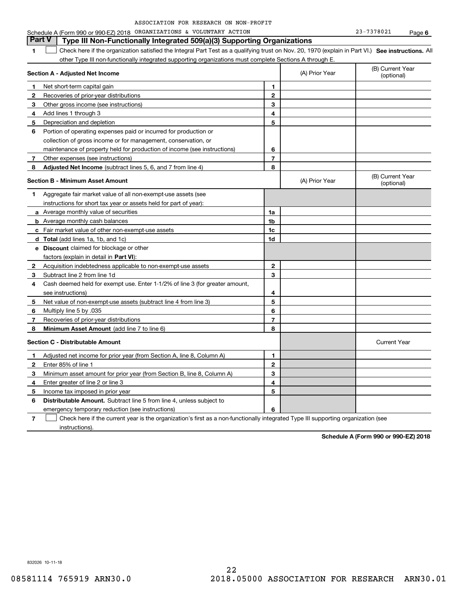| ASSOCIATION FOR RESEARCH ON NON-PROFIT |  |  |  |  |  |  |
|----------------------------------------|--|--|--|--|--|--|
|----------------------------------------|--|--|--|--|--|--|

#### **1SEP 10. See instructions.** All antegral Part Test as a qualifying trust on Nov. 20, 1970 (explain in Part VI.) See instructions. All **Section A - Adjusted Net Income 12** Recoveries of prior-year distributions **3** Other gross income (see instructions) **4**Add lines 1 through 3 **56** Portion of operating expenses paid or incurred for production or **7** Other expenses (see instructions) **8** Adjusted Net Income (subtract lines 5, 6, and 7 from line 4) **8 8 1234567Section B - Minimum Asset Amount 1**Aggregate fair market value of all non-exempt-use assets (see **2**Acquisition indebtedness applicable to non-exempt-use assets **3** Subtract line 2 from line 1d **4**Cash deemed held for exempt use. Enter 1-1/2% of line 3 (for greater amount, **5** Net value of non-exempt-use assets (subtract line 4 from line 3) **678a** Average monthly value of securities **b** Average monthly cash balances **c**Fair market value of other non-exempt-use assets **dTotal**  (add lines 1a, 1b, and 1c) **eDiscount** claimed for blockage or other **1a1b1c1d2345678**factors (explain in detail in **Part VI**): **Minimum Asset Amount**  (add line 7 to line 6) **Section C - Distributable Amount 12**Enter 85% of line 1 **3456** Distributable Amount. Subtract line 5 from line 4, unless subject to **123456**other Type III non-functionally integrated supporting organizations must complete Sections A through E. (B) Current Year (optional)(A) Prior Year Net short-term capital gain Depreciation and depletion collection of gross income or for management, conservation, or maintenance of property held for production of income (see instructions) (B) Current Year (optional)(A) Prior Year instructions for short tax year or assets held for part of year): see instructions) Multiply line 5 by .035 Recoveries of prior-year distributions Current Year Adjusted net income for prior year (from Section A, line 8, Column A) Minimum asset amount for prior year (from Section B, line 8, Column A) Enter greater of line 2 or line 3 Income tax imposed in prior year emergency temporary reduction (see instructions) **Part V Type III Non-Functionally Integrated 509(a)(3) Supporting Organizations**   $\mathcal{L}^{\text{max}}$

**7**Check here if the current year is the organization's first as a non-functionally integrated Type III supporting organization (see instructions). $\mathcal{L}^{\text{max}}$ 

**Schedule A (Form 990 or 990-EZ) 2018**

832026 10-11-18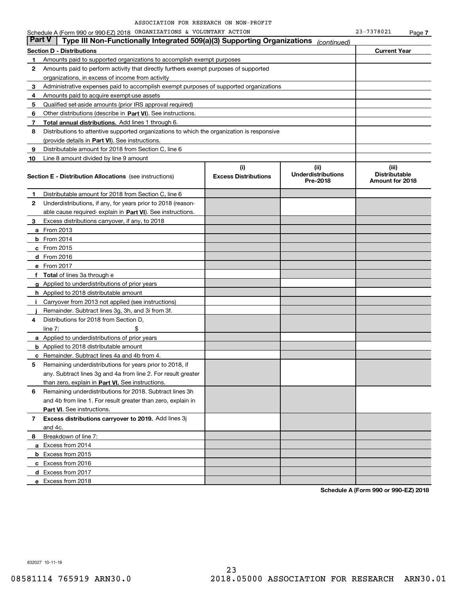|               | Schedule A (Form 990 or 990-EZ) 2018 ORGANIZATIONS & VOLUNTARY ACTION                      |                                    |                                               | 23-7378021                                       | Page 7 |
|---------------|--------------------------------------------------------------------------------------------|------------------------------------|-----------------------------------------------|--------------------------------------------------|--------|
| <b>Part V</b> | Type III Non-Functionally Integrated 509(a)(3) Supporting Organizations                    |                                    | (continued)                                   |                                                  |        |
|               | <b>Section D - Distributions</b>                                                           |                                    |                                               | <b>Current Year</b>                              |        |
| 1             | Amounts paid to supported organizations to accomplish exempt purposes                      |                                    |                                               |                                                  |        |
| 2             | Amounts paid to perform activity that directly furthers exempt purposes of supported       |                                    |                                               |                                                  |        |
|               | organizations, in excess of income from activity                                           |                                    |                                               |                                                  |        |
| 3             | Administrative expenses paid to accomplish exempt purposes of supported organizations      |                                    |                                               |                                                  |        |
| 4             | Amounts paid to acquire exempt-use assets                                                  |                                    |                                               |                                                  |        |
| 5             | Qualified set-aside amounts (prior IRS approval required)                                  |                                    |                                               |                                                  |        |
| 6             | Other distributions (describe in Part VI). See instructions.                               |                                    |                                               |                                                  |        |
| 7             | Total annual distributions. Add lines 1 through 6.                                         |                                    |                                               |                                                  |        |
| 8             | Distributions to attentive supported organizations to which the organization is responsive |                                    |                                               |                                                  |        |
|               | (provide details in Part VI). See instructions.                                            |                                    |                                               |                                                  |        |
| 9             | Distributable amount for 2018 from Section C, line 6                                       |                                    |                                               |                                                  |        |
| 10            | Line 8 amount divided by line 9 amount                                                     |                                    |                                               |                                                  |        |
|               | <b>Section E - Distribution Allocations</b> (see instructions)                             | (i)<br><b>Excess Distributions</b> | (ii)<br><b>Underdistributions</b><br>Pre-2018 | (iii)<br><b>Distributable</b><br>Amount for 2018 |        |
| 1             | Distributable amount for 2018 from Section C, line 6                                       |                                    |                                               |                                                  |        |
| 2             | Underdistributions, if any, for years prior to 2018 (reason-                               |                                    |                                               |                                                  |        |
|               | able cause required- explain in Part VI). See instructions.                                |                                    |                                               |                                                  |        |
| З.            | Excess distributions carryover, if any, to 2018                                            |                                    |                                               |                                                  |        |
|               | <b>a</b> From 2013                                                                         |                                    |                                               |                                                  |        |
|               | <b>b</b> From $2014$                                                                       |                                    |                                               |                                                  |        |
|               | $c$ From 2015                                                                              |                                    |                                               |                                                  |        |
|               | $d$ From 2016                                                                              |                                    |                                               |                                                  |        |
|               | e From 2017                                                                                |                                    |                                               |                                                  |        |
|               | f Total of lines 3a through e                                                              |                                    |                                               |                                                  |        |
|               | g Applied to underdistributions of prior years                                             |                                    |                                               |                                                  |        |
|               | <b>h</b> Applied to 2018 distributable amount                                              |                                    |                                               |                                                  |        |
| л.            | Carryover from 2013 not applied (see instructions)                                         |                                    |                                               |                                                  |        |
|               | Remainder. Subtract lines 3g, 3h, and 3i from 3f.                                          |                                    |                                               |                                                  |        |
| 4             | Distributions for 2018 from Section D,                                                     |                                    |                                               |                                                  |        |
|               | \$<br>line $7:$                                                                            |                                    |                                               |                                                  |        |
|               | <b>a</b> Applied to underdistributions of prior years                                      |                                    |                                               |                                                  |        |
|               | <b>b</b> Applied to 2018 distributable amount                                              |                                    |                                               |                                                  |        |
|               | <b>c</b> Remainder. Subtract lines 4a and 4b from 4.                                       |                                    |                                               |                                                  |        |
|               | Remaining underdistributions for years prior to 2018, if                                   |                                    |                                               |                                                  |        |
|               | any. Subtract lines 3g and 4a from line 2. For result greater                              |                                    |                                               |                                                  |        |
|               | than zero, explain in Part VI. See instructions.                                           |                                    |                                               |                                                  |        |
| 6             | Remaining underdistributions for 2018. Subtract lines 3h                                   |                                    |                                               |                                                  |        |
|               | and 4b from line 1. For result greater than zero, explain in                               |                                    |                                               |                                                  |        |
|               | <b>Part VI.</b> See instructions.                                                          |                                    |                                               |                                                  |        |
| 7             | Excess distributions carryover to 2019. Add lines 3j                                       |                                    |                                               |                                                  |        |
|               | and 4c.                                                                                    |                                    |                                               |                                                  |        |
| 8             | Breakdown of line 7:                                                                       |                                    |                                               |                                                  |        |
|               | a Excess from 2014                                                                         |                                    |                                               |                                                  |        |
|               | <b>b</b> Excess from 2015                                                                  |                                    |                                               |                                                  |        |
|               | c Excess from 2016                                                                         |                                    |                                               |                                                  |        |
|               | d Excess from 2017                                                                         |                                    |                                               |                                                  |        |
|               | e Excess from 2018                                                                         |                                    |                                               |                                                  |        |
|               |                                                                                            |                                    |                                               |                                                  |        |

**Schedule A (Form 990 or 990-EZ) 2018**

832027 10-11-18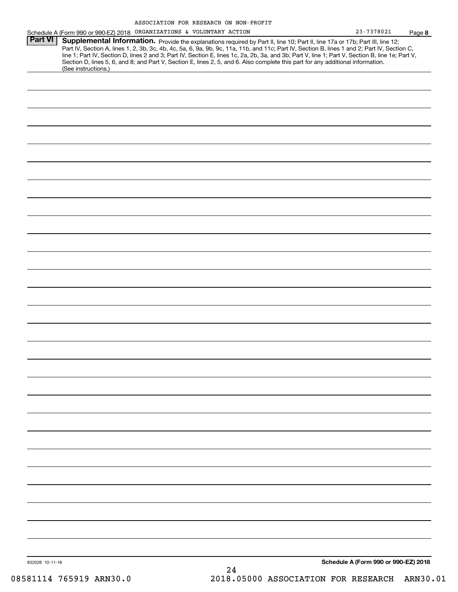|                 | Schedule A (Form 990 or 990-EZ) 2018 ORGANIZATIONS & VOLUNTARY ACTION                                                                                                                                                                                                                                                                                                                                                             | 23-7378021                           | Page 8 |
|-----------------|-----------------------------------------------------------------------------------------------------------------------------------------------------------------------------------------------------------------------------------------------------------------------------------------------------------------------------------------------------------------------------------------------------------------------------------|--------------------------------------|--------|
| <b>Part VI</b>  | Supplemental Information. Provide the explanations required by Part II, line 10; Part II, line 17a or 17b; Part III, line 12;<br>Part IV, Section A, lines 1, 2, 3b, 3c, 4b, 4c, 5a, 6, 9a, 9b, 9c, 11a, 11b, and 11c; Part IV, Section B, lines 1 and 2; Part IV, Section C,<br>line 1; Part IV, Section D, lines 2 and 3; Part IV, Section E, lines 1c, 2a, 2b, 3a, and 3b; Part V, line 1; Part V, Section B, line 1e; Part V, |                                      |        |
|                 | Section D, lines 5, 6, and 8; and Part V, Section E, lines 2, 5, and 6. Also complete this part for any additional information.<br>(See instructions.)                                                                                                                                                                                                                                                                            |                                      |        |
|                 |                                                                                                                                                                                                                                                                                                                                                                                                                                   |                                      |        |
|                 |                                                                                                                                                                                                                                                                                                                                                                                                                                   |                                      |        |
|                 |                                                                                                                                                                                                                                                                                                                                                                                                                                   |                                      |        |
|                 |                                                                                                                                                                                                                                                                                                                                                                                                                                   |                                      |        |
|                 |                                                                                                                                                                                                                                                                                                                                                                                                                                   |                                      |        |
|                 |                                                                                                                                                                                                                                                                                                                                                                                                                                   |                                      |        |
|                 |                                                                                                                                                                                                                                                                                                                                                                                                                                   |                                      |        |
|                 |                                                                                                                                                                                                                                                                                                                                                                                                                                   |                                      |        |
|                 |                                                                                                                                                                                                                                                                                                                                                                                                                                   |                                      |        |
|                 |                                                                                                                                                                                                                                                                                                                                                                                                                                   |                                      |        |
|                 |                                                                                                                                                                                                                                                                                                                                                                                                                                   |                                      |        |
|                 |                                                                                                                                                                                                                                                                                                                                                                                                                                   |                                      |        |
|                 |                                                                                                                                                                                                                                                                                                                                                                                                                                   |                                      |        |
|                 |                                                                                                                                                                                                                                                                                                                                                                                                                                   |                                      |        |
|                 |                                                                                                                                                                                                                                                                                                                                                                                                                                   |                                      |        |
|                 |                                                                                                                                                                                                                                                                                                                                                                                                                                   |                                      |        |
|                 |                                                                                                                                                                                                                                                                                                                                                                                                                                   |                                      |        |
|                 |                                                                                                                                                                                                                                                                                                                                                                                                                                   |                                      |        |
|                 |                                                                                                                                                                                                                                                                                                                                                                                                                                   |                                      |        |
|                 |                                                                                                                                                                                                                                                                                                                                                                                                                                   |                                      |        |
|                 |                                                                                                                                                                                                                                                                                                                                                                                                                                   |                                      |        |
|                 |                                                                                                                                                                                                                                                                                                                                                                                                                                   |                                      |        |
|                 |                                                                                                                                                                                                                                                                                                                                                                                                                                   |                                      |        |
|                 |                                                                                                                                                                                                                                                                                                                                                                                                                                   |                                      |        |
|                 |                                                                                                                                                                                                                                                                                                                                                                                                                                   |                                      |        |
|                 |                                                                                                                                                                                                                                                                                                                                                                                                                                   |                                      |        |
|                 |                                                                                                                                                                                                                                                                                                                                                                                                                                   |                                      |        |
|                 |                                                                                                                                                                                                                                                                                                                                                                                                                                   |                                      |        |
|                 |                                                                                                                                                                                                                                                                                                                                                                                                                                   | Schedule A (Form 990 or 990-EZ) 2018 |        |
| 832028 10-11-18 |                                                                                                                                                                                                                                                                                                                                                                                                                                   |                                      |        |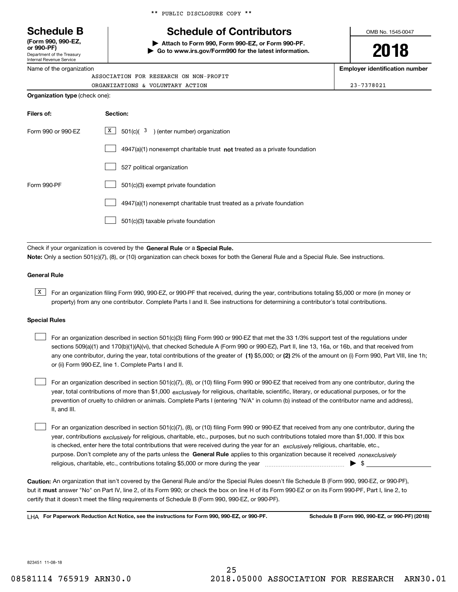Department of the Treasury Internal Revenue Service **(Form 990, 990-EZ, or 990-PF)**

Name of the organization

|  |  | ** PUBLIC DISCLOSURE COPY ** |  |  |
|--|--|------------------------------|--|--|
|--|--|------------------------------|--|--|

# **Schedule B Schedule of Contributors**

**| Attach to Form 990, Form 990-EZ, or Form 990-PF. | Go to www.irs.gov/Form990 for the latest information.** OMB No. 1545-0047

**2018**

**Employer identification number**

ORGANIZATIONS & VOLUNTARY ACTION 23-7378021

| ASSOCIATION FOR RESEARCH ON NON-PROFIT |  |  |  |  |  |
|----------------------------------------|--|--|--|--|--|
| ORGANIZATIONS & VOLUNTARY ACTION       |  |  |  |  |  |
| <b>Organization type</b> (check one):  |  |  |  |  |  |

| Filers of:         | Section:                                                                           |
|--------------------|------------------------------------------------------------------------------------|
| Form 990 or 990-FZ | x<br>501(c)(3)<br>) (enter number) organization                                    |
|                    | $4947(a)(1)$ nonexempt charitable trust <b>not</b> treated as a private foundation |
|                    | 527 political organization                                                         |
| Form 990-PF        | 501(c)(3) exempt private foundation                                                |
|                    | 4947(a)(1) nonexempt charitable trust treated as a private foundation              |
|                    | 501(c)(3) taxable private foundation                                               |

Check if your organization is covered by the **General Rule** or a **Special Rule. Note:**  Only a section 501(c)(7), (8), or (10) organization can check boxes for both the General Rule and a Special Rule. See instructions.

## **General Rule**

 $\overline{X}$  For an organization filing Form 990, 990-EZ, or 990-PF that received, during the year, contributions totaling \$5,000 or more (in money or property) from any one contributor. Complete Parts I and II. See instructions for determining a contributor's total contributions.

### **Special Rules**

any one contributor, during the year, total contributions of the greater of  $\,$  (1) \$5,000; or **(2)** 2% of the amount on (i) Form 990, Part VIII, line 1h; For an organization described in section 501(c)(3) filing Form 990 or 990-EZ that met the 33 1/3% support test of the regulations under sections 509(a)(1) and 170(b)(1)(A)(vi), that checked Schedule A (Form 990 or 990-EZ), Part II, line 13, 16a, or 16b, and that received from or (ii) Form 990-EZ, line 1. Complete Parts I and II.  $\mathcal{L}^{\text{max}}$ 

year, total contributions of more than \$1,000 *exclusively* for religious, charitable, scientific, literary, or educational purposes, or for the For an organization described in section 501(c)(7), (8), or (10) filing Form 990 or 990-EZ that received from any one contributor, during the prevention of cruelty to children or animals. Complete Parts I (entering "N/A" in column (b) instead of the contributor name and address), II, and III.  $\mathcal{L}^{\text{max}}$ 

purpose. Don't complete any of the parts unless the **General Rule** applies to this organization because it received *nonexclusively* year, contributions <sub>exclusively</sub> for religious, charitable, etc., purposes, but no such contributions totaled more than \$1,000. If this box is checked, enter here the total contributions that were received during the year for an  $\;$ exclusively religious, charitable, etc., For an organization described in section 501(c)(7), (8), or (10) filing Form 990 or 990-EZ that received from any one contributor, during the religious, charitable, etc., contributions totaling \$5,000 or more during the year  $\Box$ — $\Box$   $\Box$   $\Box$  $\mathcal{L}^{\text{max}}$ 

**Caution:**  An organization that isn't covered by the General Rule and/or the Special Rules doesn't file Schedule B (Form 990, 990-EZ, or 990-PF),  **must** but it answer "No" on Part IV, line 2, of its Form 990; or check the box on line H of its Form 990-EZ or on its Form 990-PF, Part I, line 2, to certify that it doesn't meet the filing requirements of Schedule B (Form 990, 990-EZ, or 990-PF).

**For Paperwork Reduction Act Notice, see the instructions for Form 990, 990-EZ, or 990-PF. Schedule B (Form 990, 990-EZ, or 990-PF) (2018)** LHA

823451 11-08-18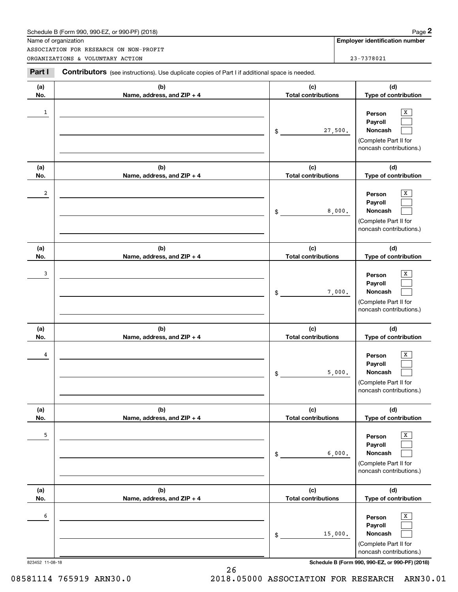| Schedule B (Form 990. 990-EZ. or 990-PF) (2018) | Page |
|-------------------------------------------------|------|
|-------------------------------------------------|------|

|                         | Schedule B (Form 990, 990-EZ, or 990-PF) (2018)                                                       |                                   | Page 2                                                                                |
|-------------------------|-------------------------------------------------------------------------------------------------------|-----------------------------------|---------------------------------------------------------------------------------------|
|                         | Name of organization                                                                                  |                                   | <b>Employer identification number</b>                                                 |
|                         | ASSOCIATION FOR RESEARCH ON NON-PROFIT<br>ORGANIZATIONS & VOLUNTARY ACTION                            |                                   | 23-7378021                                                                            |
| Part I                  | <b>Contributors</b> (see instructions). Use duplicate copies of Part I if additional space is needed. |                                   |                                                                                       |
| (a)<br>No.              | (b)<br>Name, address, and ZIP + 4                                                                     | (c)<br><b>Total contributions</b> | (d)<br>Type of contribution                                                           |
| $\mathbf{1}$            |                                                                                                       | 27,500.<br>\$                     | Х<br>Person<br>Payroll<br>Noncash<br>(Complete Part II for<br>noncash contributions.) |
| (a)<br>No.              | (b)<br>Name, address, and ZIP + 4                                                                     | (c)<br><b>Total contributions</b> | (d)<br>Type of contribution                                                           |
| $\overline{\mathbf{c}}$ |                                                                                                       | 8,000.<br>\$                      | Х<br>Person<br>Payroll<br>Noncash<br>(Complete Part II for<br>noncash contributions.) |
| (a)<br>No.              | (b)<br>Name, address, and ZIP + 4                                                                     | (c)<br><b>Total contributions</b> | (d)<br>Type of contribution                                                           |
| 3                       |                                                                                                       | 7,000.<br>\$                      | х<br>Person<br>Payroll<br>Noncash<br>(Complete Part II for<br>noncash contributions.) |
| (a)<br>No.              | (b)<br>Name, address, and ZIP + 4                                                                     | (c)<br><b>Total contributions</b> | (d)<br>Type of contribution                                                           |
| 4                       |                                                                                                       | 5,000.<br>\$                      | х<br>Person<br>Payroll<br>Noncash<br>(Complete Part II for<br>noncash contributions.) |
| (a)<br>No.              | (b)<br>Name, address, and ZIP + 4                                                                     | (c)<br><b>Total contributions</b> | (d)<br>Type of contribution                                                           |
| 5                       |                                                                                                       | 6,000.<br>\$                      | X<br>Person<br>Payroll<br>Noncash<br>(Complete Part II for<br>noncash contributions.) |
| (a)<br>No.              | (b)<br>Name, address, and ZIP + 4                                                                     | (c)<br><b>Total contributions</b> | (d)<br>Type of contribution                                                           |
| 6                       |                                                                                                       | 15,000.<br>\$                     | X<br>Person<br>Payroll<br>Noncash<br>(Complete Part II for<br>noncash contributions.) |

823452 11-08-18 **Schedule B (Form 990, 990-EZ, or 990-PF) (2018)**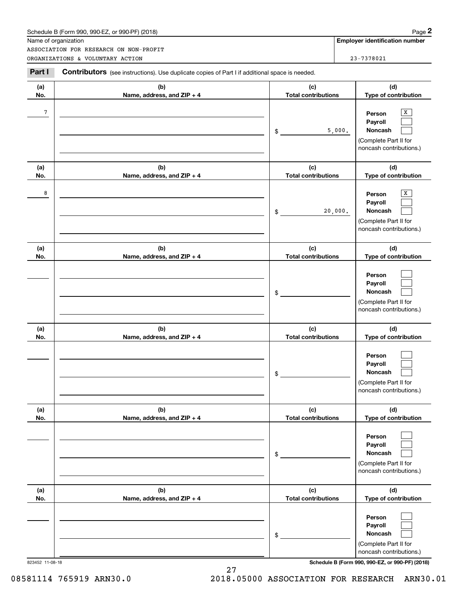| Schedule B (Form 990. 990-EZ. or 990-PF) (2018) | Page |
|-------------------------------------------------|------|
|-------------------------------------------------|------|

|                 | Schedule B (Form 990, 990-EZ, or 990-PF) (2018)                                                |                                   |         | Page 2                                                                                |
|-----------------|------------------------------------------------------------------------------------------------|-----------------------------------|---------|---------------------------------------------------------------------------------------|
|                 | Name of organization<br>ASSOCIATION FOR RESEARCH ON NON-PROFIT                                 |                                   |         | <b>Employer identification number</b>                                                 |
|                 | ORGANIZATIONS & VOLUNTARY ACTION                                                               |                                   |         | 23-7378021                                                                            |
| Part I          | Contributors (see instructions). Use duplicate copies of Part I if additional space is needed. |                                   |         |                                                                                       |
| (a)<br>No.      | (b)<br>Name, address, and ZIP + 4                                                              | (c)<br><b>Total contributions</b> |         | (d)<br>Type of contribution                                                           |
| $7\phantom{.0}$ |                                                                                                | \$                                | 5,000.  | х<br>Person<br>Payroll<br>Noncash<br>(Complete Part II for<br>noncash contributions.) |
| (a)<br>No.      | (b)<br>Name, address, and ZIP + 4                                                              | (c)<br><b>Total contributions</b> |         | (d)<br>Type of contribution                                                           |
| 8               |                                                                                                | \$                                | 20,000. | х<br>Person<br>Payroll<br>Noncash<br>(Complete Part II for<br>noncash contributions.) |
| (a)<br>No.      | (b)<br>Name, address, and ZIP + 4                                                              | (c)<br><b>Total contributions</b> |         | (d)<br>Type of contribution                                                           |
|                 |                                                                                                | \$                                |         | Person<br>Payroll<br>Noncash<br>(Complete Part II for<br>noncash contributions.)      |
| (a)<br>No.      | (b)<br>Name, address, and ZIP + 4                                                              | (c)<br><b>Total contributions</b> |         | (d)<br>Type of contribution                                                           |
|                 |                                                                                                | \$                                |         | Person<br>Payroll<br>Noncash<br>(Complete Part II for<br>noncash contributions.)      |
| (a)<br>No.      | (b)<br>Name, address, and ZIP + 4                                                              | (c)<br><b>Total contributions</b> |         | (d)<br>Type of contribution                                                           |
|                 |                                                                                                | \$                                |         | Person<br>Payroll<br>Noncash<br>(Complete Part II for<br>noncash contributions.)      |
| (a)<br>No.      | (b)<br>Name, address, and ZIP + 4                                                              | (c)<br><b>Total contributions</b> |         | (d)<br>Type of contribution                                                           |
|                 |                                                                                                | \$                                |         | Person<br>Payroll<br>Noncash<br>(Complete Part II for<br>noncash contributions.)      |

823452 11-08-18 **Schedule B (Form 990, 990-EZ, or 990-PF) (2018)**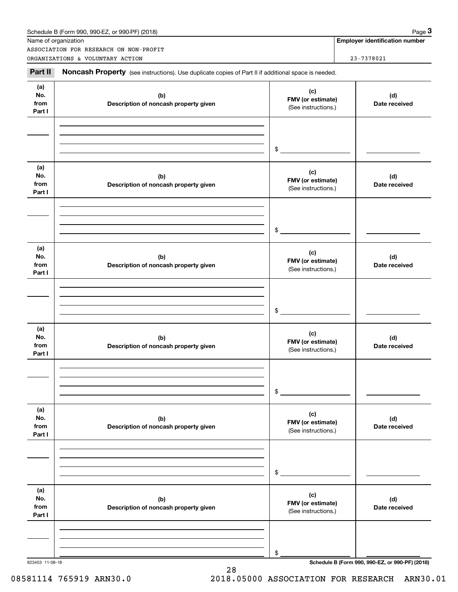|                              | ASSOCIATION FOR RESEARCH ON NON-PROFIT                                                              |                                                 |                      |
|------------------------------|-----------------------------------------------------------------------------------------------------|-------------------------------------------------|----------------------|
|                              | ORGANIZATIONS & VOLUNTARY ACTION                                                                    |                                                 | 23-7378021           |
| Part II                      | Noncash Property (see instructions). Use duplicate copies of Part II if additional space is needed. |                                                 |                      |
| (a)<br>No.<br>from<br>Part I | (b)<br>Description of noncash property given                                                        | (c)<br>FMV (or estimate)<br>(See instructions.) | (d)<br>Date received |
|                              |                                                                                                     | \$                                              |                      |
| (a)<br>No.<br>from<br>Part I | (b)<br>Description of noncash property given                                                        | (c)<br>FMV (or estimate)<br>(See instructions.) | (d)<br>Date received |
|                              |                                                                                                     | \$                                              |                      |
| (a)<br>No.<br>from<br>Part I | (b)<br>Description of noncash property given                                                        | (c)<br>FMV (or estimate)<br>(See instructions.) | (d)<br>Date received |
|                              |                                                                                                     | \$                                              |                      |
| (a)<br>No.<br>from<br>Part I | (b)<br>Description of noncash property given                                                        | (c)<br>FMV (or estimate)<br>(See instructions.) | (d)<br>Date received |
|                              |                                                                                                     | \$                                              |                      |
| (a)<br>No.<br>from<br>Part I | (b)<br>Description of noncash property given                                                        | (c)<br>FMV (or estimate)<br>(See instructions.) | (d)<br>Date received |
|                              |                                                                                                     | \$                                              |                      |
| (a)<br>No.<br>from<br>Part I | (b)<br>Description of noncash property given                                                        | (c)<br>FMV (or estimate)<br>(See instructions.) | (d)<br>Date received |
|                              |                                                                                                     |                                                 |                      |
|                              |                                                                                                     |                                                 |                      |

28

823453 11-08-18 **Schedule B (Form 990, 990-EZ, or 990-PF) (2018)**

# 08581114 765919 ARN30.0 2018.05000 ASSOCIATION FOR RESEARCH ARN30.01

Schedule B (Form 990, 990-EZ, or 990-PF) (2018) Page 3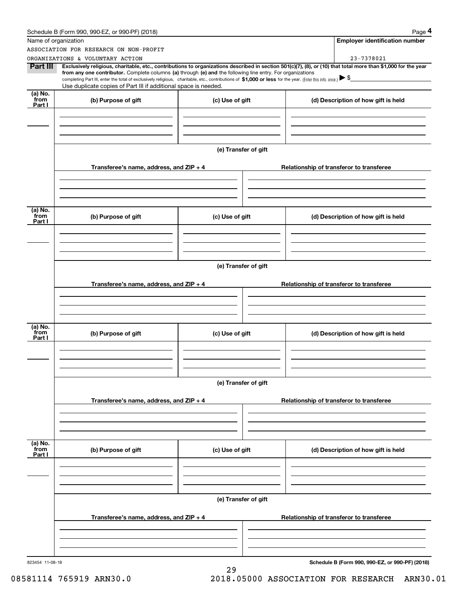|                           | Schedule B (Form 990, 990-EZ, or 990-PF) (2018)                                                                                                                                                                                                                            |                      | Page 4                                                                                                                                                         |  |  |  |
|---------------------------|----------------------------------------------------------------------------------------------------------------------------------------------------------------------------------------------------------------------------------------------------------------------------|----------------------|----------------------------------------------------------------------------------------------------------------------------------------------------------------|--|--|--|
|                           | Name of organization                                                                                                                                                                                                                                                       |                      | <b>Employer identification number</b>                                                                                                                          |  |  |  |
|                           | ASSOCIATION FOR RESEARCH ON NON-PROFIT                                                                                                                                                                                                                                     |                      |                                                                                                                                                                |  |  |  |
|                           | ORGANIZATIONS & VOLUNTARY ACTION                                                                                                                                                                                                                                           |                      | 23-7378021                                                                                                                                                     |  |  |  |
| Part III                  | from any one contributor. Complete columns (a) through (e) and the following line entry. For organizations<br>completing Part III, enter the total of exclusively religious, charitable, etc., contributions of \$1,000 or less for the year. (Enter this info. once.) \\$ |                      | Exclusively religious, charitable, etc., contributions to organizations described in section 501(c)(7), (8), or (10) that total more than \$1,000 for the year |  |  |  |
|                           | Use duplicate copies of Part III if additional space is needed.                                                                                                                                                                                                            |                      |                                                                                                                                                                |  |  |  |
| (a) No.<br>from<br>Part I | (b) Purpose of gift                                                                                                                                                                                                                                                        | (c) Use of gift      | (d) Description of how gift is held                                                                                                                            |  |  |  |
|                           |                                                                                                                                                                                                                                                                            |                      |                                                                                                                                                                |  |  |  |
|                           |                                                                                                                                                                                                                                                                            | (e) Transfer of gift |                                                                                                                                                                |  |  |  |
|                           | Transferee's name, address, and $ZIP + 4$                                                                                                                                                                                                                                  |                      | Relationship of transferor to transferee                                                                                                                       |  |  |  |
|                           |                                                                                                                                                                                                                                                                            |                      |                                                                                                                                                                |  |  |  |
| (a) No.<br>from           |                                                                                                                                                                                                                                                                            |                      |                                                                                                                                                                |  |  |  |
| Part I                    | (b) Purpose of gift                                                                                                                                                                                                                                                        | (c) Use of gift      | (d) Description of how gift is held                                                                                                                            |  |  |  |
|                           |                                                                                                                                                                                                                                                                            |                      |                                                                                                                                                                |  |  |  |
|                           |                                                                                                                                                                                                                                                                            | (e) Transfer of gift |                                                                                                                                                                |  |  |  |
|                           | Transferee's name, address, and ZIP + 4                                                                                                                                                                                                                                    |                      | Relationship of transferor to transferee                                                                                                                       |  |  |  |
|                           |                                                                                                                                                                                                                                                                            |                      |                                                                                                                                                                |  |  |  |
| (a) No.<br>from           | (b) Purpose of gift                                                                                                                                                                                                                                                        | (c) Use of gift      | (d) Description of how gift is held                                                                                                                            |  |  |  |
| Part I                    |                                                                                                                                                                                                                                                                            |                      |                                                                                                                                                                |  |  |  |
|                           |                                                                                                                                                                                                                                                                            |                      |                                                                                                                                                                |  |  |  |
|                           |                                                                                                                                                                                                                                                                            | (e) Transfer of gift |                                                                                                                                                                |  |  |  |
|                           | Transferee's name, address, and ZIP + 4                                                                                                                                                                                                                                    |                      | Relationship of transferor to transferee                                                                                                                       |  |  |  |
|                           |                                                                                                                                                                                                                                                                            |                      |                                                                                                                                                                |  |  |  |
| (a) No.<br>from<br>Part I | (b) Purpose of gift                                                                                                                                                                                                                                                        | (c) Use of gift      | (d) Description of how gift is held                                                                                                                            |  |  |  |
|                           |                                                                                                                                                                                                                                                                            |                      |                                                                                                                                                                |  |  |  |
|                           |                                                                                                                                                                                                                                                                            |                      |                                                                                                                                                                |  |  |  |
|                           | (e) Transfer of gift                                                                                                                                                                                                                                                       |                      |                                                                                                                                                                |  |  |  |
|                           | Transferee's name, address, and $ZIP + 4$                                                                                                                                                                                                                                  |                      | Relationship of transferor to transferee                                                                                                                       |  |  |  |
|                           |                                                                                                                                                                                                                                                                            |                      |                                                                                                                                                                |  |  |  |
| 823454 11-08-18           |                                                                                                                                                                                                                                                                            | 29                   | Schedule B (Form 990, 990-EZ, or 990-PF) (2018)                                                                                                                |  |  |  |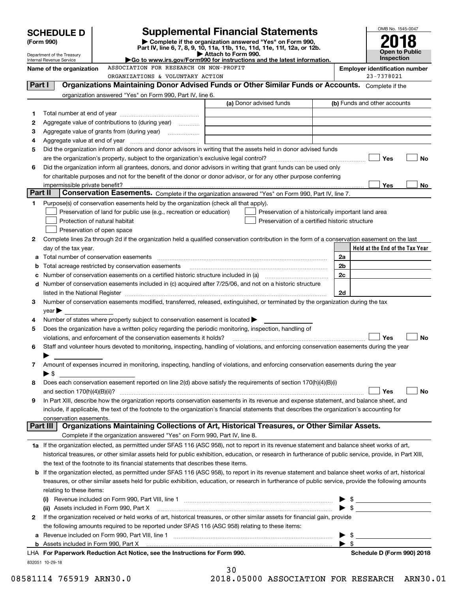|         | <b>SCHEDULE D</b>                                      | <b>Supplemental Financial Statements</b>                                                                                                                                                                                                      |                                                                                                 |  |                                                    |  |                          |    | OMB No. 1545-0047            |                                       |
|---------|--------------------------------------------------------|-----------------------------------------------------------------------------------------------------------------------------------------------------------------------------------------------------------------------------------------------|-------------------------------------------------------------------------------------------------|--|----------------------------------------------------|--|--------------------------|----|------------------------------|---------------------------------------|
|         | (Form 990)                                             | Complete if the organization answered "Yes" on Form 990,                                                                                                                                                                                      |                                                                                                 |  |                                                    |  |                          |    |                              |                                       |
|         |                                                        |                                                                                                                                                                                                                                               | Part IV, line 6, 7, 8, 9, 10, 11a, 11b, 11c, 11d, 11e, 11f, 12a, or 12b.<br>Attach to Form 990. |  |                                                    |  |                          |    |                              | <b>Open to Public</b>                 |
|         | Department of the Treasury<br>Internal Revenue Service | Go to www.irs.gov/Form990 for instructions and the latest information.                                                                                                                                                                        |                                                                                                 |  |                                                    |  | <b>Inspection</b>        |    |                              |                                       |
|         | Name of the organization                               | ASSOCIATION FOR RESEARCH ON NON-PROFIT                                                                                                                                                                                                        |                                                                                                 |  |                                                    |  |                          |    |                              | <b>Employer identification number</b> |
|         |                                                        | ORGANIZATIONS & VOLUNTARY ACTION                                                                                                                                                                                                              |                                                                                                 |  |                                                    |  |                          |    | 23-7378021                   |                                       |
| Part I  |                                                        | Organizations Maintaining Donor Advised Funds or Other Similar Funds or Accounts. Complete if the                                                                                                                                             |                                                                                                 |  |                                                    |  |                          |    |                              |                                       |
|         |                                                        | organization answered "Yes" on Form 990, Part IV, line 6.                                                                                                                                                                                     |                                                                                                 |  | (a) Donor advised funds                            |  |                          |    | (b) Funds and other accounts |                                       |
|         |                                                        |                                                                                                                                                                                                                                               |                                                                                                 |  |                                                    |  |                          |    |                              |                                       |
| 1<br>2  |                                                        | Aggregate value of contributions to (during year)                                                                                                                                                                                             |                                                                                                 |  |                                                    |  |                          |    |                              |                                       |
| з       |                                                        |                                                                                                                                                                                                                                               |                                                                                                 |  |                                                    |  |                          |    |                              |                                       |
| 4       |                                                        |                                                                                                                                                                                                                                               |                                                                                                 |  |                                                    |  |                          |    |                              |                                       |
| 5       |                                                        | Did the organization inform all donors and donor advisors in writing that the assets held in donor advised funds                                                                                                                              |                                                                                                 |  |                                                    |  |                          |    |                              |                                       |
|         |                                                        |                                                                                                                                                                                                                                               |                                                                                                 |  |                                                    |  |                          |    | Yes                          | No                                    |
| 6       |                                                        | Did the organization inform all grantees, donors, and donor advisors in writing that grant funds can be used only                                                                                                                             |                                                                                                 |  |                                                    |  |                          |    |                              |                                       |
|         |                                                        | for charitable purposes and not for the benefit of the donor or donor advisor, or for any other purpose conferring                                                                                                                            |                                                                                                 |  |                                                    |  |                          |    |                              |                                       |
|         | impermissible private benefit?                         |                                                                                                                                                                                                                                               |                                                                                                 |  |                                                    |  |                          |    | Yes                          | No                                    |
| Part II |                                                        | Conservation Easements. Complete if the organization answered "Yes" on Form 990, Part IV, line 7.                                                                                                                                             |                                                                                                 |  |                                                    |  |                          |    |                              |                                       |
| 1       |                                                        | Purpose(s) of conservation easements held by the organization (check all that apply).                                                                                                                                                         |                                                                                                 |  |                                                    |  |                          |    |                              |                                       |
|         |                                                        | Preservation of land for public use (e.g., recreation or education)                                                                                                                                                                           |                                                                                                 |  | Preservation of a historically important land area |  |                          |    |                              |                                       |
|         | Protection of natural habitat                          |                                                                                                                                                                                                                                               |                                                                                                 |  | Preservation of a certified historic structure     |  |                          |    |                              |                                       |
|         | Preservation of open space                             |                                                                                                                                                                                                                                               |                                                                                                 |  |                                                    |  |                          |    |                              |                                       |
| 2       |                                                        | Complete lines 2a through 2d if the organization held a qualified conservation contribution in the form of a conservation easement on the last                                                                                                |                                                                                                 |  |                                                    |  |                          |    |                              |                                       |
|         | day of the tax year.                                   |                                                                                                                                                                                                                                               |                                                                                                 |  |                                                    |  |                          |    |                              | Held at the End of the Tax Year       |
|         |                                                        |                                                                                                                                                                                                                                               |                                                                                                 |  |                                                    |  | 2a                       |    |                              |                                       |
|         |                                                        | Total acreage restricted by conservation easements                                                                                                                                                                                            |                                                                                                 |  |                                                    |  | 2 <sub>b</sub>           |    |                              |                                       |
|         |                                                        | Number of conservation easements on a certified historic structure included in (a) manufacture included in (a)                                                                                                                                |                                                                                                 |  |                                                    |  | 2c                       |    |                              |                                       |
| d       |                                                        | Number of conservation easements included in (c) acquired after 7/25/06, and not on a historic structure                                                                                                                                      |                                                                                                 |  |                                                    |  | 2d                       |    |                              |                                       |
| 3       | listed in the National Register                        | Number of conservation easements modified, transferred, released, extinguished, or terminated by the organization during the tax                                                                                                              |                                                                                                 |  |                                                    |  |                          |    |                              |                                       |
|         | $\mathsf{year}$                                        |                                                                                                                                                                                                                                               |                                                                                                 |  |                                                    |  |                          |    |                              |                                       |
| 4       |                                                        | Number of states where property subject to conservation easement is located >                                                                                                                                                                 |                                                                                                 |  |                                                    |  |                          |    |                              |                                       |
| 5       |                                                        | Does the organization have a written policy regarding the periodic monitoring, inspection, handling of                                                                                                                                        |                                                                                                 |  |                                                    |  |                          |    |                              |                                       |
|         |                                                        | violations, and enforcement of the conservation easements it holds?                                                                                                                                                                           |                                                                                                 |  |                                                    |  |                          |    | Yes                          | No                                    |
| 6       |                                                        | Staff and volunteer hours devoted to monitoring, inspecting, handling of violations, and enforcing conservation easements during the year                                                                                                     |                                                                                                 |  |                                                    |  |                          |    |                              |                                       |
|         |                                                        |                                                                                                                                                                                                                                               |                                                                                                 |  |                                                    |  |                          |    |                              |                                       |
| 7       |                                                        | Amount of expenses incurred in monitoring, inspecting, handling of violations, and enforcing conservation easements during the year                                                                                                           |                                                                                                 |  |                                                    |  |                          |    |                              |                                       |
|         | ▶ \$                                                   |                                                                                                                                                                                                                                               |                                                                                                 |  |                                                    |  |                          |    |                              |                                       |
| 8       |                                                        | Does each conservation easement reported on line 2(d) above satisfy the requirements of section 170(h)(4)(B)(i)                                                                                                                               |                                                                                                 |  |                                                    |  |                          |    |                              |                                       |
|         | and section $170(h)(4)(B)(ii)?$                        |                                                                                                                                                                                                                                               |                                                                                                 |  |                                                    |  |                          |    | Yes                          | No                                    |
| 9       |                                                        | In Part XIII, describe how the organization reports conservation easements in its revenue and expense statement, and balance sheet, and                                                                                                       |                                                                                                 |  |                                                    |  |                          |    |                              |                                       |
|         |                                                        | include, if applicable, the text of the footnote to the organization's financial statements that describes the organization's accounting for                                                                                                  |                                                                                                 |  |                                                    |  |                          |    |                              |                                       |
|         | conservation easements.                                | Organizations Maintaining Collections of Art, Historical Treasures, or Other Similar Assets.                                                                                                                                                  |                                                                                                 |  |                                                    |  |                          |    |                              |                                       |
|         | Part III                                               |                                                                                                                                                                                                                                               |                                                                                                 |  |                                                    |  |                          |    |                              |                                       |
|         |                                                        | Complete if the organization answered "Yes" on Form 990, Part IV, line 8.                                                                                                                                                                     |                                                                                                 |  |                                                    |  |                          |    |                              |                                       |
|         |                                                        | 1a If the organization elected, as permitted under SFAS 116 (ASC 958), not to report in its revenue statement and balance sheet works of art,                                                                                                 |                                                                                                 |  |                                                    |  |                          |    |                              |                                       |
|         |                                                        | historical treasures, or other similar assets held for public exhibition, education, or research in furtherance of public service, provide, in Part XIII,<br>the text of the footnote to its financial statements that describes these items. |                                                                                                 |  |                                                    |  |                          |    |                              |                                       |
|         |                                                        | <b>b</b> If the organization elected, as permitted under SFAS 116 (ASC 958), to report in its revenue statement and balance sheet works of art, historical                                                                                    |                                                                                                 |  |                                                    |  |                          |    |                              |                                       |
|         |                                                        | treasures, or other similar assets held for public exhibition, education, or research in furtherance of public service, provide the following amounts                                                                                         |                                                                                                 |  |                                                    |  |                          |    |                              |                                       |
|         | relating to these items:                               |                                                                                                                                                                                                                                               |                                                                                                 |  |                                                    |  |                          |    |                              |                                       |
|         |                                                        |                                                                                                                                                                                                                                               |                                                                                                 |  |                                                    |  |                          |    |                              |                                       |
|         | (ii) Assets included in Form 990, Part X               |                                                                                                                                                                                                                                               |                                                                                                 |  |                                                    |  |                          |    | $\blacktriangleright$ \$     |                                       |
| 2       |                                                        | If the organization received or held works of art, historical treasures, or other similar assets for financial gain, provide                                                                                                                  |                                                                                                 |  |                                                    |  |                          |    |                              |                                       |
|         |                                                        | the following amounts required to be reported under SFAS 116 (ASC 958) relating to these items:                                                                                                                                               |                                                                                                 |  |                                                    |  |                          |    |                              |                                       |
| а       |                                                        |                                                                                                                                                                                                                                               |                                                                                                 |  |                                                    |  |                          | \$ |                              |                                       |
| b       |                                                        |                                                                                                                                                                                                                                               |                                                                                                 |  |                                                    |  | $\blacktriangleright$ \$ |    |                              |                                       |
|         |                                                        | LHA For Paperwork Reduction Act Notice, see the Instructions for Form 990.                                                                                                                                                                    |                                                                                                 |  |                                                    |  |                          |    |                              | Schedule D (Form 990) 2018            |
|         | 832051 10-29-18                                        |                                                                                                                                                                                                                                               | າ ດ                                                                                             |  |                                                    |  |                          |    |                              |                                       |

|      | 30 |  |              |  |  |
|------|----|--|--------------|--|--|
| 11 O |    |  | <b>OEOOO</b> |  |  |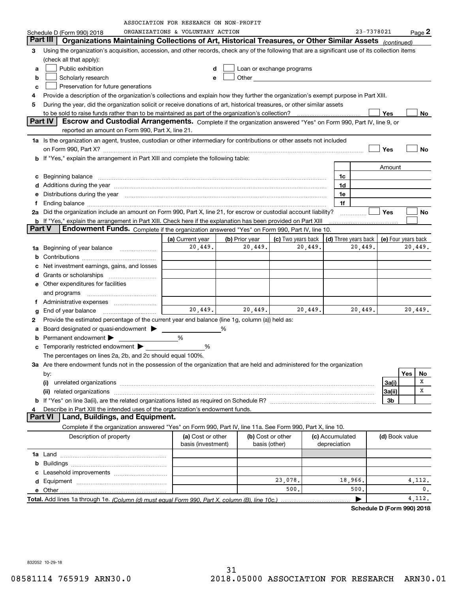| ORGANIZATIONS & VOLUNTARY ACTION<br>23-7378021<br>$Page$ 2<br>Schedule D (Form 990) 2018<br>Part III I<br>Organizations Maintaining Collections of Art, Historical Treasures, or Other Similar Assets (continued)<br>Using the organization's acquisition, accession, and other records, check any of the following that are a significant use of its collection items<br>3<br>(check all that apply):<br>Public exhibition<br>Loan or exchange programs<br>a<br>d<br>Scholarly research<br>Other and the control of the control of the control of the control of the control of the control of the control of the control of the control of the control of the control of the control of the control of the control of th<br>b<br>e<br>Preservation for future generations<br>c<br>Provide a description of the organization's collections and explain how they further the organization's exempt purpose in Part XIII.<br>4<br>During the year, did the organization solicit or receive donations of art, historical treasures, or other similar assets<br>5<br>to be sold to raise funds rather than to be maintained as part of the organization's collection?<br>Yes<br>No<br>  Part IV  <br>Escrow and Custodial Arrangements. Complete if the organization answered "Yes" on Form 990, Part IV, line 9, or<br>reported an amount on Form 990, Part X, line 21.<br>1a Is the organization an agent, trustee, custodian or other intermediary for contributions or other assets not included<br>on Form 990, Part X? [11] The Content of The Content of The Content of The Content of The Content of The Content of The Content of The Content of The Content of The Content of The Content of The Content of The Content of T<br>Yes<br>No<br><b>b</b> If "Yes," explain the arrangement in Part XIII and complete the following table:<br>Amount<br>Beginning balance material continuum contracts and all the contracts of the contracts of the contracts of the contracts of the contracts of the contracts of the contracts of the contracts of the contracts of the contracts<br>1c<br>с<br>1d<br>Additions during the year manufactured and an account of the year and account of the year manufactured and account of the year and account of the year and account of the year and account of the state of the state of the st<br>d<br>Distributions during the year manufactured and continuum and contact the year manufactured and contact the year<br>1e<br>е<br>1f<br>f<br>Did the organization include an amount on Form 990, Part X, line 21, for escrow or custodial account liability?<br><b>Yes</b><br><b>No</b><br>2a<br>b If "Yes," explain the arrangement in Part XIII. Check here if the explanation has been provided on Part XIII<br>Part V<br>Endowment Funds. Complete if the organization answered "Yes" on Form 990, Part IV, line 10.<br>(c) Two years back<br>(a) Current year<br>(b) Prior year<br>(d) Three years back<br>(e) Four years back<br>20,449.<br>20,449.<br>20,449.<br>20,449.<br>20,449.<br>Beginning of year balance<br>1a<br>b<br>Net investment earnings, gains, and losses<br>c<br>d<br>Other expenditures for facilities<br>е<br>and programs<br>Ť.<br>20,449.<br>20,449.<br>20,449.<br>20,449.<br>20,449.<br>g<br>Provide the estimated percentage of the current year end balance (line 1g, column (a)) held as:<br>2<br>Board designated or quasi-endowment ><br>%<br>a<br>Permanent endowment ><br>%<br>b<br>Temporarily restricted endowment $\blacktriangleright$<br>%<br>c<br>The percentages on lines 2a, 2b, and 2c should equal 100%.<br>3a Are there endowment funds not in the possession of the organization that are held and administered for the organization<br>Yes<br>No<br>by:<br>х<br>3a(i)<br>(i)<br>Χ<br> 3a(ii)<br>3b<br>Describe in Part XIII the intended uses of the organization's endowment funds.<br>4<br>Land, Buildings, and Equipment.<br>Part VI<br>Complete if the organization answered "Yes" on Form 990, Part IV, line 11a. See Form 990, Part X, line 10.<br>(b) Cost or other<br>Description of property<br>(a) Cost or other<br>(c) Accumulated<br>(d) Book value<br>basis (investment)<br>depreciation<br>basis (other)<br>23,078.<br>18,966.<br>4,112.<br>500.<br>0.<br>500.<br>4, 112.<br>▶ |  | ASSOCIATION FOR RESEARCH ON NON-PROFIT |  |  |  |  |
|-----------------------------------------------------------------------------------------------------------------------------------------------------------------------------------------------------------------------------------------------------------------------------------------------------------------------------------------------------------------------------------------------------------------------------------------------------------------------------------------------------------------------------------------------------------------------------------------------------------------------------------------------------------------------------------------------------------------------------------------------------------------------------------------------------------------------------------------------------------------------------------------------------------------------------------------------------------------------------------------------------------------------------------------------------------------------------------------------------------------------------------------------------------------------------------------------------------------------------------------------------------------------------------------------------------------------------------------------------------------------------------------------------------------------------------------------------------------------------------------------------------------------------------------------------------------------------------------------------------------------------------------------------------------------------------------------------------------------------------------------------------------------------------------------------------------------------------------------------------------------------------------------------------------------------------------------------------------------------------------------------------------------------------------------------------------------------------------------------------------------------------------------------------------------------------------------------------------------------------------------------------------------------------------------------------------------------------------------------------------------------------------------------------------------------------------------------------------------------------------------------------------------------------------------------------------------------------------------------------------------------------------------------------------------------------------------------------------------------------------------------------------------------------------------------------------------------------------------------------------------------------------------------------------------------------------------------------------------------------------------------------------------------------------------------------------------------------------------------------------------------------------------------------------------------------------------------------------------------------------------------------------------------------------------------------------------------------------------------------------------------------------------------------------------------------------------------------------------------------------------------------------------------------------------------------------------------------------------------------------------------------------------------------------------------------------------------------------------------------------------------------------------------------------------------------------------------------------------------------------------------------------------------------------------------------------------------------------------------------------------------------------------------------------------------------------------------------------------------------------------------------------------------------------------------------------------------------------------------------------------------------------------------------------------|--|----------------------------------------|--|--|--|--|
|                                                                                                                                                                                                                                                                                                                                                                                                                                                                                                                                                                                                                                                                                                                                                                                                                                                                                                                                                                                                                                                                                                                                                                                                                                                                                                                                                                                                                                                                                                                                                                                                                                                                                                                                                                                                                                                                                                                                                                                                                                                                                                                                                                                                                                                                                                                                                                                                                                                                                                                                                                                                                                                                                                                                                                                                                                                                                                                                                                                                                                                                                                                                                                                                                                                                                                                                                                                                                                                                                                                                                                                                                                                                                                                                                                                                                                                                                                                                                                                                                                                                                                                                                                                                                                                                                               |  |                                        |  |  |  |  |
|                                                                                                                                                                                                                                                                                                                                                                                                                                                                                                                                                                                                                                                                                                                                                                                                                                                                                                                                                                                                                                                                                                                                                                                                                                                                                                                                                                                                                                                                                                                                                                                                                                                                                                                                                                                                                                                                                                                                                                                                                                                                                                                                                                                                                                                                                                                                                                                                                                                                                                                                                                                                                                                                                                                                                                                                                                                                                                                                                                                                                                                                                                                                                                                                                                                                                                                                                                                                                                                                                                                                                                                                                                                                                                                                                                                                                                                                                                                                                                                                                                                                                                                                                                                                                                                                                               |  |                                        |  |  |  |  |
|                                                                                                                                                                                                                                                                                                                                                                                                                                                                                                                                                                                                                                                                                                                                                                                                                                                                                                                                                                                                                                                                                                                                                                                                                                                                                                                                                                                                                                                                                                                                                                                                                                                                                                                                                                                                                                                                                                                                                                                                                                                                                                                                                                                                                                                                                                                                                                                                                                                                                                                                                                                                                                                                                                                                                                                                                                                                                                                                                                                                                                                                                                                                                                                                                                                                                                                                                                                                                                                                                                                                                                                                                                                                                                                                                                                                                                                                                                                                                                                                                                                                                                                                                                                                                                                                                               |  |                                        |  |  |  |  |
|                                                                                                                                                                                                                                                                                                                                                                                                                                                                                                                                                                                                                                                                                                                                                                                                                                                                                                                                                                                                                                                                                                                                                                                                                                                                                                                                                                                                                                                                                                                                                                                                                                                                                                                                                                                                                                                                                                                                                                                                                                                                                                                                                                                                                                                                                                                                                                                                                                                                                                                                                                                                                                                                                                                                                                                                                                                                                                                                                                                                                                                                                                                                                                                                                                                                                                                                                                                                                                                                                                                                                                                                                                                                                                                                                                                                                                                                                                                                                                                                                                                                                                                                                                                                                                                                                               |  |                                        |  |  |  |  |
|                                                                                                                                                                                                                                                                                                                                                                                                                                                                                                                                                                                                                                                                                                                                                                                                                                                                                                                                                                                                                                                                                                                                                                                                                                                                                                                                                                                                                                                                                                                                                                                                                                                                                                                                                                                                                                                                                                                                                                                                                                                                                                                                                                                                                                                                                                                                                                                                                                                                                                                                                                                                                                                                                                                                                                                                                                                                                                                                                                                                                                                                                                                                                                                                                                                                                                                                                                                                                                                                                                                                                                                                                                                                                                                                                                                                                                                                                                                                                                                                                                                                                                                                                                                                                                                                                               |  |                                        |  |  |  |  |
|                                                                                                                                                                                                                                                                                                                                                                                                                                                                                                                                                                                                                                                                                                                                                                                                                                                                                                                                                                                                                                                                                                                                                                                                                                                                                                                                                                                                                                                                                                                                                                                                                                                                                                                                                                                                                                                                                                                                                                                                                                                                                                                                                                                                                                                                                                                                                                                                                                                                                                                                                                                                                                                                                                                                                                                                                                                                                                                                                                                                                                                                                                                                                                                                                                                                                                                                                                                                                                                                                                                                                                                                                                                                                                                                                                                                                                                                                                                                                                                                                                                                                                                                                                                                                                                                                               |  |                                        |  |  |  |  |
|                                                                                                                                                                                                                                                                                                                                                                                                                                                                                                                                                                                                                                                                                                                                                                                                                                                                                                                                                                                                                                                                                                                                                                                                                                                                                                                                                                                                                                                                                                                                                                                                                                                                                                                                                                                                                                                                                                                                                                                                                                                                                                                                                                                                                                                                                                                                                                                                                                                                                                                                                                                                                                                                                                                                                                                                                                                                                                                                                                                                                                                                                                                                                                                                                                                                                                                                                                                                                                                                                                                                                                                                                                                                                                                                                                                                                                                                                                                                                                                                                                                                                                                                                                                                                                                                                               |  |                                        |  |  |  |  |
|                                                                                                                                                                                                                                                                                                                                                                                                                                                                                                                                                                                                                                                                                                                                                                                                                                                                                                                                                                                                                                                                                                                                                                                                                                                                                                                                                                                                                                                                                                                                                                                                                                                                                                                                                                                                                                                                                                                                                                                                                                                                                                                                                                                                                                                                                                                                                                                                                                                                                                                                                                                                                                                                                                                                                                                                                                                                                                                                                                                                                                                                                                                                                                                                                                                                                                                                                                                                                                                                                                                                                                                                                                                                                                                                                                                                                                                                                                                                                                                                                                                                                                                                                                                                                                                                                               |  |                                        |  |  |  |  |
|                                                                                                                                                                                                                                                                                                                                                                                                                                                                                                                                                                                                                                                                                                                                                                                                                                                                                                                                                                                                                                                                                                                                                                                                                                                                                                                                                                                                                                                                                                                                                                                                                                                                                                                                                                                                                                                                                                                                                                                                                                                                                                                                                                                                                                                                                                                                                                                                                                                                                                                                                                                                                                                                                                                                                                                                                                                                                                                                                                                                                                                                                                                                                                                                                                                                                                                                                                                                                                                                                                                                                                                                                                                                                                                                                                                                                                                                                                                                                                                                                                                                                                                                                                                                                                                                                               |  |                                        |  |  |  |  |
|                                                                                                                                                                                                                                                                                                                                                                                                                                                                                                                                                                                                                                                                                                                                                                                                                                                                                                                                                                                                                                                                                                                                                                                                                                                                                                                                                                                                                                                                                                                                                                                                                                                                                                                                                                                                                                                                                                                                                                                                                                                                                                                                                                                                                                                                                                                                                                                                                                                                                                                                                                                                                                                                                                                                                                                                                                                                                                                                                                                                                                                                                                                                                                                                                                                                                                                                                                                                                                                                                                                                                                                                                                                                                                                                                                                                                                                                                                                                                                                                                                                                                                                                                                                                                                                                                               |  |                                        |  |  |  |  |
|                                                                                                                                                                                                                                                                                                                                                                                                                                                                                                                                                                                                                                                                                                                                                                                                                                                                                                                                                                                                                                                                                                                                                                                                                                                                                                                                                                                                                                                                                                                                                                                                                                                                                                                                                                                                                                                                                                                                                                                                                                                                                                                                                                                                                                                                                                                                                                                                                                                                                                                                                                                                                                                                                                                                                                                                                                                                                                                                                                                                                                                                                                                                                                                                                                                                                                                                                                                                                                                                                                                                                                                                                                                                                                                                                                                                                                                                                                                                                                                                                                                                                                                                                                                                                                                                                               |  |                                        |  |  |  |  |
|                                                                                                                                                                                                                                                                                                                                                                                                                                                                                                                                                                                                                                                                                                                                                                                                                                                                                                                                                                                                                                                                                                                                                                                                                                                                                                                                                                                                                                                                                                                                                                                                                                                                                                                                                                                                                                                                                                                                                                                                                                                                                                                                                                                                                                                                                                                                                                                                                                                                                                                                                                                                                                                                                                                                                                                                                                                                                                                                                                                                                                                                                                                                                                                                                                                                                                                                                                                                                                                                                                                                                                                                                                                                                                                                                                                                                                                                                                                                                                                                                                                                                                                                                                                                                                                                                               |  |                                        |  |  |  |  |
|                                                                                                                                                                                                                                                                                                                                                                                                                                                                                                                                                                                                                                                                                                                                                                                                                                                                                                                                                                                                                                                                                                                                                                                                                                                                                                                                                                                                                                                                                                                                                                                                                                                                                                                                                                                                                                                                                                                                                                                                                                                                                                                                                                                                                                                                                                                                                                                                                                                                                                                                                                                                                                                                                                                                                                                                                                                                                                                                                                                                                                                                                                                                                                                                                                                                                                                                                                                                                                                                                                                                                                                                                                                                                                                                                                                                                                                                                                                                                                                                                                                                                                                                                                                                                                                                                               |  |                                        |  |  |  |  |
|                                                                                                                                                                                                                                                                                                                                                                                                                                                                                                                                                                                                                                                                                                                                                                                                                                                                                                                                                                                                                                                                                                                                                                                                                                                                                                                                                                                                                                                                                                                                                                                                                                                                                                                                                                                                                                                                                                                                                                                                                                                                                                                                                                                                                                                                                                                                                                                                                                                                                                                                                                                                                                                                                                                                                                                                                                                                                                                                                                                                                                                                                                                                                                                                                                                                                                                                                                                                                                                                                                                                                                                                                                                                                                                                                                                                                                                                                                                                                                                                                                                                                                                                                                                                                                                                                               |  |                                        |  |  |  |  |
|                                                                                                                                                                                                                                                                                                                                                                                                                                                                                                                                                                                                                                                                                                                                                                                                                                                                                                                                                                                                                                                                                                                                                                                                                                                                                                                                                                                                                                                                                                                                                                                                                                                                                                                                                                                                                                                                                                                                                                                                                                                                                                                                                                                                                                                                                                                                                                                                                                                                                                                                                                                                                                                                                                                                                                                                                                                                                                                                                                                                                                                                                                                                                                                                                                                                                                                                                                                                                                                                                                                                                                                                                                                                                                                                                                                                                                                                                                                                                                                                                                                                                                                                                                                                                                                                                               |  |                                        |  |  |  |  |
|                                                                                                                                                                                                                                                                                                                                                                                                                                                                                                                                                                                                                                                                                                                                                                                                                                                                                                                                                                                                                                                                                                                                                                                                                                                                                                                                                                                                                                                                                                                                                                                                                                                                                                                                                                                                                                                                                                                                                                                                                                                                                                                                                                                                                                                                                                                                                                                                                                                                                                                                                                                                                                                                                                                                                                                                                                                                                                                                                                                                                                                                                                                                                                                                                                                                                                                                                                                                                                                                                                                                                                                                                                                                                                                                                                                                                                                                                                                                                                                                                                                                                                                                                                                                                                                                                               |  |                                        |  |  |  |  |
|                                                                                                                                                                                                                                                                                                                                                                                                                                                                                                                                                                                                                                                                                                                                                                                                                                                                                                                                                                                                                                                                                                                                                                                                                                                                                                                                                                                                                                                                                                                                                                                                                                                                                                                                                                                                                                                                                                                                                                                                                                                                                                                                                                                                                                                                                                                                                                                                                                                                                                                                                                                                                                                                                                                                                                                                                                                                                                                                                                                                                                                                                                                                                                                                                                                                                                                                                                                                                                                                                                                                                                                                                                                                                                                                                                                                                                                                                                                                                                                                                                                                                                                                                                                                                                                                                               |  |                                        |  |  |  |  |
|                                                                                                                                                                                                                                                                                                                                                                                                                                                                                                                                                                                                                                                                                                                                                                                                                                                                                                                                                                                                                                                                                                                                                                                                                                                                                                                                                                                                                                                                                                                                                                                                                                                                                                                                                                                                                                                                                                                                                                                                                                                                                                                                                                                                                                                                                                                                                                                                                                                                                                                                                                                                                                                                                                                                                                                                                                                                                                                                                                                                                                                                                                                                                                                                                                                                                                                                                                                                                                                                                                                                                                                                                                                                                                                                                                                                                                                                                                                                                                                                                                                                                                                                                                                                                                                                                               |  |                                        |  |  |  |  |
|                                                                                                                                                                                                                                                                                                                                                                                                                                                                                                                                                                                                                                                                                                                                                                                                                                                                                                                                                                                                                                                                                                                                                                                                                                                                                                                                                                                                                                                                                                                                                                                                                                                                                                                                                                                                                                                                                                                                                                                                                                                                                                                                                                                                                                                                                                                                                                                                                                                                                                                                                                                                                                                                                                                                                                                                                                                                                                                                                                                                                                                                                                                                                                                                                                                                                                                                                                                                                                                                                                                                                                                                                                                                                                                                                                                                                                                                                                                                                                                                                                                                                                                                                                                                                                                                                               |  |                                        |  |  |  |  |
|                                                                                                                                                                                                                                                                                                                                                                                                                                                                                                                                                                                                                                                                                                                                                                                                                                                                                                                                                                                                                                                                                                                                                                                                                                                                                                                                                                                                                                                                                                                                                                                                                                                                                                                                                                                                                                                                                                                                                                                                                                                                                                                                                                                                                                                                                                                                                                                                                                                                                                                                                                                                                                                                                                                                                                                                                                                                                                                                                                                                                                                                                                                                                                                                                                                                                                                                                                                                                                                                                                                                                                                                                                                                                                                                                                                                                                                                                                                                                                                                                                                                                                                                                                                                                                                                                               |  |                                        |  |  |  |  |
|                                                                                                                                                                                                                                                                                                                                                                                                                                                                                                                                                                                                                                                                                                                                                                                                                                                                                                                                                                                                                                                                                                                                                                                                                                                                                                                                                                                                                                                                                                                                                                                                                                                                                                                                                                                                                                                                                                                                                                                                                                                                                                                                                                                                                                                                                                                                                                                                                                                                                                                                                                                                                                                                                                                                                                                                                                                                                                                                                                                                                                                                                                                                                                                                                                                                                                                                                                                                                                                                                                                                                                                                                                                                                                                                                                                                                                                                                                                                                                                                                                                                                                                                                                                                                                                                                               |  |                                        |  |  |  |  |
|                                                                                                                                                                                                                                                                                                                                                                                                                                                                                                                                                                                                                                                                                                                                                                                                                                                                                                                                                                                                                                                                                                                                                                                                                                                                                                                                                                                                                                                                                                                                                                                                                                                                                                                                                                                                                                                                                                                                                                                                                                                                                                                                                                                                                                                                                                                                                                                                                                                                                                                                                                                                                                                                                                                                                                                                                                                                                                                                                                                                                                                                                                                                                                                                                                                                                                                                                                                                                                                                                                                                                                                                                                                                                                                                                                                                                                                                                                                                                                                                                                                                                                                                                                                                                                                                                               |  |                                        |  |  |  |  |
|                                                                                                                                                                                                                                                                                                                                                                                                                                                                                                                                                                                                                                                                                                                                                                                                                                                                                                                                                                                                                                                                                                                                                                                                                                                                                                                                                                                                                                                                                                                                                                                                                                                                                                                                                                                                                                                                                                                                                                                                                                                                                                                                                                                                                                                                                                                                                                                                                                                                                                                                                                                                                                                                                                                                                                                                                                                                                                                                                                                                                                                                                                                                                                                                                                                                                                                                                                                                                                                                                                                                                                                                                                                                                                                                                                                                                                                                                                                                                                                                                                                                                                                                                                                                                                                                                               |  |                                        |  |  |  |  |
|                                                                                                                                                                                                                                                                                                                                                                                                                                                                                                                                                                                                                                                                                                                                                                                                                                                                                                                                                                                                                                                                                                                                                                                                                                                                                                                                                                                                                                                                                                                                                                                                                                                                                                                                                                                                                                                                                                                                                                                                                                                                                                                                                                                                                                                                                                                                                                                                                                                                                                                                                                                                                                                                                                                                                                                                                                                                                                                                                                                                                                                                                                                                                                                                                                                                                                                                                                                                                                                                                                                                                                                                                                                                                                                                                                                                                                                                                                                                                                                                                                                                                                                                                                                                                                                                                               |  |                                        |  |  |  |  |
|                                                                                                                                                                                                                                                                                                                                                                                                                                                                                                                                                                                                                                                                                                                                                                                                                                                                                                                                                                                                                                                                                                                                                                                                                                                                                                                                                                                                                                                                                                                                                                                                                                                                                                                                                                                                                                                                                                                                                                                                                                                                                                                                                                                                                                                                                                                                                                                                                                                                                                                                                                                                                                                                                                                                                                                                                                                                                                                                                                                                                                                                                                                                                                                                                                                                                                                                                                                                                                                                                                                                                                                                                                                                                                                                                                                                                                                                                                                                                                                                                                                                                                                                                                                                                                                                                               |  |                                        |  |  |  |  |
|                                                                                                                                                                                                                                                                                                                                                                                                                                                                                                                                                                                                                                                                                                                                                                                                                                                                                                                                                                                                                                                                                                                                                                                                                                                                                                                                                                                                                                                                                                                                                                                                                                                                                                                                                                                                                                                                                                                                                                                                                                                                                                                                                                                                                                                                                                                                                                                                                                                                                                                                                                                                                                                                                                                                                                                                                                                                                                                                                                                                                                                                                                                                                                                                                                                                                                                                                                                                                                                                                                                                                                                                                                                                                                                                                                                                                                                                                                                                                                                                                                                                                                                                                                                                                                                                                               |  |                                        |  |  |  |  |
|                                                                                                                                                                                                                                                                                                                                                                                                                                                                                                                                                                                                                                                                                                                                                                                                                                                                                                                                                                                                                                                                                                                                                                                                                                                                                                                                                                                                                                                                                                                                                                                                                                                                                                                                                                                                                                                                                                                                                                                                                                                                                                                                                                                                                                                                                                                                                                                                                                                                                                                                                                                                                                                                                                                                                                                                                                                                                                                                                                                                                                                                                                                                                                                                                                                                                                                                                                                                                                                                                                                                                                                                                                                                                                                                                                                                                                                                                                                                                                                                                                                                                                                                                                                                                                                                                               |  |                                        |  |  |  |  |
|                                                                                                                                                                                                                                                                                                                                                                                                                                                                                                                                                                                                                                                                                                                                                                                                                                                                                                                                                                                                                                                                                                                                                                                                                                                                                                                                                                                                                                                                                                                                                                                                                                                                                                                                                                                                                                                                                                                                                                                                                                                                                                                                                                                                                                                                                                                                                                                                                                                                                                                                                                                                                                                                                                                                                                                                                                                                                                                                                                                                                                                                                                                                                                                                                                                                                                                                                                                                                                                                                                                                                                                                                                                                                                                                                                                                                                                                                                                                                                                                                                                                                                                                                                                                                                                                                               |  |                                        |  |  |  |  |
|                                                                                                                                                                                                                                                                                                                                                                                                                                                                                                                                                                                                                                                                                                                                                                                                                                                                                                                                                                                                                                                                                                                                                                                                                                                                                                                                                                                                                                                                                                                                                                                                                                                                                                                                                                                                                                                                                                                                                                                                                                                                                                                                                                                                                                                                                                                                                                                                                                                                                                                                                                                                                                                                                                                                                                                                                                                                                                                                                                                                                                                                                                                                                                                                                                                                                                                                                                                                                                                                                                                                                                                                                                                                                                                                                                                                                                                                                                                                                                                                                                                                                                                                                                                                                                                                                               |  |                                        |  |  |  |  |
|                                                                                                                                                                                                                                                                                                                                                                                                                                                                                                                                                                                                                                                                                                                                                                                                                                                                                                                                                                                                                                                                                                                                                                                                                                                                                                                                                                                                                                                                                                                                                                                                                                                                                                                                                                                                                                                                                                                                                                                                                                                                                                                                                                                                                                                                                                                                                                                                                                                                                                                                                                                                                                                                                                                                                                                                                                                                                                                                                                                                                                                                                                                                                                                                                                                                                                                                                                                                                                                                                                                                                                                                                                                                                                                                                                                                                                                                                                                                                                                                                                                                                                                                                                                                                                                                                               |  |                                        |  |  |  |  |
|                                                                                                                                                                                                                                                                                                                                                                                                                                                                                                                                                                                                                                                                                                                                                                                                                                                                                                                                                                                                                                                                                                                                                                                                                                                                                                                                                                                                                                                                                                                                                                                                                                                                                                                                                                                                                                                                                                                                                                                                                                                                                                                                                                                                                                                                                                                                                                                                                                                                                                                                                                                                                                                                                                                                                                                                                                                                                                                                                                                                                                                                                                                                                                                                                                                                                                                                                                                                                                                                                                                                                                                                                                                                                                                                                                                                                                                                                                                                                                                                                                                                                                                                                                                                                                                                                               |  |                                        |  |  |  |  |
|                                                                                                                                                                                                                                                                                                                                                                                                                                                                                                                                                                                                                                                                                                                                                                                                                                                                                                                                                                                                                                                                                                                                                                                                                                                                                                                                                                                                                                                                                                                                                                                                                                                                                                                                                                                                                                                                                                                                                                                                                                                                                                                                                                                                                                                                                                                                                                                                                                                                                                                                                                                                                                                                                                                                                                                                                                                                                                                                                                                                                                                                                                                                                                                                                                                                                                                                                                                                                                                                                                                                                                                                                                                                                                                                                                                                                                                                                                                                                                                                                                                                                                                                                                                                                                                                                               |  |                                        |  |  |  |  |
|                                                                                                                                                                                                                                                                                                                                                                                                                                                                                                                                                                                                                                                                                                                                                                                                                                                                                                                                                                                                                                                                                                                                                                                                                                                                                                                                                                                                                                                                                                                                                                                                                                                                                                                                                                                                                                                                                                                                                                                                                                                                                                                                                                                                                                                                                                                                                                                                                                                                                                                                                                                                                                                                                                                                                                                                                                                                                                                                                                                                                                                                                                                                                                                                                                                                                                                                                                                                                                                                                                                                                                                                                                                                                                                                                                                                                                                                                                                                                                                                                                                                                                                                                                                                                                                                                               |  |                                        |  |  |  |  |
|                                                                                                                                                                                                                                                                                                                                                                                                                                                                                                                                                                                                                                                                                                                                                                                                                                                                                                                                                                                                                                                                                                                                                                                                                                                                                                                                                                                                                                                                                                                                                                                                                                                                                                                                                                                                                                                                                                                                                                                                                                                                                                                                                                                                                                                                                                                                                                                                                                                                                                                                                                                                                                                                                                                                                                                                                                                                                                                                                                                                                                                                                                                                                                                                                                                                                                                                                                                                                                                                                                                                                                                                                                                                                                                                                                                                                                                                                                                                                                                                                                                                                                                                                                                                                                                                                               |  |                                        |  |  |  |  |
|                                                                                                                                                                                                                                                                                                                                                                                                                                                                                                                                                                                                                                                                                                                                                                                                                                                                                                                                                                                                                                                                                                                                                                                                                                                                                                                                                                                                                                                                                                                                                                                                                                                                                                                                                                                                                                                                                                                                                                                                                                                                                                                                                                                                                                                                                                                                                                                                                                                                                                                                                                                                                                                                                                                                                                                                                                                                                                                                                                                                                                                                                                                                                                                                                                                                                                                                                                                                                                                                                                                                                                                                                                                                                                                                                                                                                                                                                                                                                                                                                                                                                                                                                                                                                                                                                               |  |                                        |  |  |  |  |
|                                                                                                                                                                                                                                                                                                                                                                                                                                                                                                                                                                                                                                                                                                                                                                                                                                                                                                                                                                                                                                                                                                                                                                                                                                                                                                                                                                                                                                                                                                                                                                                                                                                                                                                                                                                                                                                                                                                                                                                                                                                                                                                                                                                                                                                                                                                                                                                                                                                                                                                                                                                                                                                                                                                                                                                                                                                                                                                                                                                                                                                                                                                                                                                                                                                                                                                                                                                                                                                                                                                                                                                                                                                                                                                                                                                                                                                                                                                                                                                                                                                                                                                                                                                                                                                                                               |  |                                        |  |  |  |  |
|                                                                                                                                                                                                                                                                                                                                                                                                                                                                                                                                                                                                                                                                                                                                                                                                                                                                                                                                                                                                                                                                                                                                                                                                                                                                                                                                                                                                                                                                                                                                                                                                                                                                                                                                                                                                                                                                                                                                                                                                                                                                                                                                                                                                                                                                                                                                                                                                                                                                                                                                                                                                                                                                                                                                                                                                                                                                                                                                                                                                                                                                                                                                                                                                                                                                                                                                                                                                                                                                                                                                                                                                                                                                                                                                                                                                                                                                                                                                                                                                                                                                                                                                                                                                                                                                                               |  |                                        |  |  |  |  |
|                                                                                                                                                                                                                                                                                                                                                                                                                                                                                                                                                                                                                                                                                                                                                                                                                                                                                                                                                                                                                                                                                                                                                                                                                                                                                                                                                                                                                                                                                                                                                                                                                                                                                                                                                                                                                                                                                                                                                                                                                                                                                                                                                                                                                                                                                                                                                                                                                                                                                                                                                                                                                                                                                                                                                                                                                                                                                                                                                                                                                                                                                                                                                                                                                                                                                                                                                                                                                                                                                                                                                                                                                                                                                                                                                                                                                                                                                                                                                                                                                                                                                                                                                                                                                                                                                               |  |                                        |  |  |  |  |
|                                                                                                                                                                                                                                                                                                                                                                                                                                                                                                                                                                                                                                                                                                                                                                                                                                                                                                                                                                                                                                                                                                                                                                                                                                                                                                                                                                                                                                                                                                                                                                                                                                                                                                                                                                                                                                                                                                                                                                                                                                                                                                                                                                                                                                                                                                                                                                                                                                                                                                                                                                                                                                                                                                                                                                                                                                                                                                                                                                                                                                                                                                                                                                                                                                                                                                                                                                                                                                                                                                                                                                                                                                                                                                                                                                                                                                                                                                                                                                                                                                                                                                                                                                                                                                                                                               |  |                                        |  |  |  |  |
|                                                                                                                                                                                                                                                                                                                                                                                                                                                                                                                                                                                                                                                                                                                                                                                                                                                                                                                                                                                                                                                                                                                                                                                                                                                                                                                                                                                                                                                                                                                                                                                                                                                                                                                                                                                                                                                                                                                                                                                                                                                                                                                                                                                                                                                                                                                                                                                                                                                                                                                                                                                                                                                                                                                                                                                                                                                                                                                                                                                                                                                                                                                                                                                                                                                                                                                                                                                                                                                                                                                                                                                                                                                                                                                                                                                                                                                                                                                                                                                                                                                                                                                                                                                                                                                                                               |  |                                        |  |  |  |  |
|                                                                                                                                                                                                                                                                                                                                                                                                                                                                                                                                                                                                                                                                                                                                                                                                                                                                                                                                                                                                                                                                                                                                                                                                                                                                                                                                                                                                                                                                                                                                                                                                                                                                                                                                                                                                                                                                                                                                                                                                                                                                                                                                                                                                                                                                                                                                                                                                                                                                                                                                                                                                                                                                                                                                                                                                                                                                                                                                                                                                                                                                                                                                                                                                                                                                                                                                                                                                                                                                                                                                                                                                                                                                                                                                                                                                                                                                                                                                                                                                                                                                                                                                                                                                                                                                                               |  |                                        |  |  |  |  |
|                                                                                                                                                                                                                                                                                                                                                                                                                                                                                                                                                                                                                                                                                                                                                                                                                                                                                                                                                                                                                                                                                                                                                                                                                                                                                                                                                                                                                                                                                                                                                                                                                                                                                                                                                                                                                                                                                                                                                                                                                                                                                                                                                                                                                                                                                                                                                                                                                                                                                                                                                                                                                                                                                                                                                                                                                                                                                                                                                                                                                                                                                                                                                                                                                                                                                                                                                                                                                                                                                                                                                                                                                                                                                                                                                                                                                                                                                                                                                                                                                                                                                                                                                                                                                                                                                               |  |                                        |  |  |  |  |
|                                                                                                                                                                                                                                                                                                                                                                                                                                                                                                                                                                                                                                                                                                                                                                                                                                                                                                                                                                                                                                                                                                                                                                                                                                                                                                                                                                                                                                                                                                                                                                                                                                                                                                                                                                                                                                                                                                                                                                                                                                                                                                                                                                                                                                                                                                                                                                                                                                                                                                                                                                                                                                                                                                                                                                                                                                                                                                                                                                                                                                                                                                                                                                                                                                                                                                                                                                                                                                                                                                                                                                                                                                                                                                                                                                                                                                                                                                                                                                                                                                                                                                                                                                                                                                                                                               |  |                                        |  |  |  |  |
|                                                                                                                                                                                                                                                                                                                                                                                                                                                                                                                                                                                                                                                                                                                                                                                                                                                                                                                                                                                                                                                                                                                                                                                                                                                                                                                                                                                                                                                                                                                                                                                                                                                                                                                                                                                                                                                                                                                                                                                                                                                                                                                                                                                                                                                                                                                                                                                                                                                                                                                                                                                                                                                                                                                                                                                                                                                                                                                                                                                                                                                                                                                                                                                                                                                                                                                                                                                                                                                                                                                                                                                                                                                                                                                                                                                                                                                                                                                                                                                                                                                                                                                                                                                                                                                                                               |  |                                        |  |  |  |  |
|                                                                                                                                                                                                                                                                                                                                                                                                                                                                                                                                                                                                                                                                                                                                                                                                                                                                                                                                                                                                                                                                                                                                                                                                                                                                                                                                                                                                                                                                                                                                                                                                                                                                                                                                                                                                                                                                                                                                                                                                                                                                                                                                                                                                                                                                                                                                                                                                                                                                                                                                                                                                                                                                                                                                                                                                                                                                                                                                                                                                                                                                                                                                                                                                                                                                                                                                                                                                                                                                                                                                                                                                                                                                                                                                                                                                                                                                                                                                                                                                                                                                                                                                                                                                                                                                                               |  |                                        |  |  |  |  |
|                                                                                                                                                                                                                                                                                                                                                                                                                                                                                                                                                                                                                                                                                                                                                                                                                                                                                                                                                                                                                                                                                                                                                                                                                                                                                                                                                                                                                                                                                                                                                                                                                                                                                                                                                                                                                                                                                                                                                                                                                                                                                                                                                                                                                                                                                                                                                                                                                                                                                                                                                                                                                                                                                                                                                                                                                                                                                                                                                                                                                                                                                                                                                                                                                                                                                                                                                                                                                                                                                                                                                                                                                                                                                                                                                                                                                                                                                                                                                                                                                                                                                                                                                                                                                                                                                               |  |                                        |  |  |  |  |
|                                                                                                                                                                                                                                                                                                                                                                                                                                                                                                                                                                                                                                                                                                                                                                                                                                                                                                                                                                                                                                                                                                                                                                                                                                                                                                                                                                                                                                                                                                                                                                                                                                                                                                                                                                                                                                                                                                                                                                                                                                                                                                                                                                                                                                                                                                                                                                                                                                                                                                                                                                                                                                                                                                                                                                                                                                                                                                                                                                                                                                                                                                                                                                                                                                                                                                                                                                                                                                                                                                                                                                                                                                                                                                                                                                                                                                                                                                                                                                                                                                                                                                                                                                                                                                                                                               |  |                                        |  |  |  |  |
|                                                                                                                                                                                                                                                                                                                                                                                                                                                                                                                                                                                                                                                                                                                                                                                                                                                                                                                                                                                                                                                                                                                                                                                                                                                                                                                                                                                                                                                                                                                                                                                                                                                                                                                                                                                                                                                                                                                                                                                                                                                                                                                                                                                                                                                                                                                                                                                                                                                                                                                                                                                                                                                                                                                                                                                                                                                                                                                                                                                                                                                                                                                                                                                                                                                                                                                                                                                                                                                                                                                                                                                                                                                                                                                                                                                                                                                                                                                                                                                                                                                                                                                                                                                                                                                                                               |  |                                        |  |  |  |  |
|                                                                                                                                                                                                                                                                                                                                                                                                                                                                                                                                                                                                                                                                                                                                                                                                                                                                                                                                                                                                                                                                                                                                                                                                                                                                                                                                                                                                                                                                                                                                                                                                                                                                                                                                                                                                                                                                                                                                                                                                                                                                                                                                                                                                                                                                                                                                                                                                                                                                                                                                                                                                                                                                                                                                                                                                                                                                                                                                                                                                                                                                                                                                                                                                                                                                                                                                                                                                                                                                                                                                                                                                                                                                                                                                                                                                                                                                                                                                                                                                                                                                                                                                                                                                                                                                                               |  |                                        |  |  |  |  |
|                                                                                                                                                                                                                                                                                                                                                                                                                                                                                                                                                                                                                                                                                                                                                                                                                                                                                                                                                                                                                                                                                                                                                                                                                                                                                                                                                                                                                                                                                                                                                                                                                                                                                                                                                                                                                                                                                                                                                                                                                                                                                                                                                                                                                                                                                                                                                                                                                                                                                                                                                                                                                                                                                                                                                                                                                                                                                                                                                                                                                                                                                                                                                                                                                                                                                                                                                                                                                                                                                                                                                                                                                                                                                                                                                                                                                                                                                                                                                                                                                                                                                                                                                                                                                                                                                               |  |                                        |  |  |  |  |
|                                                                                                                                                                                                                                                                                                                                                                                                                                                                                                                                                                                                                                                                                                                                                                                                                                                                                                                                                                                                                                                                                                                                                                                                                                                                                                                                                                                                                                                                                                                                                                                                                                                                                                                                                                                                                                                                                                                                                                                                                                                                                                                                                                                                                                                                                                                                                                                                                                                                                                                                                                                                                                                                                                                                                                                                                                                                                                                                                                                                                                                                                                                                                                                                                                                                                                                                                                                                                                                                                                                                                                                                                                                                                                                                                                                                                                                                                                                                                                                                                                                                                                                                                                                                                                                                                               |  |                                        |  |  |  |  |
|                                                                                                                                                                                                                                                                                                                                                                                                                                                                                                                                                                                                                                                                                                                                                                                                                                                                                                                                                                                                                                                                                                                                                                                                                                                                                                                                                                                                                                                                                                                                                                                                                                                                                                                                                                                                                                                                                                                                                                                                                                                                                                                                                                                                                                                                                                                                                                                                                                                                                                                                                                                                                                                                                                                                                                                                                                                                                                                                                                                                                                                                                                                                                                                                                                                                                                                                                                                                                                                                                                                                                                                                                                                                                                                                                                                                                                                                                                                                                                                                                                                                                                                                                                                                                                                                                               |  |                                        |  |  |  |  |
|                                                                                                                                                                                                                                                                                                                                                                                                                                                                                                                                                                                                                                                                                                                                                                                                                                                                                                                                                                                                                                                                                                                                                                                                                                                                                                                                                                                                                                                                                                                                                                                                                                                                                                                                                                                                                                                                                                                                                                                                                                                                                                                                                                                                                                                                                                                                                                                                                                                                                                                                                                                                                                                                                                                                                                                                                                                                                                                                                                                                                                                                                                                                                                                                                                                                                                                                                                                                                                                                                                                                                                                                                                                                                                                                                                                                                                                                                                                                                                                                                                                                                                                                                                                                                                                                                               |  |                                        |  |  |  |  |
|                                                                                                                                                                                                                                                                                                                                                                                                                                                                                                                                                                                                                                                                                                                                                                                                                                                                                                                                                                                                                                                                                                                                                                                                                                                                                                                                                                                                                                                                                                                                                                                                                                                                                                                                                                                                                                                                                                                                                                                                                                                                                                                                                                                                                                                                                                                                                                                                                                                                                                                                                                                                                                                                                                                                                                                                                                                                                                                                                                                                                                                                                                                                                                                                                                                                                                                                                                                                                                                                                                                                                                                                                                                                                                                                                                                                                                                                                                                                                                                                                                                                                                                                                                                                                                                                                               |  |                                        |  |  |  |  |
|                                                                                                                                                                                                                                                                                                                                                                                                                                                                                                                                                                                                                                                                                                                                                                                                                                                                                                                                                                                                                                                                                                                                                                                                                                                                                                                                                                                                                                                                                                                                                                                                                                                                                                                                                                                                                                                                                                                                                                                                                                                                                                                                                                                                                                                                                                                                                                                                                                                                                                                                                                                                                                                                                                                                                                                                                                                                                                                                                                                                                                                                                                                                                                                                                                                                                                                                                                                                                                                                                                                                                                                                                                                                                                                                                                                                                                                                                                                                                                                                                                                                                                                                                                                                                                                                                               |  |                                        |  |  |  |  |

**Schedule D (Form 990) 2018**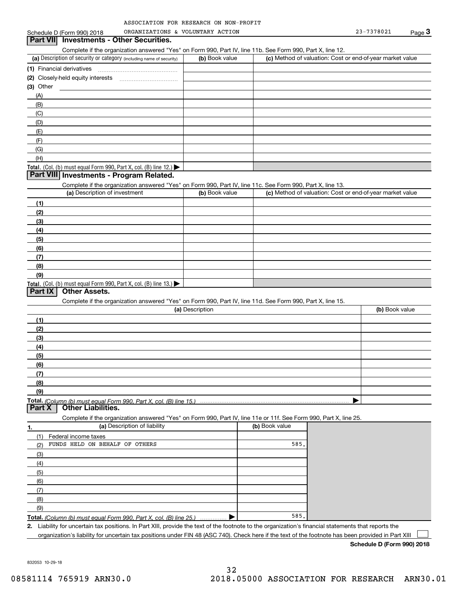| ASSOCIATION FOR RESEARCH ON NON-PROFIT |  |  |
|----------------------------------------|--|--|
|                                        |  |  |

|             | Schedule D (Form 990) 2018                                                                                                                           | ORGANIZATIONS & VOLUNTARY ACTION |                |                                                           | 23-7378021     | Page 3 |
|-------------|------------------------------------------------------------------------------------------------------------------------------------------------------|----------------------------------|----------------|-----------------------------------------------------------|----------------|--------|
|             | Part VII Investments - Other Securities.                                                                                                             |                                  |                |                                                           |                |        |
|             | Complete if the organization answered "Yes" on Form 990, Part IV, line 11b. See Form 990, Part X, line 12.                                           |                                  |                |                                                           |                |        |
|             | (a) Description of security or category (including name of security)                                                                                 | (b) Book value                   |                | (c) Method of valuation: Cost or end-of-year market value |                |        |
|             |                                                                                                                                                      |                                  |                |                                                           |                |        |
|             |                                                                                                                                                      |                                  |                |                                                           |                |        |
|             |                                                                                                                                                      |                                  |                |                                                           |                |        |
| $(3)$ Other |                                                                                                                                                      |                                  |                |                                                           |                |        |
| (A)         |                                                                                                                                                      |                                  |                |                                                           |                |        |
| (B)         |                                                                                                                                                      |                                  |                |                                                           |                |        |
| (C)         |                                                                                                                                                      |                                  |                |                                                           |                |        |
| (D)         |                                                                                                                                                      |                                  |                |                                                           |                |        |
| (E)         |                                                                                                                                                      |                                  |                |                                                           |                |        |
| (F)         |                                                                                                                                                      |                                  |                |                                                           |                |        |
| (G)         |                                                                                                                                                      |                                  |                |                                                           |                |        |
| (H)         |                                                                                                                                                      |                                  |                |                                                           |                |        |
|             | Total. (Col. (b) must equal Form 990, Part X, col. (B) line 12.)                                                                                     |                                  |                |                                                           |                |        |
|             | Part VIII Investments - Program Related.                                                                                                             |                                  |                |                                                           |                |        |
|             | Complete if the organization answered "Yes" on Form 990, Part IV, line 11c. See Form 990, Part X, line 13.                                           |                                  |                |                                                           |                |        |
|             | (a) Description of investment                                                                                                                        | (b) Book value                   |                | (c) Method of valuation: Cost or end-of-year market value |                |        |
| (1)         |                                                                                                                                                      |                                  |                |                                                           |                |        |
| (2)         |                                                                                                                                                      |                                  |                |                                                           |                |        |
| (3)         |                                                                                                                                                      |                                  |                |                                                           |                |        |
| (4)         |                                                                                                                                                      |                                  |                |                                                           |                |        |
| (5)         |                                                                                                                                                      |                                  |                |                                                           |                |        |
| (6)         |                                                                                                                                                      |                                  |                |                                                           |                |        |
| (7)         |                                                                                                                                                      |                                  |                |                                                           |                |        |
| (8)         |                                                                                                                                                      |                                  |                |                                                           |                |        |
|             |                                                                                                                                                      |                                  |                |                                                           |                |        |
| (9)         |                                                                                                                                                      |                                  |                |                                                           |                |        |
| Part IX     | Total. (Col. (b) must equal Form 990, Part X, col. (B) line 13.)<br><b>Other Assets.</b>                                                             |                                  |                |                                                           |                |        |
|             |                                                                                                                                                      |                                  |                |                                                           |                |        |
|             | Complete if the organization answered "Yes" on Form 990, Part IV, line 11d. See Form 990, Part X, line 15.                                           | (a) Description                  |                |                                                           |                |        |
|             |                                                                                                                                                      |                                  |                |                                                           | (b) Book value |        |
| (1)         |                                                                                                                                                      |                                  |                |                                                           |                |        |
| (2)         |                                                                                                                                                      |                                  |                |                                                           |                |        |
| (3)         |                                                                                                                                                      |                                  |                |                                                           |                |        |
| (4)         |                                                                                                                                                      |                                  |                |                                                           |                |        |
| (5)         |                                                                                                                                                      |                                  |                |                                                           |                |        |
| (6)         |                                                                                                                                                      |                                  |                |                                                           |                |        |
| (7)         |                                                                                                                                                      |                                  |                |                                                           |                |        |
| (8)         |                                                                                                                                                      |                                  |                |                                                           |                |        |
| (9)         |                                                                                                                                                      |                                  |                |                                                           |                |        |
|             |                                                                                                                                                      |                                  |                |                                                           |                |        |
| Part X      | <b>Other Liabilities.</b>                                                                                                                            |                                  |                |                                                           |                |        |
|             | Complete if the organization answered "Yes" on Form 990, Part IV, line 11e or 11f. See Form 990, Part X, line 25.                                    |                                  |                |                                                           |                |        |
| 1.          | (a) Description of liability                                                                                                                         |                                  | (b) Book value |                                                           |                |        |
| (1)         | Federal income taxes                                                                                                                                 |                                  |                |                                                           |                |        |
| (2)         | FUNDS HELD ON BEHALF OF OTHERS                                                                                                                       |                                  | 585.           |                                                           |                |        |
| (3)         |                                                                                                                                                      |                                  |                |                                                           |                |        |
|             |                                                                                                                                                      |                                  |                |                                                           |                |        |
| (4)         |                                                                                                                                                      |                                  |                |                                                           |                |        |
| (5)         |                                                                                                                                                      |                                  |                |                                                           |                |        |
| (6)         |                                                                                                                                                      |                                  |                |                                                           |                |        |
| (7)         |                                                                                                                                                      |                                  |                |                                                           |                |        |
| (8)         |                                                                                                                                                      |                                  |                |                                                           |                |        |
| (9)         |                                                                                                                                                      |                                  |                |                                                           |                |        |
|             | Total. (Column (b) must equal Form 990, Part X, col. (B) line 25.)                                                                                   |                                  | 585.           |                                                           |                |        |
|             | 2. Liability for uncertain tax positions. In Part XIII, provide the text of the footnote to the organization's financial statements that reports the |                                  |                |                                                           |                |        |
|             | organization's liability for uncertain tax positions under FIN 48 (ASC 740). Check here if the text of the footnote has been provided in Part XIII   |                                  |                |                                                           |                |        |

organization's liability for uncertain tax positions under FIN 48 (ASC 740). Check here if the text of the footnote has been provided in Part XIII

**Schedule D (Form 990) 2018**

832053 10-29-18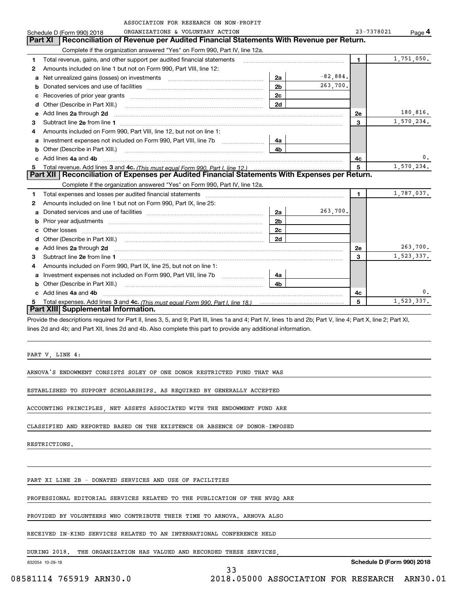|    | ASSOCIATION FOR RESEARCH ON NON-PROFIT                                                                                                                                                                                              |                |            |              |            |
|----|-------------------------------------------------------------------------------------------------------------------------------------------------------------------------------------------------------------------------------------|----------------|------------|--------------|------------|
|    | ORGANIZATIONS & VOLUNTARY ACTION<br>Schedule D (Form 990) 2018                                                                                                                                                                      |                |            | 23-7378021   | Page 4     |
|    | <b>Part XI</b><br>Reconciliation of Revenue per Audited Financial Statements With Revenue per Return.                                                                                                                               |                |            |              |            |
|    | Complete if the organization answered "Yes" on Form 990, Part IV, line 12a.                                                                                                                                                         |                |            |              |            |
| 1  | Total revenue, gains, and other support per audited financial statements                                                                                                                                                            |                |            | $\mathbf{1}$ | 1,751,050. |
| 2  | Amounts included on line 1 but not on Form 990, Part VIII, line 12:                                                                                                                                                                 |                |            |              |            |
| a  |                                                                                                                                                                                                                                     | 2a             | $-82,884.$ |              |            |
| b  |                                                                                                                                                                                                                                     | 2 <sub>b</sub> | 263,700.   |              |            |
| c  |                                                                                                                                                                                                                                     | 2c             |            |              |            |
| d  | Other (Describe in Part XIII.) <b>Construction Contract Construction</b> Chern Construction Construction Construction                                                                                                               | 2d             |            |              |            |
| е  | Add lines 2a through 2d                                                                                                                                                                                                             |                |            | <b>2e</b>    | 180,816.   |
| 3  |                                                                                                                                                                                                                                     |                |            | 3            | 1,570,234. |
| 4  | Amounts included on Form 990, Part VIII, line 12, but not on line 1:                                                                                                                                                                |                |            |              |            |
| a  |                                                                                                                                                                                                                                     | 4a             |            |              |            |
| b  |                                                                                                                                                                                                                                     | 4b             |            |              |            |
|    | Add lines 4a and 4b                                                                                                                                                                                                                 |                | 4c         | 0.           |            |
| 5. |                                                                                                                                                                                                                                     |                | 5          | 1,570,234.   |            |
|    | Part XII   Reconciliation of Expenses per Audited Financial Statements With Expenses per Return.                                                                                                                                    |                |            |              |            |
|    | Complete if the organization answered "Yes" on Form 990, Part IV, line 12a.                                                                                                                                                         |                |            |              |            |
| 1  |                                                                                                                                                                                                                                     |                |            | $\mathbf{1}$ | 1,787,037. |
| 2  | Amounts included on line 1 but not on Form 990, Part IX, line 25:                                                                                                                                                                   |                |            |              |            |
| a  |                                                                                                                                                                                                                                     | 2a             | 263,700.   |              |            |
| b  |                                                                                                                                                                                                                                     | 2 <sub>b</sub> |            |              |            |
| c  |                                                                                                                                                                                                                                     | 2 <sub>c</sub> |            |              |            |
| d  |                                                                                                                                                                                                                                     | 2d             |            |              |            |
| е  | Add lines 2a through 2d <b>contained a contained a contained a contained a</b> contained a contact the state of the state of the state of the state of the state of the state of the state of the state of the state of the state o |                |            | 2e           | 263,700.   |
| 3  |                                                                                                                                                                                                                                     |                | 3          | 1,523,337.   |            |
| 4  | Amounts included on Form 990, Part IX, line 25, but not on line 1:                                                                                                                                                                  |                |            |              |            |
| a  |                                                                                                                                                                                                                                     | 4a             |            |              |            |
| b  | Other (Describe in Part XIII.) <b>Construction Contract Construction</b> Chern Construction Chern Chern Chern Chern Chern Chern Chern Chern Chern Chern Chern Chern Chern Chern Chern Chern Chern Chern Chern Chern Chern Chern Che | 4b             |            |              |            |
|    | c Add lines 4a and 4b                                                                                                                                                                                                               |                | 4c         | 0.           |            |
| 5. |                                                                                                                                                                                                                                     |                | 5          | 1,523,337.   |            |
|    | Part XIII Supplemental Information.                                                                                                                                                                                                 |                |            |              |            |
|    | Provide the descriptions required for Part II, lines 3, 5, and 9; Part III, lines 1a and 4; Part IV, lines 1b and 2b; Part V, line 4; Part X, line 2; Part XI,                                                                      |                |            |              |            |

lines 2d and 4b; and Part XII, lines 2d and 4b. Also complete this part to provide any additional information.

PART V, LINE 4:

ARNOVA'S ENDOWMENT CONSISTS SOLEY OF ONE DONOR RESTRICTED FUND THAT WAS

ESTABLISHED TO SUPPORT SCHOLARSHIPS. AS REQUIRED BY GENERALLY ACCEPTED

ACCOUNTING PRINCIPLES, NET ASSETS ASSOCIATED WITH THE ENDOWMENT FUND ARE

CLASSIFIED AND REPORTED BASED ON THE EXISTENCE OR ABSENCE OF DONOR-IMPOSED

RESTRICTIONS.

PART XI LINE 2B - DONATED SERVICES AND USE OF FACILITIES

PROFESSIONAL EDITORIAL SERVICES RELATED TO THE PUBLICATION OF THE NVSQ ARE

PROVIDED BY VOLUNTEERS WHO CONTRIBUTE THEIR TIME TO ARNOVA. ARNOVA ALSO

RECEIVED IN-KIND SERVICES RELATED TO AN INTERNATIONAL CONFERENCE HELD

DURING 2018. THE ORGANIZATION HAS VALUED AND RECORDED THESE SERVICES,

33

832054 10-29-18

08581114 765919 ARN30.0 2018.05000 ASSOCIATION FOR RESEARCH ARN30.01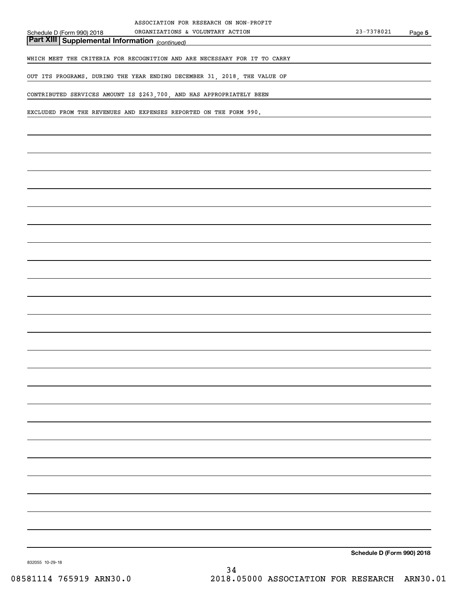*(continued)* **Part XIII Supplemental Information** 

WHICH MEET THE CRITERIA FOR RECOGNITION AND ARE NECESSARY FOR IT TO CARRY

OUT ITS PROGRAMS. DURING THE YEAR ENDING DECEMBER 31, 2018, THE VALUE OF

CONTRIBUTED SERVICES AMOUNT IS \$263,700, AND HAS APPROPRIATELY BEEN

EXCLUDED FROM THE REVENUES AND EXPENSES REPORTED ON THE FORM 990.

**Schedule D (Form 990) 2018**

832055 10-29-18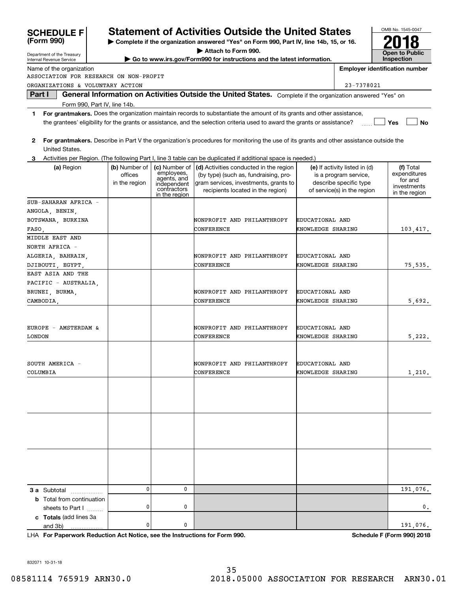| (Form 990)                             | Complete if the organization answered "Yes" on Form 990, Part IV, line 14b, 15, or 16. |                                                                                               |                                                                                           |                                                                                                                                                               |                                      |                                                                                                                 |                                                                      |
|----------------------------------------|----------------------------------------------------------------------------------------|-----------------------------------------------------------------------------------------------|-------------------------------------------------------------------------------------------|---------------------------------------------------------------------------------------------------------------------------------------------------------------|--------------------------------------|-----------------------------------------------------------------------------------------------------------------|----------------------------------------------------------------------|
| Department of the Treasury             |                                                                                        | Attach to Form 990.<br>Go to www.irs.gov/Form990 for instructions and the latest information. |                                                                                           |                                                                                                                                                               |                                      |                                                                                                                 | <b>Open to Public</b>                                                |
| Internal Revenue Service               |                                                                                        |                                                                                               |                                                                                           |                                                                                                                                                               |                                      |                                                                                                                 | <b>Inspection</b>                                                    |
| Name of the organization               |                                                                                        |                                                                                               |                                                                                           |                                                                                                                                                               |                                      |                                                                                                                 | <b>Employer identification number</b>                                |
| ASSOCIATION FOR RESEARCH ON NON-PROFIT |                                                                                        |                                                                                               |                                                                                           |                                                                                                                                                               |                                      |                                                                                                                 |                                                                      |
| ORGANIZATIONS & VOLUNTARY ACTION       |                                                                                        |                                                                                               |                                                                                           |                                                                                                                                                               |                                      | 23-7378021                                                                                                      |                                                                      |
| Part I                                 |                                                                                        |                                                                                               |                                                                                           | General Information on Activities Outside the United States. Complete if the organization answered "Yes" on                                                   |                                      |                                                                                                                 |                                                                      |
| Form 990, Part IV, line 14b.           |                                                                                        |                                                                                               |                                                                                           |                                                                                                                                                               |                                      |                                                                                                                 |                                                                      |
| 1                                      |                                                                                        |                                                                                               |                                                                                           | For grantmakers. Does the organization maintain records to substantiate the amount of its grants and other assistance,                                        |                                      |                                                                                                                 |                                                                      |
|                                        |                                                                                        |                                                                                               |                                                                                           | the grantees' eligibility for the grants or assistance, and the selection criteria used to award the grants or assistance?                                    |                                      |                                                                                                                 | Yes<br>No                                                            |
| 2<br>United States.                    |                                                                                        |                                                                                               |                                                                                           | For grantmakers. Describe in Part V the organization's procedures for monitoring the use of its grants and other assistance outside the                       |                                      |                                                                                                                 |                                                                      |
|                                        |                                                                                        |                                                                                               |                                                                                           | Activities per Region. (The following Part I, line 3 table can be duplicated if additional space is needed.)                                                  |                                      |                                                                                                                 |                                                                      |
| (a) Region                             |                                                                                        | (b) Number of<br>offices<br>in the region                                                     | (c) Number of<br>employees,<br>agents, and<br>independent<br>contractors<br>in the region | (d) Activities conducted in the region<br>(by type) (such as, fundraising, pro-<br>gram services, investments, grants to<br>recipients located in the region) |                                      | (e) If activity listed in (d)<br>is a program service,<br>describe specific type<br>of service(s) in the region | (f) Total<br>expenditures<br>for and<br>investments<br>in the region |
| SUB-SAHARAN AFRICA -                   |                                                                                        |                                                                                               |                                                                                           |                                                                                                                                                               |                                      |                                                                                                                 |                                                                      |
| ANGOLA, BENIN,                         |                                                                                        |                                                                                               |                                                                                           |                                                                                                                                                               |                                      |                                                                                                                 |                                                                      |
| BOTSWANA, BURKINA                      |                                                                                        |                                                                                               |                                                                                           | NONPROFIT AND PHILANTHROPY                                                                                                                                    | EDUCATIONAL AND                      |                                                                                                                 |                                                                      |
| FASO,                                  |                                                                                        |                                                                                               |                                                                                           | CONFERENCE                                                                                                                                                    | KNOWLEDGE SHARING                    |                                                                                                                 | 103, 417.                                                            |
| MIDDLE EAST AND                        |                                                                                        |                                                                                               |                                                                                           |                                                                                                                                                               |                                      |                                                                                                                 |                                                                      |
| NORTH AFRICA -                         |                                                                                        |                                                                                               |                                                                                           |                                                                                                                                                               |                                      |                                                                                                                 |                                                                      |
| ALGERIA, BAHRAIN,                      |                                                                                        |                                                                                               |                                                                                           | NONPROFIT AND PHILANTHROPY<br>CONFERENCE                                                                                                                      | EDUCATIONAL AND<br>KNOWLEDGE SHARING |                                                                                                                 |                                                                      |
| DJIBOUTI, EGYPT,<br>EAST ASIA AND THE  |                                                                                        |                                                                                               |                                                                                           |                                                                                                                                                               |                                      |                                                                                                                 | 75, 535.                                                             |
| PACIFIC - AUSTRALIA,                   |                                                                                        |                                                                                               |                                                                                           |                                                                                                                                                               |                                      |                                                                                                                 |                                                                      |
| BRUNEI, BURMA,                         |                                                                                        |                                                                                               |                                                                                           | NONPROFIT AND PHILANTHROPY                                                                                                                                    | EDUCATIONAL AND                      |                                                                                                                 |                                                                      |
| CAMBODIA,                              |                                                                                        |                                                                                               |                                                                                           | CONFERENCE                                                                                                                                                    | KNOWLEDGE SHARING                    |                                                                                                                 | 5,692.                                                               |
|                                        |                                                                                        |                                                                                               |                                                                                           |                                                                                                                                                               |                                      |                                                                                                                 |                                                                      |
|                                        |                                                                                        |                                                                                               |                                                                                           |                                                                                                                                                               |                                      |                                                                                                                 |                                                                      |
| EUROPE - AMSTERDAM &                   |                                                                                        |                                                                                               |                                                                                           | NONPROFIT AND PHILANTHROPY                                                                                                                                    | EDUCATIONAL AND                      |                                                                                                                 |                                                                      |
| <b>LONDON</b>                          |                                                                                        |                                                                                               |                                                                                           | CONFERENCE                                                                                                                                                    | KNOWLEDGE SHARING                    |                                                                                                                 | 5,222.                                                               |
|                                        |                                                                                        |                                                                                               |                                                                                           |                                                                                                                                                               |                                      |                                                                                                                 |                                                                      |
|                                        |                                                                                        |                                                                                               |                                                                                           |                                                                                                                                                               |                                      |                                                                                                                 |                                                                      |
| SOUTH AMERICA -                        |                                                                                        |                                                                                               |                                                                                           | NONPROFIT AND PHILANTHROPY                                                                                                                                    | EDUCATIONAL AND                      |                                                                                                                 |                                                                      |
| COLUMBIA                               |                                                                                        |                                                                                               |                                                                                           | CONFERENCE                                                                                                                                                    | KNOWLEDGE SHARING                    |                                                                                                                 | 1,210.                                                               |
|                                        |                                                                                        |                                                                                               |                                                                                           |                                                                                                                                                               |                                      |                                                                                                                 |                                                                      |
|                                        |                                                                                        |                                                                                               |                                                                                           |                                                                                                                                                               |                                      |                                                                                                                 |                                                                      |
|                                        |                                                                                        |                                                                                               |                                                                                           |                                                                                                                                                               |                                      |                                                                                                                 |                                                                      |
|                                        |                                                                                        |                                                                                               |                                                                                           |                                                                                                                                                               |                                      |                                                                                                                 |                                                                      |
|                                        |                                                                                        |                                                                                               |                                                                                           |                                                                                                                                                               |                                      |                                                                                                                 |                                                                      |
|                                        |                                                                                        |                                                                                               |                                                                                           |                                                                                                                                                               |                                      |                                                                                                                 |                                                                      |
|                                        |                                                                                        |                                                                                               |                                                                                           |                                                                                                                                                               |                                      |                                                                                                                 |                                                                      |
|                                        |                                                                                        |                                                                                               |                                                                                           |                                                                                                                                                               |                                      |                                                                                                                 |                                                                      |
|                                        |                                                                                        |                                                                                               |                                                                                           |                                                                                                                                                               |                                      |                                                                                                                 |                                                                      |
|                                        |                                                                                        |                                                                                               |                                                                                           |                                                                                                                                                               |                                      |                                                                                                                 |                                                                      |
|                                        |                                                                                        |                                                                                               |                                                                                           |                                                                                                                                                               |                                      |                                                                                                                 |                                                                      |
| 3 a Subtotal                           |                                                                                        | 0                                                                                             | 0                                                                                         |                                                                                                                                                               |                                      |                                                                                                                 | 191,076.                                                             |
| <b>b</b> Total from continuation       |                                                                                        |                                                                                               |                                                                                           |                                                                                                                                                               |                                      |                                                                                                                 |                                                                      |
| sheets to Part I                       |                                                                                        | 0                                                                                             | 0                                                                                         |                                                                                                                                                               |                                      |                                                                                                                 | 0.                                                                   |
| c Totals (add lines 3a                 |                                                                                        |                                                                                               |                                                                                           |                                                                                                                                                               |                                      |                                                                                                                 |                                                                      |
| and 3b)                                |                                                                                        | 0                                                                                             | 0                                                                                         |                                                                                                                                                               |                                      |                                                                                                                 | 191,076.                                                             |

**Statement of Activities Outside the United States** 

**For Paperwork Reduction Act Notice, see the Instructions for Form 990. Schedule F (Form 990) 2018** LHA

OMB No. 1545-0047

832071 10-31-18

**SCHEDULE F**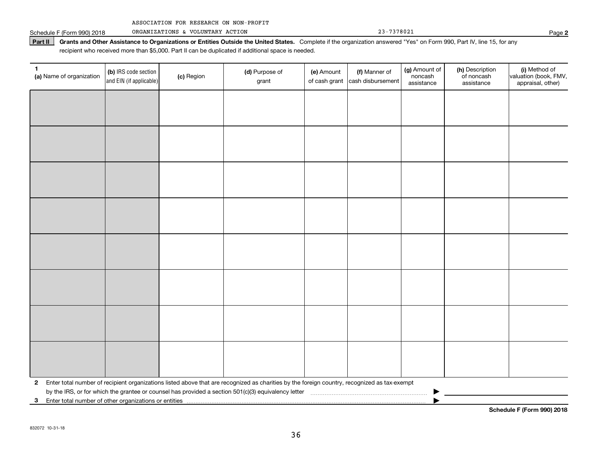|  | ASSOCIATION FOR RESEARCH ON NON-PROFIT |  |  |  |  |
|--|----------------------------------------|--|--|--|--|
|--|----------------------------------------|--|--|--|--|

Schedule F (Form 990) 2018 Page ORGANIZATIONS & VOLUNTARY ACTION 23-7378021

Part II | Grants and Other Assistance to Organizations or Entities Outside the United States. Complete if the organization answered "Yes" on Form 990, Part IV, line 15, for any recipient who received more than \$5,000. Part II can be duplicated if additional space is needed.

| 1<br>(a) Name of organization | (b) IRS code section<br>and EIN (if applicable)       | (c) Region | (d) Purpose of<br>grant                                                                                                                      | (e) Amount<br>of cash grant | (f) Manner of<br>cash disbursement | (g) Amount of<br>noncash<br>assistance | (h) Description<br>of noncash<br>assistance | (i) Method of<br>valuation (book, FMV,<br>appraisal, other) |  |  |
|-------------------------------|-------------------------------------------------------|------------|----------------------------------------------------------------------------------------------------------------------------------------------|-----------------------------|------------------------------------|----------------------------------------|---------------------------------------------|-------------------------------------------------------------|--|--|
|                               |                                                       |            |                                                                                                                                              |                             |                                    |                                        |                                             |                                                             |  |  |
|                               |                                                       |            |                                                                                                                                              |                             |                                    |                                        |                                             |                                                             |  |  |
|                               |                                                       |            |                                                                                                                                              |                             |                                    |                                        |                                             |                                                             |  |  |
|                               |                                                       |            |                                                                                                                                              |                             |                                    |                                        |                                             |                                                             |  |  |
|                               |                                                       |            |                                                                                                                                              |                             |                                    |                                        |                                             |                                                             |  |  |
|                               |                                                       |            |                                                                                                                                              |                             |                                    |                                        |                                             |                                                             |  |  |
|                               |                                                       |            |                                                                                                                                              |                             |                                    |                                        |                                             |                                                             |  |  |
|                               |                                                       |            |                                                                                                                                              |                             |                                    |                                        |                                             |                                                             |  |  |
|                               |                                                       |            |                                                                                                                                              |                             |                                    |                                        |                                             |                                                             |  |  |
|                               |                                                       |            |                                                                                                                                              |                             |                                    |                                        |                                             |                                                             |  |  |
|                               |                                                       |            |                                                                                                                                              |                             |                                    |                                        |                                             |                                                             |  |  |
|                               |                                                       |            |                                                                                                                                              |                             |                                    |                                        |                                             |                                                             |  |  |
|                               |                                                       |            |                                                                                                                                              |                             |                                    |                                        |                                             |                                                             |  |  |
|                               |                                                       |            |                                                                                                                                              |                             |                                    |                                        |                                             |                                                             |  |  |
|                               |                                                       |            |                                                                                                                                              |                             |                                    |                                        |                                             |                                                             |  |  |
|                               |                                                       |            |                                                                                                                                              |                             |                                    |                                        |                                             |                                                             |  |  |
| $\mathbf{2}$                  |                                                       |            | Enter total number of recipient organizations listed above that are recognized as charities by the foreign country, recognized as tax-exempt |                             |                                    |                                        |                                             |                                                             |  |  |
| 3                             | Enter total number of other organizations or entities |            |                                                                                                                                              |                             |                                    |                                        |                                             |                                                             |  |  |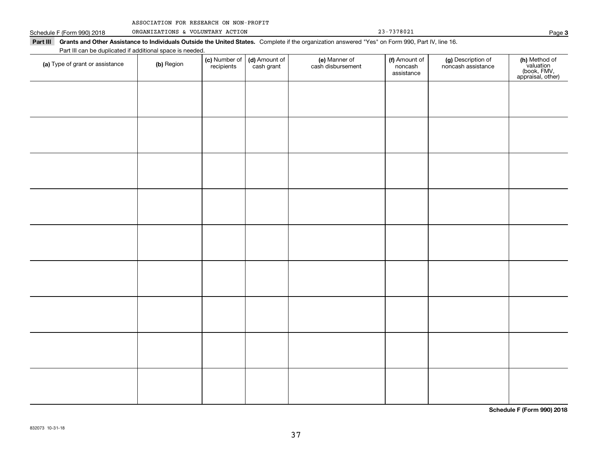| ASSOCIATION FOR RESEARCH ON NON-PROFIT |  |  |  |  |
|----------------------------------------|--|--|--|--|
|----------------------------------------|--|--|--|--|

Schedule F (Form 990) 2018 ORGANIZATIONS & VOLUNTARY ACTION 23-7378021 Page

| Part III can be duplicated if additional space is needed.<br>(a) Type of grant or assistance | (b) Region | (c) Number of<br>recipients | (d) Amount of<br>cash grant | (e) Manner of<br>cash disbursement | (f) Amount of<br>noncash<br>assistance | (g) Description of<br>noncash assistance | (h) Method of<br>valuation<br>(book, FMV,<br>appraisal, other) |
|----------------------------------------------------------------------------------------------|------------|-----------------------------|-----------------------------|------------------------------------|----------------------------------------|------------------------------------------|----------------------------------------------------------------|
|                                                                                              |            |                             |                             |                                    |                                        |                                          |                                                                |
|                                                                                              |            |                             |                             |                                    |                                        |                                          |                                                                |
|                                                                                              |            |                             |                             |                                    |                                        |                                          |                                                                |
|                                                                                              |            |                             |                             |                                    |                                        |                                          |                                                                |
|                                                                                              |            |                             |                             |                                    |                                        |                                          |                                                                |
|                                                                                              |            |                             |                             |                                    |                                        |                                          |                                                                |
|                                                                                              |            |                             |                             |                                    |                                        |                                          |                                                                |
|                                                                                              |            |                             |                             |                                    |                                        |                                          |                                                                |
|                                                                                              |            |                             |                             |                                    |                                        |                                          |                                                                |
|                                                                                              |            |                             |                             |                                    |                                        |                                          |                                                                |
|                                                                                              |            |                             |                             |                                    |                                        |                                          |                                                                |
|                                                                                              |            |                             |                             |                                    |                                        |                                          |                                                                |
|                                                                                              |            |                             |                             |                                    |                                        |                                          |                                                                |
|                                                                                              |            |                             |                             |                                    |                                        |                                          |                                                                |
|                                                                                              |            |                             |                             |                                    |                                        |                                          |                                                                |
|                                                                                              |            |                             |                             |                                    |                                        |                                          |                                                                |
|                                                                                              |            |                             |                             |                                    |                                        |                                          |                                                                |

**Schedule F (Form 990) 2018**

**3**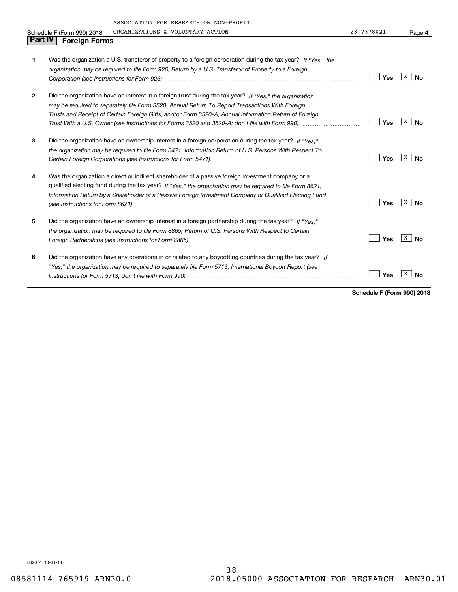| <b>Part IV</b> | ASSOCIATION FOR RESEARCH ON NON-PROFIT<br>ORGANIZATIONS & VOLUNTARY ACTION<br>Schedule F (Form 990) 2018<br><b>Foreign Forms</b>                                                                                                                                                                                                                               | 23-7378021 | Page 4  |
|----------------|----------------------------------------------------------------------------------------------------------------------------------------------------------------------------------------------------------------------------------------------------------------------------------------------------------------------------------------------------------------|------------|---------|
| 1              | Was the organization a U.S. transferor of property to a foreign corporation during the tax year? If "Yes." the<br>organization may be required to file Form 926, Return by a U.S. Transferor of Property to a Foreign<br>Corporation (see Instructions for Form 926) manufactured control control control to the Instruction of the Uni                        | Yes        | x<br>Nο |
| $\mathbf{2}$   | Did the organization have an interest in a foreign trust during the tax year? If "Yes," the organization<br>may be required to separately file Form 3520, Annual Return To Report Transactions With Foreign<br>Trusts and Receipt of Certain Foreign Gifts, and/or Form 3520-A, Annual Information Return of Foreign                                           | Yes        | x<br>N٥ |
| 3              | Did the organization have an ownership interest in a foreign corporation during the tax year? If "Yes."<br>the organization may be required to file Form 5471, Information Return of U.S. Persons With Respect To                                                                                                                                              | Yes        | x<br>Nο |
| 4              | Was the organization a direct or indirect shareholder of a passive foreign investment company or a<br>qualified electing fund during the tax year? If "Yes," the organization may be required to file Form 8621,<br>Information Return by a Shareholder of a Passive Foreign Investment Company or Qualified Electing Fund<br>(see Instructions for Form 8621) | Yes        | x<br>N٥ |
| 5              | Did the organization have an ownership interest in a foreign partnership during the tax year? If "Yes."<br>the organization may be reguired to file Form 8865, Return of U.S. Persons With Respect to Certain<br>Foreign Partnerships (see Instructions for Form 8865) <i>manual content content content content content content content</i>                   | Yes        | x       |

| Did the organization have any operations in or related to any boycotting countries during the tax year? If |                             |  |
|------------------------------------------------------------------------------------------------------------|-----------------------------|--|
| "Yes," the organization may be required to separately file Form 5713, International Boycott Report (see    |                             |  |
|                                                                                                            | $\sqrt{}$ Yes $\sqrt{X}$ No |  |

**Schedule F (Form 990) 2018**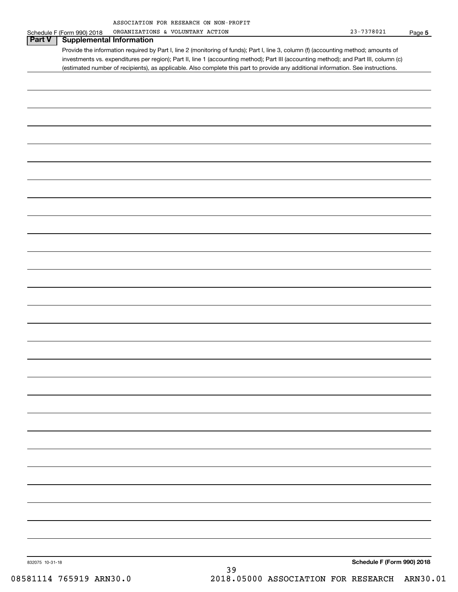| ASSOCIATION FOR RESEARCH ON NON-PROFIT |  |  |
|----------------------------------------|--|--|
|                                        |  |  |

|                 | Schedule F (Form 990) 2018      | ORGANIZATIONS & VOLUNTARY ACTION                                                                                                      | $23 - 7378021$<br>Page 5   |
|-----------------|---------------------------------|---------------------------------------------------------------------------------------------------------------------------------------|----------------------------|
| Part V          | <b>Supplemental Information</b> |                                                                                                                                       |                            |
|                 |                                 | Provide the information required by Part I, line 2 (monitoring of funds); Part I, line 3, column (f) (accounting method; amounts of   |                            |
|                 |                                 | investments vs. expenditures per region); Part II, line 1 (accounting method); Part III (accounting method); and Part III, column (c) |                            |
|                 |                                 | (estimated number of recipients), as applicable. Also complete this part to provide any additional information. See instructions.     |                            |
|                 |                                 |                                                                                                                                       |                            |
|                 |                                 |                                                                                                                                       |                            |
|                 |                                 |                                                                                                                                       |                            |
|                 |                                 |                                                                                                                                       |                            |
|                 |                                 |                                                                                                                                       |                            |
|                 |                                 |                                                                                                                                       |                            |
|                 |                                 |                                                                                                                                       |                            |
|                 |                                 |                                                                                                                                       |                            |
|                 |                                 |                                                                                                                                       |                            |
|                 |                                 |                                                                                                                                       |                            |
|                 |                                 |                                                                                                                                       |                            |
|                 |                                 |                                                                                                                                       |                            |
|                 |                                 |                                                                                                                                       |                            |
|                 |                                 |                                                                                                                                       |                            |
|                 |                                 |                                                                                                                                       |                            |
|                 |                                 |                                                                                                                                       |                            |
|                 |                                 |                                                                                                                                       |                            |
|                 |                                 |                                                                                                                                       |                            |
|                 |                                 |                                                                                                                                       |                            |
|                 |                                 |                                                                                                                                       |                            |
|                 |                                 |                                                                                                                                       |                            |
|                 |                                 |                                                                                                                                       |                            |
|                 |                                 |                                                                                                                                       |                            |
|                 |                                 |                                                                                                                                       |                            |
|                 |                                 |                                                                                                                                       |                            |
|                 |                                 |                                                                                                                                       |                            |
|                 |                                 |                                                                                                                                       |                            |
|                 |                                 |                                                                                                                                       |                            |
|                 |                                 |                                                                                                                                       |                            |
|                 |                                 |                                                                                                                                       |                            |
|                 |                                 |                                                                                                                                       |                            |
|                 |                                 |                                                                                                                                       |                            |
|                 |                                 |                                                                                                                                       |                            |
|                 |                                 |                                                                                                                                       |                            |
|                 |                                 |                                                                                                                                       |                            |
|                 |                                 |                                                                                                                                       |                            |
|                 |                                 |                                                                                                                                       |                            |
|                 |                                 |                                                                                                                                       |                            |
|                 |                                 |                                                                                                                                       |                            |
|                 |                                 |                                                                                                                                       |                            |
|                 |                                 |                                                                                                                                       |                            |
|                 |                                 |                                                                                                                                       |                            |
|                 |                                 |                                                                                                                                       |                            |
|                 |                                 |                                                                                                                                       |                            |
|                 |                                 |                                                                                                                                       |                            |
|                 |                                 |                                                                                                                                       |                            |
|                 |                                 |                                                                                                                                       |                            |
|                 |                                 |                                                                                                                                       |                            |
|                 |                                 |                                                                                                                                       |                            |
|                 |                                 |                                                                                                                                       |                            |
|                 |                                 |                                                                                                                                       |                            |
|                 |                                 |                                                                                                                                       |                            |
|                 |                                 |                                                                                                                                       |                            |
| 832075 10-31-18 |                                 |                                                                                                                                       | Schedule F (Form 990) 2018 |
|                 |                                 | 39                                                                                                                                    |                            |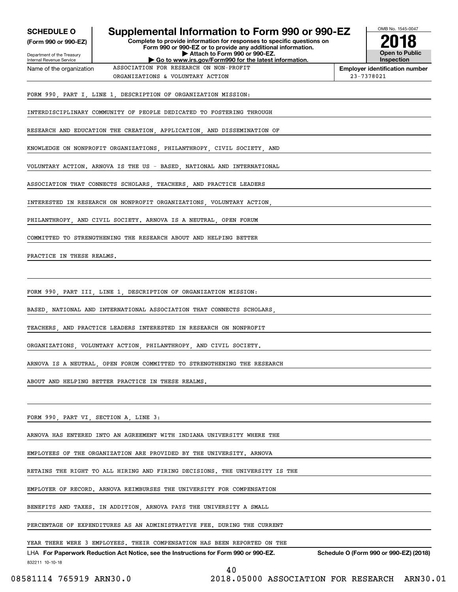| <b>SCHEDULE O</b>                                                              | Supplemental Information to Form 990 or 990-EZ                                                                                                                                                                                   | OMB No. 1545-0047                          |
|--------------------------------------------------------------------------------|----------------------------------------------------------------------------------------------------------------------------------------------------------------------------------------------------------------------------------|--------------------------------------------|
| (Form 990 or 990-EZ)<br>Department of the Treasury<br>Internal Revenue Service | Complete to provide information for responses to specific questions on<br>Form 990 or 990-EZ or to provide any additional information.<br>Attach to Form 990 or 990-EZ.<br>Go to www.irs.gov/Form990 for the latest information. | <b>Open to Public</b><br><b>Inspection</b> |
| Name of the organization                                                       | ASSOCIATION FOR RESEARCH ON NON-PROFIT                                                                                                                                                                                           | <b>Employer identification number</b>      |
|                                                                                | ORGANIZATIONS & VOLUNTARY ACTION                                                                                                                                                                                                 | 23-7378021                                 |
|                                                                                | FORM 990, PART I, LINE 1, DESCRIPTION OF ORGANIZATION MISSION:                                                                                                                                                                   |                                            |
|                                                                                | INTERDISCIPLINARY COMMUNITY OF PEOPLE DEDICATED TO FOSTERING THROUGH                                                                                                                                                             |                                            |
|                                                                                | RESEARCH AND EDUCATION THE CREATION, APPLICATION, AND DISSEMINATION OF                                                                                                                                                           |                                            |
|                                                                                | KNOWLEDGE ON NONPROFIT ORGANIZATIONS, PHILANTHROPY, CIVIL SOCIETY, AND                                                                                                                                                           |                                            |
|                                                                                | VOLUNTARY ACTION. ARNOVA IS THE US - BASED, NATIONAL AND INTERNATIONAL                                                                                                                                                           |                                            |
|                                                                                | ASSOCIATION THAT CONNECTS SCHOLARS, TEACHERS, AND PRACTICE LEADERS                                                                                                                                                               |                                            |
|                                                                                | INTERESTED IN RESEARCH ON NONPROFIT ORGANIZATIONS, VOLUNTARY ACTION,                                                                                                                                                             |                                            |
|                                                                                | PHILANTHROPY, AND CIVIL SOCIETY. ARNOVA IS A NEUTRAL, OPEN FORUM                                                                                                                                                                 |                                            |
|                                                                                | COMMITTED TO STRENGTHENING THE RESEARCH ABOUT AND HELPING BETTER                                                                                                                                                                 |                                            |
| PRACTICE IN THESE REALMS.                                                      |                                                                                                                                                                                                                                  |                                            |
|                                                                                |                                                                                                                                                                                                                                  |                                            |
|                                                                                | FORM 990, PART III, LINE 1, DESCRIPTION OF ORGANIZATION MISSION:                                                                                                                                                                 |                                            |
|                                                                                | BASED, NATIONAL AND INTERNATIONAL ASSOCIATION THAT CONNECTS SCHOLARS,                                                                                                                                                            |                                            |
|                                                                                | TEACHERS, AND PRACTICE LEADERS INTERESTED IN RESEARCH ON NONPROFIT                                                                                                                                                               |                                            |
|                                                                                | ORGANIZATIONS, VOLUNTARY ACTION, PHILANTHROPY, AND CIVIL SOCIETY.                                                                                                                                                                |                                            |
|                                                                                | ARNOVA IS A NEUTRAL, OPEN FORUM COMMITTED TO STRENGTHENING THE RESEARCH                                                                                                                                                          |                                            |
|                                                                                | ABOUT AND HELPING BETTER PRACTICE IN THESE REALMS.                                                                                                                                                                               |                                            |
|                                                                                |                                                                                                                                                                                                                                  |                                            |
| FORM 990, PART VI, SECTION A, LINE 3:                                          |                                                                                                                                                                                                                                  |                                            |
|                                                                                | ARNOVA HAS ENTERED INTO AN AGREEMENT WITH INDIANA UNIVERSITY WHERE THE                                                                                                                                                           |                                            |
|                                                                                | EMPLOYEES OF THE ORGANIZATION ARE PROVIDED BY THE UNIVERSITY. ARNOVA                                                                                                                                                             |                                            |
|                                                                                | RETAINS THE RIGHT TO ALL HIRING AND FIRING DECISIONS. THE UNIVERSITY IS THE                                                                                                                                                      |                                            |
|                                                                                | EMPLOYER OF RECORD. ARNOVA REIMBURSES THE UNIVERSITY FOR COMPENSATION                                                                                                                                                            |                                            |
|                                                                                | BENEFITS AND TAXES. IN ADDITION, ARNOVA PAYS THE UNIVERSITY A SMALL                                                                                                                                                              |                                            |
|                                                                                | PERCENTAGE OF EXPENDITURES AS AN ADMINISTRATIVE FEE. DURING THE CURRENT                                                                                                                                                          |                                            |
|                                                                                | YEAR THERE WERE 3 EMPLOYEES. THEIR COMPENSATION HAS BEEN REPORTED ON THE                                                                                                                                                         |                                            |
| 832211 10-10-18                                                                | LHA For Paperwork Reduction Act Notice, see the Instructions for Form 990 or 990-EZ.                                                                                                                                             | Schedule O (Form 990 or 990-EZ) (2018)     |
| 08581114 765919 ARN30.0                                                        | 40<br>2018.05000 ASSOCIATION FOR RESEARCH ARN30.01                                                                                                                                                                               |                                            |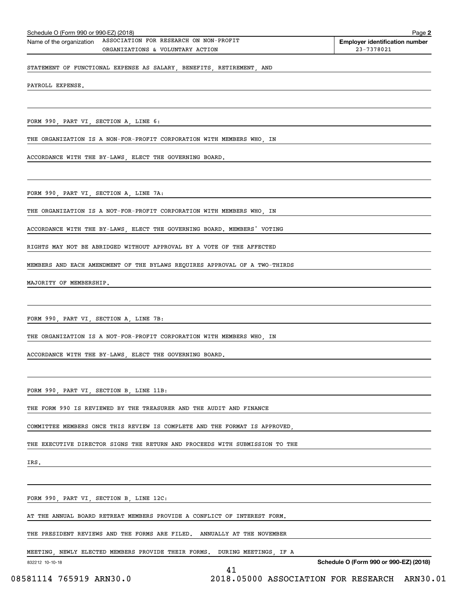| Schedule O (Form 990 or 990-EZ) (2018) | Page 2                                 |                                       |
|----------------------------------------|----------------------------------------|---------------------------------------|
| Name of the organization               | ASSOCIATION FOR RESEARCH ON NON-PROFIT | <b>Employer identification number</b> |
|                                        | ORGANIZATIONS & VOLUNTARY ACTION       | 23-7378021                            |
|                                        |                                        |                                       |

STATEMENT OF FUNCTIONAL EXPENSE AS SALARY, BENEFITS, RETIREMENT, AND

PAYROLL EXPENSE.

FORM 990, PART VI, SECTION A, LINE 6:

THE ORGANIZATION IS A NON-FOR-PROFIT CORPORATION WITH MEMBERS WHO, IN

ACCORDANCE WITH THE BY-LAWS, ELECT THE GOVERNING BOARD.

FORM 990, PART VI, SECTION A, LINE 7A:

THE ORGANIZATION IS A NOT-FOR-PROFIT CORPORATION WITH MEMBERS WHO, IN

ACCORDANCE WITH THE BY-LAWS, ELECT THE GOVERNING BOARD. MEMBERS' VOTING

RIGHTS MAY NOT BE ABRIDGED WITHOUT APPROVAL BY A VOTE OF THE AFFECTED

MEMBERS AND EACH AMENDMENT OF THE BYLAWS REQUIRES APPROVAL OF A TWO-THIRDS

MAJORITY OF MEMBERSHIP.

FORM 990, PART VI, SECTION A, LINE 7B:

THE ORGANIZATION IS A NOT-FOR-PROFIT CORPORATION WITH MEMBERS WHO, IN

ACCORDANCE WITH THE BY-LAWS, ELECT THE GOVERNING BOARD.

FORM 990, PART VI, SECTION B, LINE 11B:

THE FORM 990 IS REVIEWED BY THE TREASURER AND THE AUDIT AND FINANCE

COMMITTEE MEMBERS ONCE THIS REVIEW IS COMPLETE AND THE FORMAT IS APPROVED,

THE EXECUTIVE DIRECTOR SIGNS THE RETURN AND PROCEEDS WITH SUBMISSION TO THE

IRS.

FORM 990, PART VI, SECTION B, LINE 12C:

AT THE ANNUAL BOARD RETREAT MEMBERS PROVIDE A CONFLICT OF INTEREST FORM.

THE PRESIDENT REVIEWS AND THE FORMS ARE FILED. ANNUALLY AT THE NOVEMBER

MEETING, NEWLY ELECTED MEMBERS PROVIDE THEIR FORMS. DURING MEETINGS, IF A

41

832212 10-10-18